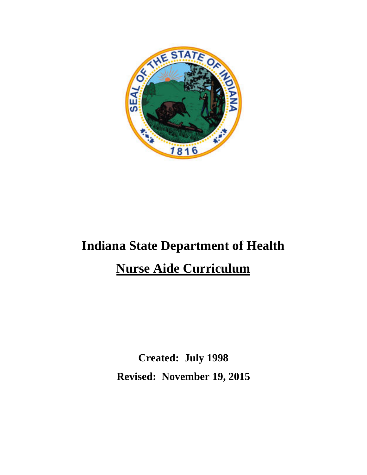

# **Indiana State Department of Health**

# **Nurse Aide Curriculum**

**Created: July 1998 Revised: November 19, 2015**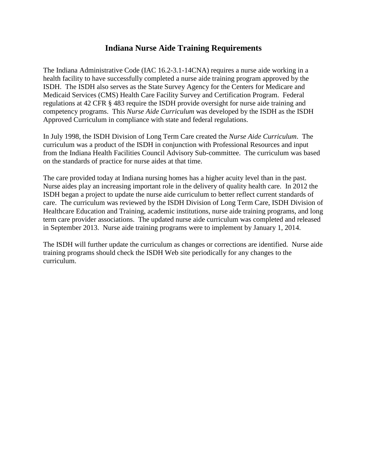## **Indiana Nurse Aide Training Requirements**

The Indiana Administrative Code (IAC 16.2-3.1-14CNA) requires a nurse aide working in a health facility to have successfully completed a nurse aide training program approved by the ISDH. The ISDH also serves as the State Survey Agency for the Centers for Medicare and Medicaid Services (CMS) Health Care Facility Survey and Certification Program. Federal regulations at 42 CFR § 483 require the ISDH provide oversight for nurse aide training and competency programs. This *Nurse Aide Curriculum* was developed by the ISDH as the ISDH Approved Curriculum in compliance with state and federal regulations.

In July 1998, the ISDH Division of Long Term Care created the *Nurse Aide Curriculum*. The curriculum was a product of the ISDH in conjunction with Professional Resources and input from the Indiana Health Facilities Council Advisory Sub-committee. The curriculum was based on the standards of practice for nurse aides at that time.

The care provided today at Indiana nursing homes has a higher acuity level than in the past. Nurse aides play an increasing important role in the delivery of quality health care. In 2012 the ISDH began a project to update the nurse aide curriculum to better reflect current standards of care. The curriculum was reviewed by the ISDH Division of Long Term Care, ISDH Division of Healthcare Education and Training, academic institutions, nurse aide training programs, and long term care provider associations. The updated nurse aide curriculum was completed and released in September 2013. Nurse aide training programs were to implement by January 1, 2014.

The ISDH will further update the curriculum as changes or corrections are identified. Nurse aide training programs should check the ISDH Web site periodically for any changes to the curriculum.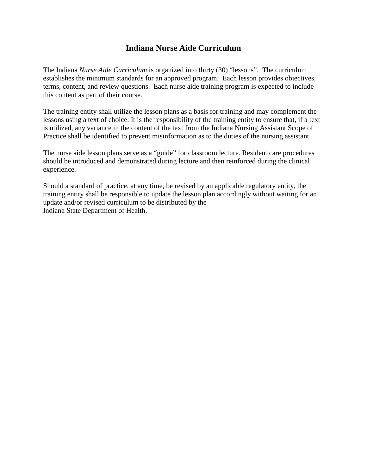# **Indiana Nurse Aide Curriculum**

The Indiana *Nurse Aide Curriculum* is organized into thirty (30) "lessons". The curriculum establishes the minimum standards for an approved program. Each lesson provides objectives, terms, content, and review questions. Each nurse aide training program is expected to include this content as part of their course.

The training entity shall utilize the lesson plans as a basis for training and may complement the lessons using a text of choice. It is the responsibility of the training entity to ensure that, if a text is utilized, any variance in the content of the text from the Indiana Nursing Assistant Scope of Practice shall be identified to prevent misinformation as to the duties of the nursing assistant.

The nurse aide lesson plans serve as a "guide" for classroom lecture. Resident care procedures should be introduced and demonstrated during lecture and then reinforced during the clinical experience.

Should a standard of practice, at any time, be revised by an applicable regulatory entity, the training entity shall be responsible to update the lesson plan accordingly without waiting for an update and/or revised curriculum to be distributed by the Indiana State Department of Health.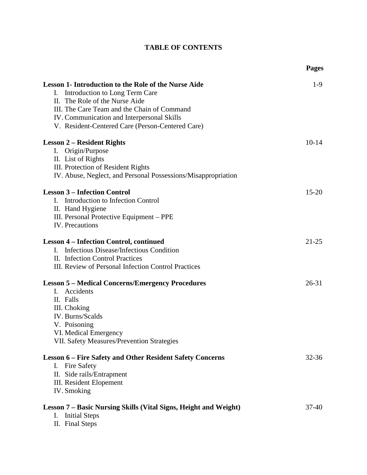| <b>TABLE OF CONTENTS</b> |  |
|--------------------------|--|
|                          |  |

|                                                                                                                                                                                                                                                                                        | <b>Pages</b> |
|----------------------------------------------------------------------------------------------------------------------------------------------------------------------------------------------------------------------------------------------------------------------------------------|--------------|
| <b>Lesson 1- Introduction to the Role of the Nurse Aide</b><br>Introduction to Long Term Care<br>I.<br>II. The Role of the Nurse Aide<br>III. The Care Team and the Chain of Command<br>IV. Communication and Interpersonal Skills<br>V. Resident-Centered Care (Person-Centered Care) | $1-9$        |
| <b>Lesson 2 – Resident Rights</b><br>Origin/Purpose<br>I.<br>II. List of Rights<br>III. Protection of Resident Rights<br>IV. Abuse, Neglect, and Personal Possessions/Misappropriation                                                                                                 | $10-14$      |
| <b>Lesson 3 - Infection Control</b><br>Introduction to Infection Control<br>I.<br>II. Hand Hygiene<br>III. Personal Protective Equipment – PPE<br>IV. Precautions                                                                                                                      | $15 - 20$    |
| <b>Lesson 4 – Infection Control, continued</b><br>Infectious Disease/Infectious Condition<br>Ι.<br>II. Infection Control Practices<br>III. Review of Personal Infection Control Practices                                                                                              | $21 - 25$    |
| <b>Lesson 5 – Medical Concerns/Emergency Procedures</b><br>Accidents<br>$\mathbf{I}$ .<br>II. Falls<br>III. Choking<br>IV. Burns/Scalds<br>V. Poisoning<br>VI. Medical Emergency<br>VII. Safety Measures/Prevention Strategies                                                         | $26 - 31$    |
| <b>Lesson 6 – Fire Safety and Other Resident Safety Concerns</b><br>I. Fire Safety<br>II. Side rails/Entrapment<br><b>III.</b> Resident Elopement<br><b>IV.</b> Smoking                                                                                                                | $32 - 36$    |
| Lesson 7 – Basic Nursing Skills (Vital Signs, Height and Weight)<br><b>Initial Steps</b><br>I.<br>II. Final Steps                                                                                                                                                                      | $37-40$      |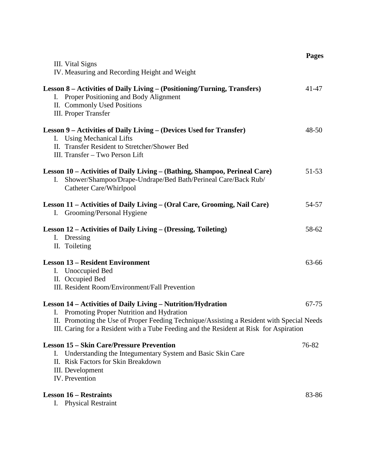|                                                                                                                                                                                                                                                                                                    | <b>Pages</b> |
|----------------------------------------------------------------------------------------------------------------------------------------------------------------------------------------------------------------------------------------------------------------------------------------------------|--------------|
| III. Vital Signs<br>IV. Measuring and Recording Height and Weight                                                                                                                                                                                                                                  |              |
| Lesson 8 – Activities of Daily Living – (Positioning/Turning, Transfers)<br>I. Proper Positioning and Body Alignment<br>II. Commonly Used Positions<br>III. Proper Transfer                                                                                                                        | 41-47        |
| Lesson 9 – Activities of Daily Living – (Devices Used for Transfer)<br>I. Using Mechanical Lifts<br>II. Transfer Resident to Stretcher/Shower Bed<br>III. Transfer - Two Person Lift                                                                                                               | $48 - 50$    |
| Lesson 10 – Activities of Daily Living – (Bathing, Shampoo, Perineal Care)<br>Shower/Shampoo/Drape-Undrape/Bed Bath/Perineal Care/Back Rub/<br>Ι.<br>Catheter Care/Whirlpool                                                                                                                       | 51-53        |
| Lesson 11 – Activities of Daily Living – (Oral Care, Grooming, Nail Care)<br>I. Grooming/Personal Hygiene                                                                                                                                                                                          | 54-57        |
| Lesson 12 – Activities of Daily Living – (Dressing, Toileting)<br>I. Dressing<br>II. Toileting                                                                                                                                                                                                     | 58-62        |
| <b>Lesson 13 – Resident Environment</b><br>I. Unoccupied Bed<br>II. Occupied Bed<br>III. Resident Room/Environment/Fall Prevention                                                                                                                                                                 | 63-66        |
| Lesson 14 – Activities of Daily Living – Nutrition/Hydration<br>I. Promoting Proper Nutrition and Hydration<br>II. Promoting the Use of Proper Feeding Technique/Assisting a Resident with Special Needs<br>III. Caring for a Resident with a Tube Feeding and the Resident at Risk for Aspiration | $67 - 75$    |
| <b>Lesson 15 – Skin Care/Pressure Prevention</b><br>Understanding the Integumentary System and Basic Skin Care<br>Ι.<br>II. Risk Factors for Skin Breakdown<br>III. Development<br>IV. Prevention                                                                                                  | 76-82        |
| <b>Lesson 16 – Restraints</b><br>I. Physical Restraint                                                                                                                                                                                                                                             | 83-86        |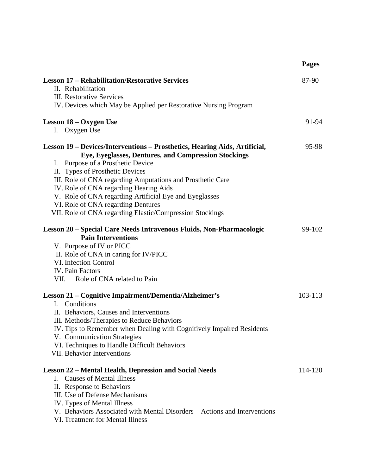|                                                                            | <b>Pages</b> |
|----------------------------------------------------------------------------|--------------|
| <b>Lesson 17 – Rehabilitation/Restorative Services</b>                     | 87-90        |
| II. Rehabilitation                                                         |              |
| <b>III.</b> Restorative Services                                           |              |
| IV. Devices which May be Applied per Restorative Nursing Program           |              |
| Lesson 18 – Oxygen Use                                                     | 91-94        |
| I. Oxygen Use                                                              |              |
| Lesson 19 – Devices/Interventions – Prosthetics, Hearing Aids, Artificial, | 95-98        |
| Eye, Eyeglasses, Dentures, and Compression Stockings                       |              |
| I. Purpose of a Prosthetic Device                                          |              |
| II. Types of Prosthetic Devices                                            |              |
| III. Role of CNA regarding Amputations and Prosthetic Care                 |              |
| IV. Role of CNA regarding Hearing Aids                                     |              |
| V. Role of CNA regarding Artificial Eye and Eyeglasses                     |              |
| VI. Role of CNA regarding Dentures                                         |              |
| VII. Role of CNA regarding Elastic/Compression Stockings                   |              |
| Lesson 20 – Special Care Needs Intravenous Fluids, Non-Pharmacologic       | 99-102       |
| <b>Pain Interventions</b>                                                  |              |
| V. Purpose of IV or PICC                                                   |              |
| II. Role of CNA in caring for IV/PICC                                      |              |
| VI. Infection Control                                                      |              |
| <b>IV.</b> Pain Factors                                                    |              |
| VII. Role of CNA related to Pain                                           |              |
| Lesson 21 – Cognitive Impairment/Dementia/Alzheimer's                      | 103-113      |
| Conditions<br>I.                                                           |              |
| II. Behaviors, Causes and Interventions                                    |              |
| III. Methods/Therapies to Reduce Behaviors                                 |              |
| IV. Tips to Remember when Dealing with Cognitively Impaired Residents      |              |
| V. Communication Strategies                                                |              |
| VI. Techniques to Handle Difficult Behaviors                               |              |
| VII. Behavior Interventions                                                |              |
| <b>Lesson 22 – Mental Health, Depression and Social Needs</b>              | 114-120      |
| <b>Causes of Mental Illness</b><br>$\mathbf{L}$                            |              |
| II. Response to Behaviors                                                  |              |
| III. Use of Defense Mechanisms                                             |              |
| IV. Types of Mental Illness                                                |              |
| V. Behaviors Associated with Mental Disorders - Actions and Interventions  |              |
| VI. Treatment for Mental Illness                                           |              |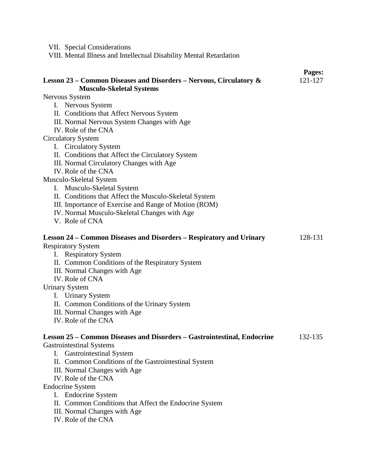VII. Special Considerations

VIII. Mental Illness and Intellectual Disability Mental Retardation

|                                                                                                                                                                                                                                                          | Pages:  |
|----------------------------------------------------------------------------------------------------------------------------------------------------------------------------------------------------------------------------------------------------------|---------|
| Lesson 23 – Common Diseases and Disorders – Nervous, Circulatory &<br><b>Musculo-Skeletal Systems</b>                                                                                                                                                    | 121-127 |
| Nervous System                                                                                                                                                                                                                                           |         |
| I. Nervous System                                                                                                                                                                                                                                        |         |
| II. Conditions that Affect Nervous System                                                                                                                                                                                                                |         |
| III. Normal Nervous System Changes with Age                                                                                                                                                                                                              |         |
| IV. Role of the CNA                                                                                                                                                                                                                                      |         |
| <b>Circulatory System</b>                                                                                                                                                                                                                                |         |
| I. Circulatory System                                                                                                                                                                                                                                    |         |
| II. Conditions that Affect the Circulatory System                                                                                                                                                                                                        |         |
| III. Normal Circulatory Changes with Age                                                                                                                                                                                                                 |         |
| IV. Role of the CNA                                                                                                                                                                                                                                      |         |
| Musculo-Skeletal System                                                                                                                                                                                                                                  |         |
| I. Musculo-Skeletal System                                                                                                                                                                                                                               |         |
| II. Conditions that Affect the Musculo-Skeletal System                                                                                                                                                                                                   |         |
| III. Importance of Exercise and Range of Motion (ROM)                                                                                                                                                                                                    |         |
| IV. Normal Musculo-Skeletal Changes with Age                                                                                                                                                                                                             |         |
| V. Role of CNA                                                                                                                                                                                                                                           |         |
| Lesson 24 – Common Diseases and Disorders – Respiratory and Urinary<br><b>Respiratory System</b><br>I. Respiratory System<br>II. Common Conditions of the Respiratory System<br>III. Normal Changes with Age<br>IV. Role of CNA<br><b>Urinary System</b> | 128-131 |
| I. Urinary System                                                                                                                                                                                                                                        |         |
| II. Common Conditions of the Urinary System                                                                                                                                                                                                              |         |
| III. Normal Changes with Age                                                                                                                                                                                                                             |         |
| IV. Role of the CNA                                                                                                                                                                                                                                      |         |
| Lesson 25 – Common Diseases and Disorders – Gastrointestinal, Endocrine<br><b>Gastrointestinal Systems</b>                                                                                                                                               | 132-135 |
| <b>Gastrointestinal System</b><br>Ι.                                                                                                                                                                                                                     |         |
| II. Common Conditions of the Gastrointestinal System                                                                                                                                                                                                     |         |
| III. Normal Changes with Age                                                                                                                                                                                                                             |         |
| IV. Role of the CNA                                                                                                                                                                                                                                      |         |
| <b>Endocrine System</b>                                                                                                                                                                                                                                  |         |
| I. Endocrine System                                                                                                                                                                                                                                      |         |
| II. Common Conditions that Affect the Endocrine System                                                                                                                                                                                                   |         |
| III. Normal Changes with Age                                                                                                                                                                                                                             |         |
| IV. Role of the CNA                                                                                                                                                                                                                                      |         |
|                                                                                                                                                                                                                                                          |         |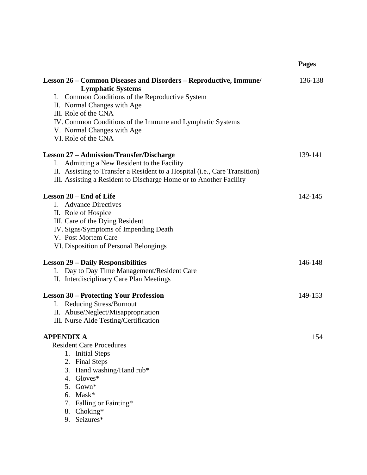|                                                                                                                                                                                                                                                                                                                           | <b>Pages</b> |
|---------------------------------------------------------------------------------------------------------------------------------------------------------------------------------------------------------------------------------------------------------------------------------------------------------------------------|--------------|
| Lesson 26 – Common Diseases and Disorders – Reproductive, Immune/<br><b>Lymphatic Systems</b><br>I. Common Conditions of the Reproductive System<br>II. Normal Changes with Age<br>III. Role of the CNA<br>IV. Common Conditions of the Immune and Lymphatic Systems<br>V. Normal Changes with Age<br>VI. Role of the CNA | 136-138      |
| <b>Lesson 27 – Admission/Transfer/Discharge</b><br>Admitting a New Resident to the Facility<br>I.<br>II. Assisting to Transfer a Resident to a Hospital (i.e., Care Transition)<br>III. Assisting a Resident to Discharge Home or to Another Facility                                                                     | 139-141      |
| Lesson 28 – End of Life<br><b>Advance Directives</b><br>$\mathbf{L}$<br>II. Role of Hospice<br>III. Care of the Dying Resident<br>IV. Signs/Symptoms of Impending Death<br>V. Post Mortem Care<br>VI. Disposition of Personal Belongings                                                                                  | 142-145      |
| <b>Lesson 29 – Daily Responsibilities</b><br>Day to Day Time Management/Resident Care<br>I.<br>II. Interdisciplinary Care Plan Meetings                                                                                                                                                                                   | 146-148      |
| <b>Lesson 30 – Protecting Your Profession</b><br><b>Reducing Stress/Burnout</b><br>I.<br>II. Abuse/Neglect/Misappropriation<br>III. Nurse Aide Testing/Certification                                                                                                                                                      | 149-153      |
| <b>APPENDIX A</b><br><b>Resident Care Procedures</b><br>1. Initial Steps<br>2. Final Steps<br>Hand washing/Hand rub*<br>3.<br>$Gloves*$<br>4.<br>5. Gown*<br>$Mask*$<br>6.<br>Falling or Fainting*<br>7.<br>8. Choking*<br>9. Seizures*                                                                                   | 154          |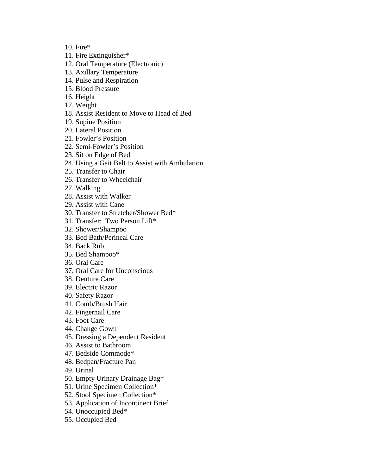10. Fire\*

- 11. Fire Extinguisher\*
- 12. Oral Temperature (Electronic)
- 13. Axillary Temperature
- 14. Pulse and Respiration
- 15. Blood Pressure
- 16. Height
- 17. Weight
- 18. Assist Resident to Move to Head of Bed
- 19. Supine Position
- 20. Lateral Position
- 21. Fowler's Position
- 22. Semi-Fowler's Position
- 23. Sit on Edge of Bed
- 24. Using a Gait Belt to Assist with Ambulation
- 25. Transfer to Chair
- 26. Transfer to Wheelchair
- 27. Walking
- 28. Assist with Walker
- 29. Assist with Cane
- 30. Transfer to Stretcher/Shower Bed\*
- 31. Transfer: Two Person Lift\*
- 32. Shower/Shampoo
- 33. Bed Bath/Perineal Care
- 34. Back Rub
- 35. Bed Shampoo\*
- 36. Oral Care
- 37. Oral Care for Unconscious
- 38. Denture Care
- 39. Electric Razor
- 40. Safety Razor
- 41. Comb/Brush Hair
- 42. Fingernail Care
- 43. Foot Care
- 44. Change Gown
- 45. Dressing a Dependent Resident
- 46. Assist to Bathroom
- 47. Bedside Commode\*
- 48. Bedpan/Fracture Pan
- 49. Urinal
- 50. Empty Urinary Drainage Bag\*
- 51. Urine Specimen Collection\*
- 52. Stool Specimen Collection\*
- 53. Application of Incontinent Brief
- 54. Unoccupied Bed\*
- 55. Occupied Bed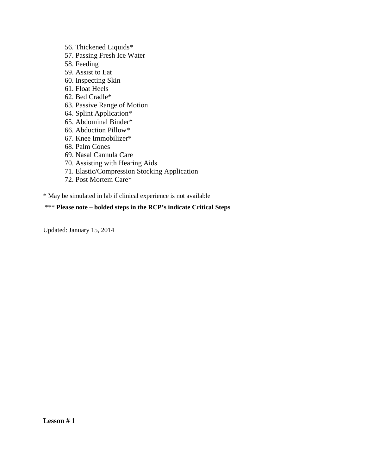56. Thickened Liquids\*

- 57. Passing Fresh Ice Water
- 58. Feeding
- 59. Assist to Eat
- 60. Inspecting Skin
- 61. Float Heels
- 62. Bed Cradle\*
- 63. Passive Range of Motion
- 64. Splint Application\*
- 65. Abdominal Binder\*
- 66. Abduction Pillow\*
- 67. Knee Immobilizer\*
- 68. Palm Cones
- 69. Nasal Cannula Care
- 70. Assisting with Hearing Aids
- 71. Elastic/Compression Stocking Application
- 72. Post Mortem Care\*

\* May be simulated in lab if clinical experience is not available

#### \*\*\* **Please note – bolded steps in the RCP's indicate Critical Steps**

Updated: January 15, 2014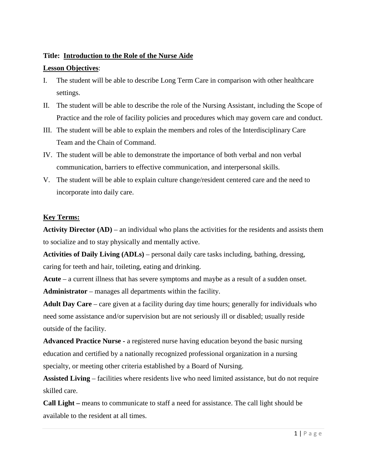## **Title: Introduction to the Role of the Nurse Aide**

#### **Lesson Objectives**:

- I. The student will be able to describe Long Term Care in comparison with other healthcare settings.
- II. The student will be able to describe the role of the Nursing Assistant, including the Scope of Practice and the role of facility policies and procedures which may govern care and conduct.
- III. The student will be able to explain the members and roles of the Interdisciplinary Care Team and the Chain of Command.
- IV. The student will be able to demonstrate the importance of both verbal and non verbal communication, barriers to effective communication, and interpersonal skills.
- V. The student will be able to explain culture change/resident centered care and the need to incorporate into daily care.

## **Key Terms:**

**Activity Director (AD)** – an individual who plans the activities for the residents and assists them to socialize and to stay physically and mentally active.

**Activities of Daily Living (ADLs)** – personal daily care tasks including, bathing, dressing, caring for teeth and hair, toileting, eating and drinking.

**Acute** – a current illness that has severe symptoms and maybe as a result of a sudden onset. **Administrator** – manages all departments within the facility.

**Adult Day Care** – care given at a facility during day time hours; generally for individuals who need some assistance and/or supervision but are not seriously ill or disabled; usually reside outside of the facility.

**Advanced Practice Nurse -** a registered nurse having education beyond the basic nursing education and certified by a nationally recognized professional organization in a nursing specialty, or meeting other criteria established by a Board of Nursing.

**Assisted Living** – facilities where residents live who need limited assistance, but do not require skilled care.

**Call Light –** means to communicate to staff a need for assistance. The call light should be available to the resident at all times.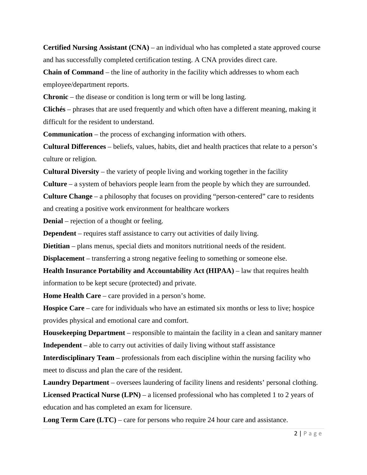**Certified Nursing Assistant (CNA)** – an individual who has completed a state approved course and has successfully completed certification testing. A CNA provides direct care.

**Chain of Command** – the line of authority in the facility which addresses to whom each employee/department reports.

**Chronic** – the disease or condition is long term or will be long lasting.

**Clichés** – phrases that are used frequently and which often have a different meaning, making it difficult for the resident to understand.

**Communication** – the process of exchanging information with others.

**Cultural Differences** – beliefs, values, habits, diet and health practices that relate to a person's culture or religion.

**Cultural Diversity** – the variety of people living and working together in the facility

**Culture** – a system of behaviors people learn from the people by which they are surrounded.

**Culture Change** – a philosophy that focuses on providing "person-centered" care to residents and creating a positive work environment for healthcare workers

**Denial** – rejection of a thought or feeling.

**Dependent** – requires staff assistance to carry out activities of daily living.

**Dietitian** – plans menus, special diets and monitors nutritional needs of the resident.

**Displacement** – transferring a strong negative feeling to something or someone else.

**Health Insurance Portability and Accountability Act (HIPAA)** – law that requires health information to be kept secure (protected) and private.

**Home Health Care** – care provided in a person's home.

**Hospice Care** – care for individuals who have an estimated six months or less to live; hospice provides physical and emotional care and comfort.

**Housekeeping Department** – responsible to maintain the facility in a clean and sanitary manner **Independent** – able to carry out activities of daily living without staff assistance

**Interdisciplinary Team** – professionals from each discipline within the nursing facility who meet to discuss and plan the care of the resident.

**Laundry Department** – oversees laundering of facility linens and residents' personal clothing. **Licensed Practical Nurse (LPN)** – a licensed professional who has completed 1 to 2 years of education and has completed an exam for licensure.

**Long Term Care (LTC)** – care for persons who require 24 hour care and assistance.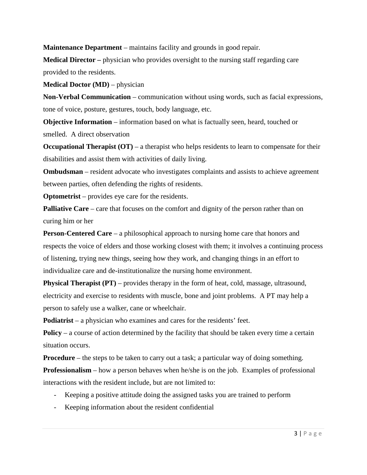**Maintenance Department** – maintains facility and grounds in good repair.

**Medical Director –** physician who provides oversight to the nursing staff regarding care provided to the residents.

**Medical Doctor (MD)** – physician

**Non-Verbal Communication** – communication without using words, such as facial expressions, tone of voice, posture, gestures, touch, body language, etc.

**Objective Information** – information based on what is factually seen, heard, touched or smelled. A direct observation

**Occupational Therapist (OT)** – a therapist who helps residents to learn to compensate for their disabilities and assist them with activities of daily living.

**Ombudsman** – resident advocate who investigates complaints and assists to achieve agreement between parties, often defending the rights of residents.

**Optometrist** – provides eye care for the residents.

**Palliative Care** – care that focuses on the comfort and dignity of the person rather than on curing him or her

**Person-Centered Care** – a philosophical approach to nursing home care that honors and respects the voice of elders and those working closest with them; it involves a continuing process of listening, trying new things, seeing how they work, and changing things in an effort to individualize care and de-institutionalize the nursing home environment.

**Physical Therapist (PT)** – provides therapy in the form of heat, cold, massage, ultrasound, electricity and exercise to residents with muscle, bone and joint problems. A PT may help a person to safely use a walker, cane or wheelchair.

**Podiatrist** – a physician who examines and cares for the residents' feet.

**Policy** – a course of action determined by the facility that should be taken every time a certain situation occurs.

**Procedure** – the steps to be taken to carry out a task; a particular way of doing something.

**Professionalism** – how a person behaves when he/she is on the job. Examples of professional interactions with the resident include, but are not limited to:

- Keeping a positive attitude doing the assigned tasks you are trained to perform
- Keeping information about the resident confidential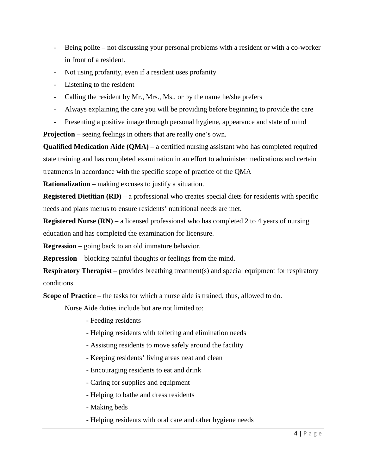- Being polite not discussing your personal problems with a resident or with a co-worker in front of a resident.
- Not using profanity, even if a resident uses profanity
- Listening to the resident
- Calling the resident by Mr., Mrs., Ms., or by the name he/she prefers
- Always explaining the care you will be providing before beginning to provide the care
- Presenting a positive image through personal hygiene, appearance and state of mind

**Projection** – seeing feelings in others that are really one's own.

**Qualified Medication Aide (QMA)** – a certified nursing assistant who has completed required state training and has completed examination in an effort to administer medications and certain treatments in accordance with the specific scope of practice of the QMA

**Rationalization** – making excuses to justify a situation.

**Registered Dietitian (RD)** – a professional who creates special diets for residents with specific needs and plans menus to ensure residents' nutritional needs are met.

**Registered Nurse (RN)** – a licensed professional who has completed 2 to 4 years of nursing education and has completed the examination for licensure.

**Regression** – going back to an old immature behavior.

**Repression** – blocking painful thoughts or feelings from the mind.

**Respiratory Therapist** – provides breathing treatment(s) and special equipment for respiratory conditions.

**Scope of Practice** – the tasks for which a nurse aide is trained, thus, allowed to do.

Nurse Aide duties include but are not limited to:

- Feeding residents
- Helping residents with toileting and elimination needs
- Assisting residents to move safely around the facility
- Keeping residents' living areas neat and clean
- Encouraging residents to eat and drink
- Caring for supplies and equipment
- Helping to bathe and dress residents
- Making beds
- Helping residents with oral care and other hygiene needs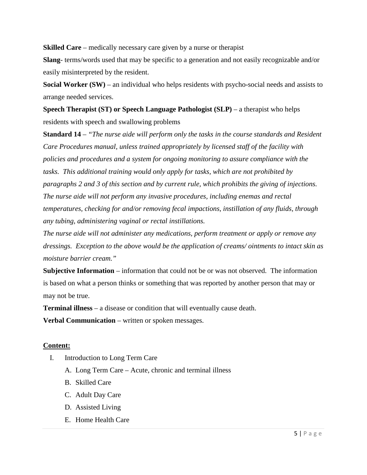**Skilled Care** – medically necessary care given by a nurse or therapist

**Slang**- terms/words used that may be specific to a generation and not easily recognizable and/or easily misinterpreted by the resident.

**Social Worker (SW)** – an individual who helps residents with psycho-social needs and assists to arrange needed services.

**Speech Therapist (ST) or Speech Language Pathologist (SLP)** – a therapist who helps residents with speech and swallowing problems

**Standard 14** *– "The nurse aide will perform only the tasks in the course standards and Resident Care Procedures manual, unless trained appropriately by licensed staff of the facility with policies and procedures and a system for ongoing monitoring to assure compliance with the tasks. This additional training would only apply for tasks, which are not prohibited by paragraphs 2 and 3 of this section and by current rule, which prohibits the giving of injections. The nurse aide will not perform any invasive procedures, including enemas and rectal temperatures, checking for and/or removing fecal impactions, instillation of any fluids, through any tubing, administering vaginal or rectal instillations.*

*The nurse aide will not administer any medications, perform treatment or apply or remove any dressings. Exception to the above would be the application of creams/ ointments to intact skin as moisture barrier cream."*

**Subjective Information** – information that could not be or was not observed. The information is based on what a person thinks or something that was reported by another person that may or may not be true.

**Terminal illness** – a disease or condition that will eventually cause death.

**Verbal Communication** – written or spoken messages.

#### **Content:**

- I. Introduction to Long Term Care
	- A. Long Term Care Acute, chronic and terminal illness
	- B. Skilled Care
	- C. Adult Day Care
	- D. Assisted Living
	- E. Home Health Care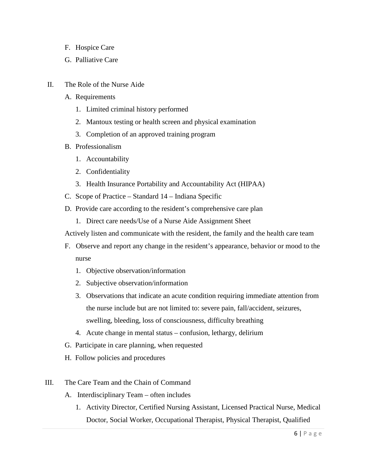- F. Hospice Care
- G. Palliative Care
- II. The Role of the Nurse Aide
	- A. Requirements
		- 1. Limited criminal history performed
		- 2. Mantoux testing or health screen and physical examination
		- 3. Completion of an approved training program
	- B. Professionalism
		- 1. Accountability
		- 2. Confidentiality
		- 3. Health Insurance Portability and Accountability Act (HIPAA)
	- C. Scope of Practice Standard 14 Indiana Specific
	- D. Provide care according to the resident's comprehensive care plan
		- 1. Direct care needs/Use of a Nurse Aide Assignment Sheet
	- Actively listen and communicate with the resident, the family and the health care team
	- F. Observe and report any change in the resident's appearance, behavior or mood to the nurse
		- 1. Objective observation/information
		- 2. Subjective observation/information
		- 3. Observations that indicate an acute condition requiring immediate attention from the nurse include but are not limited to: severe pain, fall/accident, seizures, swelling, bleeding, loss of consciousness, difficulty breathing
		- 4. Acute change in mental status confusion, lethargy, delirium
	- G. Participate in care planning, when requested
	- H. Follow policies and procedures
- III. The Care Team and the Chain of Command
	- A. Interdisciplinary Team often includes
		- 1. Activity Director, Certified Nursing Assistant, Licensed Practical Nurse, Medical Doctor, Social Worker, Occupational Therapist, Physical Therapist, Qualified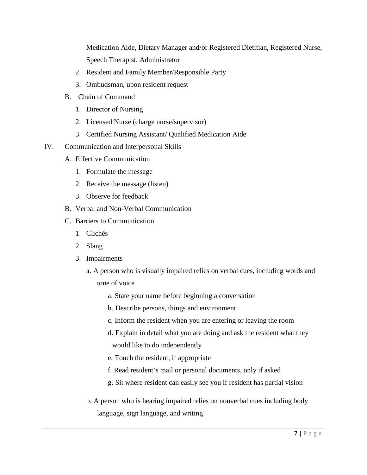Medication Aide, Dietary Manager and/or Registered Dietitian, Registered Nurse, Speech Therapist, Administrator

- 2. Resident and Family Member/Responsible Party
- 3. Ombudsman, upon resident request
- B. Chain of Command
	- 1. Director of Nursing
	- 2. Licensed Nurse (charge nurse/supervisor)
	- 3. Certified Nursing Assistant/ Qualified Medication Aide
- IV. Communication and Interpersonal Skills
	- A. Effective Communication
		- 1. Formulate the message
		- 2. Receive the message (listen)
		- 3. Observe for feedback
	- B. Verbal and Non-Verbal Communication
	- C. Barriers to Communication
		- 1. Clichés
		- 2. Slang
		- 3. Impairments
			- a. A person who is visually impaired relies on verbal cues, including words and tone of voice
				- a. State your name before beginning a conversation
				- b. Describe persons, things and environment
				- c. Inform the resident when you are entering or leaving the room
				- d. Explain in detail what you are doing and ask the resident what they would like to do independently
				- e. Touch the resident, if appropriate
				- f. Read resident's mail or personal documents, only if asked
				- g. Sit where resident can easily see you if resident has partial vision
			- b. A person who is hearing impaired relies on nonverbal cues including body language, sign language, and writing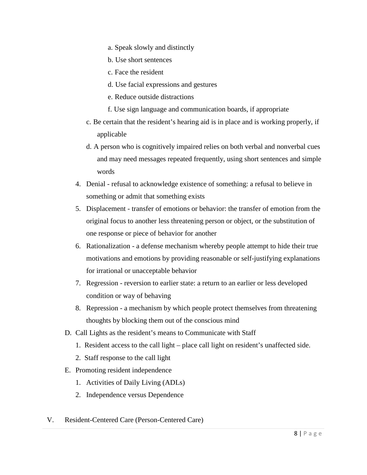- a. Speak slowly and distinctly
- b. Use short sentences
- c. Face the resident
- d. Use facial expressions and gestures
- e. Reduce outside distractions
- f. Use sign language and communication boards, if appropriate
- c. Be certain that the resident's hearing aid is in place and is working properly, if applicable
- d. A person who is cognitively impaired relies on both verbal and nonverbal cues and may need messages repeated frequently, using short sentences and simple words
- 4. Denial refusal to acknowledge existence of something: a refusal to believe in something or admit that something exists
- 5. Displacement transfer of emotions or behavior: the transfer of emotion from the original focus to another less threatening person or object, or the substitution of one response or piece of behavior for another
- 6. Rationalization a defense mechanism whereby people attempt to hide their true motivations and emotions by providing reasonable or self-justifying explanations for irrational or unacceptable behavior
- 7. Regression reversion to earlier state: a return to an earlier or less developed condition or way of behaving
- 8. Repression a mechanism by which people protect themselves from threatening thoughts by blocking them out of the conscious mind
- D. Call Lights as the resident's means to Communicate with Staff
	- 1. Resident access to the call light place call light on resident's unaffected side.
	- 2. Staff response to the call light
- E. Promoting resident independence
	- 1. Activities of Daily Living (ADLs)
	- 2. Independence versus Dependence
- V. Resident-Centered Care (Person-Centered Care)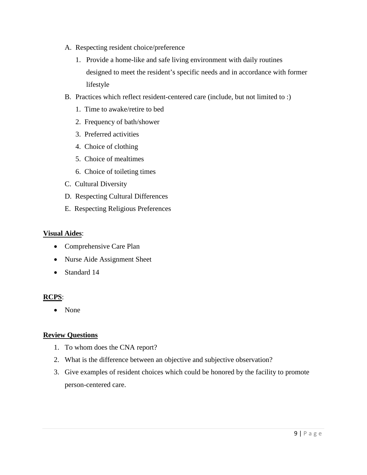- A. Respecting resident choice/preference
	- 1. Provide a home-like and safe living environment with daily routines designed to meet the resident's specific needs and in accordance with former lifestyle
- B. Practices which reflect resident-centered care (include, but not limited to :)
	- 1. Time to awake/retire to bed
	- 2. Frequency of bath/shower
	- 3. Preferred activities
	- 4. Choice of clothing
	- 5. Choice of mealtimes
	- 6. Choice of toileting times
- C. Cultural Diversity
- D. Respecting Cultural Differences
- E. Respecting Religious Preferences

#### **Visual Aides**:

- Comprehensive Care Plan
- Nurse Aide Assignment Sheet
- Standard 14

#### **RCPS**:

• None

#### **Review Questions**

- 1. To whom does the CNA report?
- 2. What is the difference between an objective and subjective observation?
- 3. Give examples of resident choices which could be honored by the facility to promote person-centered care.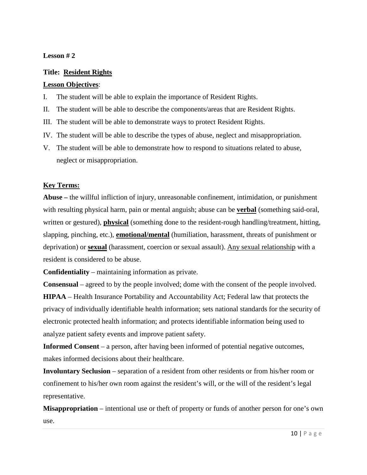## **Lesson # 2**

## **Title: Resident Rights**

#### **Lesson Objectives**:

I. The student will be able to explain the importance of Resident Rights.

II. The student will be able to describe the components/areas that are Resident Rights.

III. The student will be able to demonstrate ways to protect Resident Rights.

IV. The student will be able to describe the types of abuse, neglect and misappropriation.

V. The student will be able to demonstrate how to respond to situations related to abuse, neglect or misappropriation.

## **Key Terms:**

**Abuse –** the willful infliction of injury, unreasonable confinement, intimidation, or punishment with resulting physical harm, pain or mental anguish; abuse can be **verbal** (something said-oral, written or gestured), **physical** (something done to the resident-rough handling/treatment, hitting, slapping, pinching, etc.), **emotional/mental** (humiliation, harassment, threats of punishment or deprivation) or **sexual** (harassment, coercion or sexual assault). Any sexual relationship with a resident is considered to be abuse.

**Confidentiality** – maintaining information as private.

**Consensual** – agreed to by the people involved; dome with the consent of the people involved. **HIPAA** – Health Insurance Portability and Accountability Act; Federal law that protects the privacy of individually identifiable health information; sets national standards for the security of electronic protected health information; and protects identifiable information being used to analyze patient safety events and improve patient safety.

**Informed Consent** – a person, after having been informed of potential negative outcomes, makes informed decisions about their healthcare.

**Involuntary Seclusion** – separation of a resident from other residents or from his/her room or confinement to his/her own room against the resident's will, or the will of the resident's legal representative.

**Misappropriation** – intentional use or theft of property or funds of another person for one's own use.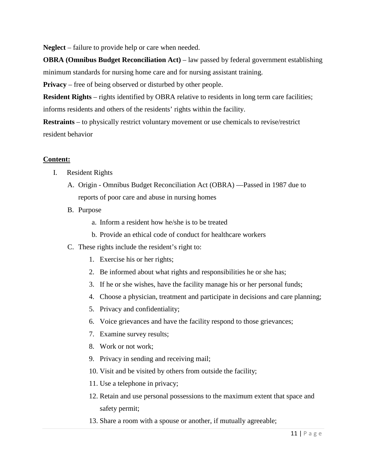**Neglect** – failure to provide help or care when needed.

**OBRA (Omnibus Budget Reconciliation Act)** – law passed by federal government establishing minimum standards for nursing home care and for nursing assistant training.

**Privacy** – free of being observed or disturbed by other people.

**Resident Rights** – rights identified by OBRA relative to residents in long term care facilities; informs residents and others of the residents' rights within the facility.

**Restraints** – to physically restrict voluntary movement or use chemicals to revise/restrict resident behavior

#### **Content:**

- I. Resident Rights
	- A. Origin Omnibus Budget Reconciliation Act (OBRA) —Passed in 1987 due to reports of poor care and abuse in nursing homes
	- B. Purpose
		- a. Inform a resident how he/she is to be treated
		- b. Provide an ethical code of conduct for healthcare workers
	- C. These rights include the resident's right to:
		- 1. Exercise his or her rights;
		- 2. Be informed about what rights and responsibilities he or she has;
		- 3. If he or she wishes, have the facility manage his or her personal funds;
		- 4. Choose a physician, treatment and participate in decisions and care planning;
		- 5. Privacy and confidentiality;
		- 6. Voice grievances and have the facility respond to those grievances;
		- 7. Examine survey results;
		- 8. Work or not work;
		- 9. Privacy in sending and receiving mail;
		- 10. Visit and be visited by others from outside the facility;
		- 11. Use a telephone in privacy;
		- 12. Retain and use personal possessions to the maximum extent that space and safety permit;
		- 13. Share a room with a spouse or another, if mutually agreeable;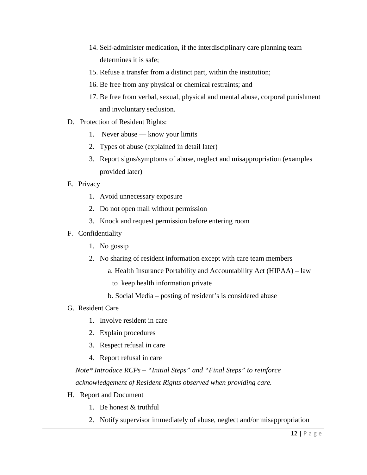- 14. Self-administer medication, if the interdisciplinary care planning team determines it is safe;
- 15. Refuse a transfer from a distinct part, within the institution;
- 16. Be free from any physical or chemical restraints; and
- 17. Be free from verbal, sexual, physical and mental abuse, corporal punishment and involuntary seclusion.
- D. Protection of Resident Rights:
	- 1. Never abuse know your limits
	- 2. Types of abuse (explained in detail later)
	- 3. Report signs/symptoms of abuse, neglect and misappropriation (examples provided later)
- E. Privacy
	- 1. Avoid unnecessary exposure
	- 2. Do not open mail without permission
	- 3. Knock and request permission before entering room
- F. Confidentiality
	- 1. No gossip
	- 2. No sharing of resident information except with care team members
		- a. Health Insurance Portability and Accountability Act (HIPAA) law
			- to keep health information private
		- b. Social Media posting of resident's is considered abuse
- G. Resident Care
	- 1. Involve resident in care
	- 2. Explain procedures
	- 3. Respect refusal in care
	- 4. Report refusal in care

*Note\* Introduce RCPs – "Initial Steps" and "Final Steps" to reinforce acknowledgement of Resident Rights observed when providing care.*

- H. Report and Document
	- 1. Be honest & truthful
	- 2. Notify supervisor immediately of abuse, neglect and/or misappropriation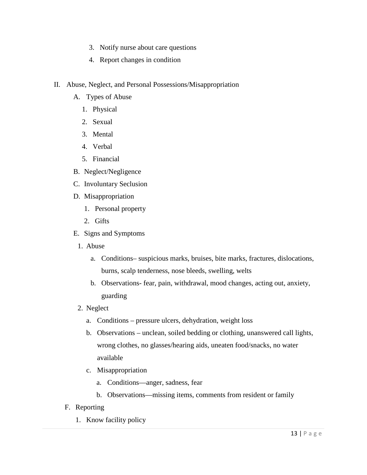- 3. Notify nurse about care questions
- 4. Report changes in condition
- II. Abuse, Neglect, and Personal Possessions/Misappropriation
	- A. Types of Abuse
		- 1. Physical
		- 2. Sexual
		- 3. Mental
		- 4. Verbal
		- 5. Financial
	- B. Neglect/Negligence
	- C. Involuntary Seclusion
	- D. Misappropriation
		- 1. Personal property
		- 2. Gifts
	- E. Signs and Symptoms
		- 1. Abuse
			- a. Conditions– suspicious marks, bruises, bite marks, fractures, dislocations, burns, scalp tenderness, nose bleeds, swelling, welts
			- b. Observations- fear, pain, withdrawal, mood changes, acting out, anxiety, guarding
		- 2. Neglect
			- a. Conditions pressure ulcers, dehydration, weight loss
			- b. Observations unclean, soiled bedding or clothing, unanswered call lights, wrong clothes, no glasses/hearing aids, uneaten food/snacks, no water available
			- c. Misappropriation
				- a. Conditions—anger, sadness, fear
				- b. Observations—missing items, comments from resident or family
	- F. Reporting
		- 1. Know facility policy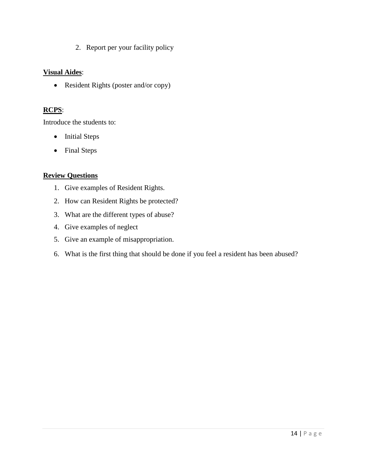2. Report per your facility policy

## **Visual Aides**:

• Resident Rights (poster and/or copy)

## **RCPS**:

Introduce the students to:

- Initial Steps
- Final Steps

## **Review Questions**

- 1. Give examples of Resident Rights.
- 2. How can Resident Rights be protected?
- 3. What are the different types of abuse?
- 4. Give examples of neglect
- 5. Give an example of misappropriation.
- 6. What is the first thing that should be done if you feel a resident has been abused?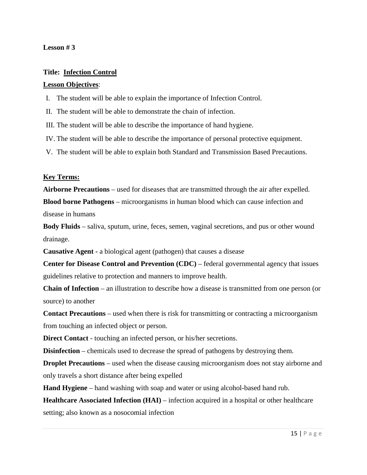#### **Lesson # 3**

#### **Title: Infection Control**

#### **Lesson Objectives**:

I. The student will be able to explain the importance of Infection Control.

II. The student will be able to demonstrate the chain of infection.

III. The student will be able to describe the importance of hand hygiene.

IV. The student will be able to describe the importance of personal protective equipment.

V. The student will be able to explain both Standard and Transmission Based Precautions.

#### **Key Terms:**

**Airborne Precautions** – used for diseases that are transmitted through the air after expelled.

**Blood borne Pathogens** – microorganisms in human blood which can cause infection and disease in humans

**Body Fluids** – saliva, sputum, urine, feces, semen, vaginal secretions, and pus or other wound drainage.

**Causative Agent -** a biological agent (pathogen) that causes a disease

**Center for Disease Control and Prevention (CDC)** – federal governmental agency that issues guidelines relative to protection and manners to improve health.

**Chain of Infection** – an illustration to describe how a disease is transmitted from one person (or source) to another

**Contact Precautions** – used when there is risk for transmitting or contracting a microorganism from touching an infected object or person.

**Direct Contact** - touching an infected person, or his/her secretions.

**Disinfection** – chemicals used to decrease the spread of pathogens by destroying them.

**Droplet Precautions** – used when the disease causing microorganism does not stay airborne and only travels a short distance after being expelled

**Hand Hygiene** – hand washing with soap and water or using alcohol-based hand rub.

**Healthcare Associated Infection (HAI)** – infection acquired in a hospital or other healthcare setting; also known as a nosocomial infection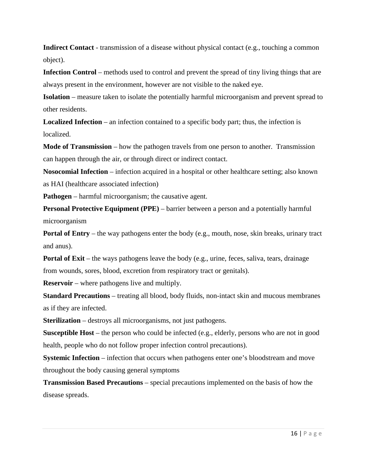**Indirect Contact** - transmission of a disease without physical contact (e.g., touching a common object).

Infection Control – methods used to control and prevent the spread of tiny living things that are always present in the environment, however are not visible to the naked eye.

**Isolation** – measure taken to isolate the potentially harmful microorganism and prevent spread to other residents.

**Localized Infection** – an infection contained to a specific body part; thus, the infection is localized.

**Mode of Transmission** – how the pathogen travels from one person to another. Transmission can happen through the air, or through direct or indirect contact.

**Nosocomial Infection** – infection acquired in a hospital or other healthcare setting; also known as HAI (healthcare associated infection)

**Pathogen** – harmful microorganism; the causative agent.

**Personal Protective Equipment (PPE)** – barrier between a person and a potentially harmful microorganism

**Portal of Entry** – the way pathogens enter the body (e.g., mouth, nose, skin breaks, urinary tract and anus).

**Portal of Exit** – the ways pathogens leave the body (e.g., urine, feces, saliva, tears, drainage from wounds, sores, blood, excretion from respiratory tract or genitals).

**Reservoir** – where pathogens live and multiply.

**Standard Precautions** – treating all blood, body fluids, non-intact skin and mucous membranes as if they are infected.

**Sterilization** – destroys all microorganisms, not just pathogens.

**Susceptible Host** – the person who could be infected (e.g., elderly, persons who are not in good health, people who do not follow proper infection control precautions).

**Systemic Infection** – infection that occurs when pathogens enter one's bloodstream and move throughout the body causing general symptoms

**Transmission Based Precautions** – special precautions implemented on the basis of how the disease spreads.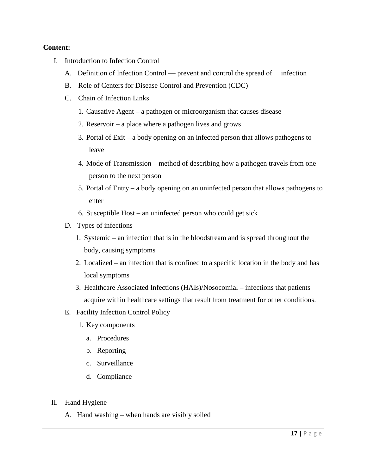## **Content:**

- I. Introduction to Infection Control
	- A. Definition of Infection Control prevent and control the spread of infection
	- B. Role of Centers for Disease Control and Prevention (CDC)
	- C. Chain of Infection Links
		- 1. Causative Agent a pathogen or microorganism that causes disease
		- 2. Reservoir a place where a pathogen lives and grows
		- 3. Portal of Exit a body opening on an infected person that allows pathogens to leave
		- 4. Mode of Transmission method of describing how a pathogen travels from one person to the next person
		- 5. Portal of Entry a body opening on an uninfected person that allows pathogens to enter
		- 6. Susceptible Host an uninfected person who could get sick
	- D. Types of infections
		- 1. Systemic an infection that is in the bloodstream and is spread throughout the body, causing symptoms
		- 2. Localized an infection that is confined to a specific location in the body and has local symptoms
		- 3. Healthcare Associated Infections (HAIs)/Nosocomial infections that patients acquire within healthcare settings that result from treatment for other conditions.
	- E. Facility Infection Control Policy
		- 1. Key components
			- a. Procedures
			- b. Reporting
			- c. Surveillance
			- d. Compliance
- II. Hand Hygiene
	- A. Hand washing when hands are visibly soiled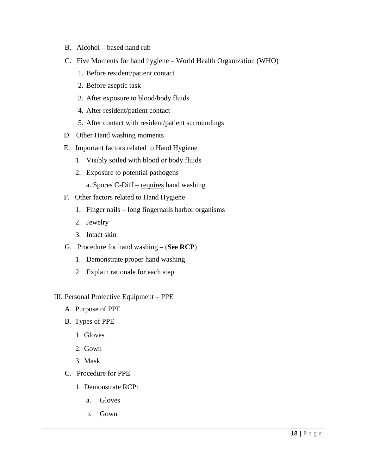- B. Alcohol based hand rub
- C. Five Moments for hand hygiene World Health Organization (WHO)
	- 1. Before resident/patient contact
	- 2. Before aseptic task
	- 3. After exposure to blood/body fluids
	- 4. After resident/patient contact
	- 5. After contact with resident/patient surroundings
- D. Other Hand washing moments
- E. Important factors related to Hand Hygiene
	- 1. Visibly soiled with blood or body fluids
	- 2. Exposure to potential pathogens
		- a. Spores C-Diff requires hand washing
- F. Other factors related to Hand Hygiene
	- 1. Finger nails long fingernails harbor organisms
	- 2. Jewelry
	- 3. Intact skin
- G. Procedure for hand washing (**See RCP**)
	- 1. Demonstrate proper hand washing
	- 2. Explain rationale for each step
- III. Personal Protective Equipment PPE
	- A. Purpose of PPE
	- B. Types of PPE
		- 1. Gloves
		- 2. Gown
		- 3. Mask
	- C. Procedure for PPE
		- 1. Demonstrate RCP:
			- a. Gloves
			- b. Gown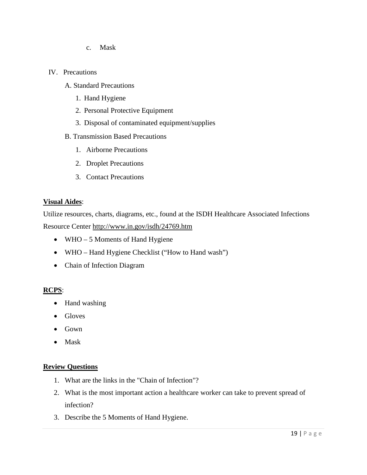- c. Mask
- IV. Precautions
	- A. Standard Precautions
		- 1. Hand Hygiene
		- 2. Personal Protective Equipment
		- 3. Disposal of contaminated equipment/supplies
	- B. Transmission Based Precautions
		- 1. Airborne Precautions
		- 2. Droplet Precautions
		- 3. Contact Precautions

#### **Visual Aides**:

Utilize resources, charts, diagrams, etc., found at the ISDH Healthcare Associated Infections Resource Center<http://www.in.gov/isdh/24769.htm>

- WHO 5 Moments of Hand Hygiene
- WHO Hand Hygiene Checklist ("How to Hand wash")
- Chain of Infection Diagram

## **RCPS**:

- Hand washing
- Gloves
- Gown
- Mask

#### **Review Questions**

- 1. What are the links in the "Chain of Infection"?
- 2. What is the most important action a healthcare worker can take to prevent spread of infection?
- 3. Describe the 5 Moments of Hand Hygiene.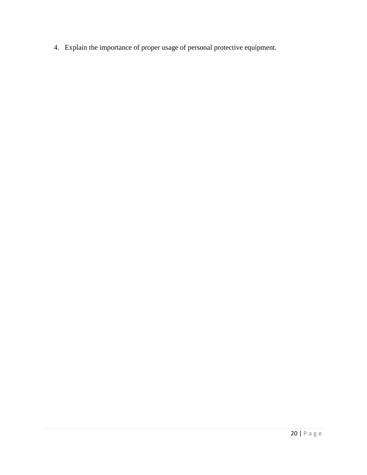4. Explain the importance of proper usage of personal protective equipment.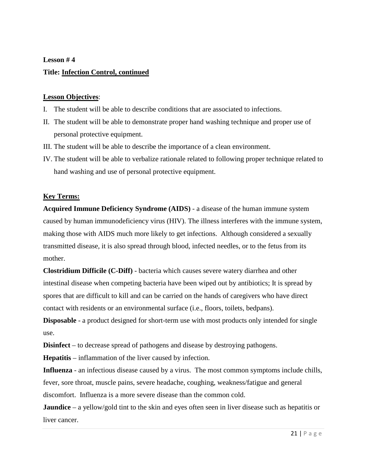#### **Lesson # 4**

#### **Title: Infection Control, continued**

#### **Lesson Objectives**:

- I. The student will be able to describe conditions that are associated to infections.
- II. The student will be able to demonstrate proper hand washing technique and proper use of personal protective equipment.
- III. The student will be able to describe the importance of a clean environment.
- IV. The student will be able to verbalize rationale related to following proper technique related to hand washing and use of personal protective equipment.

#### **Key Terms:**

**Acquired Immune Deficiency Syndrome (AIDS)** - a disease of the human [immune system](http://en.wikipedia.org/wiki/Immune_system) caused by [human immunodeficiency virus](http://en.wikipedia.org/wiki/HIV) (HIV). The illness interferes with the immune system, making those with AIDS much more likely to get [infections.](http://en.wikipedia.org/wiki/Infections) Although considered a sexually transmitted disease, it is also spread through blood, infected needles, or to the fetus from its mother.

**Clostridium Difficile (C-Diff)** - [bacteria](http://en.wikipedia.org/wiki/Bacteria) which causes severe watery [diarrhea](http://en.wikipedia.org/wiki/Diarrhea) and other intestinal disease when competing bacteria have been wiped out by antibiotics; It is spread by spores that are difficult to kill and can be carried on the hands of caregivers who have direct contact with residents or an environmental surface (i.e., floors, toilets, bedpans).

**Disposable** - a product designed for short-term use with most products only intended for single use.

**Disinfect** – to decrease spread of pathogens and disease by destroying pathogens.

**Hepatitis** – inflammation of the liver caused by infection.

**Influenza** - an [infectious disease](http://en.wikipedia.org/wiki/Infectious_disease) caused by a [virus.](http://en.wikipedia.org/wiki/RNA_virus) The most common symptoms include [chills,](http://en.wikipedia.org/wiki/Chills) [fever,](http://en.wikipedia.org/wiki/Fever) [sore throat,](http://en.wikipedia.org/wiki/Sore_throat) [muscle pains,](http://en.wikipedia.org/wiki/Myalgia) severe [headache,](http://en.wikipedia.org/wiki/Headache) [coughing,](http://en.wikipedia.org/wiki/Cough) weakness[/fatigue](http://en.wikipedia.org/wiki/Fatigue_(medical)) and [general](http://en.wikipedia.org/wiki/Malaise)  [discomfort.](http://en.wikipedia.org/wiki/Malaise) Influenza is a more severe disease than the common cold.

**Jaundice** – a yellow/gold tint to the skin and eyes often seen in liver disease such as hepatitis or liver cancer.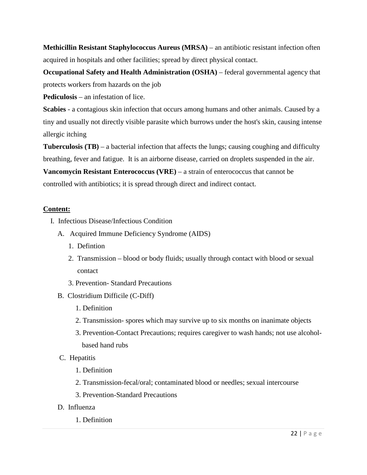**Methicillin Resistant Staphylococcus Aureus (MRSA)** – an antibiotic resistant infection often acquired in hospitals and other facilities; spread by direct physical contact.

**Occupational Safety and Health Administration (OSHA)** – federal governmental agency that protects workers from hazards on the job

**Pediculosis** – an infestation of lice.

**Scabies** - a contagious [skin infection](http://en.wikipedia.org/wiki/Skin_infection) that occurs among humans and other animals. Caused by a tiny and usually not directly visible [parasite](http://en.wikipedia.org/wiki/Parasitism) which burrows under the host's skin, causing intense allergic [itching](http://en.wikipedia.org/wiki/Scabies)

**Tuberculosis (TB)** – a bacterial infection that affects the lungs; causing coughing and difficulty breathing, fever and fatigue. It is an airborne disease, carried on droplets suspended in the air.

**Vancomycin Resistant Enterococcus (VRE)** – a strain of enterococcus that cannot be controlled with antibiotics; it is spread through direct and indirect contact.

## **Content:**

- I. Infectious Disease/Infectious Condition
	- A. Acquired Immune Deficiency Syndrome (AIDS)
		- 1. Defintion
		- 2. Transmission blood or body fluids; usually through contact with blood or sexual contact
		- 3. Prevention- Standard Precautions
	- B. Clostridium Difficile (C-Diff)
		- 1. Definition
		- 2. Transmission- spores which may survive up to six months on inanimate objects
		- 3. Prevention-Contact Precautions; requires caregiver to wash hands; not use alcoholbased hand rubs
	- C. Hepatitis
		- 1. Definition
		- 2. Transmission-fecal/oral; contaminated blood or needles; sexual intercourse
		- 3. Prevention-Standard Precautions
	- D. Influenza
		- 1. Definition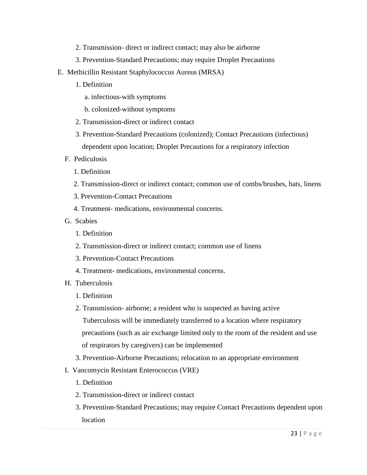- 2. Transmission- direct or indirect contact; may also be airborne
- 3. Prevention-Standard Precautions; may require Droplet Precautions
- E. Methicillin Resistant Staphylococcus Aureus (MRSA)
	- 1. Definition
		- a. infectious-with symptoms
		- b. colonized-without symptoms
	- 2. Transmission-direct or indirect contact
	- 3. Prevention-Standard Precautions (colonized); Contact Precautions (infectious) dependent upon location; Droplet Precautions for a respiratory infection
	- F. Pediculosis
		- 1. Definition
		- 2. Transmission-direct or indirect contact; common use of combs/brushes, hats, linens
		- 3. Prevention-Contact Precautions
		- 4. Treatment- medications, environmental concerns.
	- G. Scabies
		- 1. Definition
		- 2. Transmission-direct or indirect contact; common use of linens
		- 3. Prevention-Contact Precautions
		- 4. Treatment- medications, environmental concerns.
	- H. Tuberculosis
		- 1. Definition
		- 2. Transmission- airborne; a resident who is suspected as having active Tuberculosis will be immediately transferred to a location where respiratory precautions (such as air exchange limited only to the room of the resident and use of respirators by caregivers) can be implemented
		- 3. Prevention-Airborne Precautions; relocation to an appropriate environment
	- I. Vancomycin Resistant Enterococcus (VRE)
		- 1. Definition
		- 2. Transmission-direct or indirect contact
		- 3. Prevention-Standard Precautions; may require Contact Precautions dependent upon location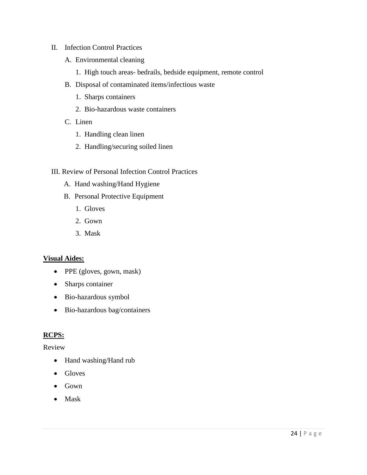## II. Infection Control Practices

- A. Environmental cleaning
	- 1. High touch areas- bedrails, bedside equipment, remote control
- B. Disposal of contaminated items/infectious waste
	- 1. Sharps containers
	- 2. Bio-hazardous waste containers
- C. Linen
	- 1. Handling clean linen
	- 2. Handling/securing soiled linen
- III. Review of Personal Infection Control Practices
	- A. Hand washing/Hand Hygiene
	- B. Personal Protective Equipment
		- 1. Gloves
		- 2. Gown
		- 3. Mask

## **Visual Aides:**

- PPE (gloves, gown, mask)
- Sharps container
- Bio-hazardous symbol
- Bio-hazardous bag/containers

#### **RCPS:**

#### Review

- Hand washing/Hand rub
- Gloves
- Gown
- Mask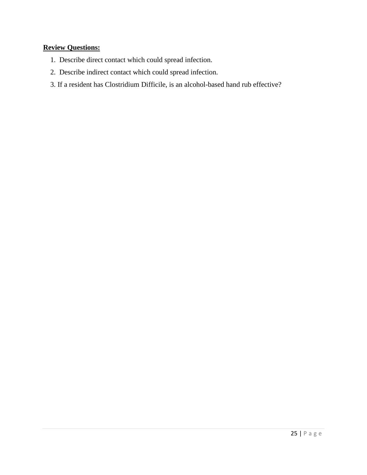## **Review Questions:**

- 1. Describe direct contact which could spread infection.
- 2. Describe indirect contact which could spread infection.
- 3. If a resident has Clostridium Difficile, is an alcohol-based hand rub effective?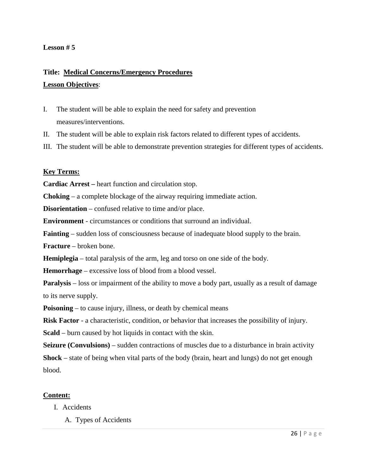#### **Lesson # 5**

# **Title: Medical Concerns/Emergency Procedures Lesson Objectives**:

- I. The student will be able to explain the need for safety and prevention measures/interventions.
- II. The student will be able to explain risk factors related to different types of accidents.
- III. The student will be able to demonstrate prevention strategies for different types of accidents.

#### **Key Terms:**

**Cardiac Arrest –** heart function and circulation stop.

**Choking** – a complete blockage of the airway requiring immediate action.

**Disorientation** – confused relative to time and/or place.

**Environment** - circumstances or conditions that surround an individual.

**Fainting** – sudden loss of consciousness because of inadequate blood supply to the brain.

**Fracture** – broken bone.

**Hemiplegia** – total paralysis of the arm, leg and torso on one side of the body.

**Hemorrhage** – excessive loss of blood from a blood vessel.

**Paralysis** – loss or impairment of the ability to move a body part, usually as a result of damage to its nerve supply.

**Poisoning** – to cause injury, illness, or death by chemical means

**Risk Factor** - a characteristic, condition, or behavior that increases the possibility of injury.

**Scald** – burn caused by hot liquids in contact with the skin.

**Seizure (Convulsions)** – sudden contractions of muscles due to a disturbance in brain activity **Shock** – state of being when vital parts of the body (brain, heart and lungs) do not get enough blood.

#### **Content:**

- I. Accidents
	- A. Types of Accidents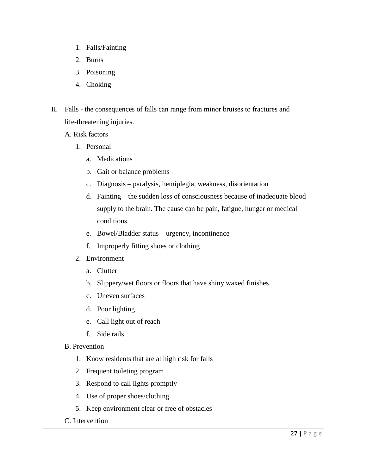- 1. Falls/Fainting
- 2. Burns
- 3. Poisoning
- 4. Choking
- II. Falls the consequences of falls can range from minor bruises to fractures and life-threatening injuries.
	- A. Risk factors
		- 1. Personal
			- a. Medications
			- b. Gait or balance problems
			- c. Diagnosis paralysis, hemiplegia, weakness, disorientation
			- d. Fainting the sudden loss of consciousness because of inadequate blood supply to the brain. The cause can be pain, fatigue, hunger or medical conditions.
			- e. Bowel/Bladder status urgency, incontinence
			- f. Improperly fitting shoes or clothing
		- 2. Environment
			- a. Clutter
			- b. Slippery/wet floors or floors that have shiny waxed finishes.
			- c. Uneven surfaces
			- d. Poor lighting
			- e. Call light out of reach
			- f. Side rails
	- B. Prevention
		- 1. Know residents that are at high risk for falls
		- 2. Frequent toileting program
		- 3. Respond to call lights promptly
		- 4. Use of proper shoes/clothing
		- 5. Keep environment clear or free of obstacles
	- C. Intervention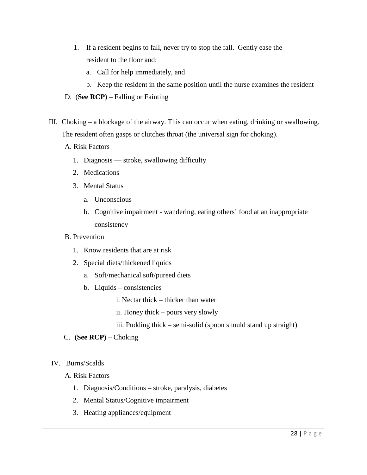- 1. If a resident begins to fall, never try to stop the fall. Gently ease the resident to the floor and:
	- a. Call for help immediately, and
	- b. Keep the resident in the same position until the nurse examines the resident
- D. (**See RCP)** Falling or Fainting
- III. Choking a blockage of the airway. This can occur when eating, drinking or swallowing. The resident often gasps or clutches throat (the universal sign for choking).
	- A. Risk Factors
		- 1. Diagnosis stroke, swallowing difficulty
		- 2. Medications
		- 3. Mental Status
			- a. Unconscious
			- b. Cognitive impairment wandering, eating others' food at an inappropriate consistency
	- B. Prevention
		- 1. Know residents that are at risk
		- 2. Special diets/thickened liquids
			- a. Soft/mechanical soft/pureed diets
			- b. Liquids consistencies
				- i. Nectar thick thicker than water
				- ii. Honey thick pours very slowly
				- iii. Pudding thick semi-solid (spoon should stand up straight)
	- C. **(See RCP)** Choking

### IV. Burns/Scalds

### A. Risk Factors

- 1. Diagnosis/Conditions stroke, paralysis, diabetes
- 2. Mental Status/Cognitive impairment
- 3. Heating appliances/equipment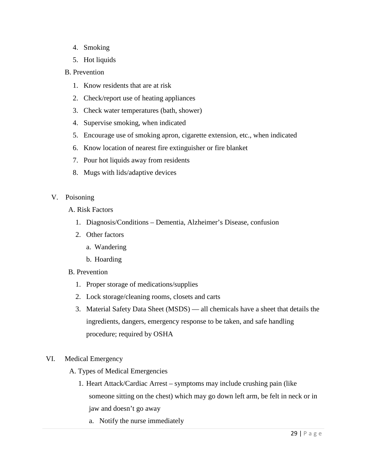- 4. Smoking
- 5. Hot liquids

### B. Prevention

- 1. Know residents that are at risk
- 2. Check/report use of heating appliances
- 3. Check water temperatures (bath, shower)
- 4. Supervise smoking, when indicated
- 5. Encourage use of smoking apron, cigarette extension, etc., when indicated
- 6. Know location of nearest fire extinguisher or fire blanket
- 7. Pour hot liquids away from residents
- 8. Mugs with lids/adaptive devices

### V. Poisoning

- A. Risk Factors
	- 1. Diagnosis/Conditions Dementia, Alzheimer's Disease, confusion
	- 2. Other factors
		- a. Wandering
		- b. Hoarding
- B. Prevention
	- 1. Proper storage of medications/supplies
	- 2. Lock storage/cleaning rooms, closets and carts
	- 3. Material Safety Data Sheet (MSDS) all chemicals have a sheet that details the ingredients, dangers, emergency response to be taken, and safe handling procedure; required by OSHA
- VI. Medical Emergency
	- A. Types of Medical Emergencies
		- 1. Heart Attack/Cardiac Arrest symptoms may include crushing pain (like someone sitting on the chest) which may go down left arm, be felt in neck or in jaw and doesn't go away
			- a. Notify the nurse immediately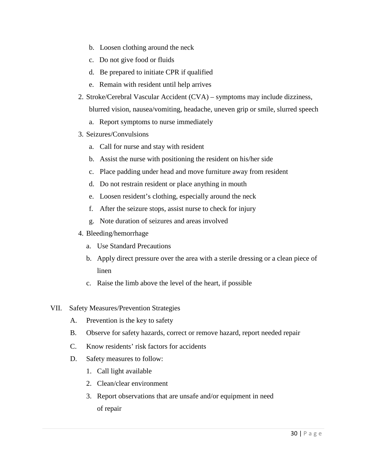- b. Loosen clothing around the neck
- c. Do not give food or fluids
- d. Be prepared to initiate CPR if qualified
- e. Remain with resident until help arrives
- 2. Stroke/Cerebral Vascular Accident (CVA) symptoms may include dizziness, blurred vision, nausea/vomiting, headache, uneven grip or smile, slurred speech
	- a. Report symptoms to nurse immediately
- 3. Seizures/Convulsions
	- a. Call for nurse and stay with resident
	- b. Assist the nurse with positioning the resident on his/her side
	- c. Place padding under head and move furniture away from resident
	- d. Do not restrain resident or place anything in mouth
	- e. Loosen resident's clothing, especially around the neck
	- f. After the seizure stops, assist nurse to check for injury
	- g. Note duration of seizures and areas involved
- 4. Bleeding/hemorrhage
	- a. Use Standard Precautions
	- b. Apply direct pressure over the area with a sterile dressing or a clean piece of linen
	- c. Raise the limb above the level of the heart, if possible
- VII. Safety Measures/Prevention Strategies
	- A. Prevention is the key to safety
	- B. Observe for safety hazards, correct or remove hazard, report needed repair
	- C. Know residents' risk factors for accidents
	- D. Safety measures to follow:
		- 1. Call light available
		- 2. Clean/clear environment
		- 3. Report observations that are unsafe and/or equipment in need of repair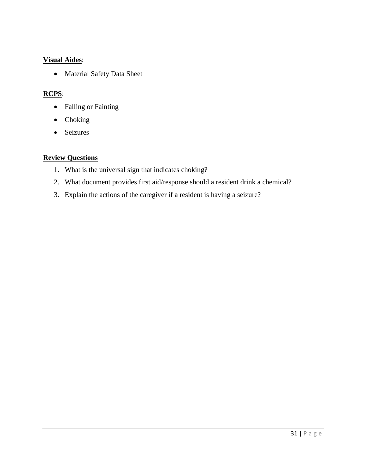### **Visual Aides**:

• Material Safety Data Sheet

# **RCPS**:

- Falling or Fainting
- Choking
- Seizures

### **Review Questions**

- 1. What is the universal sign that indicates choking?
- 2. What document provides first aid/response should a resident drink a chemical?
- 3. Explain the actions of the caregiver if a resident is having a seizure?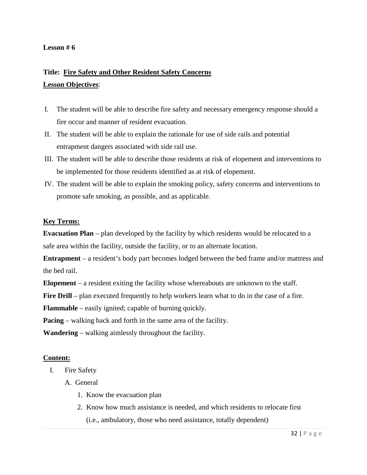# **Title: Fire Safety and Other Resident Safety Concerns Lesson Objectives**:

- I. The student will be able to describe fire safety and necessary emergency response should a fire occur and manner of resident evacuation.
- II. The student will be able to explain the rationale for use of side rails and potential entrapment dangers associated with side rail use.
- III. The student will be able to describe those residents at risk of elopement and interventions to be implemented for those residents identified as at risk of elopement.
- IV. The student will be able to explain the smoking policy, safety concerns and interventions to promote safe smoking, as possible, and as applicable.

### **Key Terms:**

**Evacuation Plan** – plan developed by the facility by which residents would be relocated to a safe area within the facility, outside the facility, or to an alternate location.

**Entrapment** – a resident's body part becomes lodged between the bed frame and/or mattress and the bed rail.

**Elopement** – a resident exiting the facility whose whereabouts are unknown to the staff.

**Fire Drill** – plan executed frequently to help workers learn what to do in the case of a fire.

**Flammable** – easily ignited; capable of burning quickly.

**Pacing** – walking back and forth in the same area of the facility.

**Wandering** – walking aimlessly throughout the facility.

### **Content:**

- I. Fire Safety
	- A. General
		- 1. Know the evacuation plan
		- 2. Know how much assistance is needed, and which residents to relocate first (i.e., ambulatory, those who need assistance, totally dependent)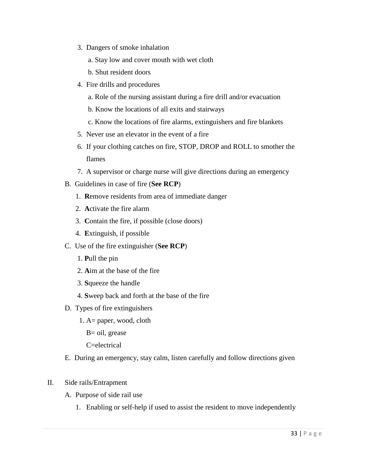3. Dangers of smoke inhalation

a. Stay low and cover mouth with wet cloth

b. Shut resident doors

- 4. Fire drills and procedures
	- a. Role of the nursing assistant during a fire drill and/or evacuation
	- b. Know the locations of all exits and stairways
	- c. Know the locations of fire alarms, extinguishers and fire blankets
- 5. Never use an elevator in the event of a fire
- 6. If your clothing catches on fire, STOP, DROP and ROLL to smother the flames
- 7. A supervisor or charge nurse will give directions during an emergency
- B. Guidelines in case of fire (**See RCP**)
	- 1. **R**emove residents from area of immediate danger
	- 2. **A**ctivate the fire alarm
	- 3. **C**ontain the fire, if possible (close doors)
	- 4. **E**xtinguish, if possible
- C. Use of the fire extinguisher (**See RCP**)
	- 1. **P**ull the pin
	- 2. **A**im at the base of the fire
	- 3. **S**queeze the handle
	- 4. **S**weep back and forth at the base of the fire
- D. Types of fire extinguishers
	- 1. A= paper, wood, cloth
		- B= oil, grease
		- C=electrical
- E. During an emergency, stay calm, listen carefully and follow directions given
- II. Side rails/Entrapment
	- A. Purpose of side rail use
		- 1. Enabling or self-help if used to assist the resident to move independently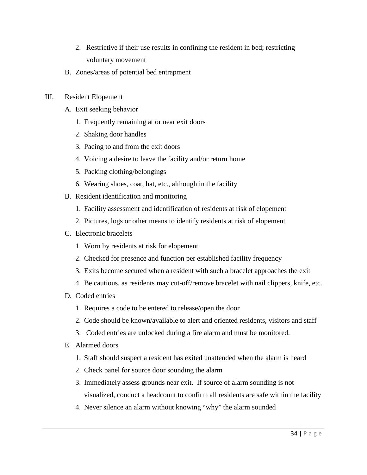- 2. Restrictive if their use results in confining the resident in bed; restricting voluntary movement
- B. Zones/areas of potential bed entrapment
- III. Resident Elopement
	- A. Exit seeking behavior
		- 1. Frequently remaining at or near exit doors
		- 2. Shaking door handles
		- 3. Pacing to and from the exit doors
		- 4. Voicing a desire to leave the facility and/or return home
		- 5. Packing clothing/belongings
		- 6. Wearing shoes, coat, hat, etc., although in the facility
	- B. Resident identification and monitoring
		- 1. Facility assessment and identification of residents at risk of elopement
		- 2. Pictures, logs or other means to identify residents at risk of elopement
	- C. Electronic bracelets
		- 1. Worn by residents at risk for elopement
		- 2. Checked for presence and function per established facility frequency
		- 3. Exits become secured when a resident with such a bracelet approaches the exit
		- 4. Be cautious, as residents may cut-off/remove bracelet with nail clippers, knife, etc.
	- D. Coded entries
		- 1. Requires a code to be entered to release/open the door
		- 2. Code should be known/available to alert and oriented residents, visitors and staff
		- 3. Coded entries are unlocked during a fire alarm and must be monitored.
	- E. Alarmed doors
		- 1. Staff should suspect a resident has exited unattended when the alarm is heard
		- 2. Check panel for source door sounding the alarm
		- 3. Immediately assess grounds near exit. If source of alarm sounding is not visualized, conduct a headcount to confirm all residents are safe within the facility
		- 4. Never silence an alarm without knowing "why" the alarm sounded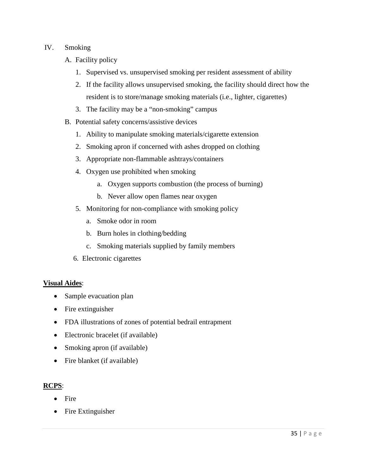### IV. Smoking

- A. Facility policy
	- 1. Supervised vs. unsupervised smoking per resident assessment of ability
	- 2. If the facility allows unsupervised smoking, the facility should direct how the resident is to store/manage smoking materials (i.e., lighter, cigarettes)
	- 3. The facility may be a "non-smoking" campus
- B. Potential safety concerns/assistive devices
	- 1. Ability to manipulate smoking materials/cigarette extension
	- 2. Smoking apron if concerned with ashes dropped on clothing
	- 3. Appropriate non-flammable ashtrays/containers
	- 4. Oxygen use prohibited when smoking
		- a. Oxygen supports combustion (the process of burning)
		- b. Never allow open flames near oxygen
	- 5. Monitoring for non-compliance with smoking policy
		- a. Smoke odor in room
		- b. Burn holes in clothing/bedding
		- c. Smoking materials supplied by family members
	- 6. Electronic cigarettes

### **Visual Aides**:

- Sample evacuation plan
- Fire extinguisher
- FDA illustrations of zones of potential bedrail entrapment
- Electronic bracelet (if available)
- Smoking apron (if available)
- Fire blanket (if available)

### **RCPS**:

- Fire
- Fire Extinguisher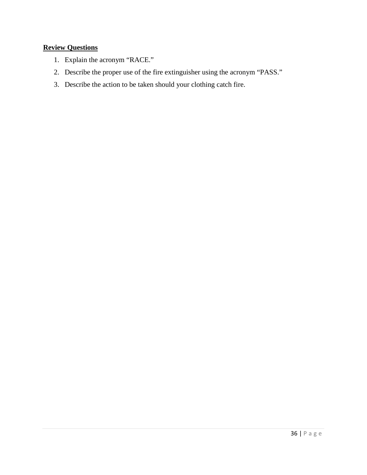# **Review Questions**

- 1. Explain the acronym "RACE."
- 2. Describe the proper use of the fire extinguisher using the acronym "PASS."
- 3. Describe the action to be taken should your clothing catch fire.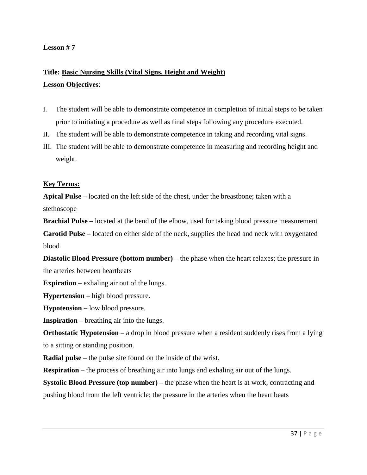# **Title: Basic Nursing Skills (Vital Signs, Height and Weight) Lesson Objectives**:

- I. The student will be able to demonstrate competence in completion of initial steps to be taken prior to initiating a procedure as well as final steps following any procedure executed.
- II. The student will be able to demonstrate competence in taking and recording vital signs.
- III. The student will be able to demonstrate competence in measuring and recording height and weight.

### **Key Terms:**

**Apical Pulse –** located on the left side of the chest, under the breastbone; taken with a stethoscope

**Brachial Pulse** – located at the bend of the elbow, used for taking blood pressure measurement **Carotid Pulse** – located on either side of the neck, supplies the head and neck with oxygenated blood

**Diastolic Blood Pressure (bottom number)** – the phase when the heart relaxes; the pressure in the arteries between heartbeats

**Expiration** – exhaling air out of the lungs.

**Hypertension** – high blood pressure.

**Hypotension** – low blood pressure.

**Inspiration** – breathing air into the lungs.

**Orthostatic Hypotension** – a drop in blood pressure when a resident suddenly rises from a lying to a sitting or standing position.

**Radial pulse** – the pulse site found on the inside of the wrist.

**Respiration** – the process of breathing air into lungs and exhaling air out of the lungs.

**Systolic Blood Pressure (top number)** – the phase when the heart is at work, contracting and pushing blood from the left ventricle; the pressure in the arteries when the heart beats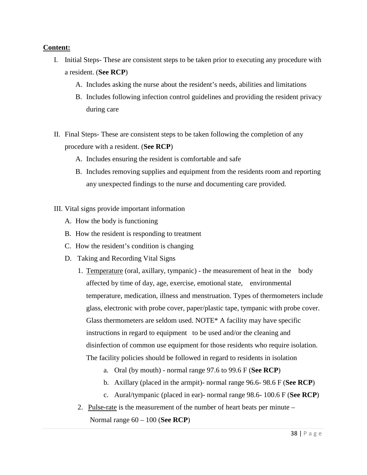### **Content:**

- I. Initial Steps- These are consistent steps to be taken prior to executing any procedure with a resident. (**See RCP**)
	- A. Includes asking the nurse about the resident's needs, abilities and limitations
	- B. Includes following infection control guidelines and providing the resident privacy during care
- II. Final Steps- These are consistent steps to be taken following the completion of any procedure with a resident. (**See RCP**)
	- A. Includes ensuring the resident is comfortable and safe
	- B. Includes removing supplies and equipment from the residents room and reporting any unexpected findings to the nurse and documenting care provided.
- III. Vital signs provide important information
	- A. How the body is functioning
	- B. How the resident is responding to treatment
	- C. How the resident's condition is changing
	- D. Taking and Recording Vital Signs
		- 1. Temperature (oral, axillary, tympanic) the measurement of heat in the body affected by time of day, age, exercise, emotional state, environmental temperature, medication, illness and menstruation. Types of thermometers include glass, electronic with probe cover, paper/plastic tape, tympanic with probe cover. Glass thermometers are seldom used. NOTE\* A facility may have specific instructions in regard to equipment to be used and/or the cleaning and disinfection of common use equipment for those residents who require isolation. The facility policies should be followed in regard to residents in isolation
			- a. Oral (by mouth) normal range 97.6 to 99.6 F (**See RCP**)
			- b. Axillary (placed in the armpit)- normal range 96.6- 98.6 F (**See RCP**)
			- c. Aural/tympanic (placed in ear)- normal range 98.6- 100.6 F (**See RCP**)
		- 2. Pulse-rate is the measurement of the number of heart beats per minute –

Normal range 60 – 100 (**See RCP**)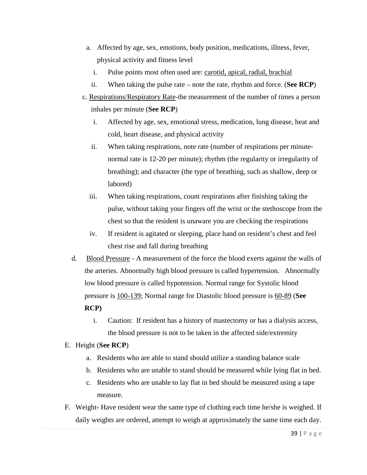- a. Affected by age, sex, emotions, body position, medications, illness, fever, physical activity and fitness level
	- i. Pulse points most often used are: carotid, apical, radial, brachial
	- ii. When taking the pulse rate note the rate, rhythm and force. (**See RCP**)
- c. Respirations/Respiratory Rate-the measurement of the number of times a person inhales per minute (**See RCP**)
	- i. Affected by age, sex, emotional stress, medication, lung disease, heat and cold, heart disease, and physical activity
	- ii. When taking respirations, note rate (number of respirations per minutenormal rate is 12-20 per minute); rhythm (the regularity or irregularity of breathing); and character (the type of breathing, such as shallow, deep or labored)
	- iii. When taking respirations, count respirations after finishing taking the pulse, without taking your fingers off the wrist or the stethoscope from the chest so that the resident is unaware you are checking the respirations
	- iv. If resident is agitated or sleeping, place hand on resident's chest and feel chest rise and fall during breathing
- d. Blood Pressure A measurement of the force the blood exerts against the walls of the arteries. Abnormally high blood pressure is called hypertension. Abnormally low blood pressure is called hypotension. Normal range for Systolic blood pressure is 100-139; Normal range for Diastolic blood pressure is 60-89 (**See RCP)**
	- i. Caution: If resident has a history of mastectomy or has a dialysis access, the blood pressure is not to be taken in the affected side/extremity

### E. Height (**See RCP**)

- a. Residents who are able to stand should utilize a standing balance scale
- b. Residents who are unable to stand should be measured while lying flat in bed.
- c. Residents who are unable to lay flat in bed should be measured using a tape measure.
- F. Weight- Have resident wear the same type of clothing each time he/she is weighed. If daily weights are ordered, attempt to weigh at approximately the same time each day.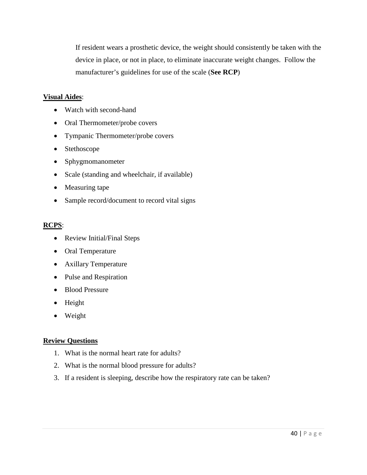If resident wears a prosthetic device, the weight should consistently be taken with the device in place, or not in place, to eliminate inaccurate weight changes. Follow the manufacturer's guidelines for use of the scale (**See RCP**)

### **Visual Aides**:

- Watch with second-hand
- Oral Thermometer/probe covers
- Tympanic Thermometer/probe covers
- Stethoscope
- Sphygmomanometer
- Scale (standing and wheelchair, if available)
- Measuring tape
- Sample record/document to record vital signs

#### **RCPS**:

- Review Initial/Final Steps
- Oral Temperature
- Axillary Temperature
- Pulse and Respiration
- Blood Pressure
- Height
- Weight

### **Review Questions**

- 1. What is the normal heart rate for adults?
- 2. What is the normal blood pressure for adults?
- 3. If a resident is sleeping, describe how the respiratory rate can be taken?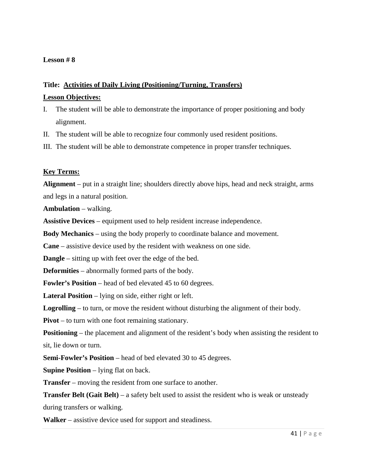# **Title: Activities of Daily Living (Positioning/Turning, Transfers)**

#### **Lesson Objectives:**

- I. The student will be able to demonstrate the importance of proper positioning and body alignment.
- II. The student will be able to recognize four commonly used resident positions.
- III. The student will be able to demonstrate competence in proper transfer techniques.

### **Key Terms:**

**Alignment** – put in a straight line; shoulders directly above hips, head and neck straight, arms and legs in a natural position.

**Ambulation** – walking.

**Assistive Devices** – equipment used to help resident increase independence.

**Body Mechanics** – using the body properly to coordinate balance and movement.

**Cane** – assistive device used by the resident with weakness on one side.

**Dangle** – sitting up with feet over the edge of the bed.

**Deformities** – abnormally formed parts of the body.

**Fowler's Position** – head of bed elevated 45 to 60 degrees.

**Lateral Position** – lying on side, either right or left.

**Logrolling** – to turn, or move the resident without disturbing the alignment of their body.

**Pivot** – to turn with one foot remaining stationary.

**Positioning** – the placement and alignment of the resident's body when assisting the resident to sit, lie down or turn.

**Semi-Fowler's Position** – head of bed elevated 30 to 45 degrees.

**Supine Position** – lying flat on back.

**Transfer** – moving the resident from one surface to another.

**Transfer Belt (Gait Belt)** – a safety belt used to assist the resident who is weak or unsteady during transfers or walking.

**Walker** – assistive device used for support and steadiness.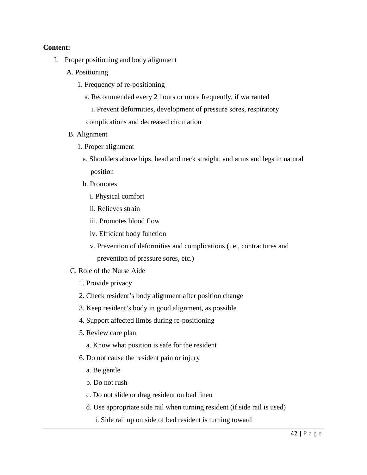### **Content:**

- I. Proper positioning and body alignment
	- A. Positioning
		- 1. Frequency of re-positioning
			- a. Recommended every 2 hours or more frequently, if warranted
				- i. Prevent deformities, development of pressure sores, respiratory

complications and decreased circulation

- B. Alignment
	- 1. Proper alignment
		- a. Shoulders above hips, head and neck straight, and arms and legs in natural position
		- b. Promotes
			- i. Physical comfort
			- ii. Relieves strain
			- iii. Promotes blood flow
			- iv. Efficient body function
			- v. Prevention of deformities and complications (i.e., contractures and prevention of pressure sores, etc.)
- C. Role of the Nurse Aide
	- 1. Provide privacy
	- 2. Check resident's body alignment after position change
	- 3. Keep resident's body in good alignment, as possible
	- 4. Support affected limbs during re-positioning
	- 5. Review care plan
		- a. Know what position is safe for the resident
	- 6. Do not cause the resident pain or injury
		- a. Be gentle
		- b. Do not rush
		- c. Do not slide or drag resident on bed linen
		- d. Use appropriate side rail when turning resident (if side rail is used)
			- i. Side rail up on side of bed resident is turning toward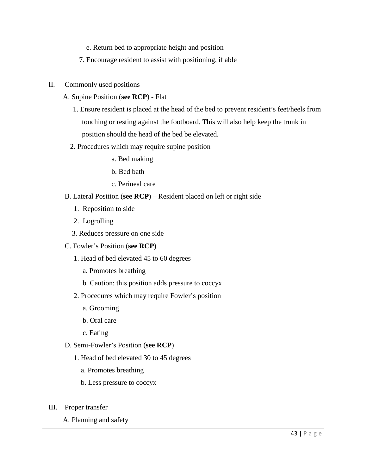- e. Return bed to appropriate height and position
- 7. Encourage resident to assist with positioning, if able
- II. Commonly used positions
	- A. Supine Position (**see RCP**) Flat
		- 1. Ensure resident is placed at the head of the bed to prevent resident's feet/heels from touching or resting against the footboard. This will also help keep the trunk in position should the head of the bed be elevated.
		- 2. Procedures which may require supine position
			- a. Bed making
			- b. Bed bath
			- c. Perineal care
	- B. Lateral Position (**see RCP**) Resident placed on left or right side
		- 1. Reposition to side
		- 2. Logrolling
		- 3. Reduces pressure on one side
	- C. Fowler's Position (**see RCP**)
		- 1. Head of bed elevated 45 to 60 degrees
			- a. Promotes breathing
			- b. Caution: this position adds pressure to coccyx
		- 2. Procedures which may require Fowler's position
			- a. Grooming
			- b. Oral care
			- c. Eating
	- D. Semi-Fowler's Position (**see RCP**)
		- 1. Head of bed elevated 30 to 45 degrees
			- a. Promotes breathing
			- b. Less pressure to coccyx
- III. Proper transfer
	- A. Planning and safety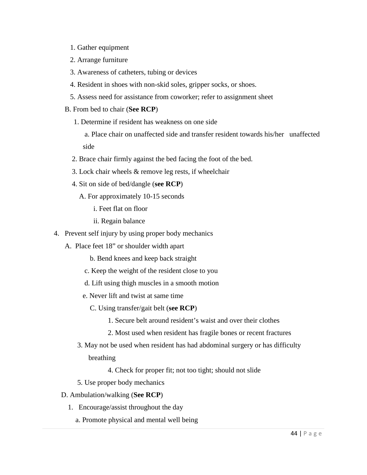- 1. Gather equipment
- 2. Arrange furniture
- 3. Awareness of catheters, tubing or devices
- 4. Resident in shoes with non-skid soles, gripper socks, or shoes.
- 5. Assess need for assistance from coworker; refer to assignment sheet
- B. From bed to chair (**See RCP**)
	- 1. Determine if resident has weakness on one side

 a. Place chair on unaffected side and transfer resident towards his/her unaffected side

- 2. Brace chair firmly against the bed facing the foot of the bed.
- 3. Lock chair wheels & remove leg rests, if wheelchair
- 4. Sit on side of bed/dangle (**see RCP**)
	- A. For approximately 10-15 seconds
		- i. Feet flat on floor
		- ii. Regain balance
- 4. Prevent self injury by using proper body mechanics
	- A. Place feet 18" or shoulder width apart
		- b. Bend knees and keep back straight
		- c. Keep the weight of the resident close to you
		- d. Lift using thigh muscles in a smooth motion
		- e. Never lift and twist at same time
			- C. Using transfer/gait belt (**see RCP**)
				- 1. Secure belt around resident's waist and over their clothes
				- 2. Most used when resident has fragile bones or recent fractures
		- 3. May not be used when resident has had abdominal surgery or has difficulty breathing
			- 4. Check for proper fit; not too tight; should not slide
		- 5. Use proper body mechanics
	- D. Ambulation/walking (**See RCP**)
		- 1. Encourage/assist throughout the day
			- a. Promote physical and mental well being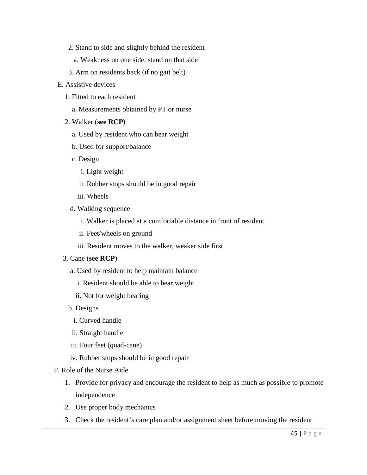- 2. Stand to side and slightly behind the resident
	- a. Weakness on one side, stand on that side
- 3. Arm on residents back (if no gait belt)
- E. Assistive devices
	- 1. Fitted to each resident
		- a. Measurements obtained by PT or nurse
	- 2. Walker (**see RCP**)
		- a. Used by resident who can bear weight
		- b. Used for support/balance
		- c. Design
			- i. Light weight
			- ii. Rubber stops should be in good repair
			- iii. Wheels
		- d. Walking sequence
			- i. Walker is placed at a comfortable distance in front of resident
			- ii. Feet/wheels on ground
			- iii. Resident moves to the walker, weaker side first
	- 3. Cane (**see RCP**)
		- a. Used by resident to help maintain balance
			- i. Resident should be able to bear weight
			- ii. Not for weight bearing
		- b. Designs
			- i. Curved handle
		- ii. Straight handle
		- iii. Four feet (quad-cane)
		- iv. Rubber stops should be in good repair
- F. Role of the Nurse Aide
	- 1. Provide for privacy and encourage the resident to help as much as possible to promote independence
	- 2. Use proper body mechanics
	- 3. Check the resident's care plan and/or assignment sheet before moving the resident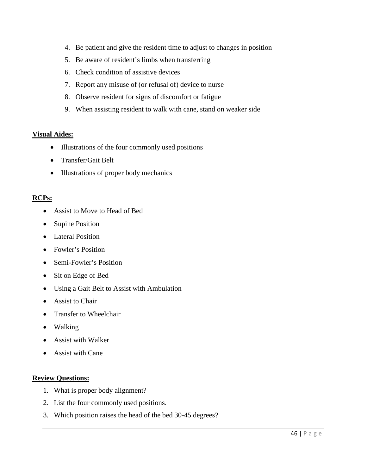- 4. Be patient and give the resident time to adjust to changes in position
- 5. Be aware of resident's limbs when transferring
- 6. Check condition of assistive devices
- 7. Report any misuse of (or refusal of) device to nurse
- 8. Observe resident for signs of discomfort or fatigue
- 9. When assisting resident to walk with cane, stand on weaker side

### **Visual Aides:**

- Illustrations of the four commonly used positions
- Transfer/Gait Belt
- Illustrations of proper body mechanics

### **RCPs:**

- Assist to Move to Head of Bed
- **Supine Position**
- Lateral Position
- Fowler's Position
- Semi-Fowler's Position
- Sit on Edge of Bed
- Using a Gait Belt to Assist with Ambulation
- Assist to Chair
- Transfer to Wheelchair
- Walking
- Assist with Walker
- Assist with Cane

### **Review Questions:**

- 1. What is proper body alignment?
- 2. List the four commonly used positions.
- 3. Which position raises the head of the bed 30-45 degrees?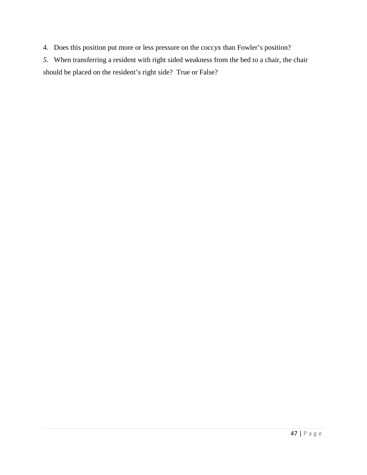4. Does this position put more or less pressure on the coccyx than Fowler's position?

*5*. When transferring a resident with right sided weakness from the bed to a chair, the chair should be placed on the resident's right side? True or False?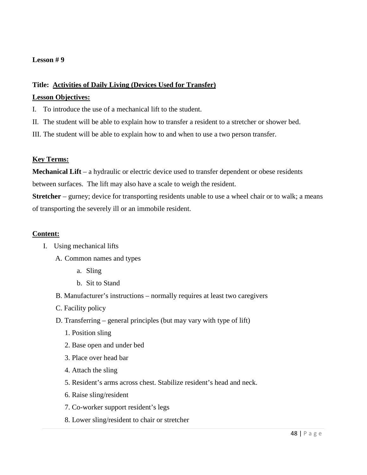### **Title: Activities of Daily Living (Devices Used for Transfer)**

### **Lesson Objectives:**

- I. To introduce the use of a mechanical lift to the student.
- II. The student will be able to explain how to transfer a resident to a stretcher or shower bed.
- III. The student will be able to explain how to and when to use a two person transfer.

### **Key Terms:**

**Mechanical Lift** – a hydraulic or electric device used to transfer dependent or obese residents between surfaces. The lift may also have a scale to weigh the resident.

**Stretcher** – gurney; device for transporting residents unable to use a wheel chair or to walk; a means of transporting the severely ill or an immobile resident.

### **Content:**

### I. Using mechanical lifts

- A. Common names and types
	- a. Sling
	- b. Sit to Stand
- B. Manufacturer's instructions normally requires at least two caregivers
- C. Facility policy
- D. Transferring general principles (but may vary with type of lift)
	- 1. Position sling
	- 2. Base open and under bed
	- 3. Place over head bar
	- 4. Attach the sling
	- 5. Resident's arms across chest. Stabilize resident's head and neck.
	- 6. Raise sling/resident
	- 7. Co-worker support resident's legs
	- 8. Lower sling/resident to chair or stretcher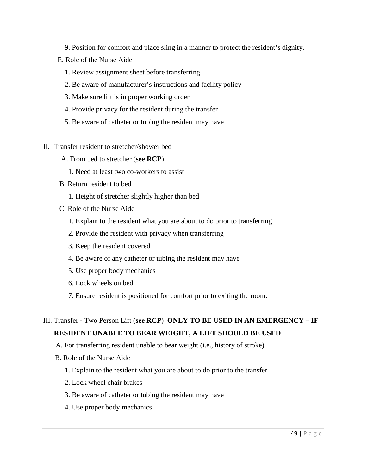- 9. Position for comfort and place sling in a manner to protect the resident's dignity.
- E. Role of the Nurse Aide
	- 1. Review assignment sheet before transferring
	- 2. Be aware of manufacturer's instructions and facility policy
	- 3. Make sure lift is in proper working order
	- 4. Provide privacy for the resident during the transfer
	- 5. Be aware of catheter or tubing the resident may have
- II. Transfer resident to stretcher/shower bed
	- A. From bed to stretcher (**see RCP**)
		- 1. Need at least two co-workers to assist
	- B. Return resident to bed
		- 1. Height of stretcher slightly higher than bed
	- C. Role of the Nurse Aide
		- 1. Explain to the resident what you are about to do prior to transferring
		- 2. Provide the resident with privacy when transferring
		- 3. Keep the resident covered
		- 4. Be aware of any catheter or tubing the resident may have
		- 5. Use proper body mechanics
		- 6. Lock wheels on bed
		- 7. Ensure resident is positioned for comfort prior to exiting the room.

# III. Transfer - Two Person Lift (**see RCP**) **ONLY TO BE USED IN AN EMERGENCY – IF RESIDENT UNABLE TO BEAR WEIGHT, A LIFT SHOULD BE USED**

- A. For transferring resident unable to bear weight (i.e., history of stroke)
- B. Role of the Nurse Aide
	- 1. Explain to the resident what you are about to do prior to the transfer
	- 2. Lock wheel chair brakes
	- 3. Be aware of catheter or tubing the resident may have
	- 4. Use proper body mechanics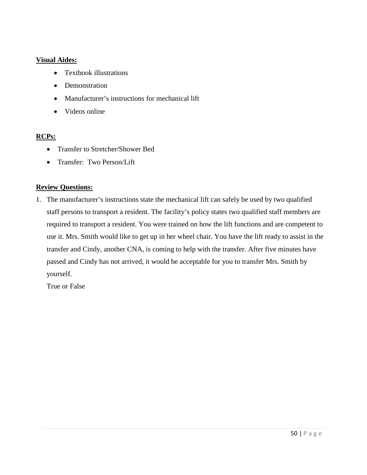### **Visual Aides:**

- Textbook illustrations
- Demonstration
- Manufacturer's instructions for mechanical lift
- Videos online

### **RCPs:**

- Transfer to Stretcher/Shower Bed
- Transfer: Two Person/Lift

### **Review Questions:**

1. The manufacturer's instructions state the mechanical lift can safely be used by two qualified staff persons to transport a resident. The facility's policy states two qualified staff members are required to transport a resident. You were trained on how the lift functions and are competent to use it. Mrs. Smith would like to get up in her wheel chair. You have the lift ready to assist in the transfer and Cindy, another CNA, is coming to help with the transfer. After five minutes have passed and Cindy has not arrived, it would be acceptable for you to transfer Mrs. Smith by yourself.

True or False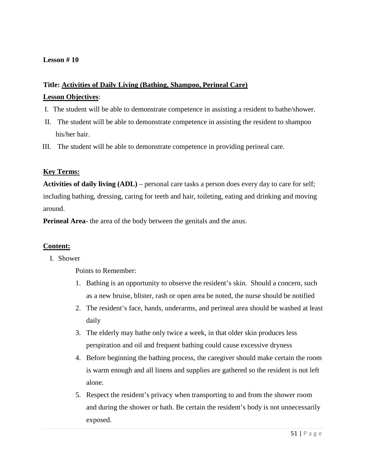# **Title: Activities of Daily Living (Bathing, Shampoo, Perineal Care)**

### **Lesson Objectives**:

- I. The student will be able to demonstrate competence in assisting a resident to bathe/shower.
- II. The student will be able to demonstrate competence in assisting the resident to shampoo his/her hair.
- III. The student will be able to demonstrate competence in providing perineal care.

### **Key Terms:**

**Activities of daily living (ADL)** – personal care tasks a person does every day to care for self; including bathing, dressing, caring for teeth and hair, toileting, eating and drinking and moving around.

**Perineal Area-** the area of the body between the genitals and the anus.

### **Content:**

### I. Shower

Points to Remember:

- 1. Bathing is an opportunity to observe the resident's skin. Should a concern, such as a new bruise, blister, rash or open area be noted, the nurse should be notified
- 2. The resident's face, hands, underarms, and perineal area should be washed at least daily
- 3. The elderly may bathe only twice a week, in that older skin produces less perspiration and oil and frequent bathing could cause excessive dryness
- 4. Before beginning the bathing process, the caregiver should make certain the room is warm enough and all linens and supplies are gathered so the resident is not left alone.
- 5. Respect the resident's privacy when transporting to and from the shower room and during the shower or bath. Be certain the resident's body is not unnecessarily exposed.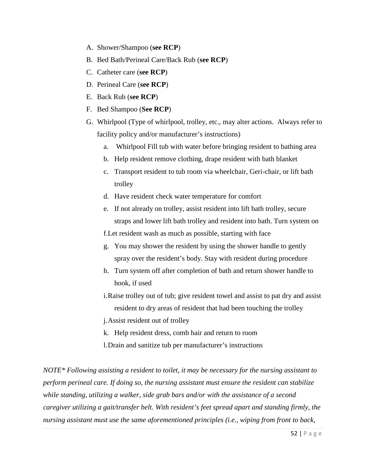- A. Shower/Shampoo (**see RCP**)
- B. Bed Bath/Perineal Care/Back Rub (**see RCP**)
- C. Catheter care (**see RCP**)
- D. Perineal Care (**see RCP**)
- E. Back Rub (**see RCP**)
- F. Bed Shampoo (**See RCP**)
- G. Whirlpool (Type of whirlpool, trolley, etc., may alter actions. Always refer to facility policy and/or manufacturer's instructions)
	- a. Whirlpool Fill tub with water before bringing resident to bathing area
	- b. Help resident remove clothing, drape resident with bath blanket
	- c. Transport resident to tub room via wheelchair, Geri-chair, or lift bath trolley
	- d. Have resident check water temperature for comfort
	- e. If not already on trolley, assist resident into lift bath trolley, secure straps and lower lift bath trolley and resident into bath. Turn system on f.Let resident wash as much as possible, starting with face
	- g. You may shower the resident by using the shower handle to gently spray over the resident's body. Stay with resident during procedure
	- h. Turn system off after completion of bath and return shower handle to hook, if used
	- i.Raise trolley out of tub; give resident towel and assist to pat dry and assist resident to dry areas of resident that had been touching the trolley

j.Assist resident out of trolley

- k. Help resident dress, comb hair and return to room
- l.Drain and sanitize tub per manufacturer's instructions

*NOTE\* Following assisting a resident to toilet, it may be necessary for the nursing assistant to perform perineal care. If doing so, the nursing assistant must ensure the resident can stabilize while standing, utilizing a walker, side grab bars and/or with the assistance of a second caregiver utilizing a gait/transfer belt. With resident's feet spread apart and standing firmly, the nursing assistant must use the same aforementioned principles (i.e., wiping from front to back,*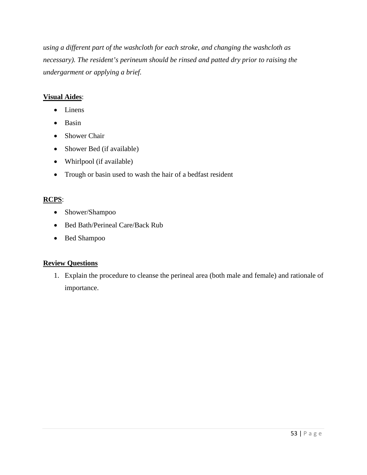*using a different part of the washcloth for each stroke, and changing the washcloth as necessary). The resident's perineum should be rinsed and patted dry prior to raising the undergarment or applying a brief.*

## **Visual Aides**:

- Linens
- Basin
- Shower Chair
- Shower Bed (if available)
- Whirlpool (if available)
- Trough or basin used to wash the hair of a bedfast resident

# **RCPS**:

- Shower/Shampoo
- Bed Bath/Perineal Care/Back Rub
- Bed Shampoo

### **Review Questions**

1. Explain the procedure to cleanse the perineal area (both male and female) and rationale of importance.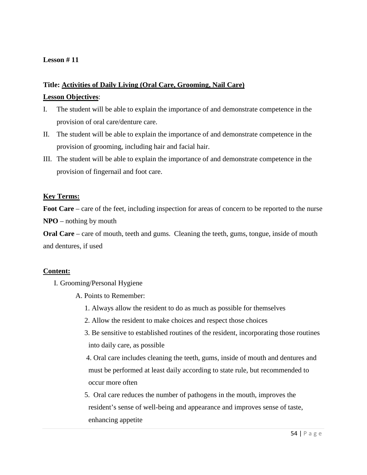# **Title: Activities of Daily Living (Oral Care, Grooming, Nail Care)**

### **Lesson Objectives**:

- I. The student will be able to explain the importance of and demonstrate competence in the provision of oral care/denture care.
- II. The student will be able to explain the importance of and demonstrate competence in the provision of grooming, including hair and facial hair.
- III. The student will be able to explain the importance of and demonstrate competence in the provision of fingernail and foot care.

### **Key Terms:**

Foot Care – care of the feet, including inspection for areas of concern to be reported to the nurse **NPO** – nothing by mouth

**Oral Care** – care of mouth, teeth and gums. Cleaning the teeth, gums, tongue, inside of mouth and dentures, if used

### **Content:**

- I. Grooming/Personal Hygiene
	- A. Points to Remember:
		- 1. Always allow the resident to do as much as possible for themselves
		- 2. Allow the resident to make choices and respect those choices
		- 3. Be sensitive to established routines of the resident, incorporating those routines into daily care, as possible
		- 4. Oral care includes cleaning the teeth, gums, inside of mouth and dentures and must be performed at least daily according to state rule, but recommended to occur more often
		- 5. Oral care reduces the number of pathogens in the mouth, improves the resident's sense of well-being and appearance and improves sense of taste, enhancing appetite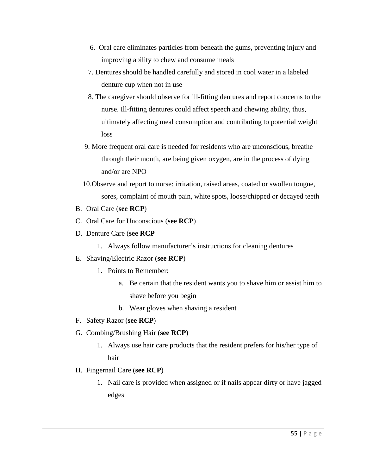- 6. Oral care eliminates particles from beneath the gums, preventing injury and improving ability to chew and consume meals
- 7. Dentures should be handled carefully and stored in cool water in a labeled denture cup when not in use
- 8. The caregiver should observe for ill-fitting dentures and report concerns to the nurse. Ill-fitting dentures could affect speech and chewing ability, thus, ultimately affecting meal consumption and contributing to potential weight loss
- 9. More frequent oral care is needed for residents who are unconscious, breathe through their mouth, are being given oxygen, are in the process of dying and/or are NPO
- 10.Observe and report to nurse: irritation, raised areas, coated or swollen tongue, sores, complaint of mouth pain, white spots, loose/chipped or decayed teeth
- B. Oral Care (**see RCP**)
- C. Oral Care for Unconscious (**see RCP**)
- D. Denture Care (**see RCP**
	- 1. Always follow manufacturer's instructions for cleaning dentures
- E. Shaving/Electric Razor (**see RCP**)
	- 1. Points to Remember:
		- a. Be certain that the resident wants you to shave him or assist him to shave before you begin
		- b. Wear gloves when shaving a resident
- F. Safety Razor (**see RCP**)
- G. Combing/Brushing Hair (**see RCP**)
	- 1. Always use hair care products that the resident prefers for his/her type of hair
- H. Fingernail Care (**see RCP**)
	- 1. Nail care is provided when assigned or if nails appear dirty or have jagged edges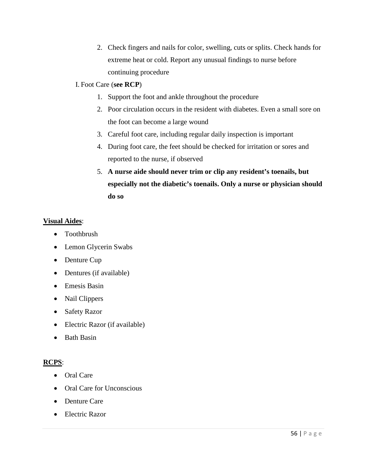2. Check fingers and nails for color, swelling, cuts or splits. Check hands for extreme heat or cold. Report any unusual findings to nurse before continuing procedure

### I. Foot Care (**see RCP**)

- 1. Support the foot and ankle throughout the procedure
- 2. Poor circulation occurs in the resident with diabetes. Even a small sore on the foot can become a large wound
- 3. Careful foot care, including regular daily inspection is important
- 4. During foot care, the feet should be checked for irritation or sores and reported to the nurse, if observed
- 5. **A nurse aide should never trim or clip any resident's toenails, but especially not the diabetic's toenails. Only a nurse or physician should do so**

### **Visual Aides**:

- Toothbrush
- Lemon Glycerin Swabs
- Denture Cup
- Dentures (if available)
- Emesis Basin
- Nail Clippers
- Safety Razor
- Electric Razor (if available)
- Bath Basin

### **RCPS**:

- Oral Care
- Oral Care for Unconscious
- Denture Care
- Electric Razor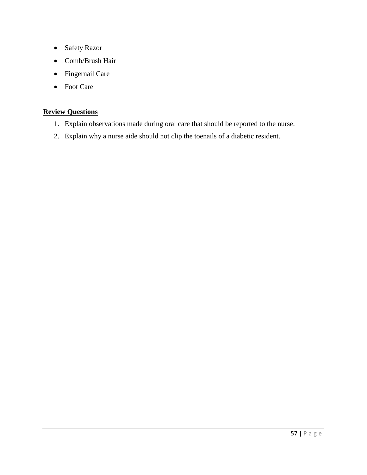- Safety Razor
- Comb/Brush Hair
- Fingernail Care
- Foot Care

## **Review Questions**

- 1. Explain observations made during oral care that should be reported to the nurse.
- 2. Explain why a nurse aide should not clip the toenails of a diabetic resident.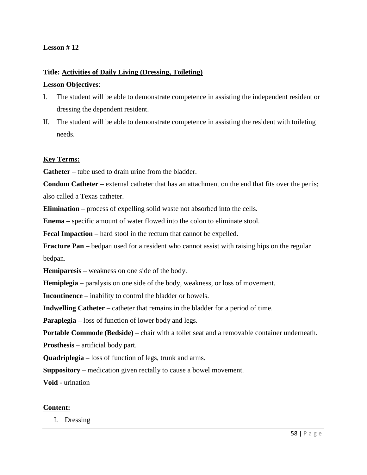## **Title: Activities of Daily Living (Dressing, Toileting)**

#### **Lesson Objectives**:

- I. The student will be able to demonstrate competence in assisting the independent resident or dressing the dependent resident.
- II. The student will be able to demonstrate competence in assisting the resident with toileting needs.

#### **Key Terms:**

**Catheter** – tube used to drain urine from the bladder.

**Condom Catheter** – external catheter that has an attachment on the end that fits over the penis; also called a Texas catheter.

**Elimination** – process of expelling solid waste not absorbed into the cells.

**Enema** – specific amount of water flowed into the colon to eliminate stool.

**Fecal Impaction** – hard stool in the rectum that cannot be expelled.

**Fracture Pan** – bedpan used for a resident who cannot assist with raising hips on the regular bedpan.

**Hemiparesis** – weakness on one side of the body.

**Hemiplegia** – paralysis on one side of the body, weakness, or loss of movement.

**Incontinence** – inability to control the bladder or bowels.

**Indwelling Catheter** – catheter that remains in the bladder for a period of time.

**Paraplegia** – loss of function of lower body and legs.

**Portable Commode (Bedside)** – chair with a toilet seat and a removable container underneath.

**Prosthesis** – artificial body part.

**Quadriplegia** – loss of function of legs, trunk and arms.

**Suppository** – medication given rectally to cause a bowel movement.

**Void** - urination

### **Content:**

I. Dressing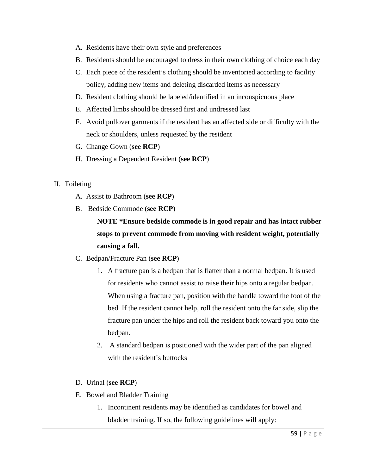- A. Residents have their own style and preferences
- B. Residents should be encouraged to dress in their own clothing of choice each day
- C. Each piece of the resident's clothing should be inventoried according to facility policy, adding new items and deleting discarded items as necessary
- D. Resident clothing should be labeled/identified in an inconspicuous place
- E. Affected limbs should be dressed first and undressed last
- F. Avoid pullover garments if the resident has an affected side or difficulty with the neck or shoulders, unless requested by the resident
- G. Change Gown (**see RCP**)
- H. Dressing a Dependent Resident (**see RCP**)
- II. Toileting
	- A. Assist to Bathroom (**see RCP**)
	- B. Bedside Commode (**see RCP**)

**NOTE \*Ensure bedside commode is in good repair and has intact rubber stops to prevent commode from moving with resident weight, potentially causing a fall.**

- C. Bedpan/Fracture Pan (**see RCP**)
	- 1. A fracture pan is a bedpan that is flatter than a normal bedpan. It is used for residents who cannot assist to raise their hips onto a regular bedpan. When using a fracture pan, position with the handle toward the foot of the bed. If the resident cannot help, roll the resident onto the far side, slip the fracture pan under the hips and roll the resident back toward you onto the bedpan.
	- 2. A standard bedpan is positioned with the wider part of the pan aligned with the resident's buttocks
- D. Urinal (**see RCP**)
- E. Bowel and Bladder Training
	- 1. Incontinent residents may be identified as candidates for bowel and bladder training. If so, the following guidelines will apply: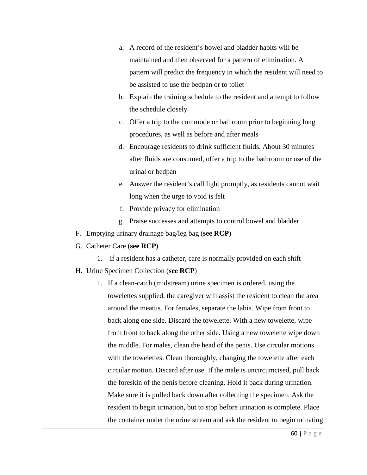- a. A record of the resident's bowel and bladder habits will be maintained and then observed for a pattern of elimination. A pattern will predict the frequency in which the resident will need to be assisted to use the bedpan or to toilet
- b. Explain the training schedule to the resident and attempt to follow the schedule closely
- c. Offer a trip to the commode or bathroom prior to beginning long procedures, as well as before and after meals
- d. Encourage residents to drink sufficient fluids. About 30 minutes after fluids are consumed, offer a trip to the bathroom or use of the urinal or bedpan
- e. Answer the resident's call light promptly, as residents cannot wait long when the urge to void is felt
- f. Provide privacy for elimination
- g. Praise successes and attempts to control bowel and bladder
- F. Emptying urinary drainage bag/leg bag (**see RCP**)
- G. Catheter Care (**see RCP**)
	- 1. If a resident has a catheter, care is normally provided on each shift
- H. Urine Specimen Collection (**see RCP**)
	- 1. If a clean-catch (midstream) urine specimen is ordered, using the towelettes supplied, the caregiver will assist the resident to clean the area around the meatus. For females, separate the labia. Wipe from front to back along one side. Discard the towelette. With a new towelette, wipe from front to back along the other side. Using a new towelette wipe down the middle. For males, clean the head of the penis. Use circular motions with the towelettes. Clean thoroughly, changing the towelette after each circular motion. Discard after use. If the male is uncircumcised, pull back the foreskin of the penis before cleaning. Hold it back during urination. Make sure it is pulled back down after collecting the specimen. Ask the resident to begin urination, but to stop before urination is complete. Place the container under the urine stream and ask the resident to begin urinating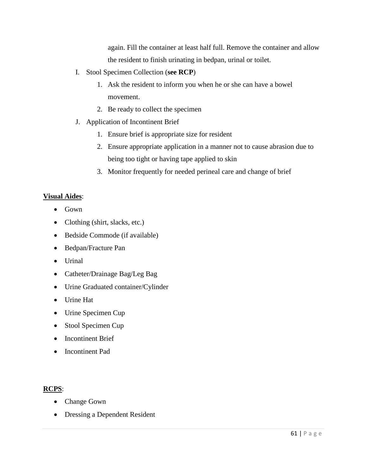again. Fill the container at least half full. Remove the container and allow the resident to finish urinating in bedpan, urinal or toilet.

- I. Stool Specimen Collection (**see RCP**)
	- 1. Ask the resident to inform you when he or she can have a bowel movement.
	- 2. Be ready to collect the specimen
- J. Application of Incontinent Brief
	- 1. Ensure brief is appropriate size for resident
	- 2. Ensure appropriate application in a manner not to cause abrasion due to being too tight or having tape applied to skin
	- 3. Monitor frequently for needed perineal care and change of brief

#### **Visual Aides**:

- Gown
- Clothing (shirt, slacks, etc.)
- Bedside Commode (if available)
- Bedpan/Fracture Pan
- Urinal
- Catheter/Drainage Bag/Leg Bag
- Urine Graduated container/Cylinder
- Urine Hat
- Urine Specimen Cup
- Stool Specimen Cup
- Incontinent Brief
- Incontinent Pad

### **RCPS**:

- Change Gown
- Dressing a Dependent Resident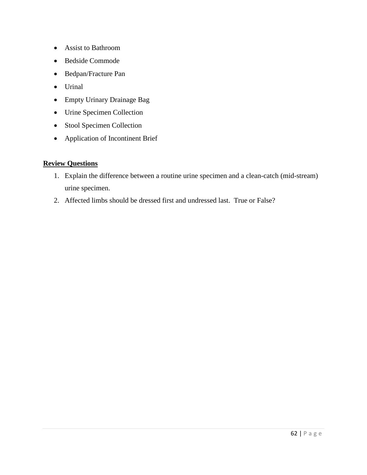- Assist to Bathroom
- Bedside Commode
- Bedpan/Fracture Pan
- Urinal
- Empty Urinary Drainage Bag
- Urine Specimen Collection
- Stool Specimen Collection
- Application of Incontinent Brief

# **Review Questions**

- 1. Explain the difference between a routine urine specimen and a clean-catch (mid-stream) urine specimen.
- 2. Affected limbs should be dressed first and undressed last. True or False?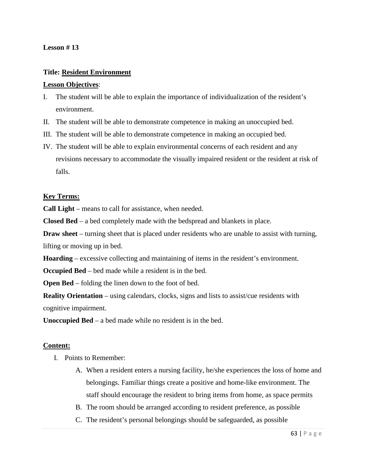#### **Lesson # 13**

# **Title: Resident Environment**

## **Lesson Objectives**:

- I. The student will be able to explain the importance of individualization of the resident's environment.
- II. The student will be able to demonstrate competence in making an unoccupied bed.
- III. The student will be able to demonstrate competence in making an occupied bed.
- IV. The student will be able to explain environmental concerns of each resident and any revisions necessary to accommodate the visually impaired resident or the resident at risk of falls.

## **Key Terms:**

**Call Light** – means to call for assistance, when needed.

**Closed Bed** – a bed completely made with the bedspread and blankets in place.

**Draw sheet** – turning sheet that is placed under residents who are unable to assist with turning, lifting or moving up in bed.

**Hoarding** – excessive collecting and maintaining of items in the resident's environment.

**Occupied Bed** – bed made while a resident is in the bed.

**Open Bed** – folding the linen down to the foot of bed.

**Reality Orientation** – using calendars, clocks, signs and lists to assist/cue residents with cognitive impairment.

**Unoccupied Bed** – a bed made while no resident is in the bed.

# **Content:**

- I. Points to Remember:
	- A. When a resident enters a nursing facility, he/she experiences the loss of home and belongings. Familiar things create a positive and home-like environment. The staff should encourage the resident to bring items from home, as space permits
	- B. The room should be arranged according to resident preference, as possible
	- C. The resident's personal belongings should be safeguarded, as possible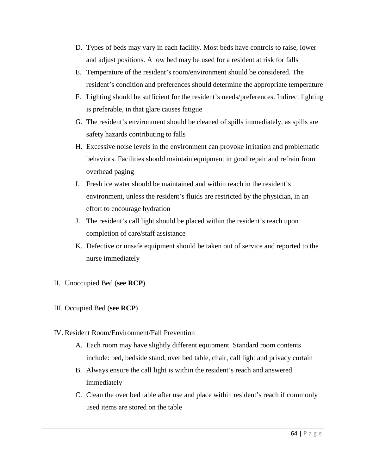- D. Types of beds may vary in each facility. Most beds have controls to raise, lower and adjust positions. A low bed may be used for a resident at risk for falls
- E. Temperature of the resident's room/environment should be considered. The resident's condition and preferences should determine the appropriate temperature
- F. Lighting should be sufficient for the resident's needs/preferences. Indirect lighting is preferable, in that glare causes fatigue
- G. The resident's environment should be cleaned of spills immediately, as spills are safety hazards contributing to falls
- H. Excessive noise levels in the environment can provoke irritation and problematic behaviors. Facilities should maintain equipment in good repair and refrain from overhead paging
- I. Fresh ice water should be maintained and within reach in the resident's environment, unless the resident's fluids are restricted by the physician, in an effort to encourage hydration
- J. The resident's call light should be placed within the resident's reach upon completion of care/staff assistance
- K. Defective or unsafe equipment should be taken out of service and reported to the nurse immediately
- II. Unoccupied Bed (**see RCP**)
- III. Occupied Bed (**see RCP**)
- IV. Resident Room/Environment/Fall Prevention
	- A. Each room may have slightly different equipment. Standard room contents include: bed, bedside stand, over bed table, chair, call light and privacy curtain
	- B. Always ensure the call light is within the resident's reach and answered immediately
	- C. Clean the over bed table after use and place within resident's reach if commonly used items are stored on the table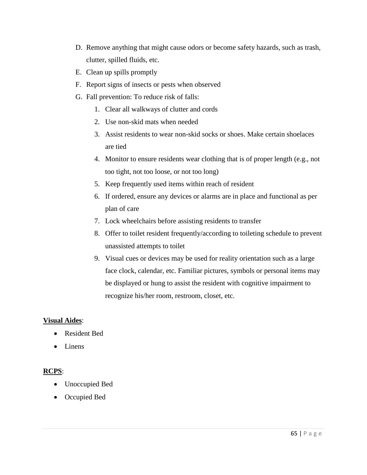- D. Remove anything that might cause odors or become safety hazards, such as trash, clutter, spilled fluids, etc.
- E. Clean up spills promptly
- F. Report signs of insects or pests when observed
- G. Fall prevention: To reduce risk of falls:
	- 1. Clear all walkways of clutter and cords
	- 2. Use non-skid mats when needed
	- 3. Assist residents to wear non-skid socks or shoes. Make certain shoelaces are tied
	- 4. Monitor to ensure residents wear clothing that is of proper length (e.g., not too tight, not too loose, or not too long)
	- 5. Keep frequently used items within reach of resident
	- 6. If ordered, ensure any devices or alarms are in place and functional as per plan of care
	- 7. Lock wheelchairs before assisting residents to transfer
	- 8. Offer to toilet resident frequently/according to toileting schedule to prevent unassisted attempts to toilet
	- 9. Visual cues or devices may be used for reality orientation such as a large face clock, calendar, etc. Familiar pictures, symbols or personal items may be displayed or hung to assist the resident with cognitive impairment to recognize his/her room, restroom, closet, etc.

# **Visual Aides**:

- Resident Bed
- Linens

# **RCPS**:

- Unoccupied Bed
- Occupied Bed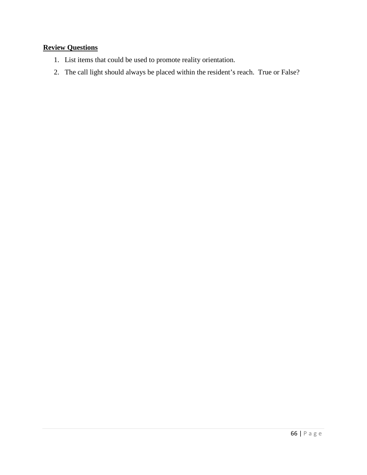# **Review Questions**

- 1. List items that could be used to promote reality orientation.
- 2. The call light should always be placed within the resident's reach. True or False?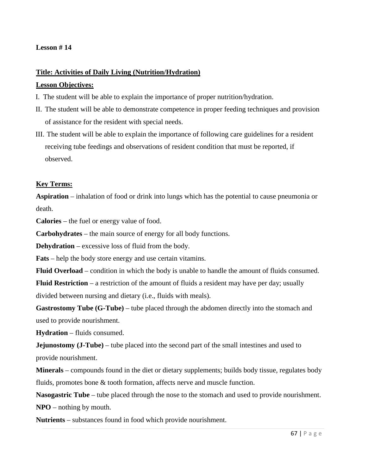## **Lesson # 14**

## **Title: Activities of Daily Living (Nutrition/Hydration)**

#### **Lesson Objectives:**

- I. The student will be able to explain the importance of proper nutrition/hydration.
- II. The student will be able to demonstrate competence in proper feeding techniques and provision of assistance for the resident with special needs.
- III. The student will be able to explain the importance of following care guidelines for a resident receiving tube feedings and observations of resident condition that must be reported, if observed.

## **Key Terms:**

**Aspiration** – inhalation of food or drink into lungs which has the potential to cause pneumonia or death.

**Calories** – the fuel or energy value of food.

**Carbohydrates** – the main source of energy for all body functions.

**Dehydration** – excessive loss of fluid from the body.

**Fats** – help the body store energy and use certain vitamins.

**Fluid Overload** – condition in which the body is unable to handle the amount of fluids consumed.

**Fluid Restriction** – a restriction of the amount of fluids a resident may have per day; usually divided between nursing and dietary (i.e., fluids with meals).

Gastrostomy Tube (G-Tube) – tube placed through the abdomen directly into the stomach and used to provide nourishment.

**Hydration** – fluids consumed.

**Jejunostomy (J-Tube)** – tube placed into the second part of the small intestines and used to provide nourishment.

**Minerals** – compounds found in the diet or dietary supplements; builds body tissue, regulates body fluids, promotes bone & tooth formation, affects nerve and muscle function.

**Nasogastric Tube** – tube placed through the nose to the stomach and used to provide nourishment. **NPO** – nothing by mouth.

**Nutrients** – substances found in food which provide nourishment.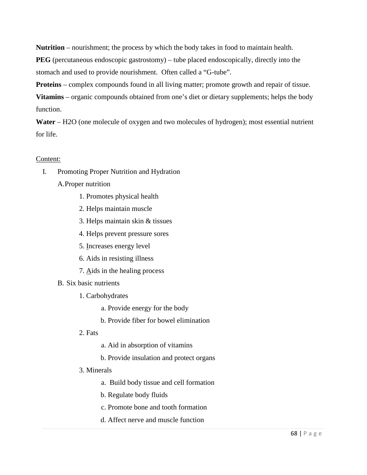**Nutrition** – nourishment; the process by which the body takes in food to maintain health.

**PEG** (percutaneous endoscopic gastrostomy) – tube placed endoscopically, directly into the stomach and used to provide nourishment. Often called a "G-tube".

**Proteins** – complex compounds found in all living matter; promote growth and repair of tissue.

**Vitamins** – organic compounds obtained from one's diet or dietary supplements; helps the body function.

**Water** – H2O (one molecule of oxygen and two molecules of hydrogen); most essential nutrient for life.

# Content:

- I. Promoting Proper Nutrition and Hydration
	- A.Proper nutrition
		- 1. Promotes physical health
		- 2. Helps maintain muscle
		- 3. Helps maintain skin & tissues
		- 4. Helps prevent pressure sores
		- 5. Increases energy level
		- 6. Aids in resisting illness
		- 7. Aids in the healing process
	- B. Six basic nutrients
		- 1. Carbohydrates
			- a. Provide energy for the body
			- b. Provide fiber for bowel elimination
		- 2. Fats
- a. Aid in absorption of vitamins
- b. Provide insulation and protect organs
- 3. Minerals
	- a. Build body tissue and cell formation
	- b. Regulate body fluids
	- c. Promote bone and tooth formation
	- d. Affect nerve and muscle function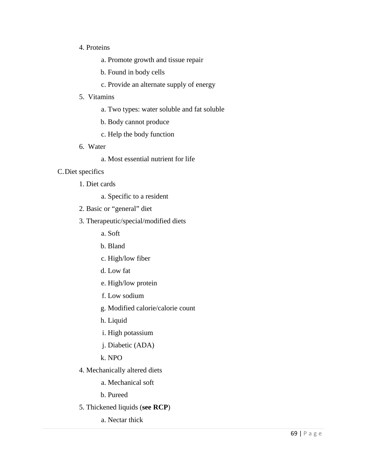## 4. Proteins

- a. Promote growth and tissue repair
- b. Found in body cells
- c. Provide an alternate supply of energy

## 5. Vitamins

- a. Two types: water soluble and fat soluble
- b. Body cannot produce
- c. Help the body function
- 6. Water
	- a. Most essential nutrient for life

## C.Diet specifics

- 1. Diet cards
	- a. Specific to a resident
- 2. Basic or "general" diet
- 3. Therapeutic/special/modified diets
	- a. Soft
	- b. Bland
	- c. High/low fiber
	- d. Low fat
	- e. High/low protein
	- f. Low sodium
	- g. Modified calorie/calorie count
	- h. Liquid
	- i. High potassium
	- j. Diabetic (ADA)
	- k. NPO
- 4. Mechanically altered diets
	- a. Mechanical soft
	- b. Pureed
- 5. Thickened liquids (**see RCP**)
	- a. Nectar thick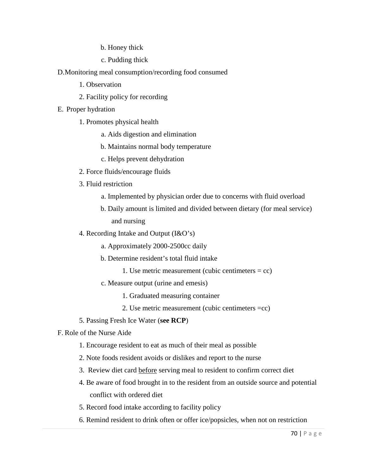b. Honey thick

c. Pudding thick

D.Monitoring meal consumption/recording food consumed

- 1. Observation
- 2. Facility policy for recording
- E. Proper hydration
	- 1. Promotes physical health
		- a. Aids digestion and elimination
		- b. Maintains normal body temperature
		- c. Helps prevent dehydration
	- 2. Force fluids/encourage fluids
	- 3. Fluid restriction
		- a. Implemented by physician order due to concerns with fluid overload
		- b. Daily amount is limited and divided between dietary (for meal service) and nursing
	- 4. Recording Intake and Output (I&O's)
		- a. Approximately 2000-2500cc daily
		- b. Determine resident's total fluid intake
			- 1. Use metric measurement (cubic centimeters  $=$  cc)
		- c. Measure output (urine and emesis)
			- 1. Graduated measuring container
			- 2. Use metric measurement (cubic centimeters =cc)
	- 5. Passing Fresh Ice Water (**see RCP**)
- F. Role of the Nurse Aide
	- 1. Encourage resident to eat as much of their meal as possible
	- 2. Note foods resident avoids or dislikes and report to the nurse
	- 3. Review diet card before serving meal to resident to confirm correct diet
	- 4. Be aware of food brought in to the resident from an outside source and potential conflict with ordered diet
	- 5. Record food intake according to facility policy
	- 6. Remind resident to drink often or offer ice/popsicles, when not on restriction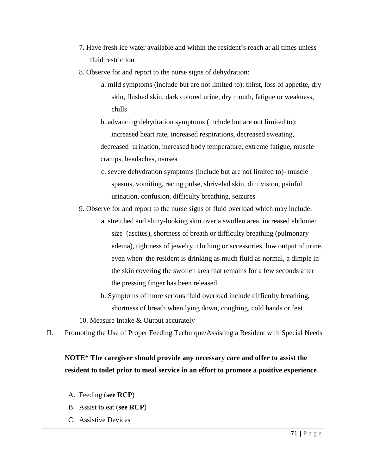- 7. Have fresh ice water available and within the resident's reach at all times unless fluid restriction
- 8. Observe for and report to the nurse signs of dehydration:
	- a. mild symptoms (include but are not limited to): thirst, loss of appetite, dry skin, flushed skin, dark colored urine, dry mouth, fatigue or weakness, chills
	- b. advancing dehydration symptoms (include but are not limited to): increased heart rate, increased respirations, decreased sweating, decreased urination, increased body temperature, extreme fatigue, muscle cramps, headaches, nausea
	- c. severe dehydration symptoms (include but are not limited to)- muscle spasms, vomiting, racing pulse, shriveled skin, dim vision, painful urination, confusion, difficulty breathing, seizures
- 9. Observe for and report to the nurse signs of fluid overload which may include:
	- a. stretched and shiny-looking skin over a swollen area, increased abdomen size (ascites), shortness of breath or difficulty breathing (pulmonary edema), tightness of jewelry, clothing or accessories, low output of urine, even when the resident is drinking as much fluid as normal, a dimple in the skin covering the swollen area that remains for a few seconds after the pressing finger has been released
	- b. Symptoms of more serious fluid overload include difficulty breathing, shortness of breath when lying down, coughing, cold hands or feet
- 10. Measure Intake & Output accurately
- II. Promoting the Use of Proper Feeding Technique/Assisting a Resident with Special Needs

# **NOTE\* The caregiver should provide any necessary care and offer to assist the resident to toilet prior to meal service in an effort to promote a positive experience**

- A. Feeding (**see RCP**)
- B. Assist to eat (**see RCP**)
- C. Assistive Devices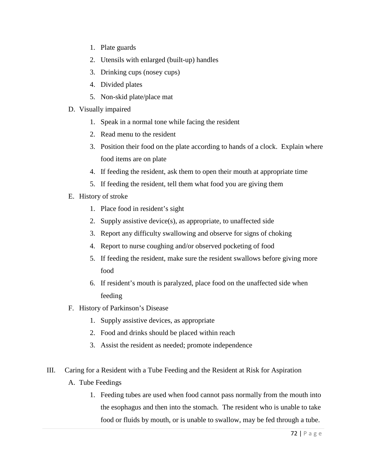- 1. Plate guards
- 2. Utensils with enlarged (built-up) handles
- 3. Drinking cups (nosey cups)
- 4. Divided plates
- 5. Non-skid plate/place mat
- D. Visually impaired
	- 1. Speak in a normal tone while facing the resident
	- 2. Read menu to the resident
	- 3. Position their food on the plate according to hands of a clock. Explain where food items are on plate
	- 4. If feeding the resident, ask them to open their mouth at appropriate time
	- 5. If feeding the resident, tell them what food you are giving them
- E. History of stroke
	- 1. Place food in resident's sight
	- 2. Supply assistive device(s), as appropriate, to unaffected side
	- 3. Report any difficulty swallowing and observe for signs of choking
	- 4. Report to nurse coughing and/or observed pocketing of food
	- 5. If feeding the resident, make sure the resident swallows before giving more food
	- 6. If resident's mouth is paralyzed, place food on the unaffected side when feeding
- F. History of Parkinson's Disease
	- 1. Supply assistive devices, as appropriate
	- 2. Food and drinks should be placed within reach
	- 3. Assist the resident as needed; promote independence
- III. Caring for a Resident with a Tube Feeding and the Resident at Risk for Aspiration A. Tube Feedings
	- 1. Feeding tubes are used when food cannot pass normally from the mouth into the esophagus and then into the stomach. The resident who is unable to take food or fluids by mouth, or is unable to swallow, may be fed through a tube.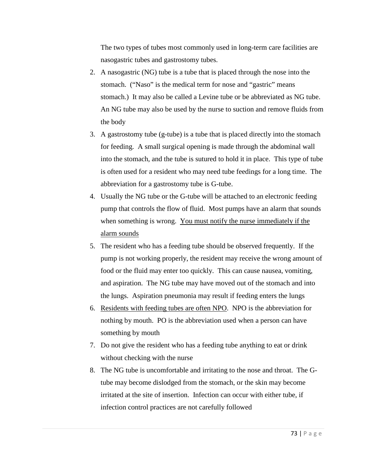The two types of tubes most commonly used in long-term care facilities are nasogastric tubes and gastrostomy tubes.

- 2. A nasogastric (NG) tube is a tube that is placed through the nose into the stomach. ("Naso" is the medical term for nose and "gastric" means stomach.) It may also be called a Levine tube or be abbreviated as NG tube. An NG tube may also be used by the nurse to suction and remove fluids from the body
- 3. A gastrostomy tube (g-tube) is a tube that is placed directly into the stomach for feeding. A small surgical opening is made through the abdominal wall into the stomach, and the tube is sutured to hold it in place. This type of tube is often used for a resident who may need tube feedings for a long time. The abbreviation for a gastrostomy tube is G-tube.
- 4. Usually the NG tube or the G-tube will be attached to an electronic feeding pump that controls the flow of fluid. Most pumps have an alarm that sounds when something is wrong. You must notify the nurse immediately if the alarm sounds
- 5. The resident who has a feeding tube should be observed frequently. If the pump is not working properly, the resident may receive the wrong amount of food or the fluid may enter too quickly. This can cause nausea, vomiting, and aspiration. The NG tube may have moved out of the stomach and into the lungs. Aspiration pneumonia may result if feeding enters the lungs
- 6. Residents with feeding tubes are often NPO. NPO is the abbreviation for nothing by mouth. PO is the abbreviation used when a person can have something by mouth
- 7. Do not give the resident who has a feeding tube anything to eat or drink without checking with the nurse
- 8. The NG tube is uncomfortable and irritating to the nose and throat. The Gtube may become dislodged from the stomach, or the skin may become irritated at the site of insertion. Infection can occur with either tube, if infection control practices are not carefully followed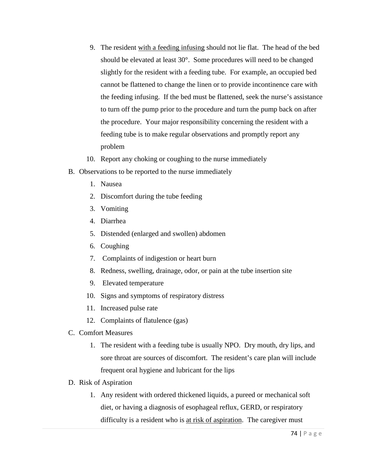- 9. The resident with a feeding infusing should not lie flat. The head of the bed should be elevated at least 30°. Some procedures will need to be changed slightly for the resident with a feeding tube. For example, an occupied bed cannot be flattened to change the linen or to provide incontinence care with the feeding infusing. If the bed must be flattened, seek the nurse's assistance to turn off the pump prior to the procedure and turn the pump back on after the procedure. Your major responsibility concerning the resident with a feeding tube is to make regular observations and promptly report any problem
- 10. Report any choking or coughing to the nurse immediately
- B. Observations to be reported to the nurse immediately
	- 1. Nausea
	- 2. Discomfort during the tube feeding
	- 3. Vomiting
	- 4. Diarrhea
	- 5. Distended (enlarged and swollen) abdomen
	- 6. Coughing
	- 7. Complaints of indigestion or heart burn
	- 8. Redness, swelling, drainage, odor, or pain at the tube insertion site
	- 9. Elevated temperature
	- 10. Signs and symptoms of respiratory distress
	- 11. Increased pulse rate
	- 12. Complaints of flatulence (gas)
- C. Comfort Measures
	- 1. The resident with a feeding tube is usually NPO. Dry mouth, dry lips, and sore throat are sources of discomfort. The resident's care plan will include frequent oral hygiene and lubricant for the lips
- D. Risk of Aspiration
	- 1. Any resident with ordered thickened liquids, a pureed or mechanical soft diet, or having a diagnosis of esophageal reflux, GERD, or respiratory difficulty is a resident who is at risk of aspiration. The caregiver must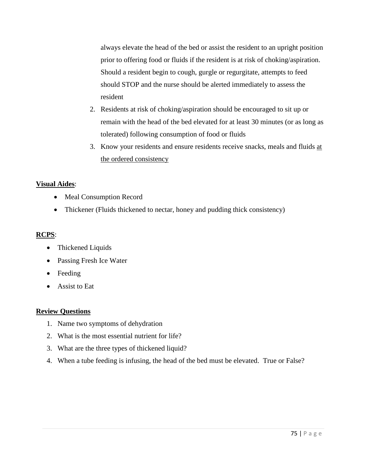always elevate the head of the bed or assist the resident to an upright position prior to offering food or fluids if the resident is at risk of choking/aspiration. Should a resident begin to cough, gurgle or regurgitate, attempts to feed should STOP and the nurse should be alerted immediately to assess the resident

- 2. Residents at risk of choking/aspiration should be encouraged to sit up or remain with the head of the bed elevated for at least 30 minutes (or as long as tolerated) following consumption of food or fluids
- 3. Know your residents and ensure residents receive snacks, meals and fluids at the ordered consistency

## **Visual Aides**:

- Meal Consumption Record
- Thickener (Fluids thickened to nectar, honey and pudding thick consistency)

# **RCPS**:

- Thickened Liquids
- Passing Fresh Ice Water
- Feeding
- Assist to Eat

## **Review Questions**

- 1. Name two symptoms of dehydration
- 2. What is the most essential nutrient for life?
- 3. What are the three types of thickened liquid?
- 4. When a tube feeding is infusing, the head of the bed must be elevated. True or False?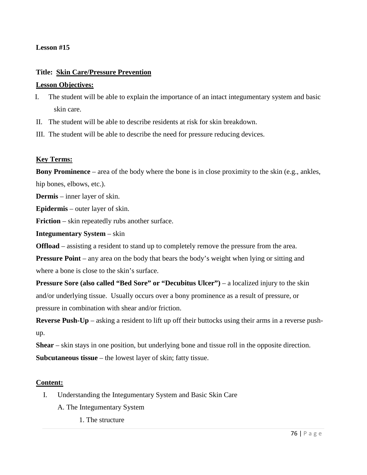## **Lesson #15**

# **Title: Skin Care/Pressure Prevention**

## **Lesson Objectives:**

- I. The student will be able to explain the importance of an intact integumentary system and basic skin care.
- II. The student will be able to describe residents at risk for skin breakdown.
- III. The student will be able to describe the need for pressure reducing devices.

# **Key Terms:**

**Bony Prominence** – area of the body where the bone is in close proximity to the skin (e.g., ankles, hip bones, elbows, etc.).

**Dermis** – inner layer of skin.

**Epidermis** – outer layer of skin.

**Friction** – skin repeatedly rubs another surface.

**Integumentary System** – skin

**Offload** – assisting a resident to stand up to completely remove the pressure from the area.

**Pressure Point** – any area on the body that bears the body's weight when lying or sitting and where a bone is close to the skin's surface.

**Pressure Sore (also called "Bed Sore" or "Decubitus Ulcer")** – a localized injury to the skin and/or underlying tissue. Usually occurs over a bony prominence as a result of pressure, or pressure in combination with shear and/or friction.

**Reverse Push-Up** – asking a resident to lift up off their buttocks using their arms in a reverse pushup.

**Shear** – skin stays in one position, but underlying bone and tissue roll in the opposite direction. **Subcutaneous tissue** – the lowest layer of skin; fatty tissue.

## **Content:**

- I. Understanding the Integumentary System and Basic Skin Care
	- A. The Integumentary System
		- 1. The structure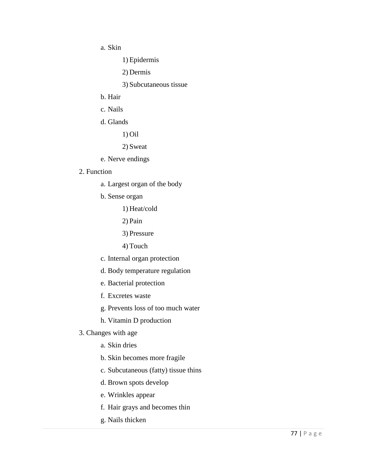a. Skin

1) Epidermis

2) Dermis

3) Subcutaneous tissue

- b. Hair
- c. Nails
- d. Glands

1) Oil

2) Sweat

e. Nerve endings

#### 2. Function

- a. Largest organ of the body
- b. Sense organ
	- 1) Heat/cold
	- 2) Pain
	- 3) Pressure
	- 4) Touch
- c. Internal organ protection
- d. Body temperature regulation
- e. Bacterial protection
- f. Excretes waste
- g. Prevents loss of too much water
- h. Vitamin D production

#### 3. Changes with age

- a. Skin dries
- b. Skin becomes more fragile
- c. Subcutaneous (fatty) tissue thins
- d. Brown spots develop
- e. Wrinkles appear
- f. Hair grays and becomes thin
- g. Nails thicken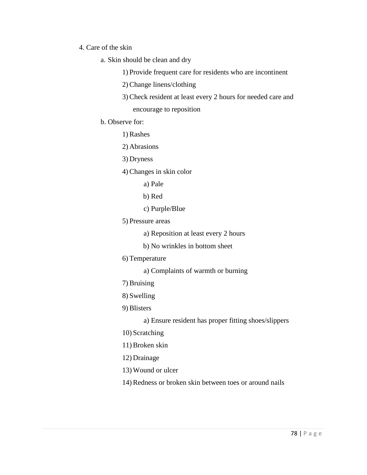# 4. Care of the skin

- a. Skin should be clean and dry
	- 1) Provide frequent care for residents who are incontinent
	- 2) Change linens/clothing
	- 3) Check resident at least every 2 hours for needed care and encourage to reposition
- b. Observe for:
	- 1) Rashes
	- 2) Abrasions
	- 3) Dryness
	- 4) Changes in skin color
		- a) Pale
		- b) Red
		- c) Purple/Blue
	- 5) Pressure areas
		- a) Reposition at least every 2 hours
		- b) No wrinkles in bottom sheet
	- 6) Temperature
		- a) Complaints of warmth or burning
	- 7) Bruising
	- 8) Swelling
	- 9) Blisters
		- a) Ensure resident has proper fitting shoes/slippers
	- 10) Scratching
	- 11) Broken skin
	- 12) Drainage
	- 13) Wound or ulcer
	- 14) Redness or broken skin between toes or around nails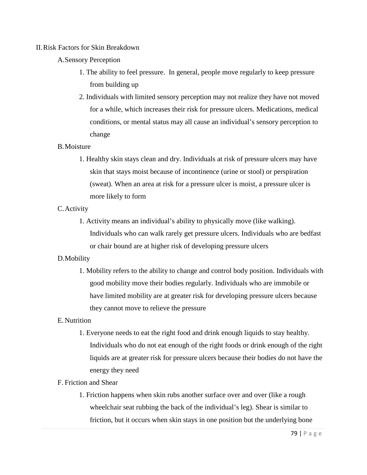#### II.Risk Factors for Skin Breakdown

## A.Sensory Perception

- 1. The ability to feel pressure. In general, people move regularly to keep pressure from building up
- 2. Individuals with limited sensory perception may not realize they have not moved for a while, which increases their risk for pressure ulcers. Medications, medical conditions, or mental status may all cause an individual's sensory perception to change

#### B.Moisture

1. Healthy skin stays clean and dry. Individuals at risk of pressure ulcers may have skin that stays moist because of incontinence (urine or stool) or perspiration (sweat). When an area at risk for a pressure ulcer is moist, a pressure ulcer is more likely to form

#### C.Activity

1. Activity means an individual's ability to physically move (like walking). Individuals who can walk rarely get pressure ulcers. Individuals who are bedfast or chair bound are at higher risk of developing pressure ulcers

## D.Mobility

1. Mobility refers to the ability to change and control body position. Individuals with good mobility move their bodies regularly. Individuals who are immobile or have limited mobility are at greater risk for developing pressure ulcers because they cannot move to relieve the pressure

## E.Nutrition

1. Everyone needs to eat the right food and drink enough liquids to stay healthy. Individuals who do not eat enough of the right foods or drink enough of the right liquids are at greater risk for pressure ulcers because their bodies do not have the energy they need

# F. Friction and Shear

1. Friction happens when skin rubs another surface over and over (like a rough wheelchair seat rubbing the back of the individual's leg). Shear is similar to friction, but it occurs when skin stays in one position but the underlying bone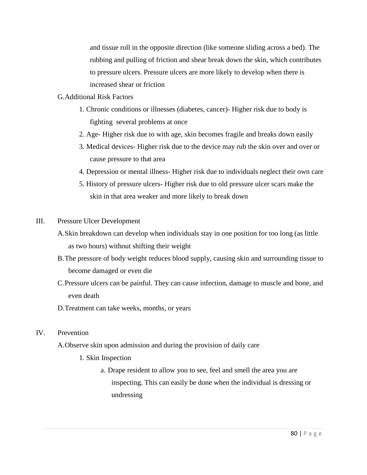and tissue roll in the opposite direction (like someone sliding across a bed). The rubbing and pulling of friction and shear break down the skin, which contributes to pressure ulcers. Pressure ulcers are more likely to develop when there is increased shear or friction

# G.Additional Risk Factors

- 1. Chronic conditions or illnesses (diabetes, cancer)- Higher risk due to body is fighting several problems at once
- 2. Age- Higher risk due to with age, skin becomes fragile and breaks down easily
- 3. Medical devices- Higher risk due to the device may rub the skin over and over or cause pressure to that area
- 4. Depression or mental illness- Higher risk due to individuals neglect their own care
- 5. History of pressure ulcers- Higher risk due to old pressure ulcer scars make the skin in that area weaker and more likely to break down

# III. Pressure Ulcer Development

- A.Skin breakdown can develop when individuals stay in one position for too long (as little as two hours) without shifting their weight
- B.The pressure of body weight reduces blood supply, causing skin and surrounding tissue to become damaged or even die
- C.Pressure ulcers can be painful. They can cause infection, damage to muscle and bone, and even death
- D.Treatment can take weeks, months, or years

# IV. Prevention

- A.Observe skin upon admission and during the provision of daily care
	- 1. Skin Inspection
		- a. Drape resident to allow you to see, feel and smell the area you are inspecting. This can easily be done when the individual is dressing or undressing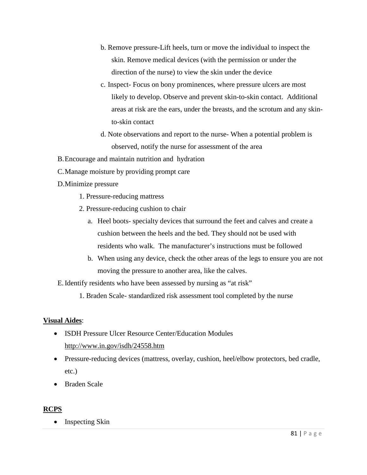- b. Remove pressure-Lift heels, turn or move the individual to inspect the skin. Remove medical devices (with the permission or under the direction of the nurse) to view the skin under the device
- c. Inspect- Focus on bony prominences, where pressure ulcers are most likely to develop. Observe and prevent skin-to-skin contact. Additional areas at risk are the ears, under the breasts, and the scrotum and any skinto-skin contact
- d. Note observations and report to the nurse- When a potential problem is observed, notify the nurse for assessment of the area
- B.Encourage and maintain nutrition and hydration
- C.Manage moisture by providing prompt care
- D.Minimize pressure
	- 1. Pressure-reducing mattress
	- 2. Pressure-reducing cushion to chair
		- a. Heel boots- specialty devices that surround the feet and calves and create a cushion between the heels and the bed. They should not be used with residents who walk. The manufacturer's instructions must be followed
		- b. When using any device, check the other areas of the legs to ensure you are not moving the pressure to another area, like the calves.

E.Identify residents who have been assessed by nursing as "at risk"

1. Braden Scale- standardized risk assessment tool completed by the nurse

# **Visual Aides**:

- ISDH Pressure Ulcer Resource Center/Education Modules <http://www.in.gov/isdh/24558.htm>
- Pressure-reducing devices (mattress, overlay, cushion, heel/elbow protectors, bed cradle, etc.)
- Braden Scale

# **RCPS**

• Inspecting Skin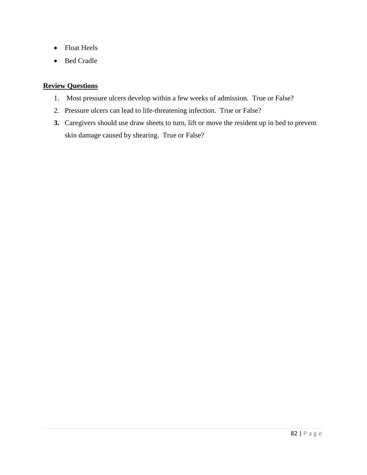- Float Heels
- Bed Cradle

# **Review Questions**

- 1. Most pressure ulcers develop within a few weeks of admission. True or False?
- 2. Pressure ulcers can lead to life-threatening infection. True or False?
- **3.** Caregivers should use draw sheets to turn, lift or move the resident up in bed to prevent skin damage caused by shearing. True or False?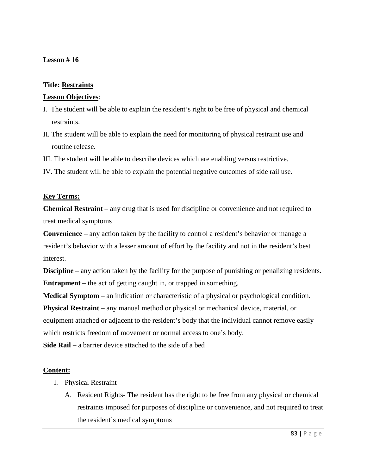# **Lesson # 16**

## **Title: Restraints**

# **Lesson Objectives**:

- I. The student will be able to explain the resident's right to be free of physical and chemical restraints.
- II. The student will be able to explain the need for monitoring of physical restraint use and routine release.
- III. The student will be able to describe devices which are enabling versus restrictive.
- IV. The student will be able to explain the potential negative outcomes of side rail use.

## **Key Terms:**

**Chemical Restraint** – any drug that is used for discipline or convenience and not required to treat medical symptoms

**Convenience** – any action taken by the facility to control a resident's behavior or manage a resident's behavior with a lesser amount of effort by the facility and not in the resident's best interest.

**Discipline** – any action taken by the facility for the purpose of punishing or penalizing residents. **Entrapment** – the act of getting caught in, or trapped in something.

**Medical Symptom** – an indication or characteristic of a physical or psychological condition.

**Physical Restraint** – any manual method or physical or mechanical device, material, or equipment attached or adjacent to the resident's body that the individual cannot remove easily which restricts freedom of movement or normal access to one's body.

**Side Rail –** a barrier device attached to the side of a bed

# **Content:**

- I. Physical Restraint
	- A. Resident Rights- The resident has the right to be free from any physical or chemical restraints imposed for purposes of discipline or convenience, and not required to treat the resident's medical symptoms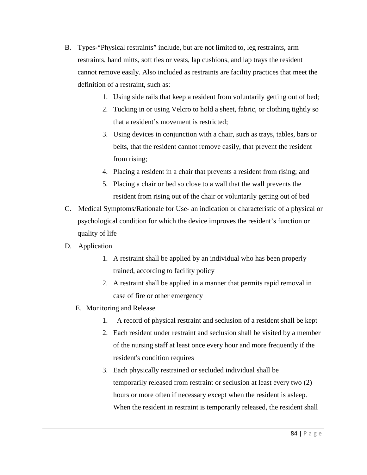- B. Types-"Physical restraints" include, but are not limited to, leg restraints, arm restraints, hand mitts, soft ties or vests, lap cushions, and lap trays the resident cannot remove easily. Also included as restraints are facility practices that meet the definition of a restraint, such as:
	- 1. Using side rails that keep a resident from voluntarily getting out of bed;
	- 2. Tucking in or using Velcro to hold a sheet, fabric, or clothing tightly so that a resident's movement is restricted;
	- 3. Using devices in conjunction with a chair, such as trays, tables, bars or belts, that the resident cannot remove easily, that prevent the resident from rising;
	- 4. Placing a resident in a chair that prevents a resident from rising; and
	- 5. Placing a chair or bed so close to a wall that the wall prevents the resident from rising out of the chair or voluntarily getting out of bed
- C. Medical Symptoms/Rationale for Use- an indication or characteristic of a physical or psychological condition for which the device improves the resident's function or quality of life
- D. Application
	- 1. A restraint shall be applied by an individual who has been properly trained, according to facility policy
	- 2. A restraint shall be applied in a manner that permits rapid removal in case of fire or other emergency
	- E. Monitoring and Release
		- 1. A record of physical restraint and seclusion of a resident shall be kept
		- 2. Each resident under restraint and seclusion shall be visited by a member of the nursing staff at least once every hour and more frequently if the resident's condition requires
		- 3. Each physically restrained or secluded individual shall be temporarily released from restraint or seclusion at least every two (2) hours or more often if necessary except when the resident is asleep. When the resident in restraint is temporarily released, the resident shall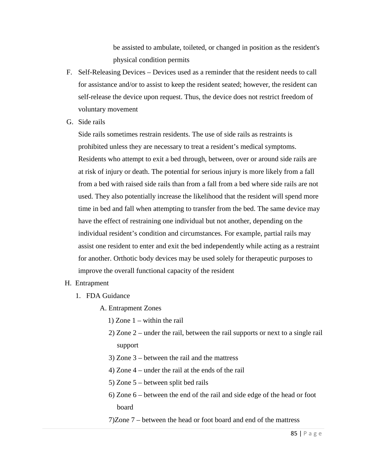be assisted to ambulate, toileted, or changed in position as the resident's physical condition permits

- F. Self-Releasing Devices Devices used as a reminder that the resident needs to call for assistance and/or to assist to keep the resident seated; however, the resident can self-release the device upon request. Thus, the device does not restrict freedom of voluntary movement
- G. Side rails

Side rails sometimes restrain residents. The use of side rails as restraints is prohibited unless they are necessary to treat a resident's medical symptoms. Residents who attempt to exit a bed through, between, over or around side rails are at risk of injury or death. The potential for serious injury is more likely from a fall from a bed with raised side rails than from a fall from a bed where side rails are not used. They also potentially increase the likelihood that the resident will spend more time in bed and fall when attempting to transfer from the bed. The same device may have the effect of restraining one individual but not another, depending on the individual resident's condition and circumstances. For example, partial rails may assist one resident to enter and exit the bed independently while acting as a restraint for another. Orthotic body devices may be used solely for therapeutic purposes to improve the overall functional capacity of the resident

# H. Entrapment

- 1. FDA Guidance
	- A. Entrapment Zones
		- 1) Zone 1 within the rail
		- 2) Zone 2 under the rail, between the rail supports or next to a single rail support
		- 3) Zone 3 between the rail and the mattress
		- 4) Zone 4 under the rail at the ends of the rail
		- 5) Zone 5 between split bed rails
		- 6) Zone 6 between the end of the rail and side edge of the head or foot board
		- 7)Zone 7 between the head or foot board and end of the mattress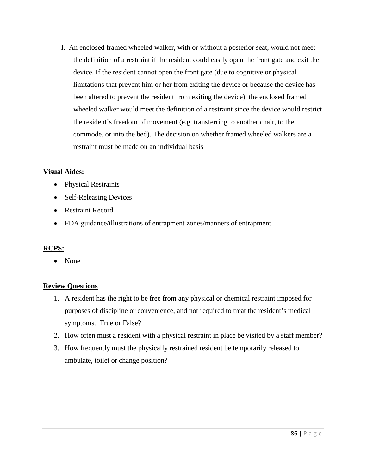I. An enclosed framed wheeled walker, with or without a posterior seat, would not meet the definition of a restraint if the resident could easily open the front gate and exit the device. If the resident cannot open the front gate (due to cognitive or physical limitations that prevent him or her from exiting the device or because the device has been altered to prevent the resident from exiting the device), the enclosed framed wheeled walker would meet the definition of a restraint since the device would restrict the resident's freedom of movement (e.g. transferring to another chair, to the commode, or into the bed). The decision on whether framed wheeled walkers are a restraint must be made on an individual basis

# **Visual Aides:**

- Physical Restraints
- Self-Releasing Devices
- Restraint Record
- FDA guidance/illustrations of entrapment zones/manners of entrapment

# **RCPS:**

• None

# **Review Questions**

- 1. A resident has the right to be free from any physical or chemical restraint imposed for purposes of discipline or convenience, and not required to treat the resident's medical symptoms. True or False?
- 2. How often must a resident with a physical restraint in place be visited by a staff member?
- 3. How frequently must the physically restrained resident be temporarily released to ambulate, toilet or change position?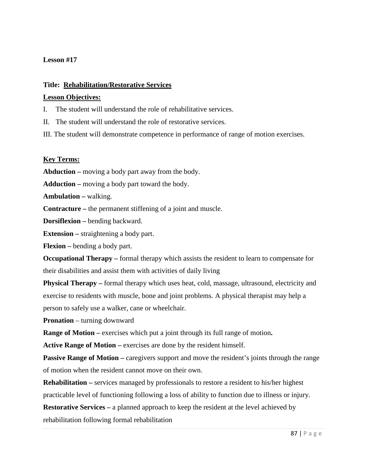# **Lesson #17**

## **Title: Rehabilitation/Restorative Services**

## **Lesson Objectives:**

I. The student will understand the role of rehabilitative services.

II. The student will understand the role of restorative services.

III. The student will demonstrate competence in performance of range of motion exercises.

## **Key Terms:**

**Abduction –** moving a body part away from the body.

**Adduction –** moving a body part toward the body.

**Ambulation –** walking.

**Contracture –** the permanent stiffening of a joint and muscle.

**Dorsiflexion –** bending backward.

**Extension –** straightening a body part.

**Flexion –** bending a body part.

**Occupational Therapy –** formal therapy which assists the resident to learn to compensate for their disabilities and assist them with activities of daily living

**Physical Therapy –** formal therapy which uses heat, cold, massage, ultrasound, electricity and exercise to residents with muscle, bone and joint problems. A physical therapist may help a person to safely use a walker, cane or wheelchair.

**Pronation** – turning downward

**Range of Motion –** exercises which put a joint through its full range of motion**.**

**Active Range of Motion –** exercises are done by the resident himself.

Passive Range of Motion – caregivers support and move the resident's joints through the range of motion when the resident cannot move on their own.

**Rehabilitation –** services managed by professionals to restore a resident to his/her highest practicable level of functioning following a loss of ability to function due to illness or injury.

**Restorative Services –** a planned approach to keep the resident at the level achieved by rehabilitation following formal rehabilitation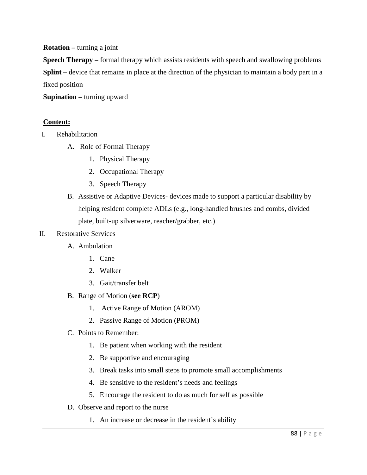**Rotation –** turning a joint

**Speech Therapy –** formal therapy which assists residents with speech and swallowing problems **Splint –** device that remains in place at the direction of the physician to maintain a body part in a fixed position

**Supination –** turning upward

# **Content:**

- I. Rehabilitation
	- A. Role of Formal Therapy
		- 1. Physical Therapy
		- 2. Occupational Therapy
		- 3. Speech Therapy
	- B. Assistive or Adaptive Devices- devices made to support a particular disability by helping resident complete ADLs (e.g., long-handled brushes and combs, divided plate, built-up silverware, reacher/grabber, etc.)

## II. Restorative Services

- A. Ambulation
	- 1. Cane
	- 2. Walker
	- 3. Gait/transfer belt
- B. Range of Motion (**see RCP**)
	- 1. Active Range of Motion (AROM)
	- 2. Passive Range of Motion (PROM)
- C. Points to Remember:
	- 1. Be patient when working with the resident
	- 2. Be supportive and encouraging
	- 3. Break tasks into small steps to promote small accomplishments
	- 4. Be sensitive to the resident's needs and feelings
	- 5. Encourage the resident to do as much for self as possible
- D. Observe and report to the nurse
	- 1. An increase or decrease in the resident's ability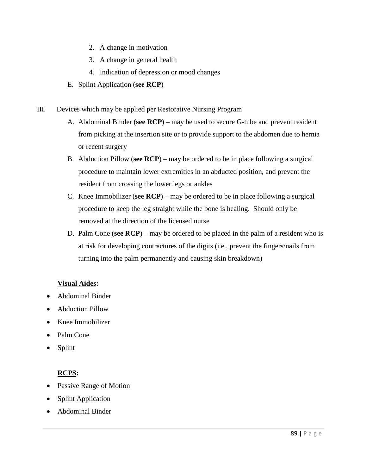- 2. A change in motivation
- 3. A change in general health
- 4. Indication of depression or mood changes
- E. Splint Application (**see RCP**)
- III. Devices which may be applied per Restorative Nursing Program
	- A. Abdominal Binder (**see RCP**) may be used to secure G-tube and prevent resident from picking at the insertion site or to provide support to the abdomen due to hernia or recent surgery
	- B. Abduction Pillow (**see RCP**) may be ordered to be in place following a surgical procedure to maintain lower extremities in an abducted position, and prevent the resident from crossing the lower legs or ankles
	- C. Knee Immobilizer (**see RCP**) may be ordered to be in place following a surgical procedure to keep the leg straight while the bone is healing. Should only be removed at the direction of the licensed nurse
	- D. Palm Cone (**see RCP**) may be ordered to be placed in the palm of a resident who is at risk for developing contractures of the digits (i.e., prevent the fingers/nails from turning into the palm permanently and causing skin breakdown)

# **Visual Aides:**

- Abdominal Binder
- Abduction Pillow
- Knee Immobilizer
- Palm Cone
- Splint

# **RCPS:**

- Passive Range of Motion
- Splint Application
- Abdominal Binder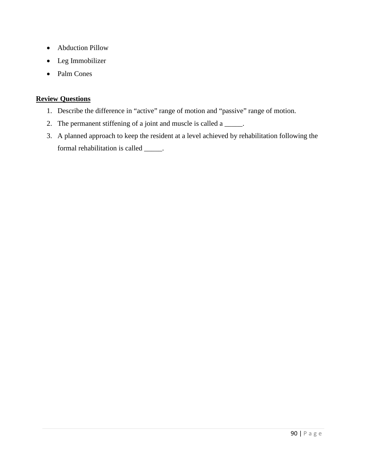- Abduction Pillow
- Leg Immobilizer
- Palm Cones

# **Review Questions**

- 1. Describe the difference in "active" range of motion and "passive" range of motion.
- 2. The permanent stiffening of a joint and muscle is called a \_\_\_\_\_.
- 3. A planned approach to keep the resident at a level achieved by rehabilitation following the formal rehabilitation is called \_\_\_\_\_.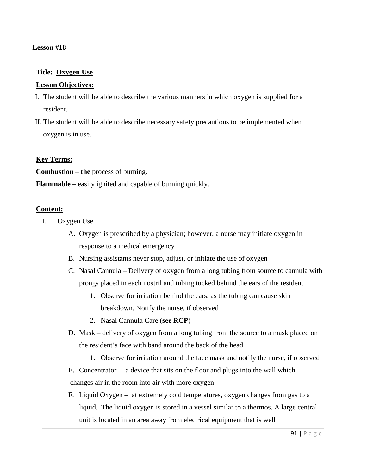## **Lesson #18**

## **Title: Oxygen Use**

#### **Lesson Objectives:**

- I. The student will be able to describe the various manners in which oxygen is supplied for a resident.
- II. The student will be able to describe necessary safety precautions to be implemented when oxygen is in use.

#### **Key Terms:**

**Combustion** – **the** process of burning.

**Flammable** – easily ignited and capable of burning quickly.

#### **Content:**

- I. Oxygen Use
	- A. Oxygen is prescribed by a physician; however, a nurse may initiate oxygen in response to a medical emergency
	- B. Nursing assistants never stop, adjust, or initiate the use of oxygen
	- C. Nasal Cannula Delivery of oxygen from a long tubing from source to cannula with prongs placed in each nostril and tubing tucked behind the ears of the resident
		- 1. Observe for irritation behind the ears, as the tubing can cause skin breakdown. Notify the nurse, if observed
		- 2. Nasal Cannula Care (**see RCP**)
	- D. Mask delivery of oxygen from a long tubing from the source to a mask placed on the resident's face with band around the back of the head
		- 1. Observe for irritation around the face mask and notify the nurse, if observed
	- E. Concentrator –a device that sits on the floor and plugs into the wall which changes air in the room into air with more oxygen
	- F. Liquid Oxygen at extremely cold temperatures, oxygen changes from gas to a liquid. The liquid oxygen is stored in a vessel similar to a thermos. A large central unit is located in an area away from electrical equipment that is well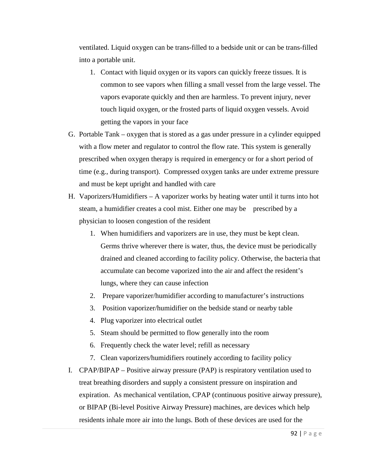ventilated. Liquid oxygen can be trans-filled to a bedside unit or can be trans-filled into a portable unit.

- 1. Contact with liquid oxygen or its vapors can quickly freeze tissues. It is common to see vapors when filling a small vessel from the large vessel. The vapors evaporate quickly and then are harmless. To prevent injury, never touch liquid oxygen, or the frosted parts of liquid oxygen vessels. Avoid getting the vapors in your face
- G. Portable Tank oxygen that is stored as a gas under pressure in a cylinder equipped with a flow meter and regulator to control the flow rate. This system is generally prescribed when oxygen therapy is required in emergency or for a short period of time (e.g., during transport). Compressed oxygen tanks are under extreme pressure and must be kept upright and handled with care
- H. Vaporizers/Humidifiers A vaporizer works by heating water until it turns into hot steam, a humidifier creates a cool mist. Either one may be prescribed by a physician to loosen congestion of the resident
	- 1. When humidifiers and vaporizers are in use, they must be kept clean. Germs thrive wherever there is water, thus, the device must be periodically drained and cleaned according to facility policy. Otherwise, the bacteria that accumulate can become vaporized into the air and affect the resident's lungs, where they can cause infection
	- 2. Prepare vaporizer/humidifier according to manufacturer's instructions
	- 3. Position vaporizer/humidifier on the bedside stand or nearby table
	- 4. Plug vaporizer into electrical outlet
	- 5. Steam should be permitted to flow generally into the room
	- 6. Frequently check the water level; refill as necessary
	- 7. Clean vaporizers/humidifiers routinely according to facility policy
- I. CPAP/BIPAP Positive airway pressure (PAP) is respiratory ventilation used to treat breathing disorders and supply a consistent pressure on inspiration and expiration. As mechanical ventilation, CPAP (continuous positive airway pressure), or BIPAP (Bi-level Positive Airway Pressure) machines, are devices which help residents inhale more air into the lungs. Both of these devices are used for the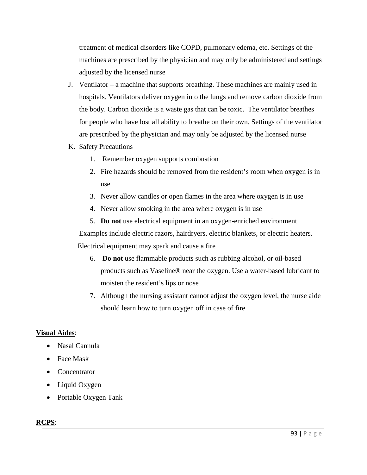treatment of medical disorders like COPD, pulmonary edema, etc. Settings of the machines are prescribed by the physician and may only be administered and settings adjusted by the licensed nurse

- J. Ventilator a machine that supports breathing. These machines are mainly used in hospitals. Ventilators deliver oxygen into the lungs and remove carbon dioxide from the body. Carbon dioxide is a waste gas that can be toxic. The ventilator breathes for people who have lost all ability to breathe on their own. Settings of the ventilator are prescribed by the physician and may only be adjusted by the licensed nurse
- K. Safety Precautions
	- 1. Remember oxygen supports combustion
	- 2. Fire hazards should be removed from the resident's room when oxygen is in use
	- 3. Never allow candles or open flames in the area where oxygen is in use
	- 4. Never allow smoking in the area where oxygen is in use
	- 5. **Do not** use electrical equipment in an oxygen-enriched environment

Examples include electric razors, hairdryers, electric blankets, or electric heaters.

Electrical equipment may spark and cause a fire

- 6. **Do not** use flammable products such as rubbing alcohol, or oil-based products such as Vaseline® near the oxygen. Use a water-based lubricant to moisten the resident's lips or nose
- 7. Although the nursing assistant cannot adjust the oxygen level, the nurse aide should learn how to turn oxygen off in case of fire

## **Visual Aides**:

- Nasal Cannula
- Face Mask
- Concentrator
- Liquid Oxygen
- Portable Oxygen Tank

# **RCPS**: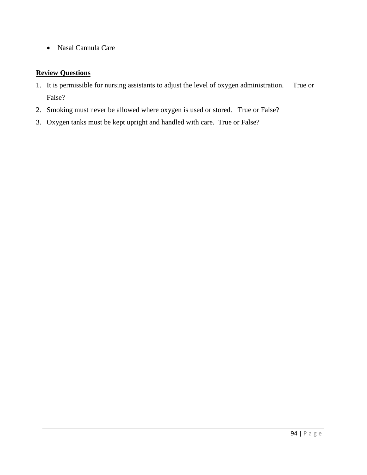• Nasal Cannula Care

# **Review Questions**

- 1. It is permissible for nursing assistants to adjust the level of oxygen administration. True or False?
- 2. Smoking must never be allowed where oxygen is used or stored. True or False?
- 3. Oxygen tanks must be kept upright and handled with care. True or False?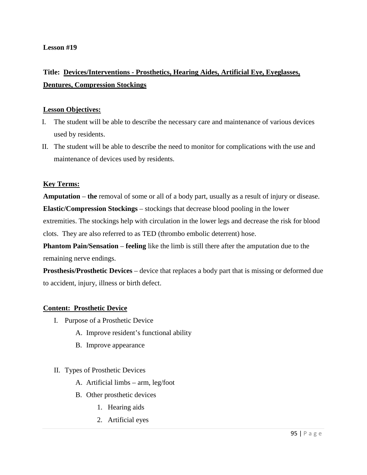# **Title: Devices/Interventions - Prosthetics, Hearing Aides, Artificial Eye, Eyeglasses, Dentures, Compression Stockings**

## **Lesson Objectives:**

- I. The student will be able to describe the necessary care and maintenance of various devices used by residents.
- II. The student will be able to describe the need to monitor for complications with the use and maintenance of devices used by residents.

# **Key Terms:**

**Amputation** – **the** removal of some or all of a body part, usually as a result of injury or disease. **Elastic/Compression Stockings** – stockings that decrease blood pooling in the lower extremities. The stockings help with circulation in the lower legs and decrease the risk for blood clots. They are also referred to as TED (thrombo embolic deterrent) hose.

**Phantom Pain/Sensation – feeling** like the limb is still there after the amputation due to the remaining nerve endings.

**Prosthesis/Prosthetic Devices** – device that replaces a body part that is missing or deformed due to accident, injury, illness or birth defect.

## **Content: Prosthetic Device**

- I. Purpose of a Prosthetic Device
	- A. Improve resident's functional ability
	- B. Improve appearance

## II. Types of Prosthetic Devices

- A. Artificial limbs arm, leg/foot
- B. Other prosthetic devices
	- 1. Hearing aids
	- 2. Artificial eyes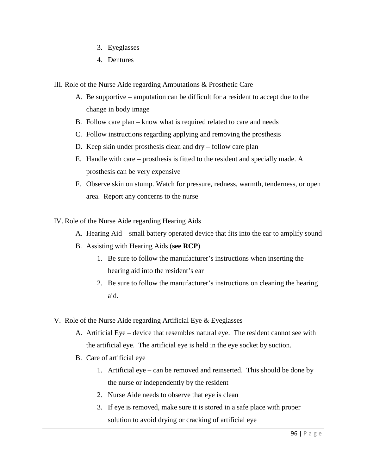- 3. Eyeglasses
- 4. Dentures

III. Role of the Nurse Aide regarding Amputations & Prosthetic Care

- A. Be supportive amputation can be difficult for a resident to accept due to the change in body image
- B. Follow care plan know what is required related to care and needs
- C. Follow instructions regarding applying and removing the prosthesis
- D. Keep skin under prosthesis clean and dry follow care plan
- E. Handle with care prosthesis is fitted to the resident and specially made. A prosthesis can be very expensive
- F. Observe skin on stump. Watch for pressure, redness, warmth, tenderness, or open area. Report any concerns to the nurse

IV. Role of the Nurse Aide regarding Hearing Aids

- A. Hearing Aid small battery operated device that fits into the ear to amplify sound
- B. Assisting with Hearing Aids (**see RCP**)
	- 1. Be sure to follow the manufacturer's instructions when inserting the hearing aid into the resident's ear
	- 2. Be sure to follow the manufacturer's instructions on cleaning the hearing aid.
- V. Role of the Nurse Aide regarding Artificial Eye & Eyeglasses
	- A. Artificial Eye device that resembles natural eye. The resident cannot see with the artificial eye. The artificial eye is held in the eye socket by suction.
	- B. Care of artificial eye
		- 1. Artificial eye can be removed and reinserted. This should be done by the nurse or independently by the resident
		- 2. Nurse Aide needs to observe that eye is clean
		- 3. If eye is removed, make sure it is stored in a safe place with proper solution to avoid drying or cracking of artificial eye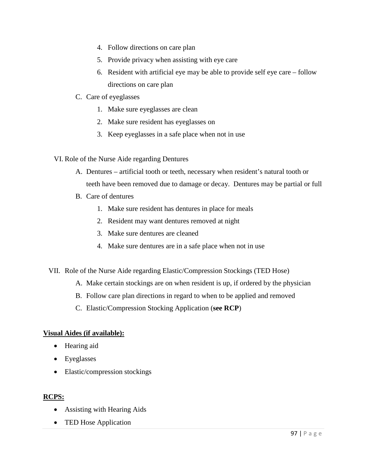- 4. Follow directions on care plan
- 5. Provide privacy when assisting with eye care
- 6. Resident with artificial eye may be able to provide self eye care follow directions on care plan
- C. Care of eyeglasses
	- 1. Make sure eyeglasses are clean
	- 2. Make sure resident has eyeglasses on
	- 3. Keep eyeglasses in a safe place when not in use
- VI. Role of the Nurse Aide regarding Dentures
	- A. Dentures artificial tooth or teeth, necessary when resident's natural tooth or teeth have been removed due to damage or decay. Dentures may be partial or full
	- B. Care of dentures
		- 1. Make sure resident has dentures in place for meals
		- 2. Resident may want dentures removed at night
		- 3. Make sure dentures are cleaned
		- 4. Make sure dentures are in a safe place when not in use
- VII. Role of the Nurse Aide regarding Elastic/Compression Stockings (TED Hose)
	- A. Make certain stockings are on when resident is up, if ordered by the physician
	- B. Follow care plan directions in regard to when to be applied and removed
	- C. Elastic/Compression Stocking Application (**see RCP**)

## **Visual Aides (if available):**

- Hearing aid
- Eyeglasses
- Elastic/compression stockings

# **RCPS:**

- Assisting with Hearing Aids
- TED Hose Application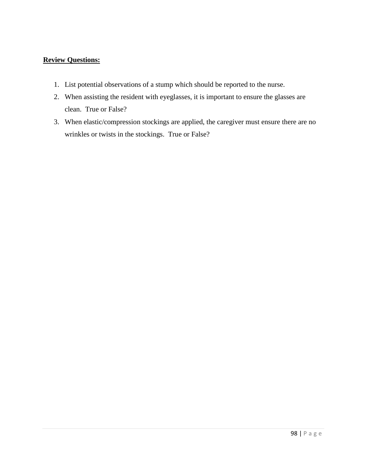# **Review Questions:**

- 1. List potential observations of a stump which should be reported to the nurse.
- 2. When assisting the resident with eyeglasses, it is important to ensure the glasses are clean. True or False?
- 3. When elastic/compression stockings are applied, the caregiver must ensure there are no wrinkles or twists in the stockings. True or False?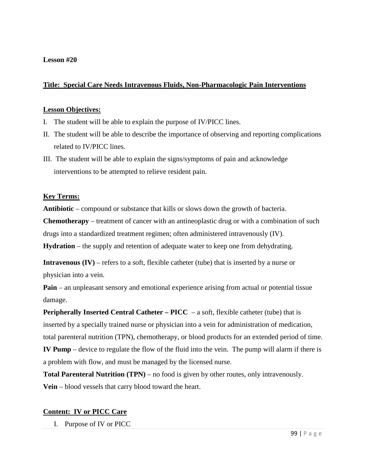### **Title: Special Care Needs Intravenous Fluids, Non-Pharmacologic Pain Interventions**

#### **Lesson Objectives:**

- I. The student will be able to explain the purpose of IV/PICC lines.
- II. The student will be able to describe the importance of observing and reporting complications related to IV/PICC lines.
- III. The student will be able to explain the signs/symptoms of pain and acknowledge interventions to be attempted to relieve resident pain.

### **Key Terms:**

**Antibiotic** – compound or substance that kills or slows down the growth of [bacteria.](http://en.wikipedia.org/wiki/Bacteria)

**Chemotherapy** – [treatment of cancer](http://en.wikipedia.org/wiki/Chemotherapy) with an antineoplastic drug or with a combination of such drugs into a [standardized treatment regimen;](http://en.wikipedia.org/wiki/Chemotherapy_regimen) often administered intravenously (IV).

**Hydration** – the supply and retention of adequate water to keep one from dehydrating.

**Intravenous (IV)** – refers to a soft, flexible catheter (tube) that is inserted by a nurse or physician into a vein.

**Pain** – an unpleasant sensory and emotional experience arising from actual or potential tissue damage.

**Peripherally Inserted Central Catheter – PICC** – a soft, flexible catheter (tube) that is inserted by a specially trained nurse or physician into a vein for administration of medication, total parenteral nutrition (TPN), chemotherapy, or blood products for an extended period of time. **IV Pump** – device to regulate the flow of the fluid into the vein. The pump will alarm if there is a problem with flow, and must be managed by the licensed nurse.

**Total Parenteral Nutrition (TPN)** – no food is given by other routes, only intravenously. **Vein** – [blood vessels](http://en.wikipedia.org/wiki/Blood_vessels) that carry [blood](http://en.wikipedia.org/wiki/Blood) toward the [heart.](http://en.wikipedia.org/wiki/Heart)

### **Content: IV or PICC Care**

I. Purpose of IV or PICC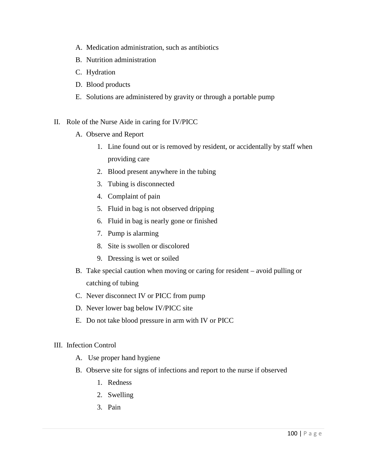- A. Medication administration, such as antibiotics
- B. Nutrition administration
- C. Hydration
- D. Blood products
- E. Solutions are administered by gravity or through a portable pump
- II. Role of the Nurse Aide in caring for IV/PICC
	- A. Observe and Report
		- 1. Line found out or is removed by resident, or accidentally by staff when providing care
		- 2. Blood present anywhere in the tubing
		- 3. Tubing is disconnected
		- 4. Complaint of pain
		- 5. Fluid in bag is not observed dripping
		- 6. Fluid in bag is nearly gone or finished
		- 7. Pump is alarming
		- 8. Site is swollen or discolored
		- 9. Dressing is wet or soiled
	- B. Take special caution when moving or caring for resident avoid pulling or catching of tubing
	- C. Never disconnect IV or PICC from pump
	- D. Never lower bag below IV/PICC site
	- E. Do not take blood pressure in arm with IV or PICC
- III. Infection Control
	- A. Use proper hand hygiene
	- B. Observe site for signs of infections and report to the nurse if observed
		- 1. Redness
		- 2. Swelling
		- 3. Pain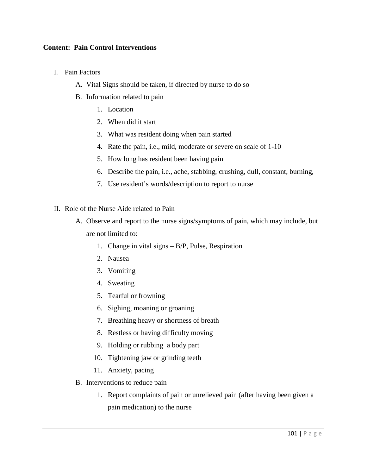### **Content: Pain Control Interventions**

- I. Pain Factors
	- A. Vital Signs should be taken, if directed by nurse to do so
	- B. Information related to pain
		- 1. Location
		- 2. When did it start
		- 3. What was resident doing when pain started
		- 4. Rate the pain, i.e., mild, moderate or severe on scale of 1-10
		- 5. How long has resident been having pain
		- 6. Describe the pain, i.e., ache, stabbing, crushing, dull, constant, burning,
		- 7. Use resident's words/description to report to nurse
- II. Role of the Nurse Aide related to Pain
	- A. Observe and report to the nurse signs/symptoms of pain, which may include, but are not limited to:
		- 1. Change in vital signs B/P, Pulse, Respiration
		- 2. Nausea
		- 3. Vomiting
		- 4. Sweating
		- 5. Tearful or frowning
		- 6. Sighing, moaning or groaning
		- 7. Breathing heavy or shortness of breath
		- 8. Restless or having difficulty moving
		- 9. Holding or rubbing a body part
		- 10. Tightening jaw or grinding teeth
		- 11. Anxiety, pacing
	- B. Interventions to reduce pain
		- 1. Report complaints of pain or unrelieved pain (after having been given a pain medication) to the nurse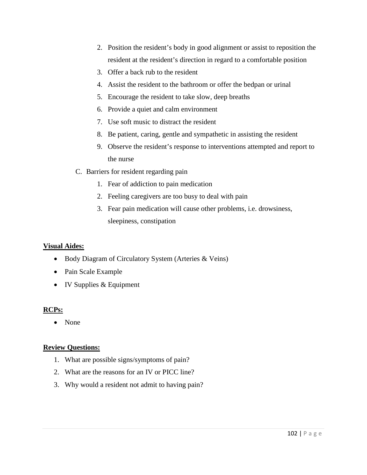- 2. Position the resident's body in good alignment or assist to reposition the resident at the resident's direction in regard to a comfortable position
- 3. Offer a back rub to the resident
- 4. Assist the resident to the bathroom or offer the bedpan or urinal
- 5. Encourage the resident to take slow, deep breaths
- 6. Provide a quiet and calm environment
- 7. Use soft music to distract the resident
- 8. Be patient, caring, gentle and sympathetic in assisting the resident
- 9. Observe the resident's response to interventions attempted and report to the nurse
- C. Barriers for resident regarding pain
	- 1. Fear of addiction to pain medication
	- 2. Feeling caregivers are too busy to deal with pain
	- 3. Fear pain medication will cause other problems, i.e. drowsiness, sleepiness, constipation

### **Visual Aides:**

- Body Diagram of Circulatory System (Arteries & Veins)
- Pain Scale Example
- IV Supplies & Equipment

# **RCPs:**

• None

### **Review Questions:**

- 1. What are possible signs/symptoms of pain?
- 2. What are the reasons for an IV or PICC line?
- 3. Why would a resident not admit to having pain?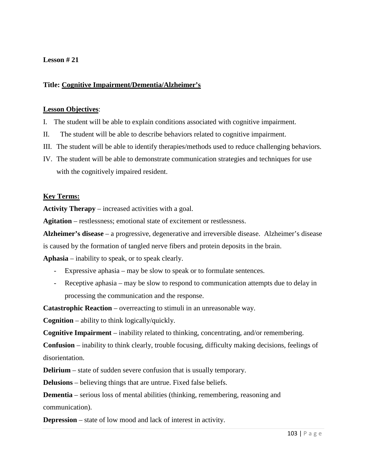### **Title: Cognitive Impairment/Dementia/Alzheimer's**

#### **Lesson Objectives**:

- I. The student will be able to explain conditions associated with cognitive impairment.
- II. The student will be able to describe behaviors related to cognitive impairment.
- III. The student will be able to identify therapies/methods used to reduce challenging behaviors.
- IV. The student will be able to demonstrate communication strategies and techniques for use with the cognitively impaired resident.

### **Key Terms:**

**Activity Therapy** – increased activities with a goal.

**Agitation** – restlessness; emotional state of excitement or restlessness.

**Alzheimer's disease** – a progressive, degenerative and irreversible disease. Alzheimer's disease

is caused by the formation of tangled nerve fibers and protein deposits in the brain.

**Aphasia** – inability to speak, or to speak clearly.

- Expressive aphasia may be slow to speak or to formulate sentences.
- Receptive aphasia may be slow to respond to communication attempts due to delay in processing the communication and the response.

**Catastrophic Reaction** – overreacting to stimuli in an unreasonable way.

**Cognition** – ability to think logically/quickly.

**Cognitive Impairment** – inability related to thinking, concentrating, and/or remembering.

**Confusion** – inability to think clearly, trouble focusing, difficulty making decisions, feelings of disorientation.

**Delirium** – state of sudden severe confusion that is usually temporary.

**Delusions** – believing things that are untrue. Fixed false beliefs.

**Dementia** – serious loss of mental abilities (thinking, remembering, reasoning and communication).

**Depression** – state of low mood and lack of interest in activity.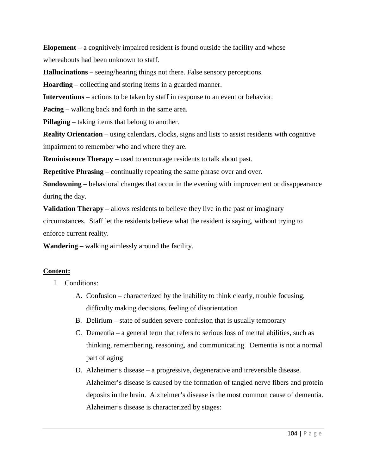**Elopement** – a cognitively impaired resident is found outside the facility and whose whereabouts had been unknown to staff.

**Hallucinations** – seeing/hearing things not there. False sensory perceptions.

**Hoarding** – collecting and storing items in a guarded manner.

**Interventions** – actions to be taken by staff in response to an event or behavior.

**Pacing** – walking back and forth in the same area.

**Pillaging** – taking items that belong to another.

**Reality Orientation** – using calendars, clocks, signs and lists to assist residents with cognitive impairment to remember who and where they are.

**Reminiscence Therapy** – used to encourage residents to talk about past.

**Repetitive Phrasing** – continually repeating the same phrase over and over.

**Sundowning** – behavioral changes that occur in the evening with improvement or disappearance during the day.

**Validation Therapy** – allows residents to believe they live in the past or imaginary

circumstances. Staff let the residents believe what the resident is saying, without trying to enforce current reality.

**Wandering** – walking aimlessly around the facility.

# **Content:**

- I. Conditions:
	- A. Confusion characterized by the inability to think clearly, trouble focusing, difficulty making decisions, feeling of disorientation
	- B. Delirium state of sudden severe confusion that is usually temporary
	- C. Dementia a general term that refers to serious loss of mental abilities, such as thinking, remembering, reasoning, and communicating. Dementia is not a normal part of aging
	- D. Alzheimer's disease a progressive, degenerative and irreversible disease. Alzheimer's disease is caused by the formation of tangled nerve fibers and protein deposits in the brain. Alzheimer's disease is the most common cause of dementia. Alzheimer's disease is characterized by stages: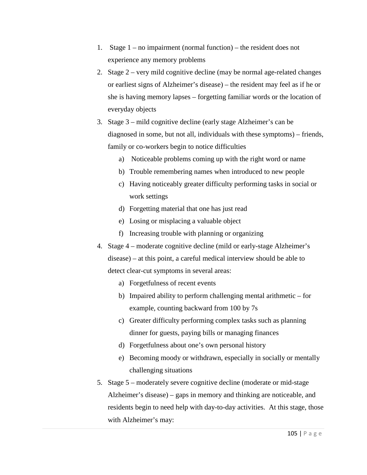- 1. Stage 1 no impairment (normal function) the resident does not experience any memory problems
- 2. Stage 2 very mild cognitive decline (may be normal age-related changes or earliest signs of Alzheimer's disease) – the resident may feel as if he or she is having memory lapses – forgetting familiar words or the location of everyday objects
- 3. Stage 3 mild cognitive decline (early stage Alzheimer's can be diagnosed in some, but not all, individuals with these symptoms) – friends, family or co-workers begin to notice difficulties
	- a) Noticeable problems coming up with the right word or name
	- b) Trouble remembering names when introduced to new people
	- c) Having noticeably greater difficulty performing tasks in social or work settings
	- d) Forgetting material that one has just read
	- e) Losing or misplacing a valuable object
	- f) Increasing trouble with planning or organizing
- 4. Stage 4 moderate cognitive decline (mild or early-stage Alzheimer's disease) – at this point, a careful medical interview should be able to detect clear-cut symptoms in several areas:
	- a) Forgetfulness of recent events
	- b) Impaired ability to perform challenging mental arithmetic for example, counting backward from 100 by 7s
	- c) Greater difficulty performing complex tasks such as planning dinner for guests, paying bills or managing finances
	- d) Forgetfulness about one's own personal history
	- e) Becoming moody or withdrawn, especially in socially or mentally challenging situations
- 5. Stage 5 moderately severe cognitive decline (moderate or mid-stage Alzheimer's disease) – gaps in memory and thinking are noticeable, and residents begin to need help with day-to-day activities. At this stage, those with Alzheimer's may: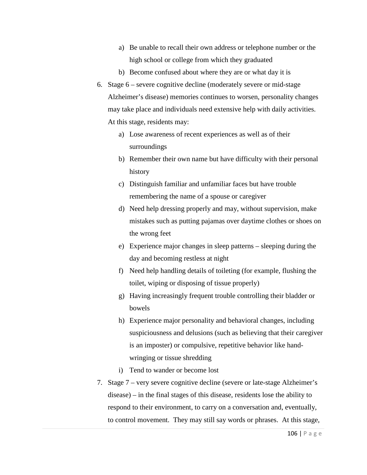- a) Be unable to recall their own address or telephone number or the high school or college from which they graduated
- b) Become confused about where they are or what day it is
- 6. Stage 6 severe cognitive decline (moderately severe or mid-stage Alzheimer's disease) memories continues to worsen, personality changes may take place and individuals need extensive help with daily activities. At this stage, residents may:
	- a) Lose awareness of recent experiences as well as of their surroundings
	- b) Remember their own name but have difficulty with their personal history
	- c) Distinguish familiar and unfamiliar faces but have trouble remembering the name of a spouse or caregiver
	- d) Need help dressing properly and may, without supervision, make mistakes such as putting pajamas over daytime clothes or shoes on the wrong feet
	- e) Experience major changes in sleep patterns sleeping during the day and becoming restless at night
	- f) Need help handling details of toileting (for example, flushing the toilet, wiping or disposing of tissue properly)
	- g) Having increasingly frequent trouble controlling their bladder or bowels
	- h) Experience major personality and behavioral changes, including suspiciousness and delusions (such as believing that their caregiver is an imposter) or compulsive, repetitive behavior like handwringing or tissue shredding
	- i) Tend to wander or become lost
- 7. Stage 7 very severe cognitive decline (severe or late-stage Alzheimer's disease) – in the final stages of this disease, residents lose the ability to respond to their environment, to carry on a conversation and, eventually, to control movement. They may still say words or phrases. At this stage,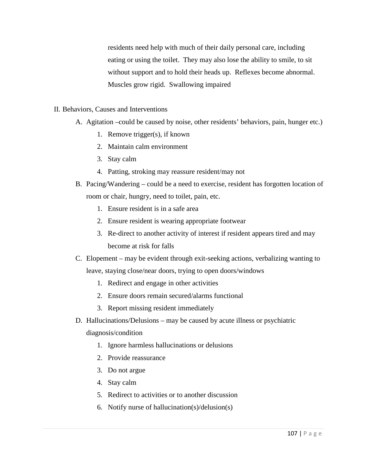residents need help with much of their daily personal care, including eating or using the toilet. They may also lose the ability to smile, to sit without support and to hold their heads up. Reflexes become abnormal. Muscles grow rigid. Swallowing impaired

- II. Behaviors, Causes and Interventions
	- A. Agitation –could be caused by noise, other residents' behaviors, pain, hunger etc.)
		- 1. Remove trigger(s), if known
		- 2. Maintain calm environment
		- 3. Stay calm
		- 4. Patting, stroking may reassure resident/may not
	- B. Pacing/Wandering could be a need to exercise, resident has forgotten location of room or chair, hungry, need to toilet, pain, etc.
		- 1. Ensure resident is in a safe area
		- 2. Ensure resident is wearing appropriate footwear
		- 3. Re-direct to another activity of interest if resident appears tired and may become at risk for falls
	- C. Elopement may be evident through exit-seeking actions, verbalizing wanting to leave, staying close/near doors, trying to open doors/windows
		- 1. Redirect and engage in other activities
		- 2. Ensure doors remain secured/alarms functional
		- 3. Report missing resident immediately
	- D. Hallucinations/Delusions may be caused by acute illness or psychiatric diagnosis/condition
		- 1. Ignore harmless hallucinations or delusions
		- 2. Provide reassurance
		- 3. Do not argue
		- 4. Stay calm
		- 5. Redirect to activities or to another discussion
		- 6. Notify nurse of hallucination(s)/delusion(s)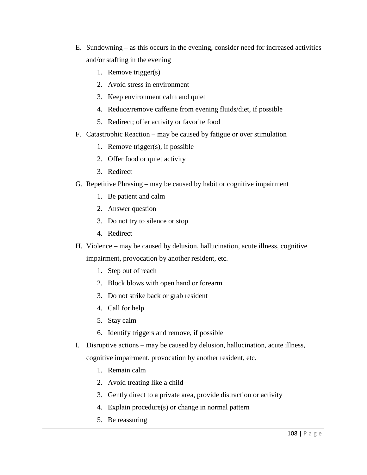- E. Sundowning as this occurs in the evening, consider need for increased activities and/or staffing in the evening
	- 1. Remove trigger(s)
	- 2. Avoid stress in environment
	- 3. Keep environment calm and quiet
	- 4. Reduce/remove caffeine from evening fluids/diet, if possible
	- 5. Redirect; offer activity or favorite food
- F. Catastrophic Reaction may be caused by fatigue or over stimulation
	- 1. Remove trigger(s), if possible
	- 2. Offer food or quiet activity
	- 3. Redirect
- G. Repetitive Phrasing may be caused by habit or cognitive impairment
	- 1. Be patient and calm
	- 2. Answer question
	- 3. Do not try to silence or stop
	- 4. Redirect
- H. Violence may be caused by delusion, hallucination, acute illness, cognitive

impairment, provocation by another resident, etc.

- 1. Step out of reach
- 2. Block blows with open hand or forearm
- 3. Do not strike back or grab resident
- 4. Call for help
- 5. Stay calm
- 6. Identify triggers and remove, if possible
- I. Disruptive actions may be caused by delusion, hallucination, acute illness,

cognitive impairment, provocation by another resident, etc.

- 1. Remain calm
- 2. Avoid treating like a child
- 3. Gently direct to a private area, provide distraction or activity
- 4. Explain procedure(s) or change in normal pattern
- 5. Be reassuring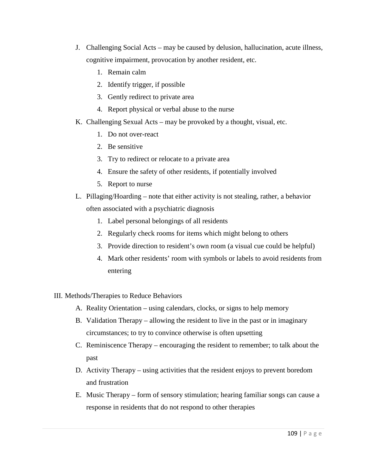- J. Challenging Social Acts may be caused by delusion, hallucination, acute illness, cognitive impairment, provocation by another resident, etc.
	- 1. Remain calm
	- 2. Identify trigger, if possible
	- 3. Gently redirect to private area
	- 4. Report physical or verbal abuse to the nurse
- K. Challenging Sexual Acts may be provoked by a thought, visual, etc.
	- 1. Do not over-react
	- 2. Be sensitive
	- 3. Try to redirect or relocate to a private area
	- 4. Ensure the safety of other residents, if potentially involved
	- 5. Report to nurse
- L. Pillaging/Hoarding note that either activity is not stealing, rather, a behavior often associated with a psychiatric diagnosis
	- 1. Label personal belongings of all residents
	- 2. Regularly check rooms for items which might belong to others
	- 3. Provide direction to resident's own room (a visual cue could be helpful)
	- 4. Mark other residents' room with symbols or labels to avoid residents from entering
- III. Methods/Therapies to Reduce Behaviors
	- A. Reality Orientation using calendars, clocks, or signs to help memory
	- B. Validation Therapy allowing the resident to live in the past or in imaginary circumstances; to try to convince otherwise is often upsetting
	- C. Reminiscence Therapy encouraging the resident to remember; to talk about the past
	- D. Activity Therapy using activities that the resident enjoys to prevent boredom and frustration
	- E. Music Therapy form of sensory stimulation; hearing familiar songs can cause a response in residents that do not respond to other therapies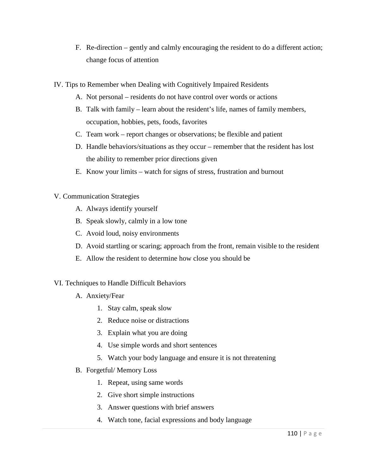- F. Re-direction gently and calmly encouraging the resident to do a different action; change focus of attention
- IV. Tips to Remember when Dealing with Cognitively Impaired Residents
	- A. Not personal residents do not have control over words or actions
	- B. Talk with family learn about the resident's life, names of family members, occupation, hobbies, pets, foods, favorites
	- C. Team work report changes or observations; be flexible and patient
	- D. Handle behaviors/situations as they occur remember that the resident has lost the ability to remember prior directions given
	- E. Know your limits watch for signs of stress, frustration and burnout

### V. Communication Strategies

- A. Always identify yourself
- B. Speak slowly, calmly in a low tone
- C. Avoid loud, noisy environments
- D. Avoid startling or scaring; approach from the front, remain visible to the resident
- E. Allow the resident to determine how close you should be

### VI. Techniques to Handle Difficult Behaviors

- A. Anxiety/Fear
	- 1. Stay calm, speak slow
	- 2. Reduce noise or distractions
	- 3. Explain what you are doing
	- 4. Use simple words and short sentences
	- 5. Watch your body language and ensure it is not threatening
- B. Forgetful/ Memory Loss
	- 1. Repeat, using same words
	- 2. Give short simple instructions
	- 3. Answer questions with brief answers
	- 4. Watch tone, facial expressions and body language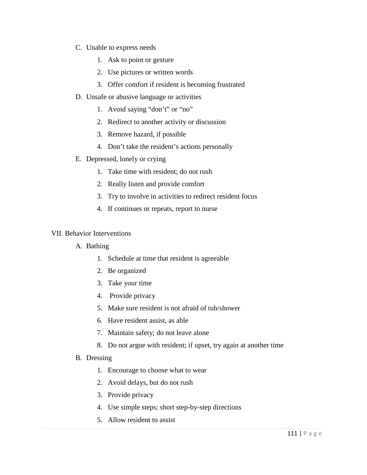- C. Unable to express needs
	- 1. Ask to point or gesture
	- 2. Use pictures or written words
	- 3. Offer comfort if resident is becoming frustrated
- D. Unsafe or abusive language or activities
	- 1. Avoid saying "don't" or "no"
	- 2. Redirect to another activity or discussion
	- 3. Remove hazard, if possible
	- 4. Don't take the resident's actions personally
- E. Depressed, lonely or crying
	- 1. Take time with resident; do not rush
	- 2. Really listen and provide comfort
	- 3. Try to involve in activities to redirect resident focus
	- 4. If continues or repeats, report to nurse

#### VII. Behavior Interventions

- A. Bathing
	- 1. Schedule at time that resident is agreeable
	- 2. Be organized
	- 3. Take your time
	- 4. Provide privacy
	- 5. Make sure resident is not afraid of tub/shower
	- 6. Have resident assist, as able
	- 7. Maintain safety; do not leave alone
	- 8. Do not argue with resident; if upset, try again at another time
- B. Dressing
	- 1. Encourage to choose what to wear
	- 2. Avoid delays, but do not rush
	- 3. Provide privacy
	- 4. Use simple steps; short step-by-step directions
	- 5. Allow resident to assist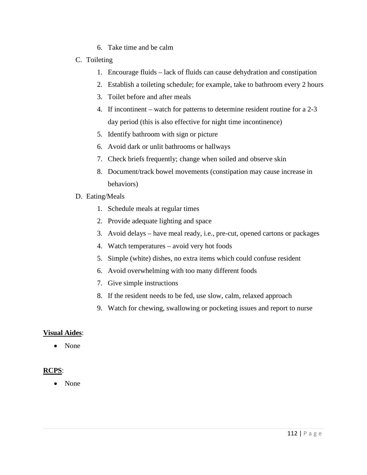- 6. Take time and be calm
- C. Toileting
	- 1. Encourage fluids lack of fluids can cause dehydration and constipation
	- 2. Establish a toileting schedule; for example, take to bathroom every 2 hours
	- 3. Toilet before and after meals
	- 4. If incontinent watch for patterns to determine resident routine for a 2-3 day period (this is also effective for night time incontinence)
	- 5. Identify bathroom with sign or picture
	- 6. Avoid dark or unlit bathrooms or hallways
	- 7. Check briefs frequently; change when soiled and observe skin
	- 8. Document/track bowel movements (constipation may cause increase in behaviors)
- D. Eating/Meals
	- 1. Schedule meals at regular times
	- 2. Provide adequate lighting and space
	- 3. Avoid delays have meal ready, i.e., pre-cut, opened cartons or packages
	- 4. Watch temperatures avoid very hot foods
	- 5. Simple (white) dishes, no extra items which could confuse resident
	- 6. Avoid overwhelming with too many different foods
	- 7. Give simple instructions
	- 8. If the resident needs to be fed, use slow, calm, relaxed approach
	- 9. Watch for chewing, swallowing or pocketing issues and report to nurse

### **Visual Aides**:

• None

# **RCPS**:

• None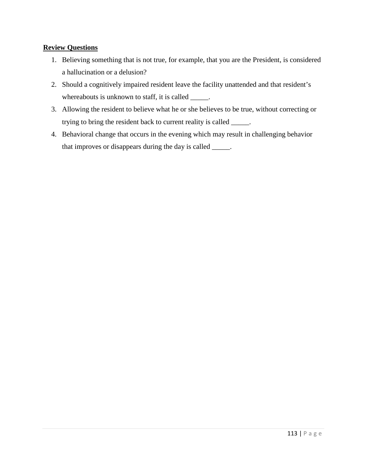### **Review Questions**

- 1. Believing something that is not true, for example, that you are the President, is considered a hallucination or a delusion?
- 2. Should a cognitively impaired resident leave the facility unattended and that resident's whereabouts is unknown to staff, it is called \_\_\_\_\_.
- 3. Allowing the resident to believe what he or she believes to be true, without correcting or trying to bring the resident back to current reality is called \_\_\_\_\_.
- 4. Behavioral change that occurs in the evening which may result in challenging behavior that improves or disappears during the day is called \_\_\_\_\_.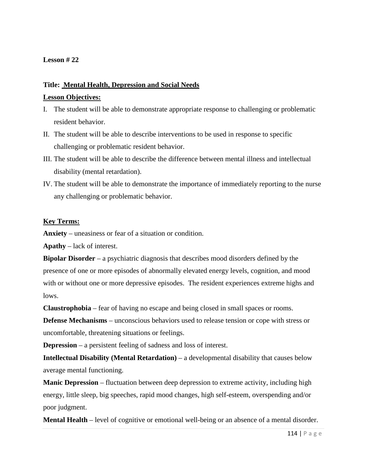### **Title: Mental Health, Depression and Social Needs**

#### **Lesson Objectives:**

- I. The student will be able to demonstrate appropriate response to challenging or problematic resident behavior.
- II. The student will be able to describe interventions to be used in response to specific challenging or problematic resident behavior.
- III. The student will be able to describe the difference between mental illness and intellectual disability (mental retardation).
- IV. The student will be able to demonstrate the importance of immediately reporting to the nurse any challenging or problematic behavior.

#### **Key Terms:**

**Anxiety** – uneasiness or fear of a situation or condition.

**Apathy** – lack of interest.

**Bipolar Disorder** – a [psychiatric diagnosis](http://en.wikipedia.org/wiki/Classification_of_mental_disorders) that describes [mood disorders](http://en.wikipedia.org/wiki/Mood_disorders) defined by the presence of one or more episodes of abnormally elevated energy levels, [cognition,](http://en.wikipedia.org/wiki/Cognition) and [mood](http://en.wikipedia.org/wiki/Mood_(psychology)) with or without one or more depressive episodes. The resident experiences extreme highs and lows.

**Claustrophobia** – fear of having no escape and being closed in small spaces or rooms.

**Defense Mechanisms** – unconscious behaviors used to release tension or cope with stress or uncomfortable, threatening situations or feelings.

**Depression** – a persistent feeling of sadness and loss of interest.

**Intellectual Disability (Mental Retardation)** – a developmental disability that causes below average mental functioning.

**Manic Depression** – fluctuation between deep depression to extreme activity, including high energy, little sleep, big speeches, rapid mood changes, high self-esteem, overspending and/or poor judgment.

**Mental Health** – level of [cognitive](http://en.wikipedia.org/wiki/Cognition) or [emotional](http://en.wikipedia.org/wiki/Emotion) [well-being](http://en.wikipedia.org/wiki/Quality_of_life) or an absence of a [mental disorder.](http://en.wikipedia.org/wiki/Mental_disorder)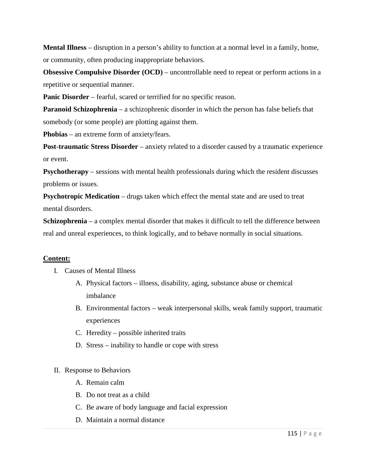**Mental Illness** – disruption in a person's ability to function at a normal level in a family, home, or community, often producing inappropriate behaviors.

**Obsessive Compulsive Disorder (OCD)** – uncontrollable need to repeat or perform actions in a repetitive or sequential manner.

**Panic Disorder** – fearful, scared or terrified for no specific reason.

**Paranoid Schizophrenia** – a schizophrenic disorder in which the person has false beliefs that somebody (or some people) are plotting against them.

**Phobias** – an extreme form of anxiety/fears.

**Post-traumatic Stress Disorder** – anxiety related to a disorder caused by a traumatic experience or event.

**Psychotherapy** – sessions with mental health professionals during which the resident discusses problems or issues.

**Psychotropic Medication** – drugs taken which effect the [mental state](http://en.wikipedia.org/wiki/Mental_state) and are used to treat [mental disorders.](http://en.wikipedia.org/wiki/Mental_disorder)

**Schizophrenia** – a complex mental disorder that makes it difficult to tell the difference between real and unreal experiences, to think logically, and to behave normally in social situations.

### **Content:**

- I. Causes of Mental Illness
	- A. Physical factors illness, disability, aging, substance abuse or chemical imbalance
	- B. Environmental factors weak interpersonal skills, weak family support, traumatic experiences
	- C. Heredity possible inherited traits
	- D. Stress inability to handle or cope with stress

### II. Response to Behaviors

- A. Remain calm
- B. Do not treat as a child
- C. Be aware of body language and facial expression
- D. Maintain a normal distance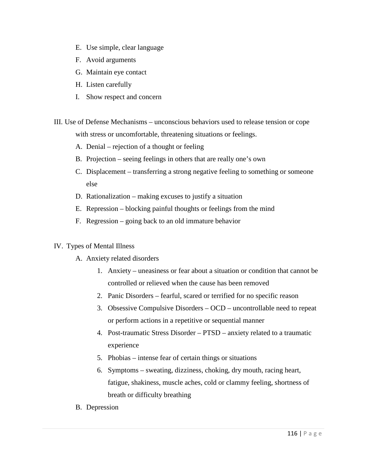- E. Use simple, clear language
- F. Avoid arguments
- G. Maintain eye contact
- H. Listen carefully
- I. Show respect and concern
- III. Use of Defense Mechanisms unconscious behaviors used to release tension or cope with stress or uncomfortable, threatening situations or feelings.
	- A. Denial rejection of a thought or feeling
	- B. Projection seeing feelings in others that are really one's own
	- C. Displacement transferring a strong negative feeling to something or someone else
	- D. Rationalization making excuses to justify a situation
	- E. Repression blocking painful thoughts or feelings from the mind
	- F. Regression going back to an old immature behavior
- IV. Types of Mental Illness
	- A. Anxiety related disorders
		- 1. Anxiety uneasiness or fear about a situation or condition that cannot be controlled or relieved when the cause has been removed
		- 2. Panic Disorders fearful, scared or terrified for no specific reason
		- 3. Obsessive Compulsive Disorders OCD uncontrollable need to repeat or perform actions in a repetitive or sequential manner
		- 4. Post-traumatic Stress Disorder PTSD anxiety related to a traumatic experience
		- 5. Phobias intense fear of certain things or situations
		- 6. Symptoms sweating, dizziness, choking, dry mouth, racing heart, fatigue, shakiness, muscle aches, cold or clammy feeling, shortness of breath or difficulty breathing
	- B. Depression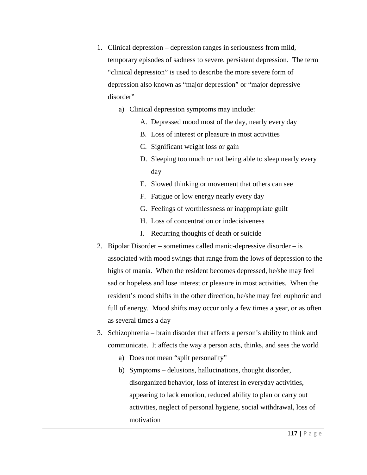- 1. Clinical depression depression ranges in seriousness from mild, temporary episodes of sadness to severe, persistent depression. The term "clinical depression" is used to describe the more severe form of depression also known as "major depression" or "major depressive disorder"
	- a) Clinical depression symptoms may include:
		- A. Depressed mood most of the day, nearly every day
		- B. Loss of interest or pleasure in most activities
		- C. Significant weight loss or gain
		- D. Sleeping too much or not being able to sleep nearly every day
		- E. Slowed thinking or movement that others can see
		- F. Fatigue or low energy nearly every day
		- G. Feelings of worthlessness or inappropriate guilt
		- H. Loss of concentration or indecisiveness
		- I. Recurring thoughts of death or suicide
- 2. Bipolar Disorder sometimes called manic-depressive disorder is associated with mood swings that range from the lows of depression to the highs of mania. When the resident becomes depressed, he/she may feel sad or hopeless and lose interest or pleasure in most activities. When the resident's mood shifts in the other direction, he/she may feel euphoric and full of energy. Mood shifts may occur only a few times a year, or as often as several times a day
- 3. Schizophrenia brain disorder that affects a person's ability to think and communicate. It affects the way a person acts, thinks, and sees the world
	- a) Does not mean "split personality"
	- b) Symptoms delusions, hallucinations, thought disorder, disorganized behavior, loss of interest in everyday activities, appearing to lack emotion, reduced ability to plan or carry out activities, neglect of personal hygiene, social withdrawal, loss of motivation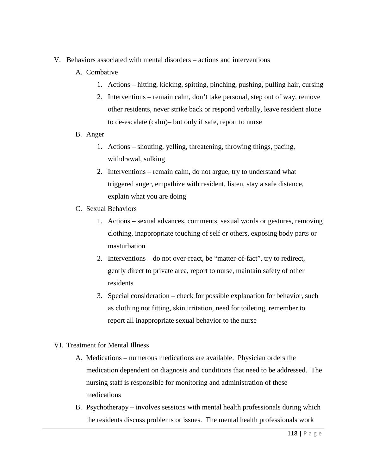- V. Behaviors associated with mental disorders actions and interventions
	- A. Combative
		- 1. Actions hitting, kicking, spitting, pinching, pushing, pulling hair, cursing
		- 2. Interventions remain calm, don't take personal, step out of way, remove other residents, never strike back or respond verbally, leave resident alone to de-escalate (calm)– but only if safe, report to nurse
	- B. Anger
		- 1. Actions shouting, yelling, threatening, throwing things, pacing, withdrawal, sulking
		- 2. Interventions remain calm, do not argue, try to understand what triggered anger, empathize with resident, listen, stay a safe distance, explain what you are doing
	- C. Sexual Behaviors
		- 1. Actions sexual advances, comments, sexual words or gestures, removing clothing, inappropriate touching of self or others, exposing body parts or masturbation
		- 2. Interventions do not over-react, be "matter-of-fact", try to redirect, gently direct to private area, report to nurse, maintain safety of other residents
		- 3. Special consideration check for possible explanation for behavior, such as clothing not fitting, skin irritation, need for toileting, remember to report all inappropriate sexual behavior to the nurse
- VI. Treatment for Mental Illness
	- A. Medications numerous medications are available. Physician orders the medication dependent on diagnosis and conditions that need to be addressed. The nursing staff is responsible for monitoring and administration of these medications
	- B. Psychotherapy involves sessions with mental health professionals during which the residents discuss problems or issues. The mental health professionals work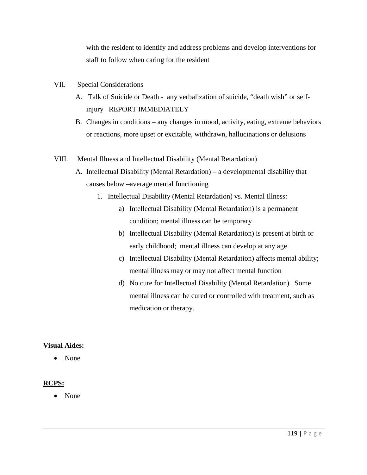with the resident to identify and address problems and develop interventions for staff to follow when caring for the resident

- VII. Special Considerations
	- A. Talk of Suicide or Death any verbalization of suicide, "death wish" or selfinjury REPORT IMMEDIATELY
	- B. Changes in conditions any changes in mood, activity, eating, extreme behaviors or reactions, more upset or excitable, withdrawn, hallucinations or delusions
- VIII. Mental Illness and Intellectual Disability (Mental Retardation)
	- A. Intellectual Disability (Mental Retardation) a developmental disability that causes below –average mental functioning
		- 1. Intellectual Disability (Mental Retardation) vs. Mental Illness:
			- a) Intellectual Disability (Mental Retardation) is a permanent condition; mental illness can be temporary
			- b) Intellectual Disability (Mental Retardation) is present at birth or early childhood; mental illness can develop at any age
			- c) Intellectual Disability (Mental Retardation) affects mental ability; mental illness may or may not affect mental function
			- d) No cure for Intellectual Disability (Mental Retardation). Some mental illness can be cured or controlled with treatment, such as medication or therapy.

#### **Visual Aides:**

• None

### **RCPS:**

• None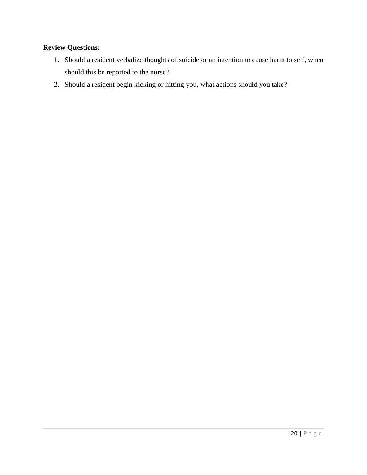# **Review Questions:**

- 1. Should a resident verbalize thoughts of suicide or an intention to cause harm to self, when should this be reported to the nurse?
- 2. Should a resident begin kicking or hitting you, what actions should you take?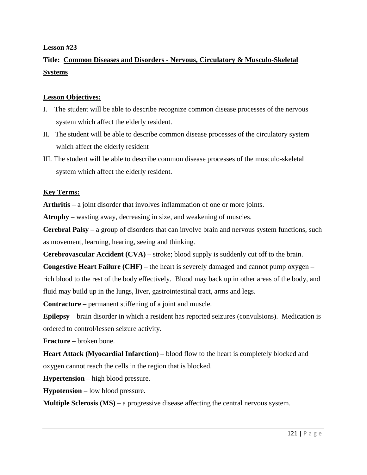# **Title: Common Diseases and Disorders - Nervous, Circulatory & Musculo-Skeletal Systems**

### **Lesson Objectives:**

- I. The student will be able to describe recognize common disease processes of the nervous system which affect the elderly resident.
- II. The student will be able to describe common disease processes of the circulatory system which affect the elderly resident
- III. The student will be able to describe common disease processes of the musculo-skeletal system which affect the elderly resident.

#### **Key Terms:**

**Arthritis** – a [joint disorder](http://en.wikipedia.org/wiki/Arthropathy) that involves [inflammation](http://en.wikipedia.org/wiki/Inflammation) of one or more joints.

**Atrophy** – wasting away, decreasing in size, and weakening of muscles.

**Cerebral Palsy** – a group of disorders that can involve brain and nervous system functions, such as movement, learning, hearing, seeing and thinking.

**Cerebrovascular Accident (CVA)** – stroke; blood supply is suddenly cut off to the brain.

**Congestive Heart Failure (CHF)** – the heart is severely damaged and cannot pump oxygen – rich blood to the rest of the body effectively. Blood may back up in other areas of the body, and fluid may build up in the lungs, liver, gastrointestinal tract, arms and legs.

**Contracture** – permanent stiffening of a joint and muscle.

**Epilepsy** – brain disorder in which a resident has reported seizures (convulsions). Medication is ordered to control/lessen seizure activity.

**Fracture** – broken bone.

**Heart Attack (Myocardial Infarction) – blood flow to the heart is completely blocked and** oxygen cannot reach the cells in the region that is blocked.

**Hypertension** – high blood pressure.

**Hypotension** – low blood pressure.

**Multiple Sclerosis (MS)** – a progressive disease affecting the central nervous system.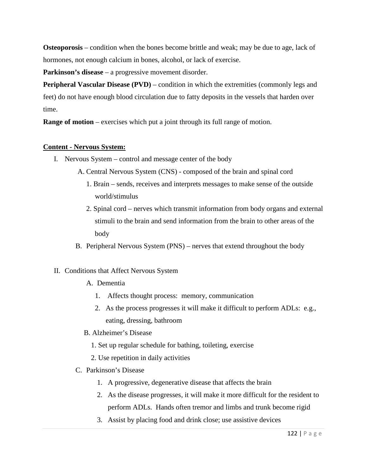**Osteoporosis** – condition when the bones become brittle and weak; may be due to age, lack of hormones, not enough calcium in bones, alcohol, or lack of exercise.

**Parkinson's disease** – a progressive movement disorder.

**Peripheral Vascular Disease (PVD)** – condition in which the extremities (commonly legs and feet) do not have enough blood circulation due to fatty deposits in the vessels that harden over time.

**Range of motion** – exercises which put a joint through its full range of motion.

### **Content - Nervous System:**

- I. Nervous System control and message center of the body
	- A. Central Nervous System (CNS) composed of the brain and spinal cord
		- 1. Brain sends, receives and interprets messages to make sense of the outside world/stimulus
		- 2. Spinal cord nerves which transmit information from body organs and external stimuli to the brain and send information from the brain to other areas of the body
	- B. Peripheral Nervous System (PNS) nerves that extend throughout the body

### II. Conditions that Affect Nervous System

- A. Dementia
	- 1. Affects thought process: memory, communication
	- 2. As the process progresses it will make it difficult to perform ADLs: e.g., eating, dressing, bathroom
- B. Alzheimer's Disease
	- 1. Set up regular schedule for bathing, toileting, exercise
	- 2. Use repetition in daily activities
- C. Parkinson's Disease
	- 1. A progressive, degenerative disease that affects the brain
	- 2. As the disease progresses, it will make it more difficult for the resident to perform ADLs. Hands often tremor and limbs and trunk become rigid
	- 3. Assist by placing food and drink close; use assistive devices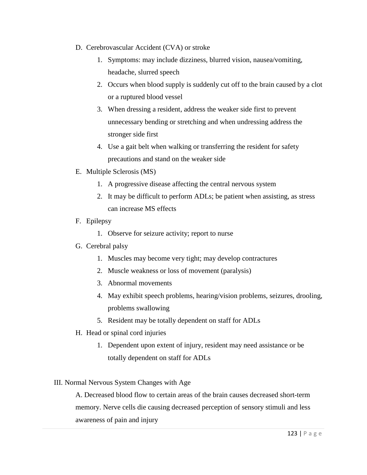- D. Cerebrovascular Accident (CVA) or stroke
	- 1. Symptoms: may include dizziness, blurred vision, nausea/vomiting, headache, slurred speech
	- 2. Occurs when blood supply is suddenly cut off to the brain caused by a clot or a ruptured blood vessel
	- 3. When dressing a resident, address the weaker side first to prevent unnecessary bending or stretching and when undressing address the stronger side first
	- 4. Use a gait belt when walking or transferring the resident for safety precautions and stand on the weaker side
- E. Multiple Sclerosis (MS)
	- 1. A progressive disease affecting the central nervous system
	- 2. It may be difficult to perform ADLs; be patient when assisting, as stress can increase MS effects
- F. Epilepsy
	- 1. Observe for seizure activity; report to nurse
- G. Cerebral palsy
	- 1. Muscles may become very tight; may develop contractures
	- 2. Muscle weakness or loss of movement (paralysis)
	- 3. Abnormal movements
	- 4. May exhibit speech problems, hearing/vision problems, seizures, drooling, problems swallowing
	- 5. Resident may be totally dependent on staff for ADLs
- H. Head or spinal cord injuries
	- 1. Dependent upon extent of injury, resident may need assistance or be totally dependent on staff for ADLs

### III. Normal Nervous System Changes with Age

A. Decreased blood flow to certain areas of the brain causes decreased short-term memory. Nerve cells die causing decreased perception of sensory stimuli and less awareness of pain and injury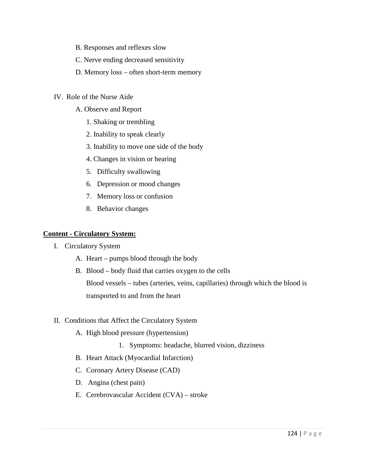- B. Responses and reflexes slow
- C. Nerve ending decreased sensitivity
- D. Memory loss often short-term memory
- IV. Role of the Nurse Aide
	- A. Observe and Report
		- 1. Shaking or trembling
		- 2. Inability to speak clearly
		- 3. Inability to move one side of the body
		- 4. Changes in vision or hearing
		- 5. Difficulty swallowing
		- 6. Depression or mood changes
		- 7. Memory loss or confusion
		- 8. Behavior changes

#### **Content - Circulatory System:**

- I. Circulatory System
	- A. Heart pumps blood through the body
	- B. Blood body fluid that carries oxygen to the cells Blood vessels – tubes (arteries, veins, capillaries) through which the blood is transported to and from the heart

### II. Conditions that Affect the Circulatory System

- A. High blood pressure (hypertension)
	- 1. Symptoms: headache, blurred vision, dizziness
- B. Heart Attack (Myocardial Infarction)
- C. Coronary Artery Disease (CAD)
- D. Angina (chest pain)
- E. Cerebrovascular Accident (CVA) stroke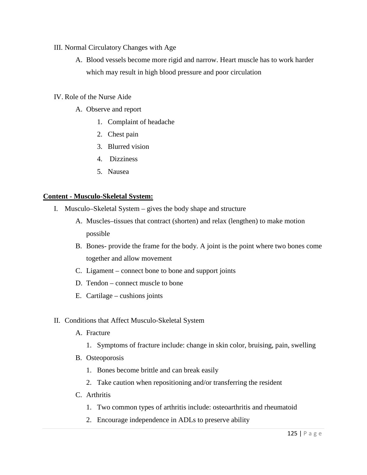### III. Normal Circulatory Changes with Age

A. Blood vessels become more rigid and narrow. Heart muscle has to work harder which may result in high blood pressure and poor circulation

### IV. Role of the Nurse Aide

- A. Observe and report
	- 1. Complaint of headache
	- 2. Chest pain
	- 3. Blurred vision
	- 4. Dizziness
	- 5. Nausea

#### **Content - Musculo-Skeletal System:**

- I. Musculo–Skeletal System gives the body shape and structure
	- A. Muscles–tissues that contract (shorten) and relax (lengthen) to make motion possible
	- B. Bones- provide the frame for the body. A joint is the point where two bones come together and allow movement
	- C. Ligament connect bone to bone and support joints
	- D. Tendon connect muscle to bone
	- E. Cartilage cushions joints

#### II. Conditions that Affect Musculo-Skeletal System

- A. Fracture
	- 1. Symptoms of fracture include: change in skin color, bruising, pain, swelling
- B. Osteoporosis
	- 1. Bones become brittle and can break easily
	- 2. Take caution when repositioning and/or transferring the resident
- C. Arthritis
	- 1. Two common types of arthritis include: osteoarthritis and rheumatoid
	- 2. Encourage independence in ADLs to preserve ability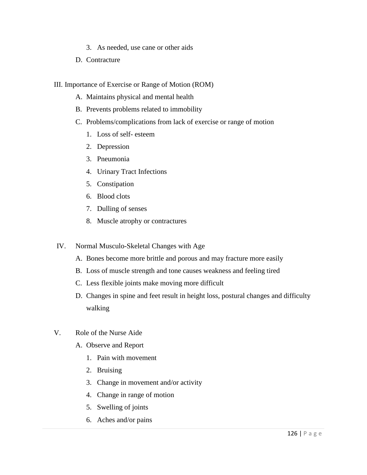- 3. As needed, use cane or other aids
- D. Contracture
- III. Importance of Exercise or Range of Motion (ROM)
	- A. Maintains physical and mental health
	- B. Prevents problems related to immobility
	- C. Problems/complications from lack of exercise or range of motion
		- 1. Loss of self- esteem
		- 2. Depression
		- 3. Pneumonia
		- 4. Urinary Tract Infections
		- 5. Constipation
		- 6. Blood clots
		- 7. Dulling of senses
		- 8. Muscle atrophy or contractures
- IV. Normal Musculo-Skeletal Changes with Age
	- A. Bones become more brittle and porous and may fracture more easily
	- B. Loss of muscle strength and tone causes weakness and feeling tired
	- C. Less flexible joints make moving more difficult
	- D. Changes in spine and feet result in height loss, postural changes and difficulty walking
- V. Role of the Nurse Aide
	- A. Observe and Report
		- 1. Pain with movement
		- 2. Bruising
		- 3. Change in movement and/or activity
		- 4. Change in range of motion
		- 5. Swelling of joints
		- 6. Aches and/or pains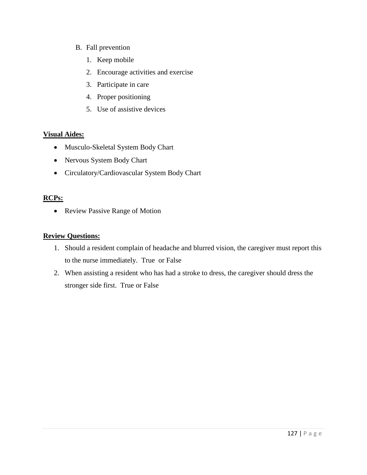- B. Fall prevention
	- 1. Keep mobile
	- 2. Encourage activities and exercise
	- 3. Participate in care
	- 4. Proper positioning
	- 5. Use of assistive devices

### **Visual Aides:**

- Musculo-Skeletal System Body Chart
- Nervous System Body Chart
- Circulatory/Cardiovascular System Body Chart

# **RCPs:**

• Review Passive Range of Motion

## **Review Questions:**

- 1. Should a resident complain of headache and blurred vision, the caregiver must report this to the nurse immediately. True or False
- 2. When assisting a resident who has had a stroke to dress, the caregiver should dress the stronger side first. True or False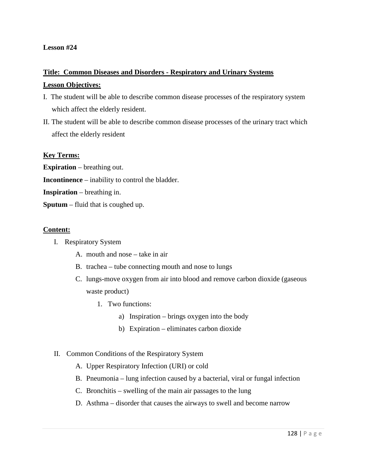# **Title: Common Diseases and Disorders - Respiratory and Urinary Systems Lesson Objectives:**

- I. The student will be able to describe common disease processes of the respiratory system which affect the elderly resident.
- II. The student will be able to describe common disease processes of the urinary tract which affect the elderly resident

#### **Key Terms:**

**Expiration** – breathing out.

- **Incontinence**  inability to control the bladder.
- **Inspiration**  breathing in.
- **Sputum**  fluid that is coughed up.

#### **Content:**

- I. Respiratory System
	- A. mouth and nose take in air
	- B. trachea tube connecting mouth and nose to lungs
	- C. lungs-move oxygen from air into blood and remove carbon dioxide (gaseous waste product)
		- 1. Two functions:
			- a) Inspiration brings oxygen into the body
			- b) Expiration eliminates carbon dioxide

#### II. Common Conditions of the Respiratory System

- A. Upper Respiratory Infection (URI) or cold
- B. Pneumonia lung infection caused by a bacterial, viral or fungal infection
- C. Bronchitis swelling of the main air passages to the lung
- D. Asthma disorder that causes the airways to swell and become narrow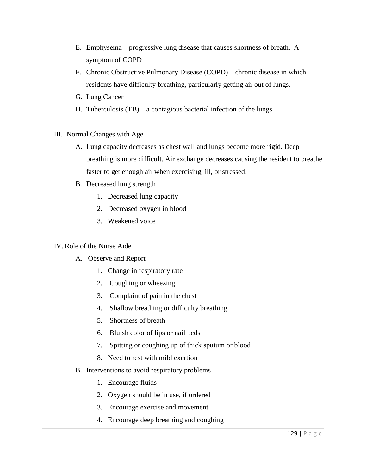- E. Emphysema progressive lung disease that causes shortness of breath. A symptom of COPD
- F. Chronic Obstructive Pulmonary Disease (COPD) chronic disease in which residents have difficulty breathing, particularly getting air out of lungs.
- G. Lung Cancer
- H. Tuberculosis (TB) a contagious bacterial infection of the lungs.
- III. Normal Changes with Age
	- A. Lung capacity decreases as chest wall and lungs become more rigid. Deep breathing is more difficult. Air exchange decreases causing the resident to breathe faster to get enough air when exercising, ill, or stressed.
	- B. Decreased lung strength
		- 1. Decreased lung capacity
		- 2. Decreased oxygen in blood
		- 3. Weakened voice

### IV. Role of the Nurse Aide

- A. Observe and Report
	- 1. Change in respiratory rate
	- 2. Coughing or wheezing
	- 3. Complaint of pain in the chest
	- 4. Shallow breathing or difficulty breathing
	- 5. Shortness of breath
	- 6. Bluish color of lips or nail beds
	- 7. Spitting or coughing up of thick sputum or blood
	- 8. Need to rest with mild exertion
- B. Interventions to avoid respiratory problems
	- 1. Encourage fluids
	- 2. Oxygen should be in use, if ordered
	- 3. Encourage exercise and movement
	- 4. Encourage deep breathing and coughing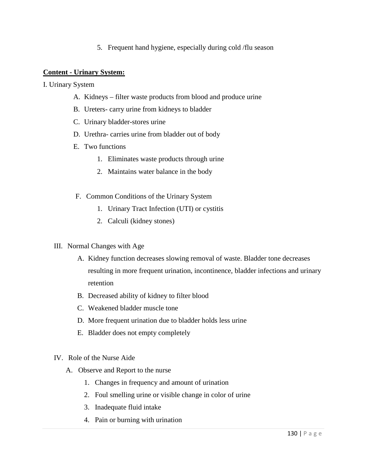5. Frequent hand hygiene, especially during cold /flu season

### **Content - Urinary System:**

I. Urinary System

- A. Kidneys filter waste products from blood and produce urine
- B. Ureters- carry urine from kidneys to bladder
- C. Urinary bladder-stores urine
- D. Urethra- carries urine from bladder out of body
- E. Two functions
	- 1. Eliminates waste products through urine
	- 2. Maintains water balance in the body
- F. Common Conditions of the Urinary System
	- 1. Urinary Tract Infection (UTI) or cystitis
	- 2. Calculi (kidney stones)
- III. Normal Changes with Age
	- A. Kidney function decreases slowing removal of waste. Bladder tone decreases resulting in more frequent urination, incontinence, bladder infections and urinary retention
	- B. Decreased ability of kidney to filter blood
	- C. Weakened bladder muscle tone
	- D. More frequent urination due to bladder holds less urine
	- E. Bladder does not empty completely
- IV. Role of the Nurse Aide
	- A. Observe and Report to the nurse
		- 1. Changes in frequency and amount of urination
		- 2. Foul smelling urine or visible change in color of urine
		- 3. Inadequate fluid intake
		- 4. Pain or burning with urination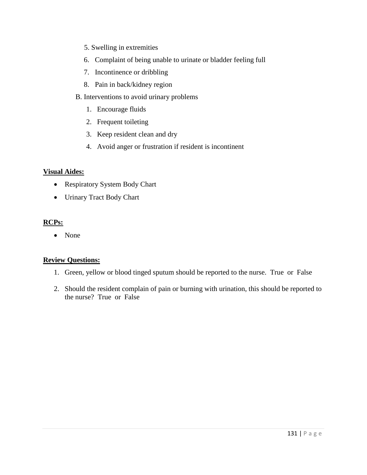- 5. Swelling in extremities
- 6. Complaint of being unable to urinate or bladder feeling full
- 7. Incontinence or dribbling
- 8. Pain in back/kidney region
- B. Interventions to avoid urinary problems
	- 1. Encourage fluids
	- 2. Frequent toileting
	- 3. Keep resident clean and dry
	- 4. Avoid anger or frustration if resident is incontinent

#### **Visual Aides:**

- Respiratory System Body Chart
- Urinary Tract Body Chart

### **RCPs:**

• None

### **Review Questions:**

- 1. Green, yellow or blood tinged sputum should be reported to the nurse. True or False
- 2. Should the resident complain of pain or burning with urination, this should be reported to the nurse? True or False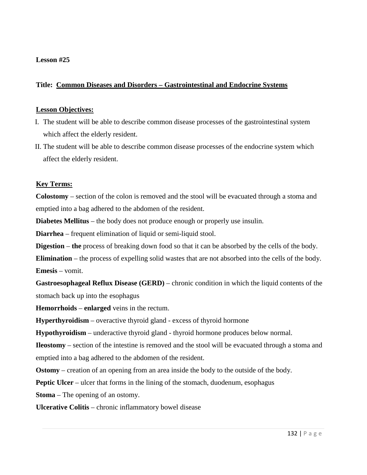### **Title: Common Diseases and Disorders – Gastrointestinal and Endocrine Systems**

#### **Lesson Objectives:**

- I. The student will be able to describe common disease processes of the gastrointestinal system which affect the elderly resident.
- II. The student will be able to describe common disease processes of the endocrine system which affect the elderly resident.

#### **Key Terms:**

**Colostomy** – section of the colon is removed and the stool will be evacuated through a stoma and emptied into a bag adhered to the abdomen of the resident.

**Diabetes Mellitus** – the body does not produce enough or properly use insulin.

**Diarrhea** – frequent elimination of liquid or semi-liquid stool.

**Digestion** – **the** process of breaking down food so that it can be absorbed by the cells of the body.

**Elimination** – the process of expelling solid wastes that are not absorbed into the cells of the body. **Emesis** – vomit.

**Gastroesophageal Reflux Disease (GERD)** – chronic condition in which the liquid contents of the stomach back up into the esophagus

**Hemorrhoids** – **enlarged** veins in the rectum.

**Hyperthyroidism** – overactive thyroid gland - excess of thyroid hormone

**Hypothyroidism** – underactive thyroid gland - thyroid hormone produces below normal.

**Ileostomy** – section of the intestine is removed and the stool will be evacuated through a stoma and emptied into a bag adhered to the abdomen of the resident.

**Ostomy** – creation of an opening from an area inside the body to the outside of the body.

**Peptic Ulcer** – ulcer that forms in the lining of the stomach, duodenum, esophagus

**Stoma** – The opening of an ostomy.

**Ulcerative Colitis** – chronic inflammatory bowel disease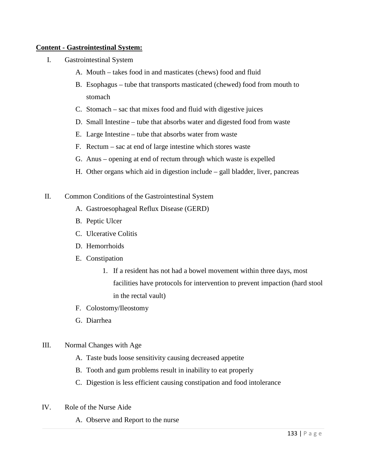### **Content - Gastrointestinal System:**

- I. Gastrointestinal System
	- A. Mouth takes food in and masticates (chews) food and fluid
	- B. Esophagus tube that transports masticated (chewed) food from mouth to stomach
	- C. Stomach sac that mixes food and fluid with digestive juices
	- D. Small Intestine tube that absorbs water and digested food from waste
	- E. Large Intestine tube that absorbs water from waste
	- F. Rectum sac at end of large intestine which stores waste
	- G. Anus opening at end of rectum through which waste is expelled
	- H. Other organs which aid in digestion include gall bladder, liver, pancreas
- II. Common Conditions of the Gastrointestinal System
	- A. Gastroesophageal Reflux Disease (GERD)
	- B. Peptic Ulcer
	- C. Ulcerative Colitis
	- D. Hemorrhoids
	- E. Constipation
		- 1. If a resident has not had a bowel movement within three days, most facilities have protocols for intervention to prevent impaction (hard stool in the rectal vault)
	- F. Colostomy/Ileostomy
	- G. Diarrhea
- III. Normal Changes with Age
	- A. Taste buds loose sensitivity causing decreased appetite
	- B. Tooth and gum problems result in inability to eat properly
	- C. Digestion is less efficient causing constipation and food intolerance
- IV. Role of the Nurse Aide
	- A. Observe and Report to the nurse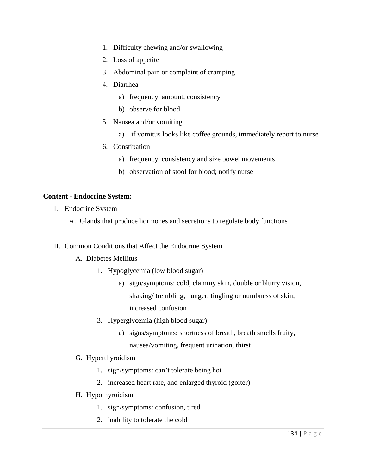- 1. Difficulty chewing and/or swallowing
- 2. Loss of appetite
- 3. Abdominal pain or complaint of cramping
- 4. Diarrhea
	- a) frequency, amount, consistency
	- b) observe for blood
- 5. Nausea and/or vomiting
	- a) if vomitus looks like coffee grounds, immediately report to nurse
- 6. Constipation
	- a) frequency, consistency and size bowel movements
	- b) observation of stool for blood; notify nurse

### **Content - Endocrine System:**

- I. Endocrine System
	- A. Glands that produce hormones and secretions to regulate body functions
- II. Common Conditions that Affect the Endocrine System
	- A. Diabetes Mellitus
		- 1. Hypoglycemia (low blood sugar)
			- a) sign/symptoms: cold, clammy skin, double or blurry vision, shaking/ trembling, hunger, tingling or numbness of skin; increased confusion
		- 3. Hyperglycemia (high blood sugar)
			- a) signs/symptoms: shortness of breath, breath smells fruity, nausea/vomiting, frequent urination, thirst
	- G. Hyperthyroidism
		- 1. sign/symptoms: can't tolerate being hot
		- 2. increased heart rate, and enlarged thyroid (goiter)
	- H. Hypothyroidism
		- 1. sign/symptoms: confusion, tired
		- 2. inability to tolerate the cold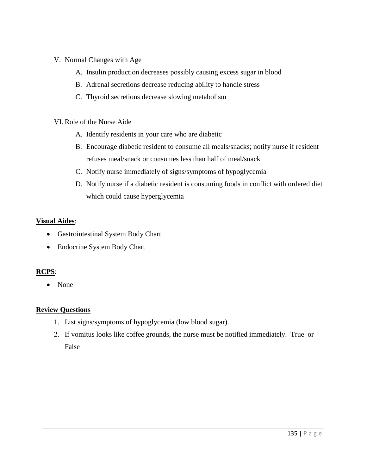# V. Normal Changes with Age

- A. Insulin production decreases possibly causing excess sugar in blood
- B. Adrenal secretions decrease reducing ability to handle stress
- C. Thyroid secretions decrease slowing metabolism

# VI. Role of the Nurse Aide

- A. Identify residents in your care who are diabetic
- B. Encourage diabetic resident to consume all meals/snacks; notify nurse if resident refuses meal/snack or consumes less than half of meal/snack
- C. Notify nurse immediately of signs/symptoms of hypoglycemia
- D. Notify nurse if a diabetic resident is consuming foods in conflict with ordered diet which could cause hyperglycemia

# **Visual Aides**:

- Gastrointestinal System Body Chart
- Endocrine System Body Chart

# **RCPS**:

• None

# **Review Questions**

- 1. List signs/symptoms of hypoglycemia (low blood sugar).
- 2. If vomitus looks like coffee grounds, the nurse must be notified immediately. True or False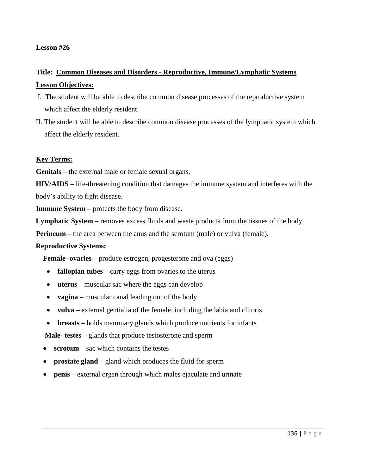#### **Lesson #26**

# **Title: Common Diseases and Disorders - Reproductive, Immune/Lymphatic Systems Lesson Objectives:**

- I. The student will be able to describe common disease processes of the reproductive system which affect the elderly resident.
- II. The student will be able to describe common disease processes of the lymphatic system which affect the elderly resident.

#### **Key Terms:**

**Genitals** – the external male or female sexual organs.

**HIV/AIDS** – life-threatening condition that damages the immune system and interferes with the body's ability to fight disease.

**Immune System** – protects the body from disease.

**Lymphatic System** – removes excess fluids and waste products from the tissues of the body.

**Perineum** – the area between the anus and the scrotum (male) or vulva (female).

#### **Reproductive Systems:**

**Female- ovaries** – produce estrogen, progesterone and ova (eggs)

- **fallopian tubes** carry eggs from ovaries to the uterus
- **uterus** muscular sac where the eggs can develop
- **vagina**  muscular canal leading out of the body
- **vulva** external gentialia of the female, including the labia and clitoris
- **breasts** holds mammary glands which produce nutrients for infants

 **Male- testes** – glands that produce testosterone and sperm

- **scrotum** sac which contains the testes
- **prostate gland**  gland which produces the fluid for sperm
- **penis** external organ through which males ejaculate and urinate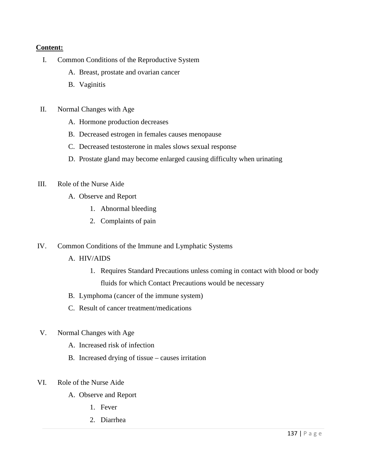### **Content:**

- I. Common Conditions of the Reproductive System
	- A. Breast, prostate and ovarian cancer
	- B. Vaginitis
- II. Normal Changes with Age
	- A. Hormone production decreases
	- B. Decreased estrogen in females causes menopause
	- C. Decreased testosterone in males slows sexual response
	- D. Prostate gland may become enlarged causing difficulty when urinating

#### III. Role of the Nurse Aide

- A. Observe and Report
	- 1. Abnormal bleeding
	- 2. Complaints of pain
- IV. Common Conditions of the Immune and Lymphatic Systems
	- A. HIV/AIDS
		- 1. Requires Standard Precautions unless coming in contact with blood or body fluids for which Contact Precautions would be necessary
	- B. Lymphoma (cancer of the immune system)
	- C. Result of cancer treatment/medications
- V. Normal Changes with Age
	- A. Increased risk of infection
	- B. Increased drying of tissue causes irritation
- VI. Role of the Nurse Aide
	- A. Observe and Report
		- 1. Fever
		- 2. Diarrhea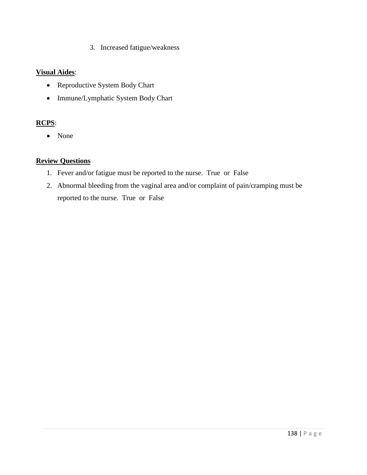3. Increased fatigue/weakness

### **Visual Aides**:

- Reproductive System Body Chart
- Immune/Lymphatic System Body Chart

# **RCPS**:

• None

# **Review Questions**

- 1. Fever and/or fatigue must be reported to the nurse. True or False
- 2. Abnormal bleeding from the vaginal area and/or complaint of pain/cramping must be reported to the nurse. True or False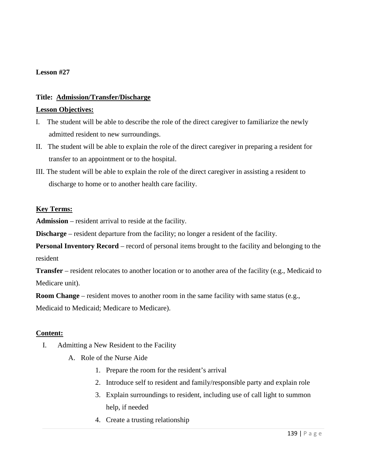#### **Lesson #27**

### **Title: Admission/Transfer/Discharge**

#### **Lesson Objectives:**

- I. The student will be able to describe the role of the direct caregiver to familiarize the newly admitted resident to new surroundings.
- II. The student will be able to explain the role of the direct caregiver in preparing a resident for transfer to an appointment or to the hospital.
- III. The student will be able to explain the role of the direct caregiver in assisting a resident to discharge to home or to another health care facility.

#### **Key Terms:**

**Admission** – resident arrival to reside at the facility.

**Discharge** – resident departure from the facility; no longer a resident of the facility.

**Personal Inventory Record** – record of personal items brought to the facility and belonging to the resident

**Transfer** – resident relocates to another location or to another area of the facility (e.g., Medicaid to Medicare unit).

**Room Change** – resident moves to another room in the same facility with same status (e.g.,

Medicaid to Medicaid; Medicare to Medicare).

#### **Content:**

- I. Admitting a New Resident to the Facility
	- A. Role of the Nurse Aide
		- 1. Prepare the room for the resident's arrival
		- 2. Introduce self to resident and family/responsible party and explain role
		- 3. Explain surroundings to resident, including use of call light to summon help, if needed
		- 4. Create a trusting relationship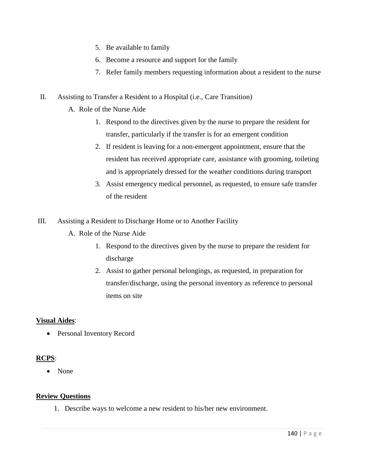- 5. Be available to family
- 6. Become a resource and support for the family
- 7. Refer family members requesting information about a resident to the nurse
- II. Assisting to Transfer a Resident to a Hospital (i.e., Care Transition)
	- A. Role of the Nurse Aide
		- 1. Respond to the directives given by the nurse to prepare the resident for transfer, particularly if the transfer is for an emergent condition
		- 2. If resident is leaving for a non-emergent appointment, ensure that the resident has received appropriate care, assistance with grooming, toileting and is appropriately dressed for the weather conditions during transport
		- 3. Assist emergency medical personnel, as requested, to ensure safe transfer of the resident
- III. Assisting a Resident to Discharge Home or to Another Facility
	- A. Role of the Nurse Aide
		- 1. Respond to the directives given by the nurse to prepare the resident for discharge
		- 2. Assist to gather personal belongings, as requested, in preparation for transfer/discharge, using the personal inventory as reference to personal items on site

# **Visual Aides**:

• Personal Inventory Record

# **RCPS**:

• None

# **Review Questions**

1. Describe ways to welcome a new resident to his/her new environment.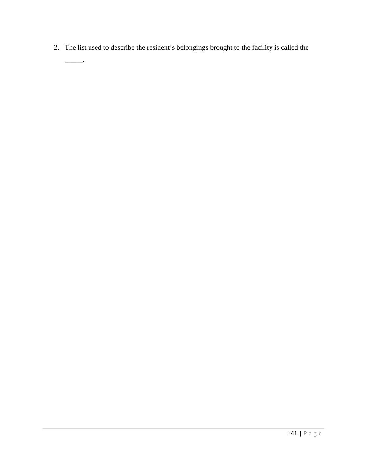2. The list used to describe the resident's belongings brought to the facility is called the

 $\overline{\phantom{a}}$ .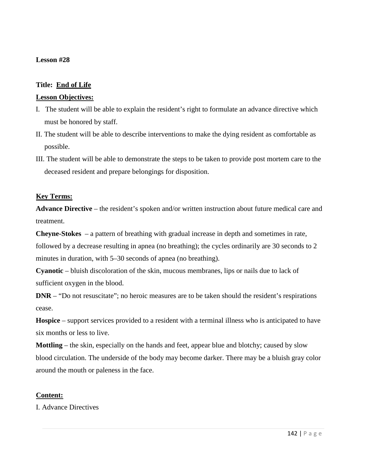#### **Lesson #28**

#### **Title: End of Life**

#### **Lesson Objectives:**

- I. The student will be able to explain the resident's right to formulate an advance directive which must be honored by staff.
- II. The student will be able to describe interventions to make the dying resident as comfortable as possible.
- III. The student will be able to demonstrate the steps to be taken to provide post mortem care to the deceased resident and prepare belongings for disposition.

#### **Key Terms:**

**Advance Directive** – the resident's spoken and/or written instruction about future medical care and treatment.

**Cheyne-Stokes** – a pattern of breathing with gradual increase in depth and sometimes in rate,

followed by a decrease resulting in apnea (no breathing); the cycles ordinarily are 30 seconds to 2 minutes in duration, with 5–30 seconds of apnea (no breathing).

**Cyanotic** – bluish discoloration of the skin, mucous membranes, lips or nails due to lack of sufficient oxygen in the blood.

**DNR** – "Do not resuscitate"; no heroic measures are to be taken should the resident's respirations cease.

**Hospice** – support services provided to a resident with a terminal illness who is anticipated to have six months or less to live.

**Mottling** – the skin, especially on the hands and feet, appear blue and blotchy; caused by slow blood circulation. The underside of the body may become darker. There may be a bluish gray color around the mouth or paleness in the face.

# **Content:**

I. Advance Directives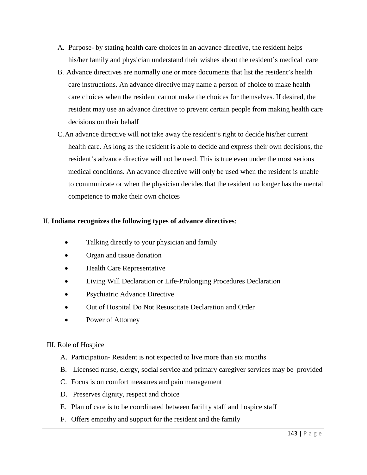- A. Purpose- by stating health care choices in an advance directive, the resident helps his/her family and physician understand their wishes about the resident's medical care
- B. Advance directives are normally one or more documents that list the resident's health care instructions. An advance directive may name a person of choice to make health care choices when the resident cannot make the choices for themselves. If desired, the resident may use an advance directive to prevent certain people from making health care decisions on their behalf
- C.An advance directive will not take away the resident's right to decide his/her current health care. As long as the resident is able to decide and express their own decisions, the resident's advance directive will not be used. This is true even under the most serious medical conditions. An advance directive will only be used when the resident is unable to communicate or when the physician decides that the resident no longer has the mental competence to make their own choices

#### II. **Indiana recognizes the following types of advance directives**:

- Talking directly to your physician and family
- Organ and tissue donation
- Health Care Representative
- Living Will Declaration or Life-Prolonging Procedures Declaration
- Psychiatric Advance Directive
- Out of Hospital Do Not Resuscitate Declaration and Order
- Power of Attorney

# III. Role of Hospice

- A. Participation- Resident is not expected to live more than six months
- B. Licensed nurse, clergy, social service and primary caregiver services may be provided
- C. Focus is on comfort measures and pain management
- D. Preserves dignity, respect and choice
- E. Plan of care is to be coordinated between facility staff and hospice staff
- F. Offers empathy and support for the resident and the family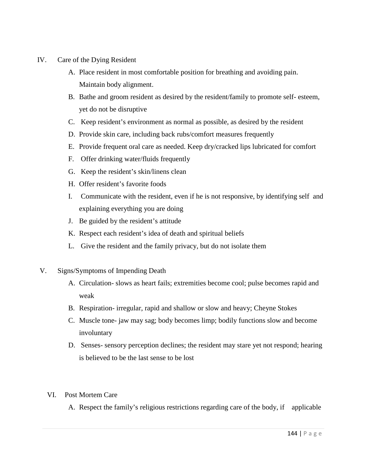- IV. Care of the Dying Resident
	- A. Place resident in most comfortable position for breathing and avoiding pain. Maintain body alignment.
	- B. Bathe and groom resident as desired by the resident/family to promote self- esteem, yet do not be disruptive
	- C. Keep resident's environment as normal as possible, as desired by the resident
	- D. Provide skin care, including back rubs/comfort measures frequently
	- E. Provide frequent oral care as needed. Keep dry/cracked lips lubricated for comfort
	- F. Offer drinking water/fluids frequently
	- G. Keep the resident's skin/linens clean
	- H. Offer resident's favorite foods
	- I. Communicate with the resident, even if he is not responsive, by identifying self and explaining everything you are doing
	- J. Be guided by the resident's attitude
	- K. Respect each resident's idea of death and spiritual beliefs
	- L. Give the resident and the family privacy, but do not isolate them
- V. Signs/Symptoms of Impending Death
	- A. Circulation- slows as heart fails; extremities become cool; pulse becomes rapid and weak
	- B. Respiration- irregular, rapid and shallow or slow and heavy; Cheyne Stokes
	- C. Muscle tone- jaw may sag; body becomes limp; bodily functions slow and become involuntary
	- D. Senses- sensory perception declines; the resident may stare yet not respond; hearing is believed to be the last sense to be lost
	- VI. Post Mortem Care
		- A. Respect the family's religious restrictions regarding care of the body, if applicable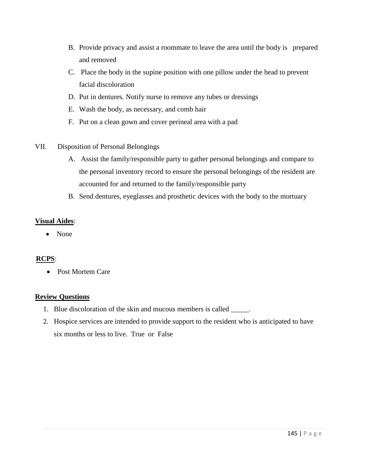- B. Provide privacy and assist a roommate to leave the area until the body is prepared and removed
- C. Place the body in the supine position with one pillow under the head to prevent facial discoloration
- D. Put in dentures. Notify nurse to remove any tubes or dressings
- E. Wash the body, as necessary, and comb hair
- F. Put on a clean gown and cover perineal area with a pad
- VII. Disposition of Personal Belongings
	- A. Assist the family/responsible party to gather personal belongings and compare to the personal inventory record to ensure the personal belongings of the resident are accounted for and returned to the family/responsible party
	- B. Send dentures, eyeglasses and prosthetic devices with the body to the mortuary

# **Visual Aides**:

• None

# **RCPS**:

• Post Mortem Care

# **Review Questions**

- 1. Blue discoloration of the skin and mucous members is called \_\_\_\_\_.
- 2. Hospice services are intended to provide support to the resident who is anticipated to have six months or less to live. True or False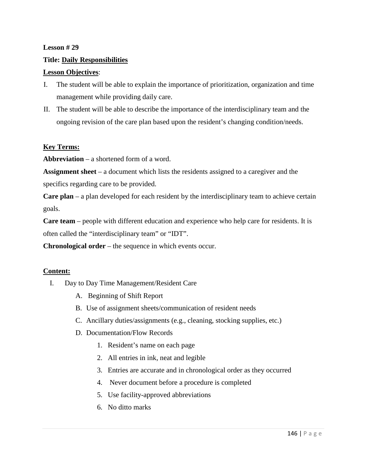#### **Lesson # 29**

#### **Title: Daily Responsibilities**

#### **Lesson Objectives**:

- I. The student will be able to explain the importance of prioritization, organization and time management while providing daily care.
- II. The student will be able to describe the importance of the interdisciplinary team and the ongoing revision of the care plan based upon the resident's changing condition/needs.

#### **Key Terms:**

**Abbreviation** – a shortened form of a word.

**Assignment sheet** – a document which lists the residents assigned to a caregiver and the specifics regarding care to be provided.

**Care plan** – a plan developed for each resident by the interdisciplinary team to achieve certain goals.

**Care team** – people with different education and experience who help care for residents. It is often called the "interdisciplinary team" or "IDT".

**Chronological order** – the sequence in which events occur.

#### **Content:**

- I. Day to Day Time Management/Resident Care
	- A. Beginning of Shift Report
	- B. Use of assignment sheets/communication of resident needs
	- C. Ancillary duties/assignments (e.g., cleaning, stocking supplies, etc.)
	- D. Documentation/Flow Records
		- 1. Resident's name on each page
		- 2. All entries in ink, neat and legible
		- 3. Entries are accurate and in chronological order as they occurred
		- 4. Never document before a procedure is completed
		- 5. Use facility-approved abbreviations
		- 6. No ditto marks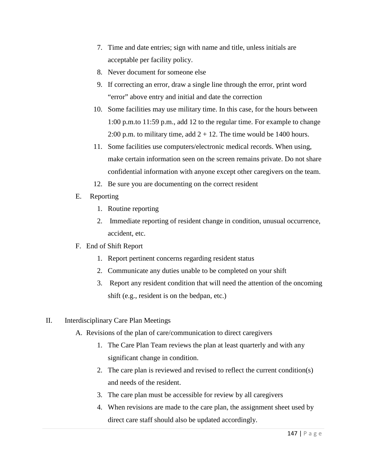- 7. Time and date entries; sign with name and title, unless initials are acceptable per facility policy.
- 8. Never document for someone else
- 9. If correcting an error, draw a single line through the error, print word "error" above entry and initial and date the correction
- 10. Some facilities may use military time. In this case, for the hours between 1:00 p.m.to 11:59 p.m., add 12 to the regular time. For example to change 2:00 p.m. to military time, add  $2 + 12$ . The time would be 1400 hours.
- 11. Some facilities use computers/electronic medical records. When using, make certain information seen on the screen remains private. Do not share confidential information with anyone except other caregivers on the team.
- 12. Be sure you are documenting on the correct resident
- E. Reporting
	- 1. Routine reporting
	- 2. Immediate reporting of resident change in condition, unusual occurrence, accident, etc.

#### F. End of Shift Report

- 1. Report pertinent concerns regarding resident status
- 2. Communicate any duties unable to be completed on your shift
- 3. Report any resident condition that will need the attention of the oncoming shift (e.g., resident is on the bedpan, etc.)
- II. Interdisciplinary Care Plan Meetings
	- A. Revisions of the plan of care/communication to direct caregivers
		- 1. The Care Plan Team reviews the plan at least quarterly and with any significant change in condition.
		- 2. The care plan is reviewed and revised to reflect the current condition(s) and needs of the resident.
		- 3. The care plan must be accessible for review by all caregivers
		- 4. When revisions are made to the care plan, the assignment sheet used by direct care staff should also be updated accordingly.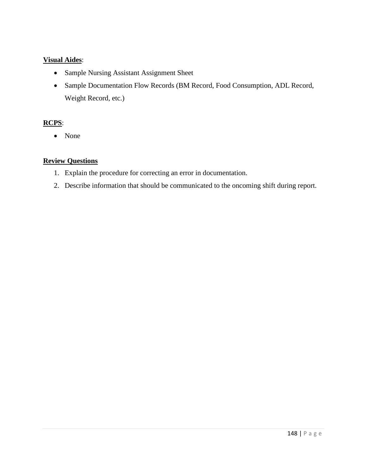# **Visual Aides**:

- Sample Nursing Assistant Assignment Sheet
- Sample Documentation Flow Records (BM Record, Food Consumption, ADL Record, Weight Record, etc.)

# **RCPS**:

• None

# **Review Questions**

- 1. Explain the procedure for correcting an error in documentation.
- 2. Describe information that should be communicated to the oncoming shift during report.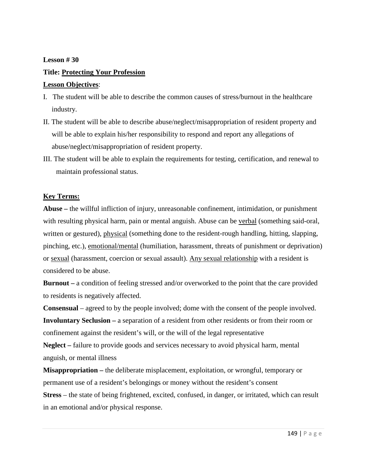#### **Lesson # 30**

#### **Title: Protecting Your Profession**

#### **Lesson Objectives**:

- I. The student will be able to describe the common causes of stress/burnout in the healthcare industry.
- II. The student will be able to describe abuse/neglect/misappropriation of resident property and will be able to explain his/her responsibility to respond and report any allegations of abuse/neglect/misappropriation of resident property.
- III. The student will be able to explain the requirements for testing, certification, and renewal to maintain professional status.

#### **Key Terms:**

**Abuse –** the willful infliction of injury, unreasonable confinement, intimidation, or punishment with resulting physical harm, pain or mental anguish. Abuse can be verbal (something said-oral, written or gestured), physical (something done to the resident-rough handling, hitting, slapping, pinching, etc.), emotional/mental (humiliation, harassment, threats of punishment or deprivation) or sexual (harassment, coercion or sexual assault). Any sexual relationship with a resident is considered to be abuse.

**Burnout –** a condition of feeling stressed and/or overworked to the point that the care provided to residents is negatively affected.

**Consensual** – agreed to by the people involved; dome with the consent of the people involved. **Involuntary Seclusion –** a separation of a resident from other residents or from their room or confinement against the resident's will, or the will of the legal representative **Neglect –** failure to provide goods and services necessary to avoid physical harm, mental

anguish, or mental illness

**Misappropriation –** the deliberate misplacement, exploitation, or wrongful, temporary or permanent use of a resident's belongings or money without the resident's consent **Stress** – the state of being frightened, excited, confused, in danger, or irritated, which can result in an emotional and/or physical response.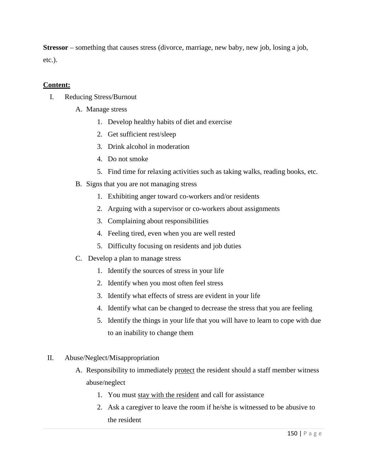**Stressor** – something that causes stress (divorce, marriage, new baby, new job, losing a job, etc.).

# **Content:**

- I. Reducing Stress/Burnout
	- A. Manage stress
		- 1. Develop healthy habits of diet and exercise
		- 2. Get sufficient rest/sleep
		- 3. Drink alcohol in moderation
		- 4. Do not smoke
		- 5. Find time for relaxing activities such as taking walks, reading books, etc.
	- B. Signs that you are not managing stress
		- 1. Exhibiting anger toward co-workers and/or residents
		- 2. Arguing with a supervisor or co-workers about assignments
		- 3. Complaining about responsibilities
		- 4. Feeling tired, even when you are well rested
		- 5. Difficulty focusing on residents and job duties
	- C. Develop a plan to manage stress
		- 1. Identify the sources of stress in your life
		- 2. Identify when you most often feel stress
		- 3. Identify what effects of stress are evident in your life
		- 4. Identify what can be changed to decrease the stress that you are feeling
		- 5. Identify the things in your life that you will have to learn to cope with due to an inability to change them
- II. Abuse/Neglect/Misappropriation
	- A. Responsibility to immediately protect the resident should a staff member witness abuse/neglect
		- 1. You must stay with the resident and call for assistance
		- 2. Ask a caregiver to leave the room if he/she is witnessed to be abusive to the resident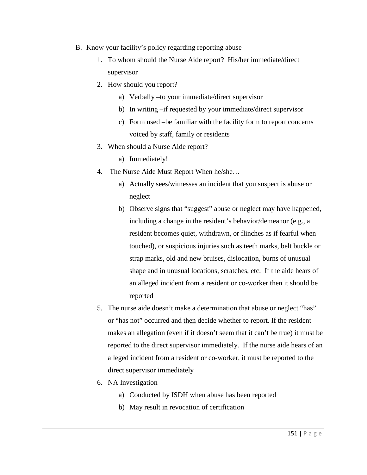- B. Know your facility's policy regarding reporting abuse
	- 1. To whom should the Nurse Aide report? His/her immediate/direct supervisor
	- 2. How should you report?
		- a) Verbally –to your immediate/direct supervisor
		- b) In writing –if requested by your immediate/direct supervisor
		- c) Form used –be familiar with the facility form to report concerns voiced by staff, family or residents
	- 3. When should a Nurse Aide report?
		- a) Immediately!
	- 4. The Nurse Aide Must Report When he/she…
		- a) Actually sees/witnesses an incident that you suspect is abuse or neglect
		- b) Observe signs that "suggest" abuse or neglect may have happened, including a change in the resident's behavior/demeanor (e.g., a resident becomes quiet, withdrawn, or flinches as if fearful when touched), or suspicious injuries such as teeth marks, belt buckle or strap marks, old and new bruises, dislocation, burns of unusual shape and in unusual locations, scratches, etc. If the aide hears of an alleged incident from a resident or co-worker then it should be reported
	- 5. The nurse aide doesn't make a determination that abuse or neglect "has" or "has not" occurred and then decide whether to report. If the resident makes an allegation (even if it doesn't seem that it can't be true) it must be reported to the direct supervisor immediately. If the nurse aide hears of an alleged incident from a resident or co-worker, it must be reported to the direct supervisor immediately
	- 6. NA Investigation
		- a) Conducted by ISDH when abuse has been reported
		- b) May result in revocation of certification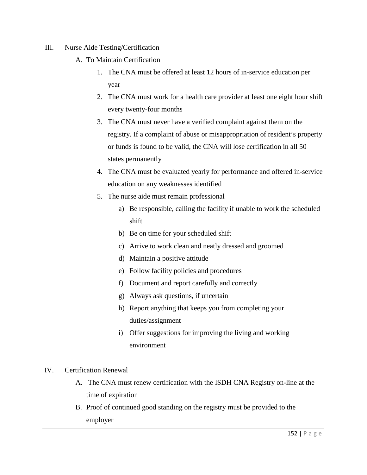- III. Nurse Aide Testing/Certification
	- A. To Maintain Certification
		- 1. The CNA must be offered at least 12 hours of in-service education per year
		- 2. The CNA must work for a health care provider at least one eight hour shift every twenty-four months
		- 3. The CNA must never have a verified complaint against them on the registry. If a complaint of abuse or misappropriation of resident's property or funds is found to be valid, the CNA will lose certification in all 50 states permanently
		- 4. The CNA must be evaluated yearly for performance and offered in-service education on any weaknesses identified
		- 5. The nurse aide must remain professional
			- a) Be responsible, calling the facility if unable to work the scheduled shift
			- b) Be on time for your scheduled shift
			- c) Arrive to work clean and neatly dressed and groomed
			- d) Maintain a positive attitude
			- e) Follow facility policies and procedures
			- f) Document and report carefully and correctly
			- g) Always ask questions, if uncertain
			- h) Report anything that keeps you from completing your duties/assignment
			- i) Offer suggestions for improving the living and working environment
- IV. Certification Renewal
	- A. The CNA must renew certification with the ISDH CNA Registry on-line at the time of expiration
	- B. Proof of continued good standing on the registry must be provided to the employer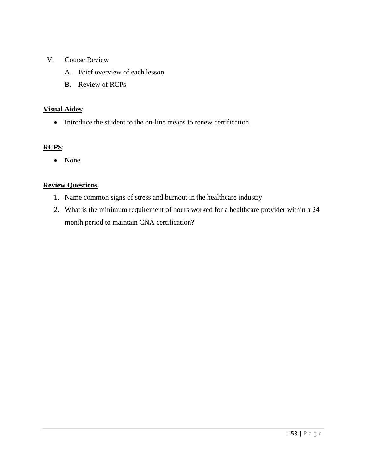- V. Course Review
	- A. Brief overview of each lesson
	- B. Review of RCPs

#### **Visual Aides**:

• Introduce the student to the on-line means to renew certification

# **RCPS**:

• None

#### **Review Questions**

- 1. Name common signs of stress and burnout in the healthcare industry
- 2. What is the minimum requirement of hours worked for a healthcare provider within a 24 month period to maintain CNA certification?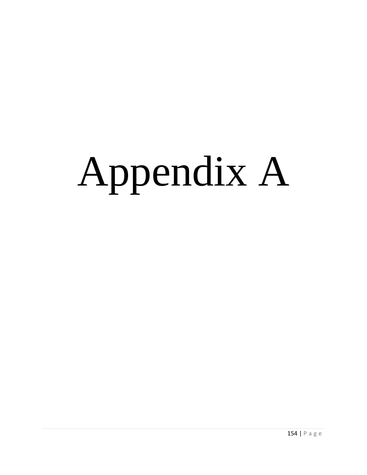# Appendix A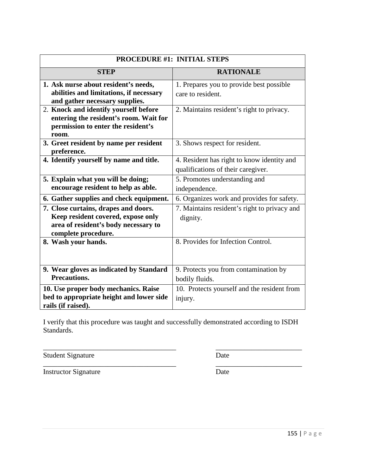| PROCEDURE #1: INITIAL STEPS              |                                              |
|------------------------------------------|----------------------------------------------|
| <b>STEP</b>                              | <b>RATIONALE</b>                             |
| 1. Ask nurse about resident's needs,     | 1. Prepares you to provide best possible     |
| abilities and limitations, if necessary  | care to resident.                            |
| and gather necessary supplies.           |                                              |
| 2. Knock and identify yourself before    | 2. Maintains resident's right to privacy.    |
| entering the resident's room. Wait for   |                                              |
| permission to enter the resident's       |                                              |
| room.                                    |                                              |
| 3. Greet resident by name per resident   | 3. Shows respect for resident.               |
| preference.                              |                                              |
| 4. Identify yourself by name and title.  | 4. Resident has right to know identity and   |
|                                          | qualifications of their caregiver.           |
| 5. Explain what you will be doing;       | 5. Promotes understanding and                |
| encourage resident to help as able.      | independence.                                |
| 6. Gather supplies and check equipment.  | 6. Organizes work and provides for safety.   |
| 7. Close curtains, drapes and doors.     | 7. Maintains resident's right to privacy and |
| Keep resident covered, expose only       | dignity.                                     |
| area of resident's body necessary to     |                                              |
| complete procedure.                      |                                              |
| 8. Wash your hands.                      | 8. Provides for Infection Control.           |
|                                          |                                              |
|                                          |                                              |
| 9. Wear gloves as indicated by Standard  | 9. Protects you from contamination by        |
| <b>Precautions.</b>                      | bodily fluids.                               |
| 10. Use proper body mechanics. Raise     | 10. Protects yourself and the resident from  |
| bed to appropriate height and lower side | injury.                                      |
| rails (if raised).                       |                                              |

\_\_\_\_\_\_\_\_\_\_\_\_\_\_\_\_\_\_\_\_\_\_\_\_\_\_\_\_\_\_\_\_\_\_\_\_\_ \_\_\_\_\_\_\_\_\_\_\_\_\_\_\_\_\_\_\_\_\_\_\_\_ Student Signature Date

Instructor Signature Date

\_\_\_\_\_\_\_\_\_\_\_\_\_\_\_\_\_\_\_\_\_\_\_\_\_\_\_\_\_\_\_\_\_\_\_\_\_ \_\_\_\_\_\_\_\_\_\_\_\_\_\_\_\_\_\_\_\_\_\_\_\_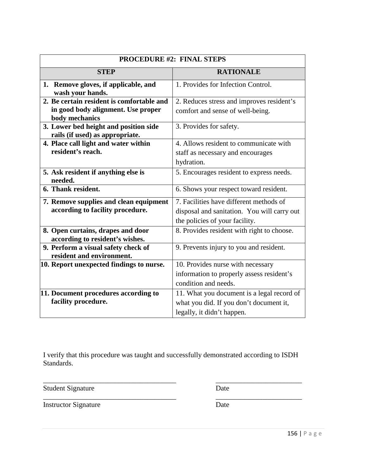| <b>PROCEDURE #2: FINAL STEPS</b>                                         |                                             |
|--------------------------------------------------------------------------|---------------------------------------------|
| <b>STEP</b>                                                              | <b>RATIONALE</b>                            |
| 1. Remove gloves, if applicable, and<br>wash your hands.                 | 1. Provides for Infection Control.          |
| 2. Be certain resident is comfortable and                                | 2. Reduces stress and improves resident's   |
| in good body alignment. Use proper<br>body mechanics                     | comfort and sense of well-being.            |
| 3. Lower bed height and position side<br>rails (if used) as appropriate. | 3. Provides for safety.                     |
| 4. Place call light and water within                                     | 4. Allows resident to communicate with      |
| resident's reach.                                                        | staff as necessary and encourages           |
|                                                                          | hydration.                                  |
| 5. Ask resident if anything else is<br>needed.                           | 5. Encourages resident to express needs.    |
| 6. Thank resident.                                                       | 6. Shows your respect toward resident.      |
| 7. Remove supplies and clean equipment                                   | 7. Facilities have different methods of     |
| according to facility procedure.                                         | disposal and sanitation. You will carry out |
|                                                                          | the policies of your facility.              |
| 8. Open curtains, drapes and door                                        | 8. Provides resident with right to choose.  |
| according to resident's wishes.                                          |                                             |
| 9. Perform a visual safety check of                                      | 9. Prevents injury to you and resident.     |
| resident and environment.                                                |                                             |
| 10. Report unexpected findings to nurse.                                 | 10. Provides nurse with necessary           |
|                                                                          | information to properly assess resident's   |
|                                                                          | condition and needs.                        |
| 11. Document procedures according to                                     | 11. What you document is a legal record of  |
| facility procedure.                                                      | what you did. If you don't document it,     |
|                                                                          | legally, it didn't happen.                  |

\_\_\_\_\_\_\_\_\_\_\_\_\_\_\_\_\_\_\_\_\_\_\_\_\_\_\_\_\_\_\_\_\_\_\_\_\_ \_\_\_\_\_\_\_\_\_\_\_\_\_\_\_\_\_\_\_\_\_\_\_\_

Student Signature Date

\_\_\_\_\_\_\_\_\_\_\_\_\_\_\_\_\_\_\_\_\_\_\_\_\_\_\_\_\_\_\_\_\_\_\_\_\_ \_\_\_\_\_\_\_\_\_\_\_\_\_\_\_\_\_\_\_\_\_\_\_\_ Instructor Signature Date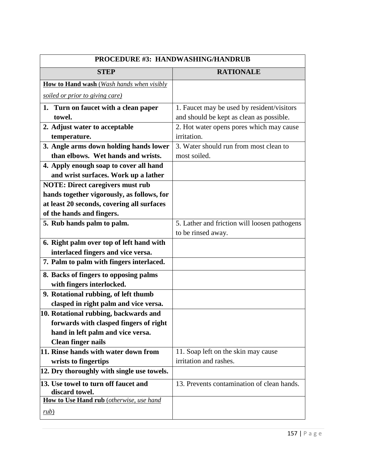| <b>PROCEDURE #3: HANDWASHING/HANDRUB</b>               |                                              |
|--------------------------------------------------------|----------------------------------------------|
| <b>STEP</b>                                            | <b>RATIONALE</b>                             |
| How to Hand wash (Wash hands when visibly              |                                              |
| soiled or prior to giving care)                        |                                              |
| 1. Turn on faucet with a clean paper                   | 1. Faucet may be used by resident/visitors   |
| towel.                                                 | and should be kept as clean as possible.     |
| 2. Adjust water to acceptable                          | 2. Hot water opens pores which may cause     |
| temperature.                                           | irritation.                                  |
| 3. Angle arms down holding hands lower                 | 3. Water should run from most clean to       |
| than elbows. Wet hands and wrists.                     | most soiled.                                 |
| 4. Apply enough soap to cover all hand                 |                                              |
| and wrist surfaces. Work up a lather                   |                                              |
| <b>NOTE: Direct caregivers must rub</b>                |                                              |
| hands together vigorously, as follows, for             |                                              |
| at least 20 seconds, covering all surfaces             |                                              |
| of the hands and fingers.                              |                                              |
| 5. Rub hands palm to palm.                             | 5. Lather and friction will loosen pathogens |
|                                                        | to be rinsed away.                           |
| 6. Right palm over top of left hand with               |                                              |
| interlaced fingers and vice versa.                     |                                              |
| 7. Palm to palm with fingers interlaced.               |                                              |
| 8. Backs of fingers to opposing palms                  |                                              |
| with fingers interlocked.                              |                                              |
| 9. Rotational rubbing, of left thumb                   |                                              |
| clasped in right palm and vice versa.                  |                                              |
| 10. Rotational rubbing, backwards and                  |                                              |
| forwards with clasped fingers of right                 |                                              |
| hand in left palm and vice versa.                      |                                              |
| <b>Clean finger nails</b>                              |                                              |
| 11. Rinse hands with water down from                   | 11. Soap left on the skin may cause          |
| wrists to fingertips                                   | irritation and rashes.                       |
| 12. Dry thoroughly with single use towels.             |                                              |
| 13. Use towel to turn off faucet and<br>discard towel. | 13. Prevents contamination of clean hands.   |
| How to Use Hand rub (otherwise, use hand               |                                              |
| rule)                                                  |                                              |
|                                                        |                                              |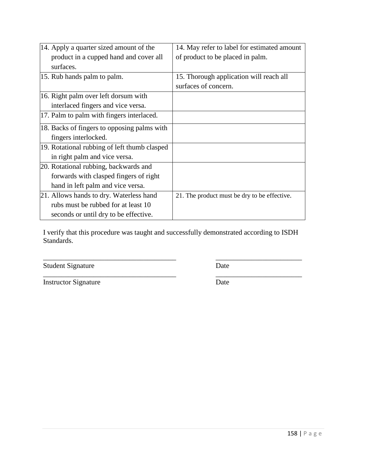| 14. Apply a quarter sized amount of the      | 14. May refer to label for estimated amount  |
|----------------------------------------------|----------------------------------------------|
| product in a cupped hand and cover all       | of product to be placed in palm.             |
| surfaces.                                    |                                              |
| 15. Rub hands palm to palm.                  | 15. Thorough application will reach all      |
|                                              | surfaces of concern.                         |
| 16. Right palm over left dorsum with         |                                              |
| interlaced fingers and vice versa.           |                                              |
| 17. Palm to palm with fingers interlaced.    |                                              |
| 18. Backs of fingers to opposing palms with  |                                              |
| fingers interlocked.                         |                                              |
| 19. Rotational rubbing of left thumb clasped |                                              |
| in right palm and vice versa.                |                                              |
| 20. Rotational rubbing, backwards and        |                                              |
| forwards with clasped fingers of right       |                                              |
| hand in left palm and vice versa.            |                                              |
| 21. Allows hands to dry. Waterless hand      | 21. The product must be dry to be effective. |
| rubs must be rubbed for at least 10          |                                              |
| seconds or until dry to be effective.        |                                              |

\_\_\_\_\_\_\_\_\_\_\_\_\_\_\_\_\_\_\_\_\_\_\_\_\_\_\_\_\_\_\_\_\_\_\_\_\_ \_\_\_\_\_\_\_\_\_\_\_\_\_\_\_\_\_\_\_\_\_\_\_\_

Student Signature Date

\_\_\_\_\_\_\_\_\_\_\_\_\_\_\_\_\_\_\_\_\_\_\_\_\_\_\_\_\_\_\_\_\_\_\_\_\_ \_\_\_\_\_\_\_\_\_\_\_\_\_\_\_\_\_\_\_\_\_\_\_\_

Instructor Signature Date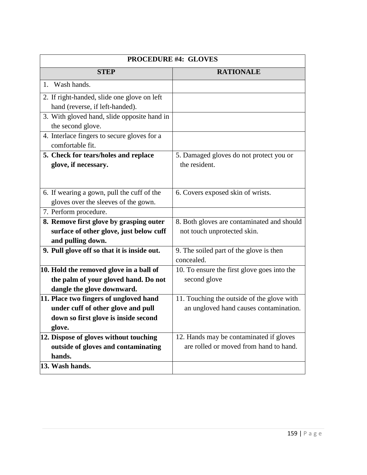| <b>PROCEDURE #4: GLOVES</b>                                                                                                    |                                                                                      |
|--------------------------------------------------------------------------------------------------------------------------------|--------------------------------------------------------------------------------------|
| <b>STEP</b>                                                                                                                    | <b>RATIONALE</b>                                                                     |
| Wash hands.<br>$1_{-}$                                                                                                         |                                                                                      |
| 2. If right-handed, slide one glove on left<br>hand (reverse, if left-handed).                                                 |                                                                                      |
| 3. With gloved hand, slide opposite hand in<br>the second glove.                                                               |                                                                                      |
| 4. Interlace fingers to secure gloves for a<br>comfortable fit.                                                                |                                                                                      |
| 5. Check for tears/holes and replace<br>glove, if necessary.                                                                   | 5. Damaged gloves do not protect you or<br>the resident.                             |
| 6. If wearing a gown, pull the cuff of the<br>gloves over the sleeves of the gown.                                             | 6. Covers exposed skin of wrists.                                                    |
| 7. Perform procedure.                                                                                                          |                                                                                      |
| 8. Remove first glove by grasping outer<br>surface of other glove, just below cuff<br>and pulling down.                        | 8. Both gloves are contaminated and should<br>not touch unprotected skin.            |
| 9. Pull glove off so that it is inside out.                                                                                    | 9. The soiled part of the glove is then<br>concealed.                                |
| 10. Hold the removed glove in a ball of<br>the palm of your gloved hand. Do not<br>dangle the glove downward.                  | 10. To ensure the first glove goes into the<br>second glove                          |
| 11. Place two fingers of ungloved hand<br>under cuff of other glove and pull<br>down so first glove is inside second<br>glove. | 11. Touching the outside of the glove with<br>an ungloved hand causes contamination. |
| 12. Dispose of gloves without touching<br>outside of gloves and contaminating<br>hands.<br>13. Wash hands.                     | 12. Hands may be contaminated if gloves<br>are rolled or moved from hand to hand.    |
|                                                                                                                                |                                                                                      |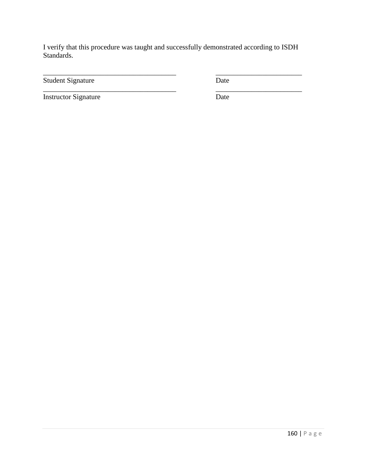\_\_\_\_\_\_\_\_\_\_\_\_\_\_\_\_\_\_\_\_\_\_\_\_\_\_\_\_\_\_\_\_\_\_\_\_\_ \_\_\_\_\_\_\_\_\_\_\_\_\_\_\_\_\_\_\_\_\_\_\_\_

\_\_\_\_\_\_\_\_\_\_\_\_\_\_\_\_\_\_\_\_\_\_\_\_\_\_\_\_\_\_\_\_\_\_\_\_\_ \_\_\_\_\_\_\_\_\_\_\_\_\_\_\_\_\_\_\_\_\_\_\_\_

Student Signature Date

Instructor Signature Date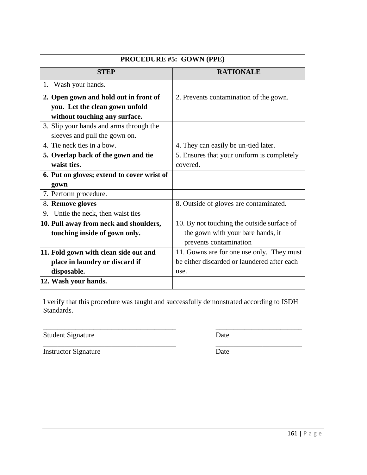| PROCEDURE #5: GOWN (PPE)                   |                                             |
|--------------------------------------------|---------------------------------------------|
| <b>STEP</b>                                | <b>RATIONALE</b>                            |
| Wash your hands.<br>1.                     |                                             |
| 2. Open gown and hold out in front of      | 2. Prevents contamination of the gown.      |
| you. Let the clean gown unfold             |                                             |
| without touching any surface.              |                                             |
| 3. Slip your hands and arms through the    |                                             |
| sleeves and pull the gown on.              |                                             |
| 4. Tie neck ties in a bow.                 | 4. They can easily be un-tied later.        |
| 5. Overlap back of the gown and tie        | 5. Ensures that your uniform is completely  |
| waist ties.                                | covered.                                    |
| 6. Put on gloves; extend to cover wrist of |                                             |
| gown                                       |                                             |
| 7. Perform procedure.                      |                                             |
| 8. Remove gloves                           | 8. Outside of gloves are contaminated.      |
| Untie the neck, then waist ties<br>9.      |                                             |
| 10. Pull away from neck and shoulders,     | 10. By not touching the outside surface of  |
| touching inside of gown only.              | the gown with your bare hands, it           |
|                                            | prevents contamination                      |
| 11. Fold gown with clean side out and      | 11. Gowns are for one use only. They must   |
| place in laundry or discard if             | be either discarded or laundered after each |
| disposable.                                | use.                                        |
| 12. Wash your hands.                       |                                             |

Student Signature Date

\_\_\_\_\_\_\_\_\_\_\_\_\_\_\_\_\_\_\_\_\_\_\_\_\_\_\_\_\_\_\_\_\_\_\_\_\_ \_\_\_\_\_\_\_\_\_\_\_\_\_\_\_\_\_\_\_\_\_\_\_\_

\_\_\_\_\_\_\_\_\_\_\_\_\_\_\_\_\_\_\_\_\_\_\_\_\_\_\_\_\_\_\_\_\_\_\_\_\_ \_\_\_\_\_\_\_\_\_\_\_\_\_\_\_\_\_\_\_\_\_\_\_\_ Instructor Signature Date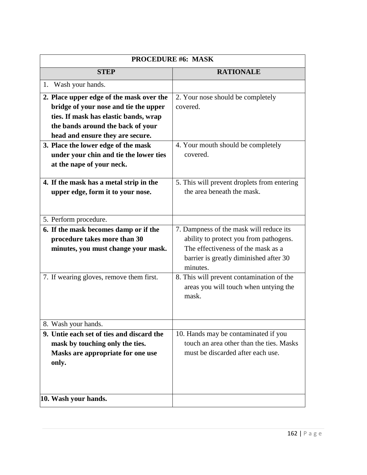| <b>PROCEDURE #6: MASK</b>                                                                                                                                                                           |                                                                                                                                                                               |
|-----------------------------------------------------------------------------------------------------------------------------------------------------------------------------------------------------|-------------------------------------------------------------------------------------------------------------------------------------------------------------------------------|
| <b>STEP</b>                                                                                                                                                                                         | <b>RATIONALE</b>                                                                                                                                                              |
| Wash your hands.<br>1.                                                                                                                                                                              |                                                                                                                                                                               |
| 2. Place upper edge of the mask over the<br>bridge of your nose and tie the upper<br>ties. If mask has elastic bands, wrap<br>the bands around the back of your<br>head and ensure they are secure. | 2. Your nose should be completely<br>covered.                                                                                                                                 |
| 3. Place the lower edge of the mask<br>under your chin and tie the lower ties<br>at the nape of your neck.                                                                                          | 4. Your mouth should be completely<br>covered.                                                                                                                                |
| 4. If the mask has a metal strip in the<br>upper edge, form it to your nose.                                                                                                                        | 5. This will prevent droplets from entering<br>the area beneath the mask.                                                                                                     |
| 5. Perform procedure.                                                                                                                                                                               |                                                                                                                                                                               |
| 6. If the mask becomes damp or if the<br>procedure takes more than 30<br>minutes, you must change your mask.                                                                                        | 7. Dampness of the mask will reduce its<br>ability to protect you from pathogens.<br>The effectiveness of the mask as a<br>barrier is greatly diminished after 30<br>minutes. |
| 7. If wearing gloves, remove them first.                                                                                                                                                            | 8. This will prevent contamination of the<br>areas you will touch when untying the<br>mask.                                                                                   |
| 8. Wash your hands.                                                                                                                                                                                 |                                                                                                                                                                               |
| 9. Untie each set of ties and discard the<br>mask by touching only the ties.<br>Masks are appropriate for one use<br>only.                                                                          | 10. Hands may be contaminated if you<br>touch an area other than the ties. Masks<br>must be discarded after each use.                                                         |
| 10. Wash your hands.                                                                                                                                                                                |                                                                                                                                                                               |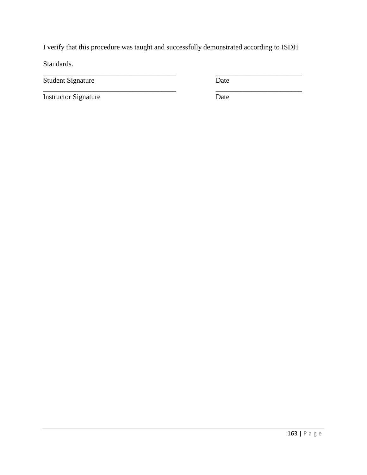\_\_\_\_\_\_\_\_\_\_\_\_\_\_\_\_\_\_\_\_\_\_\_\_\_\_\_\_\_\_\_\_\_\_\_\_\_ \_\_\_\_\_\_\_\_\_\_\_\_\_\_\_\_\_\_\_\_\_\_\_\_

\_\_\_\_\_\_\_\_\_\_\_\_\_\_\_\_\_\_\_\_\_\_\_\_\_\_\_\_\_\_\_\_\_\_\_\_\_ \_\_\_\_\_\_\_\_\_\_\_\_\_\_\_\_\_\_\_\_\_\_\_\_

Standards.

Student Signature Date

Instructor Signature Date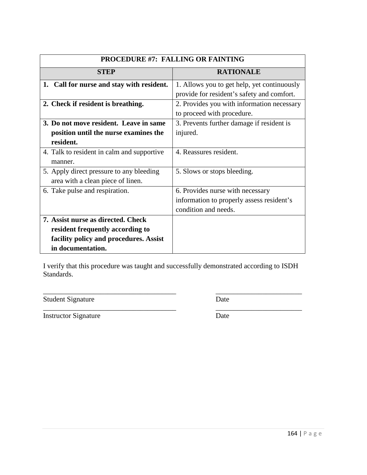| PROCEDURE #7: FALLING OR FAINTING          |                                             |
|--------------------------------------------|---------------------------------------------|
| STEP                                       | <b>RATIONALE</b>                            |
| 1. Call for nurse and stay with resident.  | 1. Allows you to get help, yet continuously |
|                                            | provide for resident's safety and comfort.  |
| 2. Check if resident is breathing.         | 2. Provides you with information necessary  |
|                                            | to proceed with procedure.                  |
| 3. Do not move resident. Leave in same     | 3. Prevents further damage if resident is   |
| position until the nurse examines the      | injured.                                    |
| resident.                                  |                                             |
| 4. Talk to resident in calm and supportive | 4. Reassures resident.                      |
| manner.                                    |                                             |
| 5. Apply direct pressure to any bleeding   | 5. Slows or stops bleeding.                 |
| area with a clean piece of linen.          |                                             |
| 6. Take pulse and respiration.             | 6. Provides nurse with necessary            |
|                                            | information to properly assess resident's   |
|                                            | condition and needs.                        |
| 7. Assist nurse as directed. Check         |                                             |
| resident frequently according to           |                                             |
| facility policy and procedures. Assist     |                                             |
| in documentation.                          |                                             |

Student Signature Date

\_\_\_\_\_\_\_\_\_\_\_\_\_\_\_\_\_\_\_\_\_\_\_\_\_\_\_\_\_\_\_\_\_\_\_\_\_ \_\_\_\_\_\_\_\_\_\_\_\_\_\_\_\_\_\_\_\_\_\_\_\_

\_\_\_\_\_\_\_\_\_\_\_\_\_\_\_\_\_\_\_\_\_\_\_\_\_\_\_\_\_\_\_\_\_\_\_\_\_ \_\_\_\_\_\_\_\_\_\_\_\_\_\_\_\_\_\_\_\_\_\_\_\_ Instructor Signature Date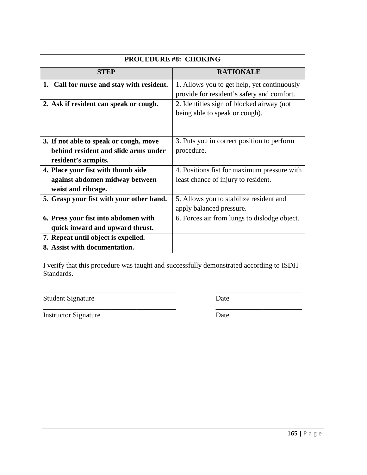| <b>PROCEDURE #8: CHOKING</b>              |                                              |
|-------------------------------------------|----------------------------------------------|
| <b>STEP</b>                               | <b>RATIONALE</b>                             |
| 1. Call for nurse and stay with resident. | 1. Allows you to get help, yet continuously  |
|                                           | provide for resident's safety and comfort.   |
| 2. Ask if resident can speak or cough.    | 2. Identifies sign of blocked airway (not    |
|                                           | being able to speak or cough).               |
|                                           |                                              |
|                                           |                                              |
| 3. If not able to speak or cough, move    | 3. Puts you in correct position to perform   |
| behind resident and slide arms under      | procedure.                                   |
| resident's armpits.                       |                                              |
| 4. Place your fist with thumb side        | 4. Positions fist for maximum pressure with  |
| against abdomen midway between            | least chance of injury to resident.          |
| waist and ribcage.                        |                                              |
| 5. Grasp your fist with your other hand.  | 5. Allows you to stabilize resident and      |
|                                           | apply balanced pressure.                     |
| 6. Press your fist into abdomen with      | 6. Forces air from lungs to dislodge object. |
| quick inward and upward thrust.           |                                              |
| 7. Repeat until object is expelled.       |                                              |
| 8. Assist with documentation.             |                                              |

\_\_\_\_\_\_\_\_\_\_\_\_\_\_\_\_\_\_\_\_\_\_\_\_\_\_\_\_\_\_\_\_\_\_\_\_\_ \_\_\_\_\_\_\_\_\_\_\_\_\_\_\_\_\_\_\_\_\_\_\_\_

\_\_\_\_\_\_\_\_\_\_\_\_\_\_\_\_\_\_\_\_\_\_\_\_\_\_\_\_\_\_\_\_\_\_\_\_\_ \_\_\_\_\_\_\_\_\_\_\_\_\_\_\_\_\_\_\_\_\_\_\_\_

Student Signature Date

Instructor Signature Date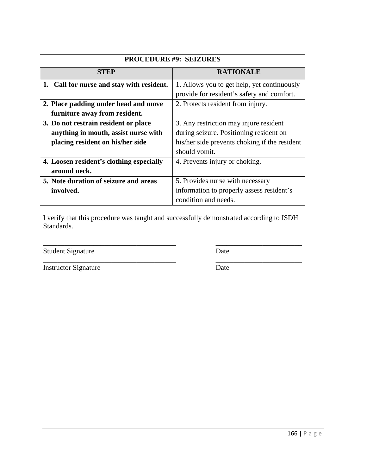| <b>PROCEDURE #9: SEIZURES</b>             |                                               |
|-------------------------------------------|-----------------------------------------------|
| <b>STEP</b>                               | <b>RATIONALE</b>                              |
| 1. Call for nurse and stay with resident. | 1. Allows you to get help, yet continuously   |
|                                           | provide for resident's safety and comfort.    |
| 2. Place padding under head and move      | 2. Protects resident from injury.             |
| furniture away from resident.             |                                               |
| 3. Do not restrain resident or place      | 3. Any restriction may injure resident        |
| anything in mouth, assist nurse with      | during seizure. Positioning resident on       |
| placing resident on his/her side          | his/her side prevents choking if the resident |
|                                           | should vomit.                                 |
| 4. Loosen resident's clothing especially  | 4. Prevents injury or choking.                |
| around neck.                              |                                               |
| 5. Note duration of seizure and areas     | 5. Provides nurse with necessary              |
| involved.                                 | information to properly assess resident's     |
|                                           | condition and needs.                          |

\_\_\_\_\_\_\_\_\_\_\_\_\_\_\_\_\_\_\_\_\_\_\_\_\_\_\_\_\_\_\_\_\_\_\_\_\_ \_\_\_\_\_\_\_\_\_\_\_\_\_\_\_\_\_\_\_\_\_\_\_\_

Student Signature Date

Instructor Signature Date

\_\_\_\_\_\_\_\_\_\_\_\_\_\_\_\_\_\_\_\_\_\_\_\_\_\_\_\_\_\_\_\_\_\_\_\_\_ \_\_\_\_\_\_\_\_\_\_\_\_\_\_\_\_\_\_\_\_\_\_\_\_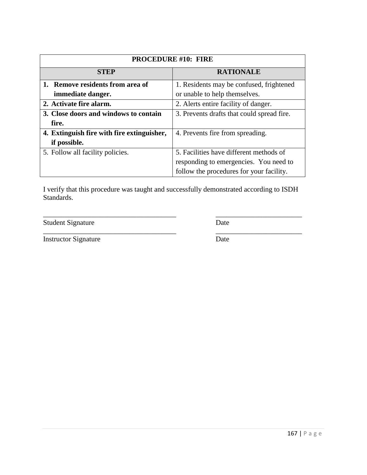| <b>PROCEDURE #10: FIRE</b>                 |                                            |
|--------------------------------------------|--------------------------------------------|
| <b>STEP</b>                                | <b>RATIONALE</b>                           |
| 1. Remove residents from area of           | 1. Residents may be confused, frightened   |
| immediate danger.                          | or unable to help themselves.              |
| 2. Activate fire alarm.                    | 2. Alerts entire facility of danger.       |
| 3. Close doors and windows to contain      | 3. Prevents drafts that could spread fire. |
| fire.                                      |                                            |
| 4. Extinguish fire with fire extinguisher, | 4. Prevents fire from spreading.           |
| if possible.                               |                                            |
| 5. Follow all facility policies.           | 5. Facilities have different methods of    |
|                                            | responding to emergencies. You need to     |
|                                            | follow the procedures for your facility.   |

\_\_\_\_\_\_\_\_\_\_\_\_\_\_\_\_\_\_\_\_\_\_\_\_\_\_\_\_\_\_\_\_\_\_\_\_\_ \_\_\_\_\_\_\_\_\_\_\_\_\_\_\_\_\_\_\_\_\_\_\_\_

Student Signature Date

Instructor Signature Date

\_\_\_\_\_\_\_\_\_\_\_\_\_\_\_\_\_\_\_\_\_\_\_\_\_\_\_\_\_\_\_\_\_\_\_\_\_ \_\_\_\_\_\_\_\_\_\_\_\_\_\_\_\_\_\_\_\_\_\_\_\_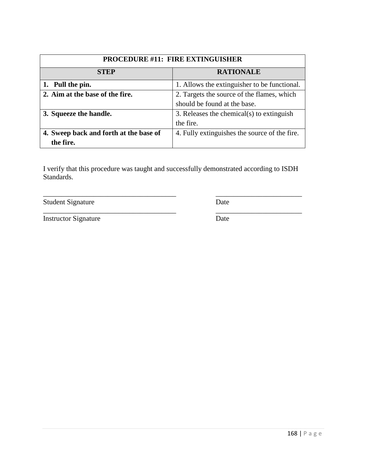| PROCEDURE #11: FIRE EXTINGUISHER       |                                               |
|----------------------------------------|-----------------------------------------------|
| <b>STEP</b>                            | <b>RATIONALE</b>                              |
| 1. Pull the pin.                       | 1. Allows the extinguisher to be functional.  |
| 2. Aim at the base of the fire.        | 2. Targets the source of the flames, which    |
|                                        | should be found at the base.                  |
| 3. Squeeze the handle.                 | 3. Releases the chemical(s) to extinguish     |
|                                        | the fire.                                     |
| 4. Sweep back and forth at the base of | 4. Fully extinguishes the source of the fire. |
| the fire.                              |                                               |

\_\_\_\_\_\_\_\_\_\_\_\_\_\_\_\_\_\_\_\_\_\_\_\_\_\_\_\_\_\_\_\_\_\_\_\_\_ \_\_\_\_\_\_\_\_\_\_\_\_\_\_\_\_\_\_\_\_\_\_\_\_

Student Signature Date

\_\_\_\_\_\_\_\_\_\_\_\_\_\_\_\_\_\_\_\_\_\_\_\_\_\_\_\_\_\_\_\_\_\_\_\_\_ \_\_\_\_\_\_\_\_\_\_\_\_\_\_\_\_\_\_\_\_\_\_\_\_

Instructor Signature Date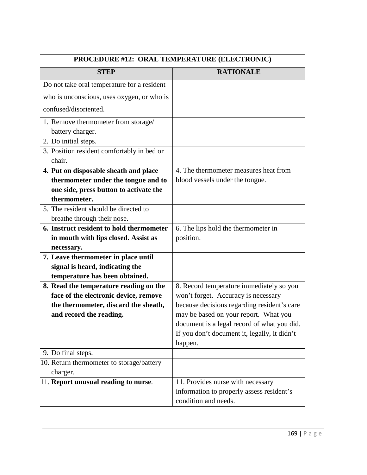| PROCEDURE #12: ORAL TEMPERATURE (ELECTRONIC) |                                              |
|----------------------------------------------|----------------------------------------------|
| <b>STEP</b>                                  | <b>RATIONALE</b>                             |
| Do not take oral temperature for a resident  |                                              |
| who is unconscious, uses oxygen, or who is   |                                              |
| confused/disoriented.                        |                                              |
| 1. Remove thermometer from storage/          |                                              |
| battery charger.                             |                                              |
| 2. Do initial steps.                         |                                              |
| 3. Position resident comfortably in bed or   |                                              |
| chair.                                       |                                              |
| 4. Put on disposable sheath and place        | 4. The thermometer measures heat from        |
| thermometer under the tongue and to          | blood vessels under the tongue.              |
| one side, press button to activate the       |                                              |
| thermometer.                                 |                                              |
| 5. The resident should be directed to        |                                              |
| breathe through their nose.                  |                                              |
| 6. Instruct resident to hold thermometer     | 6. The lips hold the thermometer in          |
| in mouth with lips closed. Assist as         | position.                                    |
| necessary.                                   |                                              |
| 7. Leave thermometer in place until          |                                              |
| signal is heard, indicating the              |                                              |
| temperature has been obtained.               |                                              |
| 8. Read the temperature reading on the       | 8. Record temperature immediately so you     |
| face of the electronic device, remove        | won't forget. Accuracy is necessary          |
| the thermometer, discard the sheath,         | because decisions regarding resident's care  |
| and record the reading.                      | may be based on your report. What you        |
|                                              | document is a legal record of what you did.  |
|                                              | If you don't document it, legally, it didn't |
|                                              | happen.                                      |
| 9. Do final steps.                           |                                              |
| 10. Return thermometer to storage/battery    |                                              |
| charger.                                     |                                              |
| 11. Report unusual reading to nurse.         | 11. Provides nurse with necessary            |
|                                              | information to properly assess resident's    |
|                                              | condition and needs.                         |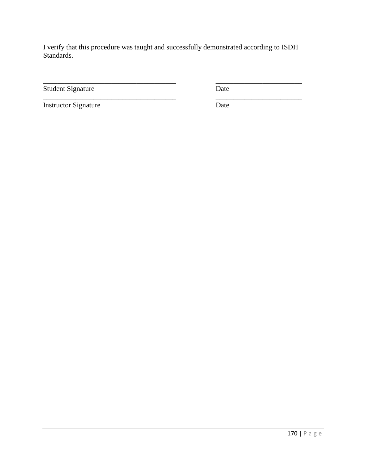\_\_\_\_\_\_\_\_\_\_\_\_\_\_\_\_\_\_\_\_\_\_\_\_\_\_\_\_\_\_\_\_\_\_\_\_\_ \_\_\_\_\_\_\_\_\_\_\_\_\_\_\_\_\_\_\_\_\_\_\_\_

Student Signature Date

Instructor Signature Date

\_\_\_\_\_\_\_\_\_\_\_\_\_\_\_\_\_\_\_\_\_\_\_\_\_\_\_\_\_\_\_\_\_\_\_\_\_ \_\_\_\_\_\_\_\_\_\_\_\_\_\_\_\_\_\_\_\_\_\_\_\_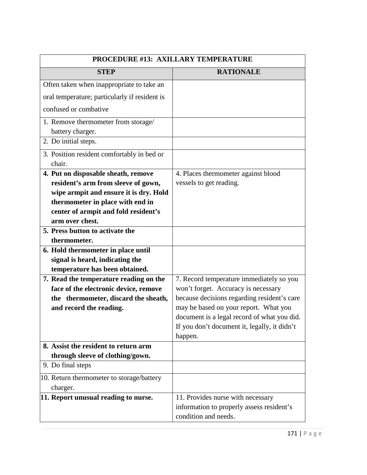| PROCEDURE #13: AXILLARY TEMPERATURE                                             |                                                                                                        |
|---------------------------------------------------------------------------------|--------------------------------------------------------------------------------------------------------|
| <b>STEP</b>                                                                     | <b>RATIONALE</b>                                                                                       |
| Often taken when inappropriate to take an                                       |                                                                                                        |
| oral temperature; particularly if resident is                                   |                                                                                                        |
| confused or combative                                                           |                                                                                                        |
| 1. Remove thermometer from storage/<br>battery charger.                         |                                                                                                        |
| 2. Do initial steps.                                                            |                                                                                                        |
| 3. Position resident comfortably in bed or<br>chair.                            |                                                                                                        |
| 4. Put on disposable sheath, remove                                             | 4. Places thermometer against blood                                                                    |
| resident's arm from sleeve of gown,                                             | vessels to get reading.                                                                                |
| wipe armpit and ensure it is dry. Hold                                          |                                                                                                        |
| thermometer in place with end in                                                |                                                                                                        |
| center of armpit and fold resident's                                            |                                                                                                        |
| arm over chest.                                                                 |                                                                                                        |
| 5. Press button to activate the                                                 |                                                                                                        |
| thermometer.                                                                    |                                                                                                        |
| 6. Hold thermometer in place until                                              |                                                                                                        |
| signal is heard, indicating the                                                 |                                                                                                        |
| temperature has been obtained.                                                  |                                                                                                        |
| 7. Read the temperature reading on the<br>face of the electronic device, remove | 7. Record temperature immediately so you<br>won't forget. Accuracy is necessary                        |
| the thermometer, discard the sheath,                                            | because decisions regarding resident's care                                                            |
| and record the reading.                                                         | may be based on your report. What you                                                                  |
|                                                                                 | document is a legal record of what you did.                                                            |
|                                                                                 | If you don't document it, legally, it didn't                                                           |
|                                                                                 | happen.                                                                                                |
| 8. Assist the resident to return arm                                            |                                                                                                        |
| through sleeve of clothing/gown.                                                |                                                                                                        |
| 9. Do final steps                                                               |                                                                                                        |
| 10. Return thermometer to storage/battery<br>charger.                           |                                                                                                        |
| 11. Report unusual reading to nurse.                                            | 11. Provides nurse with necessary<br>information to properly assess resident's<br>condition and needs. |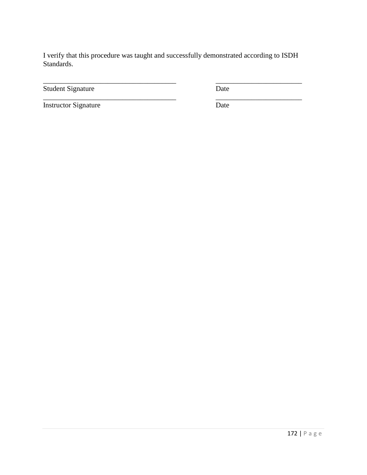\_\_\_\_\_\_\_\_\_\_\_\_\_\_\_\_\_\_\_\_\_\_\_\_\_\_\_\_\_\_\_\_\_\_\_\_\_ \_\_\_\_\_\_\_\_\_\_\_\_\_\_\_\_\_\_\_\_\_\_\_\_

Student Signature Date

Instructor Signature Date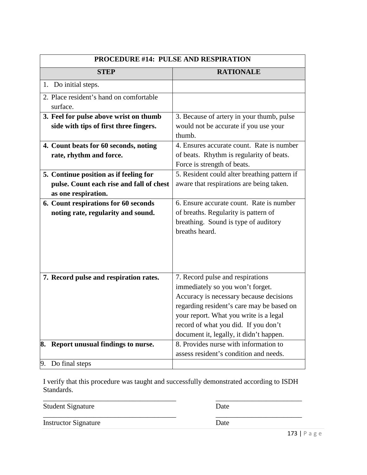| <b>PROCEDURE #14: PULSE AND RESPIRATION</b>                                                               |                                                                                                                                                                                                                                                                                           |
|-----------------------------------------------------------------------------------------------------------|-------------------------------------------------------------------------------------------------------------------------------------------------------------------------------------------------------------------------------------------------------------------------------------------|
| <b>STEP</b>                                                                                               | <b>RATIONALE</b>                                                                                                                                                                                                                                                                          |
| 1. Do initial steps.                                                                                      |                                                                                                                                                                                                                                                                                           |
| 2. Place resident's hand on comfortable<br>surface.                                                       |                                                                                                                                                                                                                                                                                           |
| 3. Feel for pulse above wrist on thumb<br>side with tips of first three fingers.                          | 3. Because of artery in your thumb, pulse<br>would not be accurate if you use your<br>thumb.                                                                                                                                                                                              |
| 4. Count beats for 60 seconds, noting<br>rate, rhythm and force.                                          | 4. Ensures accurate count. Rate is number<br>of beats. Rhythm is regularity of beats.<br>Force is strength of beats.                                                                                                                                                                      |
| 5. Continue position as if feeling for<br>pulse. Count each rise and fall of chest<br>as one respiration. | 5. Resident could alter breathing pattern if<br>aware that respirations are being taken.                                                                                                                                                                                                  |
| 6. Count respirations for 60 seconds<br>noting rate, regularity and sound.                                | 6. Ensure accurate count. Rate is number<br>of breaths. Regularity is pattern of<br>breathing. Sound is type of auditory<br>breaths heard.                                                                                                                                                |
| 7. Record pulse and respiration rates.                                                                    | 7. Record pulse and respirations<br>immediately so you won't forget.<br>Accuracy is necessary because decisions<br>regarding resident's care may be based on<br>your report. What you write is a legal<br>record of what you did. If you don't<br>document it, legally, it didn't happen. |
| 8. Report unusual findings to nurse.                                                                      | 8. Provides nurse with information to<br>assess resident's condition and needs.                                                                                                                                                                                                           |
| Do final steps<br>9.                                                                                      |                                                                                                                                                                                                                                                                                           |

| <b>Student Signature</b>    | Date |            |
|-----------------------------|------|------------|
| <b>Instructor Signature</b> | Date |            |
|                             |      | 172 $\Box$ |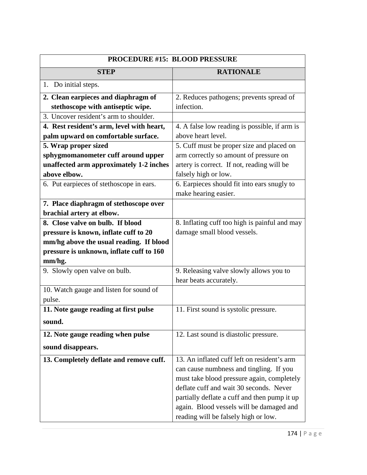| <b>PROCEDURE #15: BLOOD PRESSURE</b>      |                                               |
|-------------------------------------------|-----------------------------------------------|
| <b>STEP</b>                               | <b>RATIONALE</b>                              |
| 1. Do initial steps.                      |                                               |
| 2. Clean earpieces and diaphragm of       | 2. Reduces pathogens; prevents spread of      |
| stethoscope with antiseptic wipe.         | infection.                                    |
| 3. Uncover resident's arm to shoulder.    |                                               |
| 4. Rest resident's arm, level with heart, | 4. A false low reading is possible, if arm is |
| palm upward on comfortable surface.       | above heart level.                            |
| 5. Wrap proper sized                      | 5. Cuff must be proper size and placed on     |
| sphygmomanometer cuff around upper        | arm correctly so amount of pressure on        |
| unaffected arm approximately 1-2 inches   | artery is correct. If not, reading will be    |
| above elbow.                              | falsely high or low.                          |
| 6. Put earpieces of stethoscope in ears.  | 6. Earpieces should fit into ears snugly to   |
|                                           | make hearing easier.                          |
| 7. Place diaphragm of stethoscope over    |                                               |
| brachial artery at elbow.                 |                                               |
| 8. Close valve on bulb. If blood          | 8. Inflating cuff too high is painful and may |
| pressure is known, inflate cuff to 20     | damage small blood vessels.                   |
| mm/hg above the usual reading. If blood   |                                               |
| pressure is unknown, inflate cuff to 160  |                                               |
| mm/hg.                                    |                                               |
| 9. Slowly open valve on bulb.             | 9. Releasing valve slowly allows you to       |
|                                           | hear beats accurately.                        |
| 10. Watch gauge and listen for sound of   |                                               |
| pulse.                                    |                                               |
| 11. Note gauge reading at first pulse     | 11. First sound is systolic pressure.         |
| sound.                                    |                                               |
| 12. Note gauge reading when pulse         | 12. Last sound is diastolic pressure.         |
| sound disappears.                         |                                               |
| 13. Completely deflate and remove cuff.   | 13. An inflated cuff left on resident's arm   |
|                                           | can cause numbness and tingling. If you       |
|                                           | must take blood pressure again, completely    |
|                                           | deflate cuff and wait 30 seconds. Never       |
|                                           | partially deflate a cuff and then pump it up  |
|                                           | again. Blood vessels will be damaged and      |
|                                           | reading will be falsely high or low.          |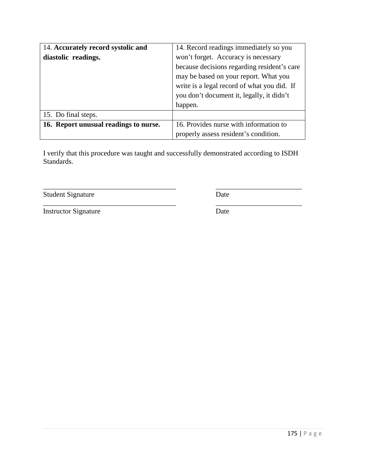| 14. Accurately record systolic and    | 14. Record readings immediately so you      |
|---------------------------------------|---------------------------------------------|
| diastolic readings.                   | won't forget. Accuracy is necessary         |
|                                       | because decisions regarding resident's care |
|                                       | may be based on your report. What you       |
|                                       | write is a legal record of what you did. If |
|                                       | you don't document it, legally, it didn't   |
|                                       | happen.                                     |
| 15. Do final steps.                   |                                             |
| 16. Report unusual readings to nurse. | 16. Provides nurse with information to      |
|                                       | properly assess resident's condition.       |

\_\_\_\_\_\_\_\_\_\_\_\_\_\_\_\_\_\_\_\_\_\_\_\_\_\_\_\_\_\_\_\_\_\_\_\_\_ \_\_\_\_\_\_\_\_\_\_\_\_\_\_\_\_\_\_\_\_\_\_\_\_

Student Signature Date

\_\_\_\_\_\_\_\_\_\_\_\_\_\_\_\_\_\_\_\_\_\_\_\_\_\_\_\_\_\_\_\_\_\_\_\_\_ \_\_\_\_\_\_\_\_\_\_\_\_\_\_\_\_\_\_\_\_\_\_\_\_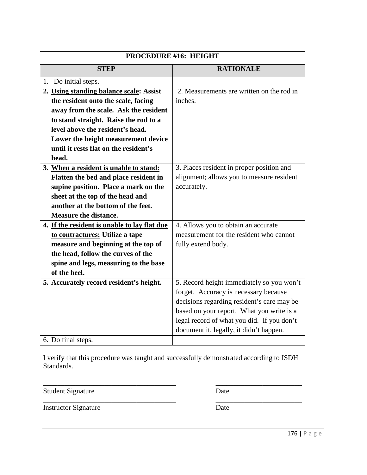| <b>PROCEDURE #16: HEIGHT</b>                 |                                            |
|----------------------------------------------|--------------------------------------------|
| <b>STEP</b>                                  | <b>RATIONALE</b>                           |
| 1. Do initial steps.                         |                                            |
| 2. Using standing balance scale: Assist      | 2. Measurements are written on the rod in  |
| the resident onto the scale, facing          | inches.                                    |
| away from the scale. Ask the resident        |                                            |
| to stand straight. Raise the rod to a        |                                            |
| level above the resident's head.             |                                            |
| Lower the height measurement device          |                                            |
| until it rests flat on the resident's        |                                            |
| head.                                        |                                            |
| 3. When a resident is unable to stand:       | 3. Places resident in proper position and  |
| Flatten the bed and place resident in        | alignment; allows you to measure resident  |
| supine position. Place a mark on the         | accurately.                                |
| sheet at the top of the head and             |                                            |
| another at the bottom of the feet.           |                                            |
| <b>Measure the distance.</b>                 |                                            |
| 4. If the resident is unable to lay flat due | 4. Allows you to obtain an accurate        |
| to contractures: Utilize a tape              | measurement for the resident who cannot    |
| measure and beginning at the top of          | fully extend body.                         |
| the head, follow the curves of the           |                                            |
| spine and legs, measuring to the base        |                                            |
| of the heel.                                 |                                            |
| 5. Accurately record resident's height.      | 5. Record height immediately so you won't  |
|                                              | forget. Accuracy is necessary because      |
|                                              | decisions regarding resident's care may be |
|                                              | based on your report. What you write is a  |
|                                              | legal record of what you did. If you don't |
|                                              | document it, legally, it didn't happen.    |
| 6. Do final steps.                           |                                            |

\_\_\_\_\_\_\_\_\_\_\_\_\_\_\_\_\_\_\_\_\_\_\_\_\_\_\_\_\_\_\_\_\_\_\_\_\_ \_\_\_\_\_\_\_\_\_\_\_\_\_\_\_\_\_\_\_\_\_\_\_\_ Student Signature Date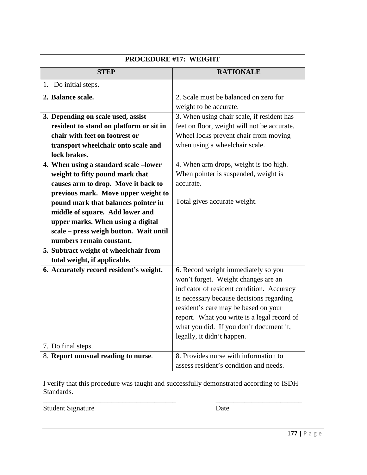| <b>PROCEDURE #17: WEIGHT</b>            |                                             |
|-----------------------------------------|---------------------------------------------|
| <b>STEP</b>                             | <b>RATIONALE</b>                            |
| 1. Do initial steps.                    |                                             |
| 2. Balance scale.                       | 2. Scale must be balanced on zero for       |
|                                         | weight to be accurate.                      |
| 3. Depending on scale used, assist      | 3. When using chair scale, if resident has  |
| resident to stand on platform or sit in | feet on floor, weight will not be accurate. |
| chair with feet on footrest or          | Wheel locks prevent chair from moving       |
| transport wheelchair onto scale and     | when using a wheelchair scale.              |
| lock brakes.                            |                                             |
| 4. When using a standard scale -lower   | 4. When arm drops, weight is too high.      |
| weight to fifty pound mark that         | When pointer is suspended, weight is        |
| causes arm to drop. Move it back to     | accurate.                                   |
| previous mark. Move upper weight to     |                                             |
| pound mark that balances pointer in     | Total gives accurate weight.                |
| middle of square. Add lower and         |                                             |
| upper marks. When using a digital       |                                             |
| scale - press weigh button. Wait until  |                                             |
| numbers remain constant.                |                                             |
| 5. Subtract weight of wheelchair from   |                                             |
| total weight, if applicable.            |                                             |
| 6. Accurately record resident's weight. | 6. Record weight immediately so you         |
|                                         | won't forget. Weight changes are an         |
|                                         | indicator of resident condition. Accuracy   |
|                                         | is necessary because decisions regarding    |
|                                         | resident's care may be based on your        |
|                                         | report. What you write is a legal record of |
|                                         | what you did. If you don't document it,     |
|                                         | legally, it didn't happen.                  |
| 7. Do final steps.                      |                                             |
| 8. Report unusual reading to nurse.     | 8. Provides nurse with information to       |
|                                         | assess resident's condition and needs.      |

\_\_\_\_\_\_\_\_\_\_\_\_\_\_\_\_\_\_\_\_\_\_\_\_\_\_\_\_\_\_\_\_\_\_\_\_\_ \_\_\_\_\_\_\_\_\_\_\_\_\_\_\_\_\_\_\_\_\_\_\_\_

Student Signature Date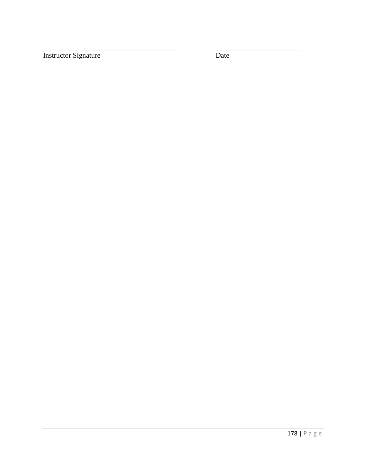Instructor Signature Date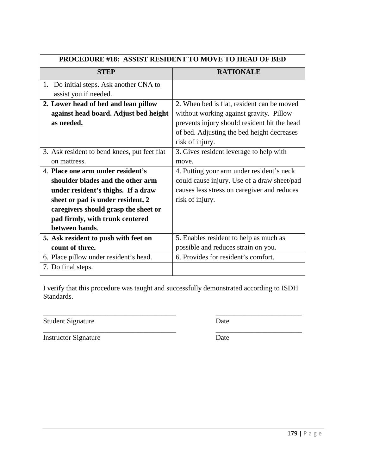| <b>PROCEDURE #18: ASSIST RESIDENT TO MOVE TO HEAD OF BED</b> |                                              |
|--------------------------------------------------------------|----------------------------------------------|
| <b>STEP</b>                                                  | <b>RATIONALE</b>                             |
| 1. Do initial steps. Ask another CNA to                      |                                              |
| assist you if needed.                                        |                                              |
| 2. Lower head of bed and lean pillow                         | 2. When bed is flat, resident can be moved   |
| against head board. Adjust bed height                        | without working against gravity. Pillow      |
| as needed.                                                   | prevents injury should resident hit the head |
|                                                              | of bed. Adjusting the bed height decreases   |
|                                                              | risk of injury.                              |
| 3. Ask resident to bend knees, put feet flat                 | 3. Gives resident leverage to help with      |
| on mattress.                                                 | move.                                        |
| 4. Place one arm under resident's                            | 4. Putting your arm under resident's neck    |
| shoulder blades and the other arm                            | could cause injury. Use of a draw sheet/pad  |
| under resident's thighs. If a draw                           | causes less stress on caregiver and reduces  |
| sheet or pad is under resident, 2                            | risk of injury.                              |
| caregivers should grasp the sheet or                         |                                              |
| pad firmly, with trunk centered                              |                                              |
| between hands.                                               |                                              |
| 5. Ask resident to push with feet on                         | 5. Enables resident to help as much as       |
| count of three.                                              | possible and reduces strain on you.          |
| 6. Place pillow under resident's head.                       | 6. Provides for resident's comfort.          |
| 7. Do final steps.                                           |                                              |

\_\_\_\_\_\_\_\_\_\_\_\_\_\_\_\_\_\_\_\_\_\_\_\_\_\_\_\_\_\_\_\_\_\_\_\_\_ \_\_\_\_\_\_\_\_\_\_\_\_\_\_\_\_\_\_\_\_\_\_\_\_

Student Signature Date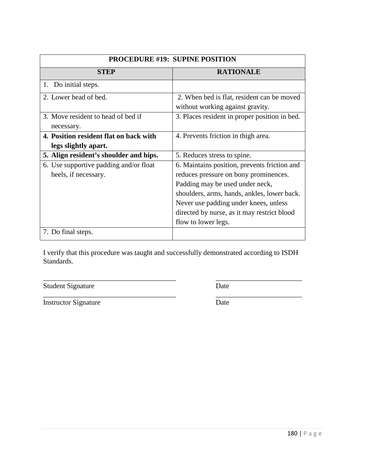| <b>PROCEDURE #19: SUPINE POSITION</b>  |                                               |
|----------------------------------------|-----------------------------------------------|
| <b>STEP</b>                            | <b>RATIONALE</b>                              |
| 1. Do initial steps.                   |                                               |
| 2. Lower head of bed.                  | 2. When bed is flat, resident can be moved    |
|                                        | without working against gravity.              |
| 3. Move resident to head of bed if     | 3. Places resident in proper position in bed. |
| necessary.                             |                                               |
| 4. Position resident flat on back with | 4. Prevents friction in thigh area.           |
| legs slightly apart.                   |                                               |
| 5. Align resident's shoulder and hips. | 5. Reduces stress to spine.                   |
| 6. Use supportive padding and/or float | 6. Maintains position, prevents friction and  |
| heels, if necessary.                   | reduces pressure on bony prominences.         |
|                                        | Padding may be used under neck,               |
|                                        | shoulders, arms, hands, ankles, lower back.   |
|                                        | Never use padding under knees, unless         |
|                                        | directed by nurse, as it may restrict blood   |
|                                        | flow to lower legs.                           |
| 7. Do final steps.                     |                                               |

\_\_\_\_\_\_\_\_\_\_\_\_\_\_\_\_\_\_\_\_\_\_\_\_\_\_\_\_\_\_\_\_\_\_\_\_\_ \_\_\_\_\_\_\_\_\_\_\_\_\_\_\_\_\_\_\_\_\_\_\_\_

\_\_\_\_\_\_\_\_\_\_\_\_\_\_\_\_\_\_\_\_\_\_\_\_\_\_\_\_\_\_\_\_\_\_\_\_\_ \_\_\_\_\_\_\_\_\_\_\_\_\_\_\_\_\_\_\_\_\_\_\_\_ Student Signature Date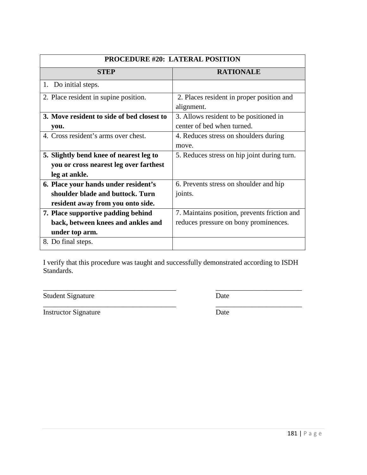| <b>PROCEDURE #20: LATERAL POSITION</b>     |                                              |
|--------------------------------------------|----------------------------------------------|
| <b>STEP</b>                                | <b>RATIONALE</b>                             |
| Do initial steps.<br>1.                    |                                              |
| 2. Place resident in supine position.      | 2. Places resident in proper position and    |
|                                            | alignment.                                   |
| 3. Move resident to side of bed closest to | 3. Allows resident to be positioned in       |
| you.                                       | center of bed when turned.                   |
| 4. Cross resident's arms over chest.       | 4. Reduces stress on shoulders during        |
|                                            | move.                                        |
| 5. Slightly bend knee of nearest leg to    | 5. Reduces stress on hip joint during turn.  |
| you or cross nearest leg over farthest     |                                              |
| leg at ankle.                              |                                              |
| 6. Place your hands under resident's       | 6. Prevents stress on shoulder and hip       |
| shoulder blade and buttock. Turn           | joints.                                      |
| resident away from you onto side.          |                                              |
| 7. Place supportive padding behind         | 7. Maintains position, prevents friction and |
| back, between knees and ankles and         | reduces pressure on bony prominences.        |
| under top arm.                             |                                              |
| 8. Do final steps.                         |                                              |

\_\_\_\_\_\_\_\_\_\_\_\_\_\_\_\_\_\_\_\_\_\_\_\_\_\_\_\_\_\_\_\_\_\_\_\_\_ \_\_\_\_\_\_\_\_\_\_\_\_\_\_\_\_\_\_\_\_\_\_\_\_

Student Signature Date

Instructor Signature Date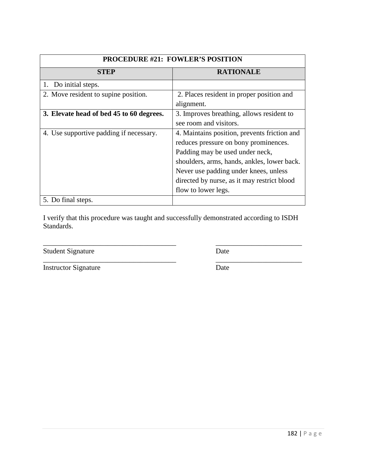| <b>PROCEDURE #21: FOWLER'S POSITION</b>  |                                              |
|------------------------------------------|----------------------------------------------|
| <b>STEP</b>                              | <b>RATIONALE</b>                             |
| 1. Do initial steps.                     |                                              |
| 2. Move resident to supine position.     | 2. Places resident in proper position and    |
|                                          | alignment.                                   |
| 3. Elevate head of bed 45 to 60 degrees. | 3. Improves breathing, allows resident to    |
|                                          | see room and visitors.                       |
| 4. Use supportive padding if necessary.  | 4. Maintains position, prevents friction and |
|                                          | reduces pressure on bony prominences.        |
|                                          | Padding may be used under neck,              |
|                                          | shoulders, arms, hands, ankles, lower back.  |
|                                          | Never use padding under knees, unless        |
|                                          | directed by nurse, as it may restrict blood  |
|                                          | flow to lower legs.                          |
| 5. Do final steps.                       |                                              |

\_\_\_\_\_\_\_\_\_\_\_\_\_\_\_\_\_\_\_\_\_\_\_\_\_\_\_\_\_\_\_\_\_\_\_\_\_ \_\_\_\_\_\_\_\_\_\_\_\_\_\_\_\_\_\_\_\_\_\_\_\_

Student Signature Date

Instructor Signature Date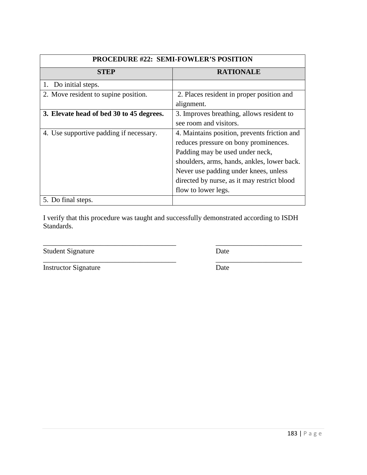| <b>PROCEDURE #22: SEMI-FOWLER'S POSITION</b> |                                              |
|----------------------------------------------|----------------------------------------------|
| <b>STEP</b>                                  | <b>RATIONALE</b>                             |
| 1. Do initial steps.                         |                                              |
| 2. Move resident to supine position.         | 2. Places resident in proper position and    |
|                                              | alignment.                                   |
| 3. Elevate head of bed 30 to 45 degrees.     | 3. Improves breathing, allows resident to    |
|                                              | see room and visitors.                       |
| 4. Use supportive padding if necessary.      | 4. Maintains position, prevents friction and |
|                                              | reduces pressure on bony prominences.        |
|                                              | Padding may be used under neck,              |
|                                              | shoulders, arms, hands, ankles, lower back.  |
|                                              | Never use padding under knees, unless        |
|                                              | directed by nurse, as it may restrict blood  |
|                                              | flow to lower legs.                          |
| 5. Do final steps.                           |                                              |

\_\_\_\_\_\_\_\_\_\_\_\_\_\_\_\_\_\_\_\_\_\_\_\_\_\_\_\_\_\_\_\_\_\_\_\_\_ \_\_\_\_\_\_\_\_\_\_\_\_\_\_\_\_\_\_\_\_\_\_\_\_

Student Signature Date

Instructor Signature Date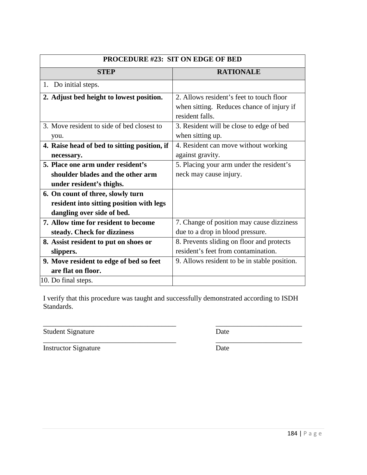| <b>PROCEDURE #23: SIT ON EDGE OF BED</b>     |                                                              |
|----------------------------------------------|--------------------------------------------------------------|
| <b>STEP</b>                                  | <b>RATIONALE</b>                                             |
| 1. Do initial steps.                         |                                                              |
| 2. Adjust bed height to lowest position.     | 2. Allows resident's feet to touch floor                     |
|                                              | when sitting. Reduces chance of injury if<br>resident falls. |
| 3. Move resident to side of bed closest to   | 3. Resident will be close to edge of bed                     |
| you.                                         | when sitting up.                                             |
| 4. Raise head of bed to sitting position, if | 4. Resident can move without working                         |
| necessary.                                   | against gravity.                                             |
| 5. Place one arm under resident's            | 5. Placing your arm under the resident's                     |
| shoulder blades and the other arm            | neck may cause injury.                                       |
| under resident's thighs.                     |                                                              |
| 6. On count of three, slowly turn            |                                                              |
| resident into sitting position with legs     |                                                              |
| dangling over side of bed.                   |                                                              |
| 7. Allow time for resident to become         | 7. Change of position may cause dizziness                    |
| steady. Check for dizziness                  | due to a drop in blood pressure.                             |
| 8. Assist resident to put on shoes or        | 8. Prevents sliding on floor and protects                    |
| slippers.                                    | resident's feet from contamination.                          |
| 9. Move resident to edge of bed so feet      | 9. Allows resident to be in stable position.                 |
| are flat on floor.                           |                                                              |
| 10. Do final steps.                          |                                                              |

Student Signature Date

\_\_\_\_\_\_\_\_\_\_\_\_\_\_\_\_\_\_\_\_\_\_\_\_\_\_\_\_\_\_\_\_\_\_\_\_\_ \_\_\_\_\_\_\_\_\_\_\_\_\_\_\_\_\_\_\_\_\_\_\_\_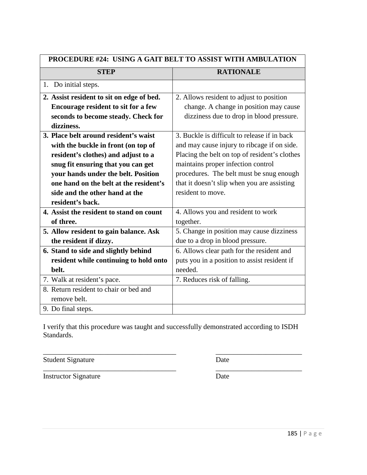| <b>PROCEDURE #24: USING A GAIT BELT TO ASSIST WITH AMBULATION</b> |                                               |
|-------------------------------------------------------------------|-----------------------------------------------|
| <b>STEP</b>                                                       | <b>RATIONALE</b>                              |
| 1. Do initial steps.                                              |                                               |
| 2. Assist resident to sit on edge of bed.                         | 2. Allows resident to adjust to position      |
| <b>Encourage resident to sit for a few</b>                        | change. A change in position may cause        |
| seconds to become steady. Check for                               | dizziness due to drop in blood pressure.      |
| dizziness.                                                        |                                               |
| 3. Place belt around resident's waist                             | 3. Buckle is difficult to release if in back  |
| with the buckle in front (on top of                               | and may cause injury to ribcage if on side.   |
| resident's clothes) and adjust to a                               | Placing the belt on top of resident's clothes |
| snug fit ensuring that you can get                                | maintains proper infection control            |
| your hands under the belt. Position                               | procedures. The belt must be snug enough      |
| one hand on the belt at the resident's                            | that it doesn't slip when you are assisting   |
| side and the other hand at the                                    | resident to move.                             |
| resident's back.                                                  |                                               |
| 4. Assist the resident to stand on count                          | 4. Allows you and resident to work            |
| of three.                                                         | together.                                     |
| 5. Allow resident to gain balance. Ask                            | 5. Change in position may cause dizziness     |
| the resident if dizzy.                                            | due to a drop in blood pressure.              |
| 6. Stand to side and slightly behind                              | 6. Allows clear path for the resident and     |
| resident while continuing to hold onto                            | puts you in a position to assist resident if  |
| belt.                                                             | needed.                                       |
| 7. Walk at resident's pace.                                       | 7. Reduces risk of falling.                   |
| 8. Return resident to chair or bed and                            |                                               |
| remove belt.                                                      |                                               |
| 9. Do final steps.                                                |                                               |

\_\_\_\_\_\_\_\_\_\_\_\_\_\_\_\_\_\_\_\_\_\_\_\_\_\_\_\_\_\_\_\_\_\_\_\_\_ \_\_\_\_\_\_\_\_\_\_\_\_\_\_\_\_\_\_\_\_\_\_\_\_

Student Signature Date

\_\_\_\_\_\_\_\_\_\_\_\_\_\_\_\_\_\_\_\_\_\_\_\_\_\_\_\_\_\_\_\_\_\_\_\_\_ \_\_\_\_\_\_\_\_\_\_\_\_\_\_\_\_\_\_\_\_\_\_\_\_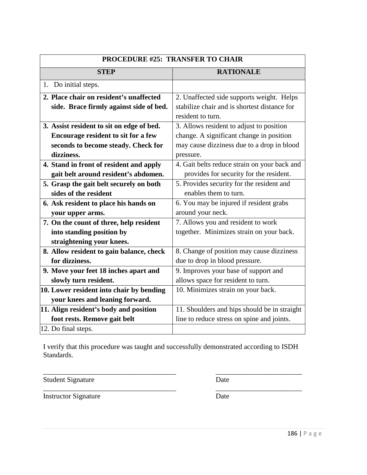| PROCEDURE #25: TRANSFER TO CHAIR          |                                              |
|-------------------------------------------|----------------------------------------------|
| <b>STEP</b>                               | <b>RATIONALE</b>                             |
| 1. Do initial steps.                      |                                              |
| 2. Place chair on resident's unaffected   | 2. Unaffected side supports weight. Helps    |
| side. Brace firmly against side of bed.   | stabilize chair and is shortest distance for |
|                                           | resident to turn.                            |
| 3. Assist resident to sit on edge of bed. | 3. Allows resident to adjust to position     |
| Encourage resident to sit for a few       | change. A significant change in position     |
| seconds to become steady. Check for       | may cause dizziness due to a drop in blood   |
| dizziness.                                | pressure.                                    |
| 4. Stand in front of resident and apply   | 4. Gait belts reduce strain on your back and |
| gait belt around resident's abdomen.      | provides for security for the resident.      |
| 5. Grasp the gait belt securely on both   | 5. Provides security for the resident and    |
| sides of the resident                     | enables them to turn.                        |
| 6. Ask resident to place his hands on     | 6. You may be injured if resident grabs      |
| your upper arms.                          | around your neck.                            |
| 7. On the count of three, help resident   | 7. Allows you and resident to work           |
| into standing position by                 | together. Minimizes strain on your back.     |
| straightening your knees.                 |                                              |
| 8. Allow resident to gain balance, check  | 8. Change of position may cause dizziness    |
| for dizziness.                            | due to drop in blood pressure.               |
| 9. Move your feet 18 inches apart and     | 9. Improves your base of support and         |
| slowly turn resident.                     | allows space for resident to turn.           |
| 10. Lower resident into chair by bending  | 10. Minimizes strain on your back.           |
| your knees and leaning forward.           |                                              |
| 11. Align resident's body and position    | 11. Shoulders and hips should be in straight |
| foot rests. Remove gait belt              | line to reduce stress on spine and joints.   |
| 12. Do final steps.                       |                                              |

\_\_\_\_\_\_\_\_\_\_\_\_\_\_\_\_\_\_\_\_\_\_\_\_\_\_\_\_\_\_\_\_\_\_\_\_\_ \_\_\_\_\_\_\_\_\_\_\_\_\_\_\_\_\_\_\_\_\_\_\_\_

\_\_\_\_\_\_\_\_\_\_\_\_\_\_\_\_\_\_\_\_\_\_\_\_\_\_\_\_\_\_\_\_\_\_\_\_\_ \_\_\_\_\_\_\_\_\_\_\_\_\_\_\_\_\_\_\_\_\_\_\_\_ Student Signature Date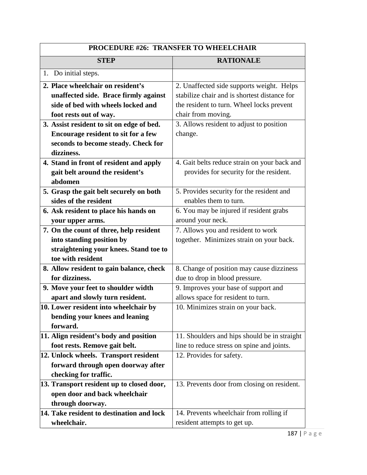| <b>PROCEDURE #26: TRANSFER TO WHEELCHAIR</b> |                                              |
|----------------------------------------------|----------------------------------------------|
| <b>STEP</b>                                  | <b>RATIONALE</b>                             |
| 1. Do initial steps.                         |                                              |
| 2. Place wheelchair on resident's            | 2. Unaffected side supports weight. Helps    |
| unaffected side. Brace firmly against        | stabilize chair and is shortest distance for |
| side of bed with wheels locked and           | the resident to turn. Wheel locks prevent    |
| foot rests out of way.                       | chair from moving.                           |
| 3. Assist resident to sit on edge of bed.    | 3. Allows resident to adjust to position     |
| Encourage resident to sit for a few          | change.                                      |
| seconds to become steady. Check for          |                                              |
| dizziness.                                   |                                              |
| 4. Stand in front of resident and apply      | 4. Gait belts reduce strain on your back and |
| gait belt around the resident's              | provides for security for the resident.      |
| abdomen                                      |                                              |
| 5. Grasp the gait belt securely on both      | 5. Provides security for the resident and    |
| sides of the resident                        | enables them to turn.                        |
| 6. Ask resident to place his hands on        | 6. You may be injured if resident grabs      |
| your upper arms.                             | around your neck.                            |
| 7. On the count of three, help resident      | 7. Allows you and resident to work           |
| into standing position by                    | together. Minimizes strain on your back.     |
| straightening your knees. Stand toe to       |                                              |
| toe with resident                            |                                              |
| 8. Allow resident to gain balance, check     | 8. Change of position may cause dizziness    |
| for dizziness.                               | due to drop in blood pressure.               |
| 9. Move your feet to shoulder width          | 9. Improves your base of support and         |
| apart and slowly turn resident.              | allows space for resident to turn.           |
| 10. Lower resident into wheelchair by        | 10. Minimizes strain on your back.           |
| bending your knees and leaning               |                                              |
| forward.                                     |                                              |
| 11. Align resident's body and position       | 11. Shoulders and hips should be in straight |
| foot rests. Remove gait belt.                | line to reduce stress on spine and joints.   |
| 12. Unlock wheels. Transport resident        | 12. Provides for safety.                     |
| forward through open doorway after           |                                              |
| checking for traffic.                        |                                              |
| 13. Transport resident up to closed door,    | 13. Prevents door from closing on resident.  |
| open door and back wheelchair                |                                              |
| through doorway.                             |                                              |
| 14. Take resident to destination and lock    | 14. Prevents wheelchair from rolling if      |
| wheelchair.                                  | resident attempts to get up.                 |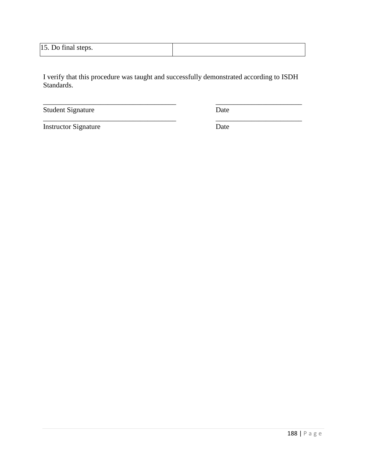| 15. Do final steps. |  |
|---------------------|--|
|---------------------|--|

\_\_\_\_\_\_\_\_\_\_\_\_\_\_\_\_\_\_\_\_\_\_\_\_\_\_\_\_\_\_\_\_\_\_\_\_\_ \_\_\_\_\_\_\_\_\_\_\_\_\_\_\_\_\_\_\_\_\_\_\_\_

\_\_\_\_\_\_\_\_\_\_\_\_\_\_\_\_\_\_\_\_\_\_\_\_\_\_\_\_\_\_\_\_\_\_\_\_\_ \_\_\_\_\_\_\_\_\_\_\_\_\_\_\_\_\_\_\_\_\_\_\_\_

Student Signature Date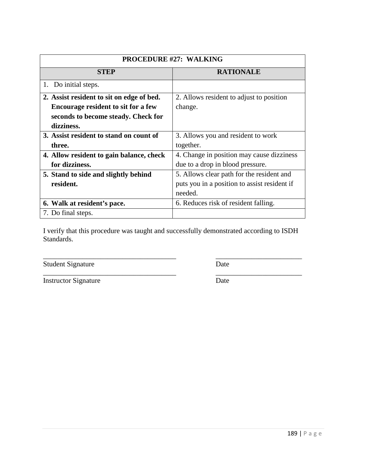| <b>PROCEDURE #27: WALKING</b>             |                                              |
|-------------------------------------------|----------------------------------------------|
| <b>STEP</b>                               | <b>RATIONALE</b>                             |
| 1. Do initial steps.                      |                                              |
| 2. Assist resident to sit on edge of bed. | 2. Allows resident to adjust to position     |
| Encourage resident to sit for a few       | change.                                      |
| seconds to become steady. Check for       |                                              |
| dizziness.                                |                                              |
| 3. Assist resident to stand on count of   | 3. Allows you and resident to work           |
| three.                                    | together.                                    |
| 4. Allow resident to gain balance, check  | 4. Change in position may cause dizziness    |
| for dizziness.                            | due to a drop in blood pressure.             |
| 5. Stand to side and slightly behind      | 5. Allows clear path for the resident and    |
| resident.                                 | puts you in a position to assist resident if |
|                                           | needed.                                      |
| 6. Walk at resident's pace.               | 6. Reduces risk of resident falling.         |
| 7. Do final steps.                        |                                              |

\_\_\_\_\_\_\_\_\_\_\_\_\_\_\_\_\_\_\_\_\_\_\_\_\_\_\_\_\_\_\_\_\_\_\_\_\_ \_\_\_\_\_\_\_\_\_\_\_\_\_\_\_\_\_\_\_\_\_\_\_\_ Student Signature Date

Instructor Signature Date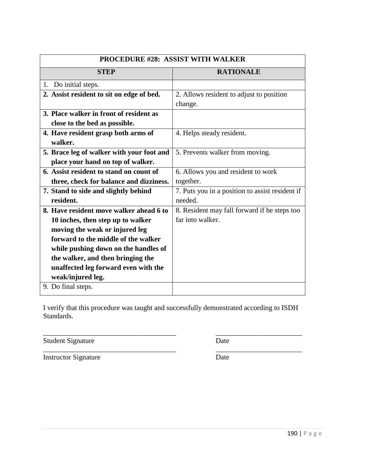| <b>PROCEDURE #28: ASSIST WITH WALKER</b>        |  |
|-------------------------------------------------|--|
| <b>RATIONALE</b>                                |  |
|                                                 |  |
| 2. Allows resident to adjust to position        |  |
| change.                                         |  |
|                                                 |  |
|                                                 |  |
| 4. Helps steady resident.                       |  |
|                                                 |  |
| 5. Prevents walker from moving.                 |  |
|                                                 |  |
| 6. Allows you and resident to work              |  |
| together.                                       |  |
| 7. Puts you in a position to assist resident if |  |
| needed.                                         |  |
| 8. Resident may fall forward if he steps too    |  |
| far into walker.                                |  |
|                                                 |  |
|                                                 |  |
|                                                 |  |
|                                                 |  |
|                                                 |  |
|                                                 |  |
|                                                 |  |
| 5. Brace leg of walker with your foot and       |  |

\_\_\_\_\_\_\_\_\_\_\_\_\_\_\_\_\_\_\_\_\_\_\_\_\_\_\_\_\_\_\_\_\_\_\_\_\_ \_\_\_\_\_\_\_\_\_\_\_\_\_\_\_\_\_\_\_\_\_\_\_\_

\_\_\_\_\_\_\_\_\_\_\_\_\_\_\_\_\_\_\_\_\_\_\_\_\_\_\_\_\_\_\_\_\_\_\_\_\_ \_\_\_\_\_\_\_\_\_\_\_\_\_\_\_\_\_\_\_\_\_\_\_\_

Student Signature Date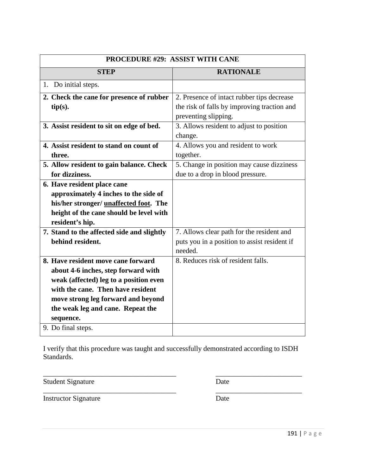| PROCEDURE #29: ASSIST WITH CANE                                                                                                                                                                                                                                        |                                                                                                                   |
|------------------------------------------------------------------------------------------------------------------------------------------------------------------------------------------------------------------------------------------------------------------------|-------------------------------------------------------------------------------------------------------------------|
| <b>STEP</b>                                                                                                                                                                                                                                                            | <b>RATIONALE</b>                                                                                                  |
| 1. Do initial steps.                                                                                                                                                                                                                                                   |                                                                                                                   |
| 2. Check the cane for presence of rubber<br>tip(s).                                                                                                                                                                                                                    | 2. Presence of intact rubber tips decrease<br>the risk of falls by improving traction and<br>preventing slipping. |
| 3. Assist resident to sit on edge of bed.                                                                                                                                                                                                                              | 3. Allows resident to adjust to position<br>change.                                                               |
| 4. Assist resident to stand on count of<br>three.                                                                                                                                                                                                                      | 4. Allows you and resident to work<br>together.                                                                   |
| 5. Allow resident to gain balance. Check<br>for dizziness.                                                                                                                                                                                                             | 5. Change in position may cause dizziness<br>due to a drop in blood pressure.                                     |
| 6. Have resident place cane<br>approximately 4 inches to the side of<br>his/her stronger/ unaffected foot. The<br>height of the cane should be level with<br>resident's hip.                                                                                           |                                                                                                                   |
| 7. Stand to the affected side and slightly<br>behind resident.                                                                                                                                                                                                         | 7. Allows clear path for the resident and<br>puts you in a position to assist resident if<br>needed.              |
| 8. Have resident move cane forward<br>about 4-6 inches, step forward with<br>weak (affected) leg to a position even<br>with the cane. Then have resident<br>move strong leg forward and beyond<br>the weak leg and cane. Repeat the<br>sequence.<br>9. Do final steps. | 8. Reduces risk of resident falls.                                                                                |
|                                                                                                                                                                                                                                                                        |                                                                                                                   |

\_\_\_\_\_\_\_\_\_\_\_\_\_\_\_\_\_\_\_\_\_\_\_\_\_\_\_\_\_\_\_\_\_\_\_\_\_ \_\_\_\_\_\_\_\_\_\_\_\_\_\_\_\_\_\_\_\_\_\_\_\_

Student Signature Date

Instructor Signature Date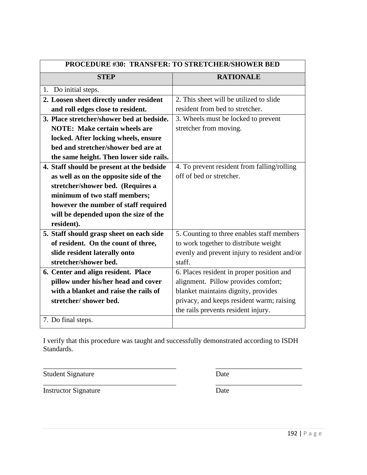| <b>RATIONALE</b><br><b>STEP</b><br>1. Do initial steps.<br>2. This sheet will be utilized to slide<br>2. Loosen sheet directly under resident<br>and roll edges close to resident.<br>resident from bed to stretcher.<br>3. Place stretcher/shower bed at bedside.<br>3. Wheels must be locked to prevent<br>stretcher from moving.<br><b>NOTE: Make certain wheels are</b> |  |
|-----------------------------------------------------------------------------------------------------------------------------------------------------------------------------------------------------------------------------------------------------------------------------------------------------------------------------------------------------------------------------|--|
|                                                                                                                                                                                                                                                                                                                                                                             |  |
|                                                                                                                                                                                                                                                                                                                                                                             |  |
|                                                                                                                                                                                                                                                                                                                                                                             |  |
|                                                                                                                                                                                                                                                                                                                                                                             |  |
|                                                                                                                                                                                                                                                                                                                                                                             |  |
|                                                                                                                                                                                                                                                                                                                                                                             |  |
| locked. After locking wheels, ensure                                                                                                                                                                                                                                                                                                                                        |  |
| bed and stretcher/shower bed are at                                                                                                                                                                                                                                                                                                                                         |  |
| the same height. Then lower side rails.                                                                                                                                                                                                                                                                                                                                     |  |
| 4. Staff should be present at the bedside<br>4. To prevent resident from falling/rolling                                                                                                                                                                                                                                                                                    |  |
| off of bed or stretcher.<br>as well as on the opposite side of the                                                                                                                                                                                                                                                                                                          |  |
| stretcher/shower bed. (Requires a                                                                                                                                                                                                                                                                                                                                           |  |
| minimum of two staff members;                                                                                                                                                                                                                                                                                                                                               |  |
| however the number of staff required                                                                                                                                                                                                                                                                                                                                        |  |
| will be depended upon the size of the                                                                                                                                                                                                                                                                                                                                       |  |
| resident).                                                                                                                                                                                                                                                                                                                                                                  |  |
| 5. Counting to three enables staff members<br>5. Staff should grasp sheet on each side                                                                                                                                                                                                                                                                                      |  |
| of resident. On the count of three,<br>to work together to distribute weight                                                                                                                                                                                                                                                                                                |  |
| slide resident laterally onto<br>evenly and prevent injury to resident and/or                                                                                                                                                                                                                                                                                               |  |
| staff.<br>stretcher/shower bed.                                                                                                                                                                                                                                                                                                                                             |  |
| 6. Places resident in proper position and<br>6. Center and align resident. Place                                                                                                                                                                                                                                                                                            |  |
| alignment. Pillow provides comfort;<br>pillow under his/her head and cover                                                                                                                                                                                                                                                                                                  |  |
| with a blanket and raise the rails of<br>blanket maintains dignity, provides                                                                                                                                                                                                                                                                                                |  |
| privacy, and keeps resident warm; raising<br>stretcher/shower bed.                                                                                                                                                                                                                                                                                                          |  |
| the rails prevents resident injury.                                                                                                                                                                                                                                                                                                                                         |  |
| 7. Do final steps.                                                                                                                                                                                                                                                                                                                                                          |  |

\_\_\_\_\_\_\_\_\_\_\_\_\_\_\_\_\_\_\_\_\_\_\_\_\_\_\_\_\_\_\_\_\_\_\_\_\_ \_\_\_\_\_\_\_\_\_\_\_\_\_\_\_\_\_\_\_\_\_\_\_\_ Student Signature Date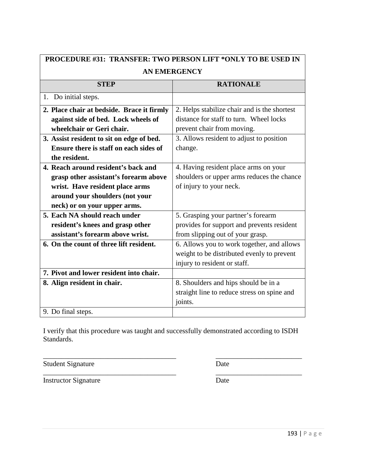| <b>PROCEDURE #31: TRANSFER: TWO PERSON LIFT *ONLY TO BE USED IN</b> |                                              |
|---------------------------------------------------------------------|----------------------------------------------|
| <b>AN EMERGENCY</b>                                                 |                                              |
| <b>STEP</b>                                                         | <b>RATIONALE</b>                             |
| 1. Do initial steps.                                                |                                              |
| 2. Place chair at bedside. Brace it firmly                          | 2. Helps stabilize chair and is the shortest |
| against side of bed. Lock wheels of                                 | distance for staff to turn. Wheel locks      |
| wheelchair or Geri chair.                                           | prevent chair from moving.                   |
| 3. Assist resident to sit on edge of bed.                           | 3. Allows resident to adjust to position     |
| Ensure there is staff on each sides of                              | change.                                      |
| the resident.                                                       |                                              |
| 4. Reach around resident's back and                                 | 4. Having resident place arms on your        |
| grasp other assistant's forearm above                               | shoulders or upper arms reduces the chance   |
| wrist. Have resident place arms                                     | of injury to your neck.                      |
| around your shoulders (not your                                     |                                              |
| neck) or on your upper arms.                                        |                                              |
| 5. Each NA should reach under                                       | 5. Grasping your partner's forearm           |
| resident's knees and grasp other                                    | provides for support and prevents resident   |
| assistant's forearm above wrist.                                    | from slipping out of your grasp.             |
| 6. On the count of three lift resident.                             | 6. Allows you to work together, and allows   |
|                                                                     | weight to be distributed evenly to prevent   |
|                                                                     | injury to resident or staff.                 |
| 7. Pivot and lower resident into chair.                             |                                              |
| 8. Align resident in chair.                                         | 8. Shoulders and hips should be in a         |
|                                                                     | straight line to reduce stress on spine and  |
|                                                                     | joints.                                      |
| 9. Do final steps.                                                  |                                              |

\_\_\_\_\_\_\_\_\_\_\_\_\_\_\_\_\_\_\_\_\_\_\_\_\_\_\_\_\_\_\_\_\_\_\_\_\_ \_\_\_\_\_\_\_\_\_\_\_\_\_\_\_\_\_\_\_\_\_\_\_\_ Student Signature Date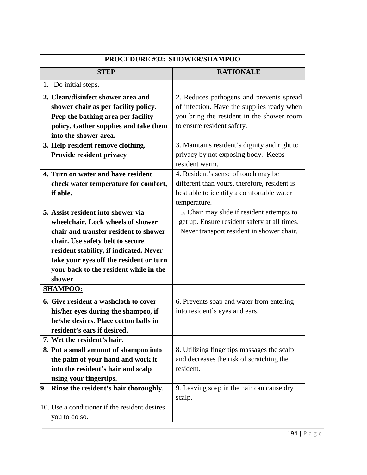| <b>PROCEDURE #32: SHOWER/SHAMPOO</b>                                                                                                                                                                                                                                                           |                                                                                                                                                  |
|------------------------------------------------------------------------------------------------------------------------------------------------------------------------------------------------------------------------------------------------------------------------------------------------|--------------------------------------------------------------------------------------------------------------------------------------------------|
| <b>STEP</b>                                                                                                                                                                                                                                                                                    | <b>RATIONALE</b>                                                                                                                                 |
| 1. Do initial steps.                                                                                                                                                                                                                                                                           |                                                                                                                                                  |
| 2. Clean/disinfect shower area and<br>shower chair as per facility policy.                                                                                                                                                                                                                     | 2. Reduces pathogens and prevents spread<br>of infection. Have the supplies ready when                                                           |
| Prep the bathing area per facility<br>policy. Gather supplies and take them<br>into the shower area.                                                                                                                                                                                           | you bring the resident in the shower room<br>to ensure resident safety.                                                                          |
| 3. Help resident remove clothing.<br>Provide resident privacy                                                                                                                                                                                                                                  | 3. Maintains resident's dignity and right to<br>privacy by not exposing body. Keeps<br>resident warm.                                            |
| 4. Turn on water and have resident<br>check water temperature for comfort,<br>if able.                                                                                                                                                                                                         | 4. Resident's sense of touch may be<br>different than yours, therefore, resident is<br>best able to identify a comfortable water<br>temperature. |
| 5. Assist resident into shower via<br>wheelchair. Lock wheels of shower<br>chair and transfer resident to shower<br>chair. Use safety belt to secure<br>resident stability, if indicated. Never<br>take your eyes off the resident or turn<br>your back to the resident while in the<br>shower | 5. Chair may slide if resident attempts to<br>get up. Ensure resident safety at all times.<br>Never transport resident in shower chair.          |
| <b>SHAMPOO:</b><br>6. Give resident a washcloth to cover<br>his/her eyes during the shampoo, if<br>he/she desires. Place cotton balls in<br>resident's ears if desired.                                                                                                                        | 6. Prevents soap and water from entering<br>into resident's eyes and ears.                                                                       |
| 7. Wet the resident's hair.<br>8. Put a small amount of shampoo into                                                                                                                                                                                                                           | 8. Utilizing fingertips massages the scalp                                                                                                       |
| the palm of your hand and work it<br>into the resident's hair and scalp<br>using your fingertips.                                                                                                                                                                                              | and decreases the risk of scratching the<br>resident.                                                                                            |
| 9. Rinse the resident's hair thoroughly.                                                                                                                                                                                                                                                       | 9. Leaving soap in the hair can cause dry<br>scalp.                                                                                              |
| 10. Use a conditioner if the resident desires<br>you to do so.                                                                                                                                                                                                                                 |                                                                                                                                                  |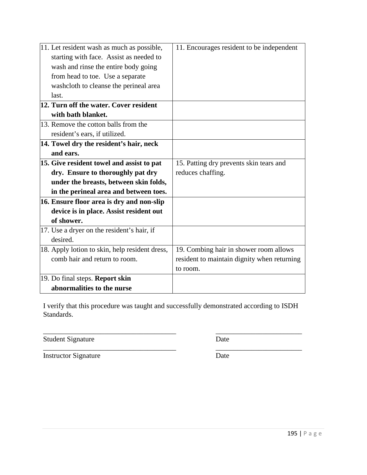| 11. Encourages resident to be independent   |
|---------------------------------------------|
|                                             |
|                                             |
|                                             |
|                                             |
|                                             |
|                                             |
|                                             |
|                                             |
|                                             |
|                                             |
|                                             |
| 15. Patting dry prevents skin tears and     |
| reduces chaffing.                           |
|                                             |
|                                             |
|                                             |
|                                             |
|                                             |
|                                             |
|                                             |
| 19. Combing hair in shower room allows      |
| resident to maintain dignity when returning |
| to room.                                    |
|                                             |
|                                             |
|                                             |

\_\_\_\_\_\_\_\_\_\_\_\_\_\_\_\_\_\_\_\_\_\_\_\_\_\_\_\_\_\_\_\_\_\_\_\_\_ \_\_\_\_\_\_\_\_\_\_\_\_\_\_\_\_\_\_\_\_\_\_\_\_

Student Signature Date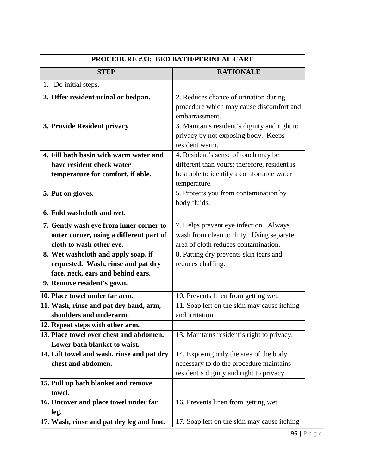| <b>PROCEDURE #33: BED BATH/PERINEAL CARE</b> |                                              |
|----------------------------------------------|----------------------------------------------|
| <b>STEP</b>                                  | <b>RATIONALE</b>                             |
| 1. Do initial steps.                         |                                              |
| 2. Offer resident urinal or bedpan.          | 2. Reduces chance of urination during        |
|                                              | procedure which may cause discomfort and     |
|                                              | embarrassment.                               |
| 3. Provide Resident privacy                  | 3. Maintains resident's dignity and right to |
|                                              | privacy by not exposing body. Keeps          |
|                                              | resident warm.                               |
| 4. Fill bath basin with warm water and       | 4. Resident's sense of touch may be          |
| have resident check water                    | different than yours; therefore, resident is |
| temperature for comfort, if able.            | best able to identify a comfortable water    |
|                                              | temperature.                                 |
| 5. Put on gloves.                            | 5. Protects you from contamination by        |
|                                              | body fluids.                                 |
| 6. Fold washcloth and wet.                   |                                              |
| 7. Gently wash eye from inner corner to      | 7. Helps prevent eye infection. Always       |
| outer corner, using a different part of      | wash from clean to dirty. Using separate     |
| cloth to wash other eye.                     | area of cloth reduces contamination.         |
| 8. Wet washcloth and apply soap, if          | 8. Patting dry prevents skin tears and       |
| requested. Wash, rinse and pat dry           | reduces chaffing.                            |
| face, neck, ears and behind ears.            |                                              |
| 9. Remove resident's gown.                   |                                              |
| 10. Place towel under far arm.               | 10. Prevents linen from getting wet.         |
| 11. Wash, rinse and pat dry hand, arm,       | 11. Soap left on the skin may cause itching  |
| shoulders and underarm.                      | and irritation.                              |
| 12. Repeat steps with other arm.             |                                              |
| 13. Place towel over chest and abdomen.      | 13. Maintains resident's right to privacy.   |
| Lower bath blanket to waist.                 |                                              |
| 14. Lift towel and wash, rinse and pat dry   | 14. Exposing only the area of the body       |
| chest and abdomen.                           | necessary to do the procedure maintains      |
|                                              | resident's dignity and right to privacy.     |
| 15. Pull up bath blanket and remove          |                                              |
| towel.                                       |                                              |
| 16. Uncover and place towel under far        | 16. Prevents linen from getting wet.         |
| leg.                                         |                                              |
| 17. Wash, rinse and pat dry leg and foot.    | 17. Soap left on the skin may cause itching  |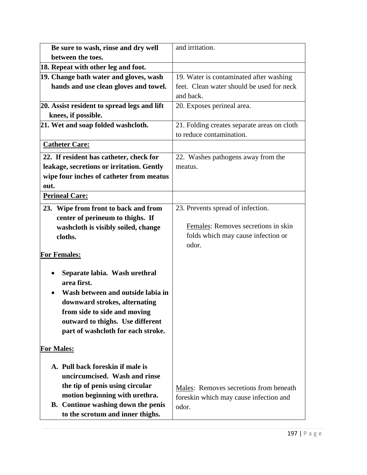| Be sure to wash, rinse and dry well         | and irritation.                             |
|---------------------------------------------|---------------------------------------------|
| between the toes.                           |                                             |
| 18. Repeat with other leg and foot.         |                                             |
| 19. Change bath water and gloves, wash      | 19. Water is contaminated after washing     |
| hands and use clean gloves and towel.       | feet. Clean water should be used for neck   |
|                                             | and back.                                   |
| 20. Assist resident to spread legs and lift | 20. Exposes perineal area.                  |
| knees, if possible.                         |                                             |
| 21. Wet and soap folded washcloth.          | 21. Folding creates separate areas on cloth |
|                                             | to reduce contamination.                    |
| <b>Catheter Care:</b>                       |                                             |
| 22. If resident has catheter, check for     | 22. Washes pathogens away from the          |
| leakage, secretions or irritation. Gently   | meatus.                                     |
| wipe four inches of catheter from meatus    |                                             |
| out.                                        |                                             |
| <b>Perineal Care:</b>                       |                                             |
| 23. Wipe from front to back and from        | 23. Prevents spread of infection.           |
| center of perineum to thighs. If            |                                             |
| washcloth is visibly soiled, change         | Females: Removes secretions in skin         |
| cloths.                                     | folds which may cause infection or          |
|                                             | odor.                                       |
| <b>For Females:</b>                         |                                             |
| Separate labia. Wash urethral               |                                             |
| area first.                                 |                                             |
| Wash between and outside labia in           |                                             |
| downward strokes, alternating               |                                             |
| from side to side and moving                |                                             |
| outward to thighs. Use different            |                                             |
| part of washcloth for each stroke.          |                                             |
| <b>For Males:</b>                           |                                             |
|                                             |                                             |
| A. Pull back foreskin if male is            |                                             |
| uncircumcised. Wash and rinse               |                                             |
| the tip of penis using circular             | Males: Removes secretions from beneath      |
| motion beginning with urethra.              | foreskin which may cause infection and      |
| <b>B.</b> Continue washing down the penis   | odor.                                       |
| to the scrotum and inner thighs.            |                                             |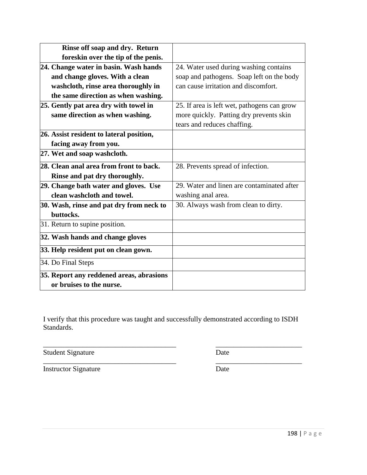| Rinse off soap and dry. Return           |                                             |
|------------------------------------------|---------------------------------------------|
| foreskin over the tip of the penis.      |                                             |
| 24. Change water in basin. Wash hands    | 24. Water used during washing contains      |
| and change gloves. With a clean          | soap and pathogens. Soap left on the body   |
| washcloth, rinse area thoroughly in      | can cause irritation and discomfort.        |
| the same direction as when washing.      |                                             |
| 25. Gently pat area dry with towel in    | 25. If area is left wet, pathogens can grow |
| same direction as when washing.          | more quickly. Patting dry prevents skin     |
|                                          | tears and reduces chaffing.                 |
| 26. Assist resident to lateral position, |                                             |
| facing away from you.                    |                                             |
| 27. Wet and soap washcloth.              |                                             |
| 28. Clean anal area from front to back.  | 28. Prevents spread of infection.           |
| Rinse and pat dry thoroughly.            |                                             |
| 29. Change bath water and gloves. Use    | 29. Water and linen are contaminated after  |
| clean washcloth and towel.               | washing anal area.                          |
| 30. Wash, rinse and pat dry from neck to | 30. Always wash from clean to dirty.        |
| buttocks.                                |                                             |
| 31. Return to supine position.           |                                             |
| 32. Wash hands and change gloves         |                                             |
| 33. Help resident put on clean gown.     |                                             |
| 34. Do Final Steps                       |                                             |
| 35. Report any reddened areas, abrasions |                                             |
| or bruises to the nurse.                 |                                             |
|                                          |                                             |

\_\_\_\_\_\_\_\_\_\_\_\_\_\_\_\_\_\_\_\_\_\_\_\_\_\_\_\_\_\_\_\_\_\_\_\_\_ \_\_\_\_\_\_\_\_\_\_\_\_\_\_\_\_\_\_\_\_\_\_\_\_

Student Signature Date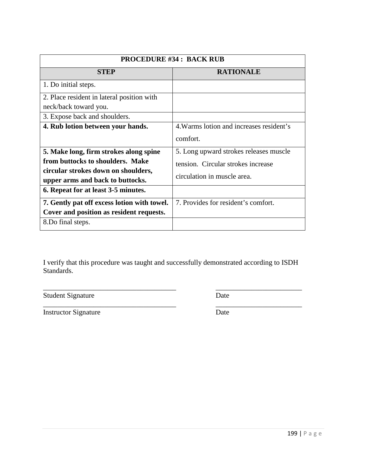| <b>PROCEDURE #34 : BACK RUB</b>          |  |
|------------------------------------------|--|
| <b>RATIONALE</b>                         |  |
|                                          |  |
|                                          |  |
|                                          |  |
|                                          |  |
| 4. Warms lotion and increases resident's |  |
| comfort.                                 |  |
| 5. Long upward strokes releases muscle   |  |
| tension. Circular strokes increase       |  |
| circulation in muscle area.              |  |
|                                          |  |
|                                          |  |
| 7. Provides for resident's comfort.      |  |
|                                          |  |
|                                          |  |
|                                          |  |

\_\_\_\_\_\_\_\_\_\_\_\_\_\_\_\_\_\_\_\_\_\_\_\_\_\_\_\_\_\_\_\_\_\_\_\_\_ \_\_\_\_\_\_\_\_\_\_\_\_\_\_\_\_\_\_\_\_\_\_\_\_ Student Signature Date

Instructor Signature Date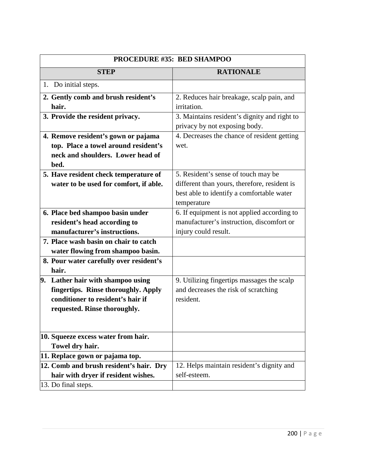| PROCEDURE #35: BED SHAMPOO                       |                                                                               |
|--------------------------------------------------|-------------------------------------------------------------------------------|
| <b>STEP</b>                                      | <b>RATIONALE</b>                                                              |
| 1. Do initial steps.                             |                                                                               |
| 2. Gently comb and brush resident's<br>hair.     | 2. Reduces hair breakage, scalp pain, and<br>irritation.                      |
| 3. Provide the resident privacy.                 | 3. Maintains resident's dignity and right to<br>privacy by not exposing body. |
| 4. Remove resident's gown or pajama              | 4. Decreases the chance of resident getting                                   |
| top. Place a towel around resident's             | wet.                                                                          |
| neck and shoulders. Lower head of                |                                                                               |
| bed.                                             |                                                                               |
| 5. Have resident check temperature of            | 5. Resident's sense of touch may be                                           |
| water to be used for comfort, if able.           | different than yours, therefore, resident is                                  |
|                                                  | best able to identify a comfortable water                                     |
|                                                  | temperature                                                                   |
| 6. Place bed shampoo basin under                 | 6. If equipment is not applied according to                                   |
| resident's head according to                     | manufacturer's instruction, discomfort or                                     |
| manufacturer's instructions.                     | injury could result.                                                          |
| 7. Place wash basin on chair to catch            |                                                                               |
| water flowing from shampoo basin.                |                                                                               |
| 8. Pour water carefully over resident's<br>hair. |                                                                               |
| 9. Lather hair with shampoo using                | 9. Utilizing fingertips massages the scalp                                    |
| fingertips. Rinse thoroughly. Apply              | and decreases the risk of scratching                                          |
| conditioner to resident's hair if                | resident.                                                                     |
| requested. Rinse thoroughly.                     |                                                                               |
|                                                  |                                                                               |
| 10. Squeeze excess water from hair.              |                                                                               |
| Towel dry hair.                                  |                                                                               |
| 11. Replace gown or pajama top.                  |                                                                               |
| 12. Comb and brush resident's hair. Dry          | 12. Helps maintain resident's dignity and                                     |
| hair with dryer if resident wishes.              | self-esteem.                                                                  |
| 13. Do final steps.                              |                                                                               |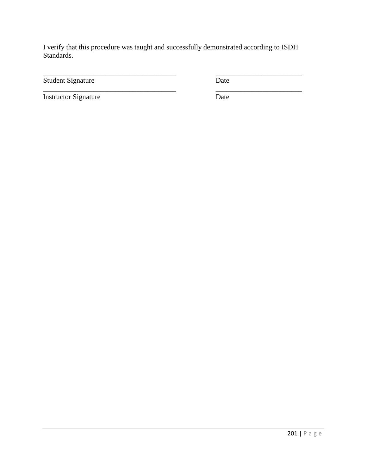\_\_\_\_\_\_\_\_\_\_\_\_\_\_\_\_\_\_\_\_\_\_\_\_\_\_\_\_\_\_\_\_\_\_\_\_\_ \_\_\_\_\_\_\_\_\_\_\_\_\_\_\_\_\_\_\_\_\_\_\_\_

\_\_\_\_\_\_\_\_\_\_\_\_\_\_\_\_\_\_\_\_\_\_\_\_\_\_\_\_\_\_\_\_\_\_\_\_\_ \_\_\_\_\_\_\_\_\_\_\_\_\_\_\_\_\_\_\_\_\_\_\_\_

Student Signature Date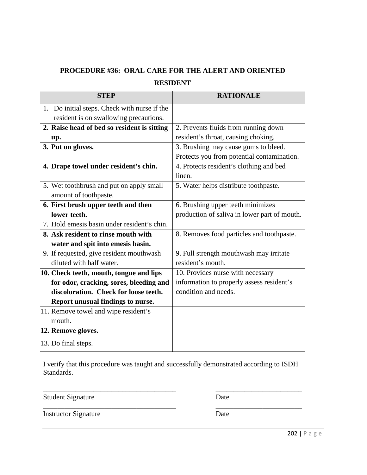| PROCEDURE #36: ORAL CARE FOR THE ALERT AND ORIENTED |                                              |
|-----------------------------------------------------|----------------------------------------------|
| <b>RESIDENT</b>                                     |                                              |
| <b>STEP</b>                                         | <b>RATIONALE</b>                             |
| 1. Do initial steps. Check with nurse if the        |                                              |
| resident is on swallowing precautions.              |                                              |
| 2. Raise head of bed so resident is sitting         | 2. Prevents fluids from running down         |
| up.                                                 | resident's throat, causing choking.          |
| 3. Put on gloves.                                   | 3. Brushing may cause gums to bleed.         |
|                                                     | Protects you from potential contamination.   |
| 4. Drape towel under resident's chin.               | 4. Protects resident's clothing and bed      |
|                                                     | linen.                                       |
| 5. Wet toothbrush and put on apply small            | 5. Water helps distribute toothpaste.        |
| amount of toothpaste.                               |                                              |
| 6. First brush upper teeth and then                 | 6. Brushing upper teeth minimizes            |
| lower teeth.                                        | production of saliva in lower part of mouth. |
| 7. Hold emesis basin under resident's chin.         |                                              |
| 8. Ask resident to rinse mouth with                 | 8. Removes food particles and toothpaste.    |
| water and spit into emesis basin.                   |                                              |
| 9. If requested, give resident mouthwash            | 9. Full strength mouthwash may irritate      |
| diluted with half water.                            | resident's mouth.                            |
| 10. Check teeth, mouth, tongue and lips             | 10. Provides nurse with necessary            |
| for odor, cracking, sores, bleeding and             | information to properly assess resident's    |
| discoloration. Check for loose teeth.               | condition and needs.                         |
| Report unusual findings to nurse.                   |                                              |
| 11. Remove towel and wipe resident's                |                                              |
| mouth.                                              |                                              |
| 12. Remove gloves.                                  |                                              |
| 13. Do final steps.                                 |                                              |

Student Signature Date

\_\_\_\_\_\_\_\_\_\_\_\_\_\_\_\_\_\_\_\_\_\_\_\_\_\_\_\_\_\_\_\_\_\_\_\_\_ \_\_\_\_\_\_\_\_\_\_\_\_\_\_\_\_\_\_\_\_\_\_\_\_

Instructor Signature Date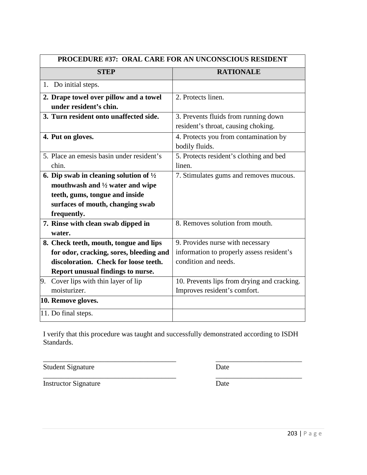| <b>PROCEDURE #37: ORAL CARE FOR AN UNCONSCIOUS RESIDENT</b> |                                                   |                                                                             |
|-------------------------------------------------------------|---------------------------------------------------|-----------------------------------------------------------------------------|
|                                                             | <b>STEP</b>                                       | <b>RATIONALE</b>                                                            |
| 1. Do initial steps.                                        |                                                   |                                                                             |
| under resident's chin.                                      | 2. Drape towel over pillow and a towel            | 2. Protects linen.                                                          |
|                                                             | 3. Turn resident onto unaffected side.            | 3. Prevents fluids from running down<br>resident's throat, causing choking. |
| 4. Put on gloves.                                           |                                                   | 4. Protects you from contamination by<br>bodily fluids.                     |
| chin.                                                       | 5. Place an emesis basin under resident's         | 5. Protects resident's clothing and bed<br>linen.                           |
|                                                             | 6. Dip swab in cleaning solution of $\frac{1}{2}$ | 7. Stimulates gums and removes mucous.                                      |
|                                                             | mouthwash and $\frac{1}{2}$ water and wipe        |                                                                             |
|                                                             | teeth, gums, tongue and inside                    |                                                                             |
|                                                             | surfaces of mouth, changing swab                  |                                                                             |
| frequently.                                                 |                                                   |                                                                             |
|                                                             | 7. Rinse with clean swab dipped in                | 8. Removes solution from mouth.                                             |
| water.                                                      |                                                   |                                                                             |
|                                                             | 8. Check teeth, mouth, tongue and lips            | 9. Provides nurse with necessary                                            |
|                                                             | for odor, cracking, sores, bleeding and           | information to properly assess resident's                                   |
|                                                             | discoloration. Check for loose teeth.             | condition and needs.                                                        |
|                                                             | Report unusual findings to nurse.                 |                                                                             |
| 9. Cover lips with thin layer of lip                        |                                                   | 10. Prevents lips from drying and cracking.                                 |
| moisturizer.                                                |                                                   | Improves resident's comfort.                                                |
| 10. Remove gloves.                                          |                                                   |                                                                             |
| 11. Do final steps.                                         |                                                   |                                                                             |

\_\_\_\_\_\_\_\_\_\_\_\_\_\_\_\_\_\_\_\_\_\_\_\_\_\_\_\_\_\_\_\_\_\_\_\_\_ \_\_\_\_\_\_\_\_\_\_\_\_\_\_\_\_\_\_\_\_\_\_\_\_

\_\_\_\_\_\_\_\_\_\_\_\_\_\_\_\_\_\_\_\_\_\_\_\_\_\_\_\_\_\_\_\_\_\_\_\_\_ \_\_\_\_\_\_\_\_\_\_\_\_\_\_\_\_\_\_\_\_\_\_\_\_

Student Signature Date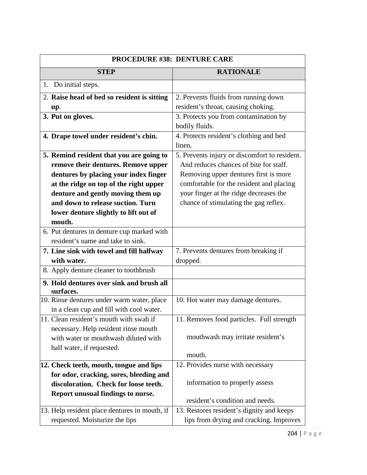| <b>PROCEDURE #38: DENTURE CARE</b>                    |                                               |
|-------------------------------------------------------|-----------------------------------------------|
| <b>STEP</b>                                           | <b>RATIONALE</b>                              |
| 1. Do initial steps.                                  |                                               |
| 2. Raise head of bed so resident is sitting           | 2. Prevents fluids from running down          |
| up.                                                   | resident's throat, causing choking.           |
| 3. Put on gloves.                                     | 3. Protects you from contamination by         |
|                                                       | bodily fluids.                                |
| 4. Drape towel under resident's chin.                 | 4. Protects resident's clothing and bed       |
|                                                       | linen.                                        |
| 5. Remind resident that you are going to              | 5. Prevents injury or discomfort to resident. |
| remove their dentures. Remove upper                   | And reduces chances of bite for staff.        |
| dentures by placing your index finger                 | Removing upper dentures first is more         |
| at the ridge on top of the right upper                | comfortable for the resident and placing      |
| denture and gently moving them up                     | your finger at the ridge decreases the        |
| and down to release suction. Turn                     | chance of stimulating the gag reflex.         |
| lower denture slightly to lift out of                 |                                               |
| mouth.                                                |                                               |
| 6. Put dentures in denture cup marked with            |                                               |
| resident's name and take to sink.                     |                                               |
| 7. Line sink with towel and fill halfway              | 7. Prevents dentures from breaking if         |
| with water.                                           | dropped.                                      |
| 8. Apply denture cleaner to toothbrush                |                                               |
| 9. Hold dentures over sink and brush all<br>surfaces. |                                               |
| 10. Rinse dentures under warm water, place            | 10. Hot water may damage dentures.            |
| in a clean cup and fill with cool water.              |                                               |
| 11. Clean resident's mouth with swab if               | 11. Removes food particles. Full strength     |
| necessary. Help resident rinse mouth                  |                                               |
| with water or mouthwash diluted with                  | mouthwash may irritate resident's             |
| half water, if requested.                             |                                               |
|                                                       | mouth.                                        |
| 12. Check teeth, mouth, tongue and lips               | 12. Provides nurse with necessary             |
| for odor, cracking, sores, bleeding and               |                                               |
| discoloration. Check for loose teeth.                 | information to properly assess                |
| Report unusual findings to nurse.                     | resident's condition and needs.               |
| 13. Help resident place dentures in mouth, if         | 13. Restores resident's dignity and keeps     |
|                                                       |                                               |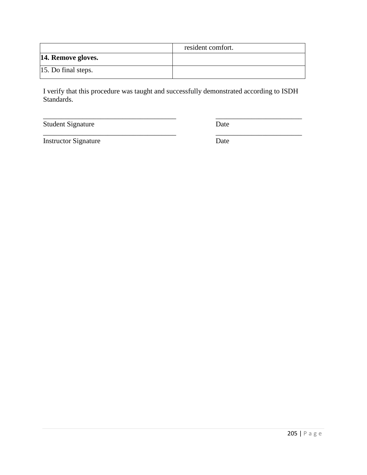|                        | resident comfort. |
|------------------------|-------------------|
| 14. Remove gloves.     |                   |
| $ 15.$ Do final steps. |                   |

\_\_\_\_\_\_\_\_\_\_\_\_\_\_\_\_\_\_\_\_\_\_\_\_\_\_\_\_\_\_\_\_\_\_\_\_\_ \_\_\_\_\_\_\_\_\_\_\_\_\_\_\_\_\_\_\_\_\_\_\_\_

Student Signature Date

Instructor Signature Date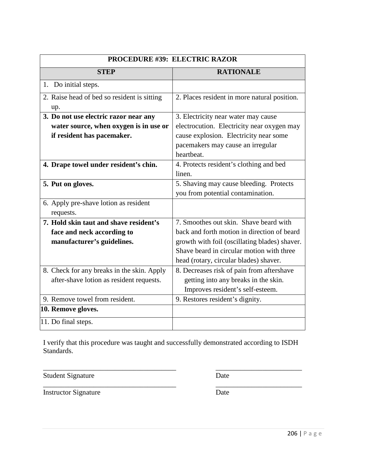| <b>PROCEDURE #39: ELECTRIC RAZOR</b>        |                                               |
|---------------------------------------------|-----------------------------------------------|
| <b>STEP</b>                                 | <b>RATIONALE</b>                              |
| 1. Do initial steps.                        |                                               |
| 2. Raise head of bed so resident is sitting | 2. Places resident in more natural position.  |
| up.                                         |                                               |
| 3. Do not use electric razor near any       | 3. Electricity near water may cause           |
| water source, when oxygen is in use or      | electrocution. Electricity near oxygen may    |
| if resident has pacemaker.                  | cause explosion. Electricity near some        |
|                                             | pacemakers may cause an irregular             |
|                                             | heartheat.                                    |
| 4. Drape towel under resident's chin.       | 4. Protects resident's clothing and bed       |
|                                             | linen.                                        |
| 5. Put on gloves.                           | 5. Shaving may cause bleeding. Protects       |
|                                             | you from potential contamination.             |
| 6. Apply pre-shave lotion as resident       |                                               |
| requests.                                   |                                               |
| 7. Hold skin taut and shave resident's      | 7. Smoothes out skin. Shave beard with        |
| face and neck according to                  | back and forth motion in direction of beard   |
| manufacturer's guidelines.                  | growth with foil (oscillating blades) shaver. |
|                                             | Shave beard in circular motion with three     |
|                                             | head (rotary, circular blades) shaver.        |
| 8. Check for any breaks in the skin. Apply  | 8. Decreases risk of pain from aftershave     |
| after-shave lotion as resident requests.    | getting into any breaks in the skin.          |
|                                             | Improves resident's self-esteem.              |
| 9. Remove towel from resident.              | 9. Restores resident's dignity.               |
| 10. Remove gloves.                          |                                               |
| 11. Do final steps.                         |                                               |

\_\_\_\_\_\_\_\_\_\_\_\_\_\_\_\_\_\_\_\_\_\_\_\_\_\_\_\_\_\_\_\_\_\_\_\_\_ \_\_\_\_\_\_\_\_\_\_\_\_\_\_\_\_\_\_\_\_\_\_\_\_ Student Signature Date

Instructor Signature Date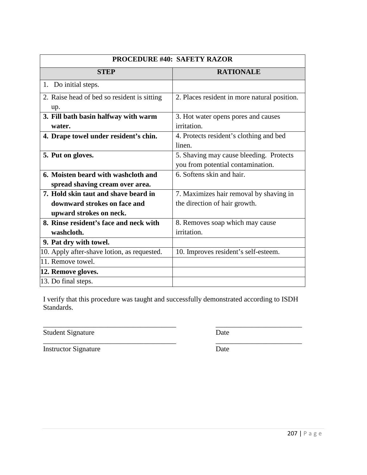| <b>PROCEDURE #40: SAFETY RAZOR</b>          |                                              |
|---------------------------------------------|----------------------------------------------|
| <b>STEP</b>                                 | <b>RATIONALE</b>                             |
| 1. Do initial steps.                        |                                              |
| 2. Raise head of bed so resident is sitting | 2. Places resident in more natural position. |
| up.                                         |                                              |
| 3. Fill bath basin halfway with warm        | 3. Hot water opens pores and causes          |
| water.                                      | irritation.                                  |
| 4. Drape towel under resident's chin.       | 4. Protects resident's clothing and bed      |
|                                             | linen.                                       |
| 5. Put on gloves.                           | 5. Shaving may cause bleeding. Protects      |
|                                             | you from potential contamination.            |
| 6. Moisten beard with washcloth and         | 6. Softens skin and hair.                    |
| spread shaving cream over area.             |                                              |
| 7. Hold skin taut and shave beard in        | 7. Maximizes hair removal by shaving in      |
| downward strokes on face and                | the direction of hair growth.                |
| upward strokes on neck.                     |                                              |
| 8. Rinse resident's face and neck with      | 8. Removes soap which may cause              |
| washcloth.                                  | irritation.                                  |
| 9. Pat dry with towel.                      |                                              |
| 10. Apply after-shave lotion, as requested. | 10. Improves resident's self-esteem.         |
| 11. Remove towel.                           |                                              |
| 12. Remove gloves.                          |                                              |
| 13. Do final steps.                         |                                              |

\_\_\_\_\_\_\_\_\_\_\_\_\_\_\_\_\_\_\_\_\_\_\_\_\_\_\_\_\_\_\_\_\_\_\_\_\_ \_\_\_\_\_\_\_\_\_\_\_\_\_\_\_\_\_\_\_\_\_\_\_\_

Student Signature Date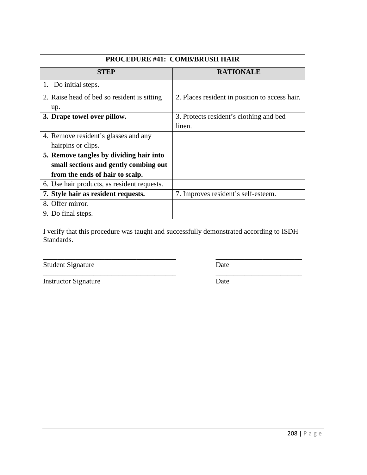| PROCEDURE #41: COMB/BRUSH HAIR              |                                                |
|---------------------------------------------|------------------------------------------------|
| <b>STEP</b>                                 | <b>RATIONALE</b>                               |
| 1. Do initial steps.                        |                                                |
| 2. Raise head of bed so resident is sitting | 2. Places resident in position to access hair. |
| up.                                         |                                                |
| 3. Drape towel over pillow.                 | 3. Protects resident's clothing and bed        |
|                                             | linen.                                         |
| 4. Remove resident's glasses and any        |                                                |
| hairpins or clips.                          |                                                |
| 5. Remove tangles by dividing hair into     |                                                |
| small sections and gently combing out       |                                                |
| from the ends of hair to scalp.             |                                                |
| 6. Use hair products, as resident requests. |                                                |
| 7. Style hair as resident requests.         | 7. Improves resident's self-esteem.            |
| 8. Offer mirror.                            |                                                |
| 9. Do final steps.                          |                                                |

\_\_\_\_\_\_\_\_\_\_\_\_\_\_\_\_\_\_\_\_\_\_\_\_\_\_\_\_\_\_\_\_\_\_\_\_\_ \_\_\_\_\_\_\_\_\_\_\_\_\_\_\_\_\_\_\_\_\_\_\_\_

Student Signature Date

\_\_\_\_\_\_\_\_\_\_\_\_\_\_\_\_\_\_\_\_\_\_\_\_\_\_\_\_\_\_\_\_\_\_\_\_\_ \_\_\_\_\_\_\_\_\_\_\_\_\_\_\_\_\_\_\_\_\_\_\_\_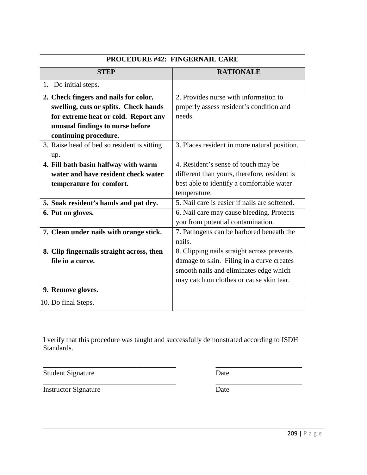| PROCEDURE #42: FINGERNAIL CARE              |                                               |
|---------------------------------------------|-----------------------------------------------|
| <b>STEP</b>                                 | <b>RATIONALE</b>                              |
| 1. Do initial steps.                        |                                               |
| 2. Check fingers and nails for color,       | 2. Provides nurse with information to         |
| swelling, cuts or splits. Check hands       | properly assess resident's condition and      |
| for extreme heat or cold. Report any        | needs.                                        |
| unusual findings to nurse before            |                                               |
| continuing procedure.                       |                                               |
| 3. Raise head of bed so resident is sitting | 3. Places resident in more natural position.  |
| up.                                         |                                               |
| 4. Fill bath basin halfway with warm        | 4. Resident's sense of touch may be           |
| water and have resident check water         | different than yours, therefore, resident is  |
| temperature for comfort.                    | best able to identify a comfortable water     |
|                                             | temperature.                                  |
| 5. Soak resident's hands and pat dry.       | 5. Nail care is easier if nails are softened. |
| 6. Put on gloves.                           | 6. Nail care may cause bleeding. Protects     |
|                                             | you from potential contamination.             |
| 7. Clean under nails with orange stick.     | 7. Pathogens can be harbored beneath the      |
|                                             | nails.                                        |
| 8. Clip fingernails straight across, then   | 8. Clipping nails straight across prevents    |
| file in a curve.                            | damage to skin. Filing in a curve creates     |
|                                             | smooth nails and eliminates edge which        |
|                                             | may catch on clothes or cause skin tear.      |
| 9. Remove gloves.                           |                                               |
| 10. Do final Steps.                         |                                               |

Student Signature Date

\_\_\_\_\_\_\_\_\_\_\_\_\_\_\_\_\_\_\_\_\_\_\_\_\_\_\_\_\_\_\_\_\_\_\_\_\_ \_\_\_\_\_\_\_\_\_\_\_\_\_\_\_\_\_\_\_\_\_\_\_\_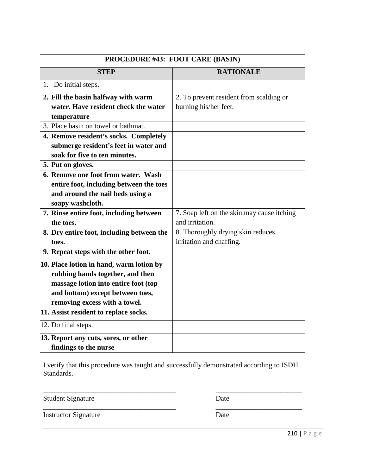| PROCEDURE #43: FOOT CARE (BASIN)          |                                            |
|-------------------------------------------|--------------------------------------------|
| <b>STEP</b>                               | <b>RATIONALE</b>                           |
| 1. Do initial steps.                      |                                            |
| 2. Fill the basin halfway with warm       | 2. To prevent resident from scalding or    |
| water. Have resident check the water      | burning his/her feet.                      |
| temperature                               |                                            |
| 3. Place basin on towel or bathmat.       |                                            |
| 4. Remove resident's socks. Completely    |                                            |
| submerge resident's feet in water and     |                                            |
| soak for five to ten minutes.             |                                            |
| 5. Put on gloves.                         |                                            |
| 6. Remove one foot from water. Wash       |                                            |
| entire foot, including between the toes   |                                            |
| and around the nail beds using a          |                                            |
| soapy washcloth.                          |                                            |
| 7. Rinse entire foot, including between   | 7. Soap left on the skin may cause itching |
| the toes.                                 | and irritation.                            |
| 8. Dry entire foot, including between the | 8. Thoroughly drying skin reduces          |
| toes.                                     | irritation and chaffing.                   |
| 9. Repeat steps with the other foot.      |                                            |
| 10. Place lotion in hand, warm lotion by  |                                            |
| rubbing hands together, and then          |                                            |
| massage lotion into entire foot (top      |                                            |
| and bottom) except between toes,          |                                            |
| removing excess with a towel.             |                                            |
| 11. Assist resident to replace socks.     |                                            |
| 12. Do final steps.                       |                                            |
| 13. Report any cuts, sores, or other      |                                            |
| findings to the nurse                     |                                            |

\_\_\_\_\_\_\_\_\_\_\_\_\_\_\_\_\_\_\_\_\_\_\_\_\_\_\_\_\_\_\_\_\_\_\_\_\_ \_\_\_\_\_\_\_\_\_\_\_\_\_\_\_\_\_\_\_\_\_\_\_\_

Student Signature Date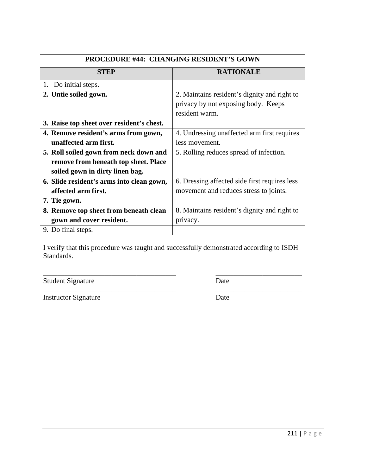| <b>PROCEDURE #44: CHANGING RESIDENT'S GOWN</b> |                                               |
|------------------------------------------------|-----------------------------------------------|
| <b>STEP</b>                                    | <b>RATIONALE</b>                              |
| 1. Do initial steps.                           |                                               |
| 2. Untie soiled gown.                          | 2. Maintains resident's dignity and right to  |
|                                                | privacy by not exposing body. Keeps           |
|                                                | resident warm.                                |
| 3. Raise top sheet over resident's chest.      |                                               |
| 4. Remove resident's arms from gown,           | 4. Undressing unaffected arm first requires   |
| unaffected arm first.                          | less movement.                                |
| 5. Roll soiled gown from neck down and         | 5. Rolling reduces spread of infection.       |
| remove from beneath top sheet. Place           |                                               |
| soiled gown in dirty linen bag.                |                                               |
| 6. Slide resident's arms into clean gown,      | 6. Dressing affected side first requires less |
| affected arm first.                            | movement and reduces stress to joints.        |
| 7. Tie gown.                                   |                                               |
| 8. Remove top sheet from beneath clean         | 8. Maintains resident's dignity and right to  |
| gown and cover resident.                       | privacy.                                      |
| 9. Do final steps.                             |                                               |

\_\_\_\_\_\_\_\_\_\_\_\_\_\_\_\_\_\_\_\_\_\_\_\_\_\_\_\_\_\_\_\_\_\_\_\_\_ \_\_\_\_\_\_\_\_\_\_\_\_\_\_\_\_\_\_\_\_\_\_\_\_

\_\_\_\_\_\_\_\_\_\_\_\_\_\_\_\_\_\_\_\_\_\_\_\_\_\_\_\_\_\_\_\_\_\_\_\_\_ \_\_\_\_\_\_\_\_\_\_\_\_\_\_\_\_\_\_\_\_\_\_\_\_

Student Signature Date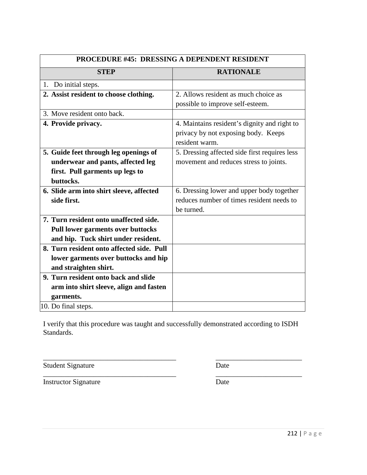| <b>PROCEDURE #45: DRESSING A DEPENDENT RESIDENT</b> |                                               |
|-----------------------------------------------------|-----------------------------------------------|
| <b>STEP</b>                                         | <b>RATIONALE</b>                              |
| 1. Do initial steps.                                |                                               |
| 2. Assist resident to choose clothing.              | 2. Allows resident as much choice as          |
|                                                     | possible to improve self-esteem.              |
| 3. Move resident onto back.                         |                                               |
| 4. Provide privacy.                                 | 4. Maintains resident's dignity and right to  |
|                                                     | privacy by not exposing body. Keeps           |
|                                                     | resident warm.                                |
| 5. Guide feet through leg openings of               | 5. Dressing affected side first requires less |
| underwear and pants, affected leg                   | movement and reduces stress to joints.        |
| first. Pull garments up legs to                     |                                               |
| buttocks.                                           |                                               |
| 6. Slide arm into shirt sleeve, affected            | 6. Dressing lower and upper body together     |
| side first.                                         | reduces number of times resident needs to     |
|                                                     | be turned.                                    |
| 7. Turn resident onto unaffected side.              |                                               |
| <b>Pull lower garments over buttocks</b>            |                                               |
| and hip. Tuck shirt under resident.                 |                                               |
| 8. Turn resident onto affected side. Pull           |                                               |
| lower garments over buttocks and hip                |                                               |
| and straighten shirt.                               |                                               |
| 9. Turn resident onto back and slide                |                                               |
| arm into shirt sleeve, align and fasten             |                                               |
| garments.                                           |                                               |
| 10. Do final steps.                                 |                                               |

\_\_\_\_\_\_\_\_\_\_\_\_\_\_\_\_\_\_\_\_\_\_\_\_\_\_\_\_\_\_\_\_\_\_\_\_\_ \_\_\_\_\_\_\_\_\_\_\_\_\_\_\_\_\_\_\_\_\_\_\_\_

\_\_\_\_\_\_\_\_\_\_\_\_\_\_\_\_\_\_\_\_\_\_\_\_\_\_\_\_\_\_\_\_\_\_\_\_\_ \_\_\_\_\_\_\_\_\_\_\_\_\_\_\_\_\_\_\_\_\_\_\_\_

Student Signature Date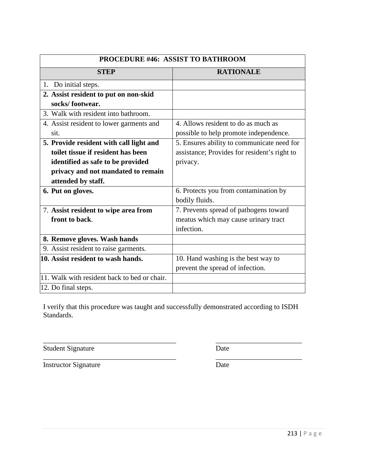| <b>PROCEDURE #46: ASSIST TO BATHROOM</b>     |                                              |
|----------------------------------------------|----------------------------------------------|
| <b>STEP</b>                                  | <b>RATIONALE</b>                             |
| 1. Do initial steps.                         |                                              |
| 2. Assist resident to put on non-skid        |                                              |
| socks/footwear.                              |                                              |
| 3. Walk with resident into bathroom.         |                                              |
| 4. Assist resident to lower garments and     | 4. Allows resident to do as much as          |
| sit.                                         | possible to help promote independence.       |
| 5. Provide resident with call light and      | 5. Ensures ability to communicate need for   |
| toilet tissue if resident has been           | assistance; Provides for resident's right to |
| identified as safe to be provided            | privacy.                                     |
| privacy and not mandated to remain           |                                              |
| attended by staff.                           |                                              |
| 6. Put on gloves.                            | 6. Protects you from contamination by        |
|                                              | bodily fluids.                               |
| 7. Assist resident to wipe area from         | 7. Prevents spread of pathogens toward       |
| front to back.                               | meatus which may cause urinary tract         |
|                                              | infection.                                   |
| 8. Remove gloves. Wash hands                 |                                              |
| 9. Assist resident to raise garments.        |                                              |
| 10. Assist resident to wash hands.           | 10. Hand washing is the best way to          |
|                                              | prevent the spread of infection.             |
| 11. Walk with resident back to bed or chair. |                                              |
| 12. Do final steps.                          |                                              |

Student Signature Date

\_\_\_\_\_\_\_\_\_\_\_\_\_\_\_\_\_\_\_\_\_\_\_\_\_\_\_\_\_\_\_\_\_\_\_\_\_ \_\_\_\_\_\_\_\_\_\_\_\_\_\_\_\_\_\_\_\_\_\_\_\_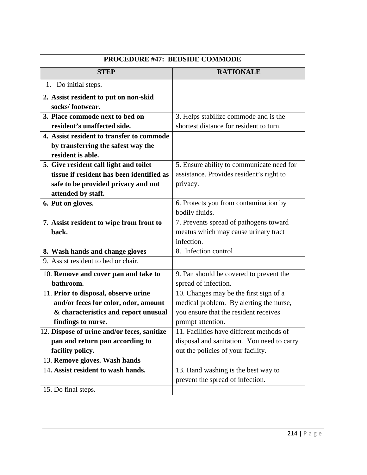| PROCEDURE #47: BEDSIDE COMMODE              |                                            |
|---------------------------------------------|--------------------------------------------|
| <b>STEP</b>                                 | <b>RATIONALE</b>                           |
| 1. Do initial steps.                        |                                            |
| 2. Assist resident to put on non-skid       |                                            |
| socks/footwear.                             |                                            |
| 3. Place commode next to bed on             | 3. Helps stabilize commode and is the      |
| resident's unaffected side.                 | shortest distance for resident to turn.    |
| 4. Assist resident to transfer to commode   |                                            |
| by transferring the safest way the          |                                            |
| resident is able.                           |                                            |
| 5. Give resident call light and toilet      | 5. Ensure ability to communicate need for  |
| tissue if resident has been identified as   | assistance. Provides resident's right to   |
| safe to be provided privacy and not         | privacy.                                   |
| attended by staff.                          |                                            |
| 6. Put on gloves.                           | 6. Protects you from contamination by      |
|                                             | bodily fluids.                             |
| 7. Assist resident to wipe from front to    | 7. Prevents spread of pathogens toward     |
| back.                                       | meatus which may cause urinary tract       |
|                                             | infection.                                 |
| 8. Wash hands and change gloves             | 8. Infection control                       |
| 9. Assist resident to bed or chair.         |                                            |
| 10. Remove and cover pan and take to        | 9. Pan should be covered to prevent the    |
| bathroom.                                   | spread of infection.                       |
| 11. Prior to disposal, observe urine        | 10. Changes may be the first sign of a     |
| and/or feces for color, odor, amount        | medical problem. By alerting the nurse,    |
| & characteristics and report unusual        | you ensure that the resident receives      |
| findings to nurse.                          | prompt attention.                          |
| 12. Dispose of urine and/or feces, sanitize | 11. Facilities have different methods of   |
| pan and return pan according to             | disposal and sanitation. You need to carry |
| facility policy.                            | out the policies of your facility.         |
| 13. Remove gloves. Wash hands               |                                            |
| 14. Assist resident to wash hands.          | 13. Hand washing is the best way to        |
|                                             | prevent the spread of infection.           |
| 15. Do final steps.                         |                                            |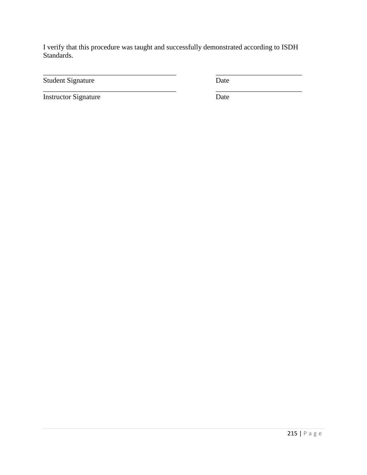\_\_\_\_\_\_\_\_\_\_\_\_\_\_\_\_\_\_\_\_\_\_\_\_\_\_\_\_\_\_\_\_\_\_\_\_\_ \_\_\_\_\_\_\_\_\_\_\_\_\_\_\_\_\_\_\_\_\_\_\_\_

\_\_\_\_\_\_\_\_\_\_\_\_\_\_\_\_\_\_\_\_\_\_\_\_\_\_\_\_\_\_\_\_\_\_\_\_\_ \_\_\_\_\_\_\_\_\_\_\_\_\_\_\_\_\_\_\_\_\_\_\_\_

Student Signature Date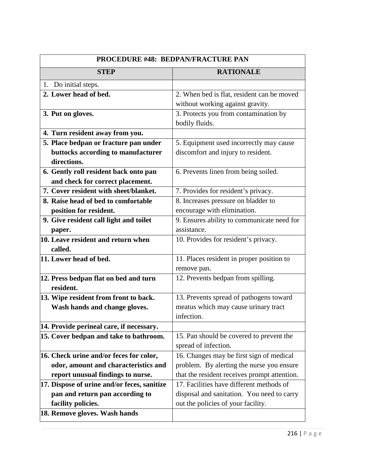| PROCEDURE #48: BEDPAN/FRACTURE PAN          |                                              |
|---------------------------------------------|----------------------------------------------|
| <b>STEP</b>                                 | <b>RATIONALE</b>                             |
| 1. Do initial steps.                        |                                              |
| 2. Lower head of bed.                       | 2. When bed is flat, resident can be moved   |
|                                             | without working against gravity.             |
| 3. Put on gloves.                           | 3. Protects you from contamination by        |
|                                             | bodily fluids.                               |
| 4. Turn resident away from you.             |                                              |
| 5. Place bedpan or fracture pan under       | 5. Equipment used incorrectly may cause      |
| buttocks according to manufacturer          | discomfort and injury to resident.           |
| directions.                                 |                                              |
| 6. Gently roll resident back onto pan       | 6. Prevents linen from being soiled.         |
| and check for correct placement.            |                                              |
| 7. Cover resident with sheet/blanket.       | 7. Provides for resident's privacy.          |
| 8. Raise head of bed to comfortable         | 8. Increases pressure on bladder to          |
| position for resident.                      | encourage with elimination.                  |
| 9. Give resident call light and toilet      | 9. Ensures ability to communicate need for   |
| paper.                                      | assistance.                                  |
| 10. Leave resident and return when          | 10. Provides for resident's privacy.         |
| called.                                     |                                              |
| 11. Lower head of bed.                      | 11. Places resident in proper position to    |
|                                             | remove pan.                                  |
| 12. Press bedpan flat on bed and turn       | 12. Prevents bedpan from spilling.           |
| resident.                                   |                                              |
| 13. Wipe resident from front to back.       | 13. Prevents spread of pathogens toward      |
| Wash hands and change gloves.               | meatus which may cause urinary tract         |
|                                             | infection.                                   |
| 14. Provide perineal care, if necessary.    |                                              |
| 15. Cover bedpan and take to bathroom.      | 15. Pan should be covered to prevent the     |
|                                             | spread of infection.                         |
| 16. Check urine and/or feces for color,     | 16. Changes may be first sign of medical     |
| odor, amount and characteristics and        | problem. By alerting the nurse you ensure    |
| report unusual findings to nurse.           | that the resident receives prompt attention. |
| 17. Dispose of urine and/or feces, sanitize | 17. Facilities have different methods of     |
| pan and return pan according to             | disposal and sanitation. You need to carry   |
| facility policies.                          | out the policies of your facility.           |
| 18. Remove gloves. Wash hands               |                                              |
|                                             |                                              |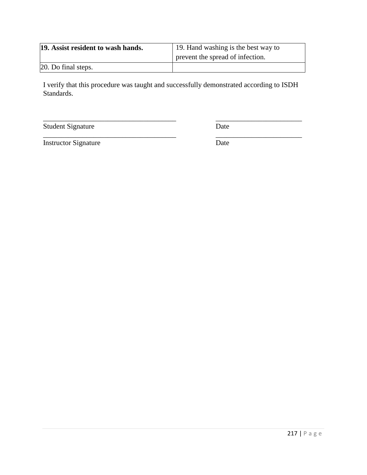| 19. Assist resident to wash hands. | 19. Hand washing is the best way to |
|------------------------------------|-------------------------------------|
|                                    | prevent the spread of infection.    |
| 20. Do final steps.                |                                     |

\_\_\_\_\_\_\_\_\_\_\_\_\_\_\_\_\_\_\_\_\_\_\_\_\_\_\_\_\_\_\_\_\_\_\_\_\_ \_\_\_\_\_\_\_\_\_\_\_\_\_\_\_\_\_\_\_\_\_\_\_\_

Student Signature Date

\_\_\_\_\_\_\_\_\_\_\_\_\_\_\_\_\_\_\_\_\_\_\_\_\_\_\_\_\_\_\_\_\_\_\_\_\_ \_\_\_\_\_\_\_\_\_\_\_\_\_\_\_\_\_\_\_\_\_\_\_\_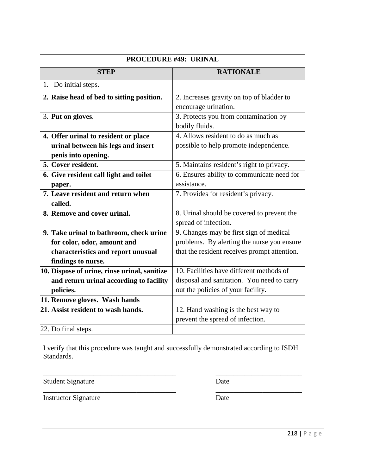| <b>PROCEDURE #49: URINAL</b>                 |                                              |
|----------------------------------------------|----------------------------------------------|
| <b>STEP</b>                                  | <b>RATIONALE</b>                             |
| 1. Do initial steps.                         |                                              |
| 2. Raise head of bed to sitting position.    | 2. Increases gravity on top of bladder to    |
|                                              | encourage urination.                         |
| 3. Put on gloves.                            | 3. Protects you from contamination by        |
|                                              | bodily fluids.                               |
| 4. Offer urinal to resident or place         | 4. Allows resident to do as much as          |
| urinal between his legs and insert           | possible to help promote independence.       |
| penis into opening.                          |                                              |
| 5. Cover resident.                           | 5. Maintains resident's right to privacy.    |
| 6. Give resident call light and toilet       | 6. Ensures ability to communicate need for   |
| paper.                                       | assistance.                                  |
| 7. Leave resident and return when            | 7. Provides for resident's privacy.          |
| called.                                      |                                              |
| 8. Remove and cover urinal.                  | 8. Urinal should be covered to prevent the   |
|                                              | spread of infection.                         |
| 9. Take urinal to bathroom, check urine      | 9. Changes may be first sign of medical      |
| for color, odor, amount and                  | problems. By alerting the nurse you ensure   |
| characteristics and report unusual           | that the resident receives prompt attention. |
| findings to nurse.                           |                                              |
| 10. Dispose of urine, rinse urinal, sanitize | 10. Facilities have different methods of     |
| and return urinal according to facility      | disposal and sanitation. You need to carry   |
| policies.                                    | out the policies of your facility.           |
| 11. Remove gloves. Wash hands                |                                              |
| 21. Assist resident to wash hands.           | 12. Hand washing is the best way to          |
|                                              | prevent the spread of infection.             |
| 22. Do final steps.                          |                                              |

\_\_\_\_\_\_\_\_\_\_\_\_\_\_\_\_\_\_\_\_\_\_\_\_\_\_\_\_\_\_\_\_\_\_\_\_\_ \_\_\_\_\_\_\_\_\_\_\_\_\_\_\_\_\_\_\_\_\_\_\_\_

\_\_\_\_\_\_\_\_\_\_\_\_\_\_\_\_\_\_\_\_\_\_\_\_\_\_\_\_\_\_\_\_\_\_\_\_\_ \_\_\_\_\_\_\_\_\_\_\_\_\_\_\_\_\_\_\_\_\_\_\_\_

Student Signature Date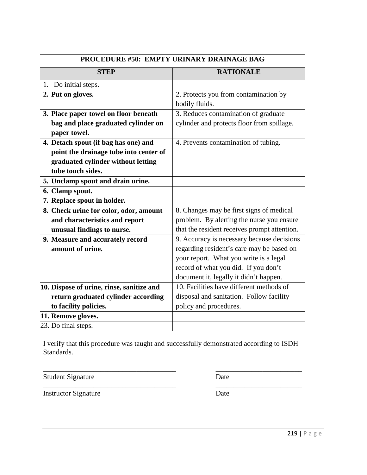| <b>PROCEDURE #50: EMPTY URINARY DRAINAGE BAG</b> |                                                         |
|--------------------------------------------------|---------------------------------------------------------|
| <b>STEP</b>                                      | <b>RATIONALE</b>                                        |
| Do initial steps.<br>1.                          |                                                         |
| 2. Put on gloves.                                | 2. Protects you from contamination by<br>bodily fluids. |
| 3. Place paper towel on floor beneath            | 3. Reduces contamination of graduate                    |
| bag and place graduated cylinder on              | cylinder and protects floor from spillage.              |
| paper towel.                                     |                                                         |
| 4. Detach spout (if bag has one) and             | 4. Prevents contamination of tubing.                    |
| point the drainage tube into center of           |                                                         |
| graduated cylinder without letting               |                                                         |
| tube touch sides.                                |                                                         |
| 5. Unclamp spout and drain urine.                |                                                         |
| 6. Clamp spout.                                  |                                                         |
| 7. Replace spout in holder.                      |                                                         |
| 8. Check urine for color, odor, amount           | 8. Changes may be first signs of medical                |
| and characteristics and report                   | problem. By alerting the nurse you ensure               |
| unusual findings to nurse.                       | that the resident receives prompt attention.            |
| 9. Measure and accurately record                 | 9. Accuracy is necessary because decisions              |
| amount of urine.                                 | regarding resident's care may be based on               |
|                                                  | your report. What you write is a legal                  |
|                                                  | record of what you did. If you don't                    |
|                                                  | document it, legally it didn't happen.                  |
| 10. Dispose of urine, rinse, sanitize and        | 10. Facilities have different methods of                |
| return graduated cylinder according              | disposal and sanitation. Follow facility                |
| to facility policies.                            | policy and procedures.                                  |
| 11. Remove gloves.                               |                                                         |
| 23. Do final steps.                              |                                                         |

\_\_\_\_\_\_\_\_\_\_\_\_\_\_\_\_\_\_\_\_\_\_\_\_\_\_\_\_\_\_\_\_\_\_\_\_\_ \_\_\_\_\_\_\_\_\_\_\_\_\_\_\_\_\_\_\_\_\_\_\_\_

Student Signature Date

Instructor Signature Date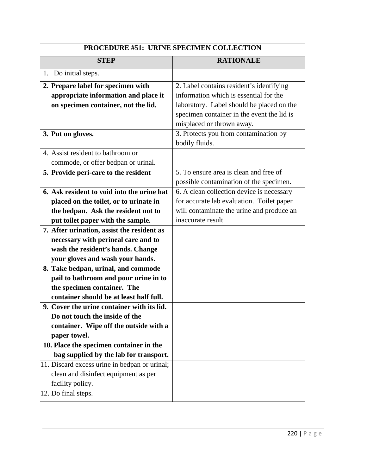| PROCEDURE #51: URINE SPECIMEN COLLECTION                                                                                                                   |                                                                                                                                                                                                            |
|------------------------------------------------------------------------------------------------------------------------------------------------------------|------------------------------------------------------------------------------------------------------------------------------------------------------------------------------------------------------------|
| <b>STEP</b>                                                                                                                                                | <b>RATIONALE</b>                                                                                                                                                                                           |
| Do initial steps.<br>1.                                                                                                                                    |                                                                                                                                                                                                            |
| 2. Prepare label for specimen with<br>appropriate information and place it<br>on specimen container, not the lid.                                          | 2. Label contains resident's identifying<br>information which is essential for the<br>laboratory. Label should be placed on the<br>specimen container in the event the lid is<br>misplaced or thrown away. |
| 3. Put on gloves.                                                                                                                                          | 3. Protects you from contamination by<br>bodily fluids.                                                                                                                                                    |
| 4. Assist resident to bathroom or<br>commode, or offer bedpan or urinal.<br>5. Provide peri-care to the resident                                           | 5. To ensure area is clean and free of                                                                                                                                                                     |
| 6. Ask resident to void into the urine hat                                                                                                                 | possible contamination of the specimen.<br>6. A clean collection device is necessary                                                                                                                       |
| placed on the toilet, or to urinate in<br>the bedpan. Ask the resident not to<br>put toilet paper with the sample.                                         | for accurate lab evaluation. Toilet paper<br>will contaminate the urine and produce an<br>inaccurate result.                                                                                               |
| 7. After urination, assist the resident as<br>necessary with perineal care and to<br>wash the resident's hands. Change<br>your gloves and wash your hands. |                                                                                                                                                                                                            |
| 8. Take bedpan, urinal, and commode<br>pail to bathroom and pour urine in to<br>the specimen container. The<br>container should be at least half full.     |                                                                                                                                                                                                            |
| 9. Cover the urine container with its lid.<br>Do not touch the inside of the<br>container. Wipe off the outside with a<br>paper towel.                     |                                                                                                                                                                                                            |
| 10. Place the specimen container in the<br>bag supplied by the lab for transport.                                                                          |                                                                                                                                                                                                            |
| 11. Discard excess urine in bedpan or urinal;<br>clean and disinfect equipment as per<br>facility policy.<br>12. Do final steps.                           |                                                                                                                                                                                                            |
|                                                                                                                                                            |                                                                                                                                                                                                            |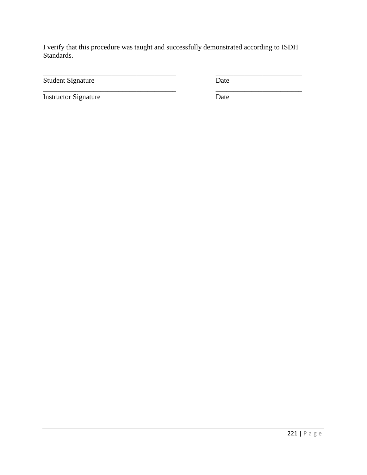\_\_\_\_\_\_\_\_\_\_\_\_\_\_\_\_\_\_\_\_\_\_\_\_\_\_\_\_\_\_\_\_\_\_\_\_\_ \_\_\_\_\_\_\_\_\_\_\_\_\_\_\_\_\_\_\_\_\_\_\_\_

\_\_\_\_\_\_\_\_\_\_\_\_\_\_\_\_\_\_\_\_\_\_\_\_\_\_\_\_\_\_\_\_\_\_\_\_\_ \_\_\_\_\_\_\_\_\_\_\_\_\_\_\_\_\_\_\_\_\_\_\_\_

Student Signature Date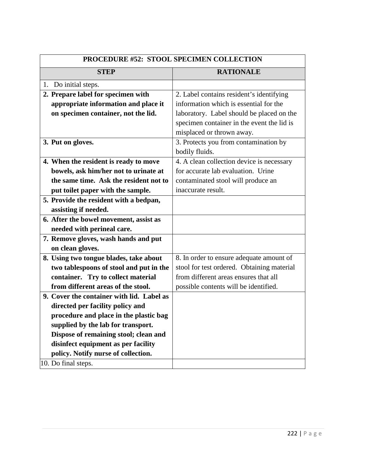| <b>PROCEDURE #52: STOOL SPECIMEN COLLECTION</b> |                                            |
|-------------------------------------------------|--------------------------------------------|
| <b>STEP</b>                                     | <b>RATIONALE</b>                           |
| Do initial steps.<br>1.                         |                                            |
| 2. Prepare label for specimen with              | 2. Label contains resident's identifying   |
| appropriate information and place it            | information which is essential for the     |
| on specimen container, not the lid.             | laboratory. Label should be placed on the  |
|                                                 | specimen container in the event the lid is |
|                                                 | misplaced or thrown away.                  |
| 3. Put on gloves.                               | 3. Protects you from contamination by      |
|                                                 | bodily fluids.                             |
| 4. When the resident is ready to move           | 4. A clean collection device is necessary  |
| bowels, ask him/her not to urinate at           | for accurate lab evaluation. Urine         |
| the same time. Ask the resident not to          | contaminated stool will produce an         |
| put toilet paper with the sample.               | inaccurate result.                         |
| 5. Provide the resident with a bedpan,          |                                            |
| assisting if needed.                            |                                            |
| 6. After the bowel movement, assist as          |                                            |
| needed with perineal care.                      |                                            |
| 7. Remove gloves, wash hands and put            |                                            |
| on clean gloves.                                |                                            |
| 8. Using two tongue blades, take about          | 8. In order to ensure adequate amount of   |
| two tablespoons of stool and put in the         | stool for test ordered. Obtaining material |
| container. Try to collect material              | from different areas ensures that all      |
| from different areas of the stool.              | possible contents will be identified.      |
| 9. Cover the container with lid. Label as       |                                            |
| directed per facility policy and                |                                            |
| procedure and place in the plastic bag          |                                            |
| supplied by the lab for transport.              |                                            |
| Dispose of remaining stool; clean and           |                                            |
| disinfect equipment as per facility             |                                            |
| policy. Notify nurse of collection.             |                                            |
| 10. Do final steps.                             |                                            |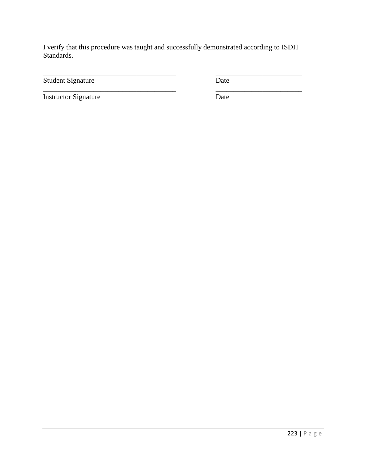\_\_\_\_\_\_\_\_\_\_\_\_\_\_\_\_\_\_\_\_\_\_\_\_\_\_\_\_\_\_\_\_\_\_\_\_\_ \_\_\_\_\_\_\_\_\_\_\_\_\_\_\_\_\_\_\_\_\_\_\_\_

\_\_\_\_\_\_\_\_\_\_\_\_\_\_\_\_\_\_\_\_\_\_\_\_\_\_\_\_\_\_\_\_\_\_\_\_\_ \_\_\_\_\_\_\_\_\_\_\_\_\_\_\_\_\_\_\_\_\_\_\_\_

Student Signature Date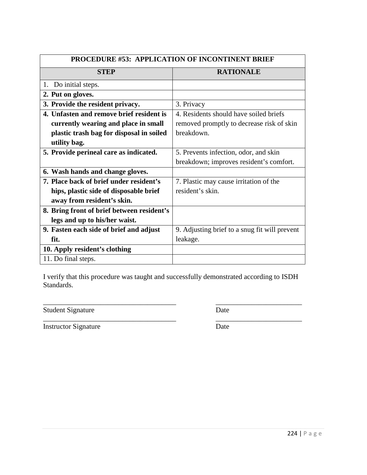| <b>PROCEDURE #53: APPLICATION OF INCONTINENT BRIEF</b> |                                               |
|--------------------------------------------------------|-----------------------------------------------|
| <b>STEP</b>                                            | <b>RATIONALE</b>                              |
| 1. Do initial steps.                                   |                                               |
| 2. Put on gloves.                                      |                                               |
| 3. Provide the resident privacy.                       | 3. Privacy                                    |
| 4. Unfasten and remove brief resident is               | 4. Residents should have soiled briefs        |
| currently wearing and place in small                   | removed promptly to decrease risk of skin     |
| plastic trash bag for disposal in soiled               | breakdown.                                    |
| utility bag.                                           |                                               |
| 5. Provide perineal care as indicated.                 | 5. Prevents infection, odor, and skin         |
|                                                        | breakdown; improves resident's comfort.       |
| 6. Wash hands and change gloves.                       |                                               |
| 7. Place back of brief under resident's                | 7. Plastic may cause irritation of the        |
| hips, plastic side of disposable brief                 | resident's skin.                              |
| away from resident's skin.                             |                                               |
| 8. Bring front of brief between resident's             |                                               |
| legs and up to his/her waist.                          |                                               |
| 9. Fasten each side of brief and adjust                | 9. Adjusting brief to a snug fit will prevent |
| fit.                                                   | leakage.                                      |
| 10. Apply resident's clothing                          |                                               |
| 11. Do final steps.                                    |                                               |

\_\_\_\_\_\_\_\_\_\_\_\_\_\_\_\_\_\_\_\_\_\_\_\_\_\_\_\_\_\_\_\_\_\_\_\_\_ \_\_\_\_\_\_\_\_\_\_\_\_\_\_\_\_\_\_\_\_\_\_\_\_

Student Signature Date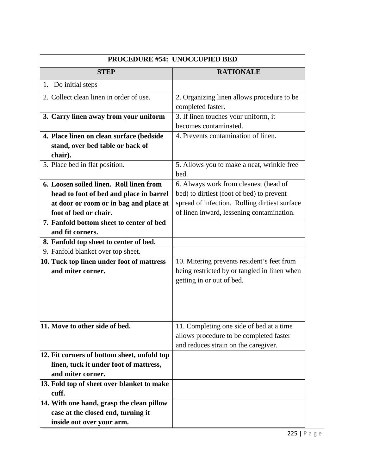| PROCEDURE #54: UNOCCUPIED BED               |                                               |
|---------------------------------------------|-----------------------------------------------|
| <b>STEP</b>                                 | <b>RATIONALE</b>                              |
| 1. Do initial steps                         |                                               |
| 2. Collect clean linen in order of use.     | 2. Organizing linen allows procedure to be    |
|                                             | completed faster.                             |
| 3. Carry linen away from your uniform       | 3. If linen touches your uniform, it          |
|                                             | becomes contaminated.                         |
| 4. Place linen on clean surface (bedside    | 4. Prevents contamination of linen.           |
| stand, over bed table or back of            |                                               |
| chair).                                     |                                               |
| 5. Place bed in flat position.              | 5. Allows you to make a neat, wrinkle free    |
|                                             | bed.                                          |
| 6. Loosen soiled linen. Roll linen from     | 6. Always work from cleanest (head of         |
| head to foot of bed and place in barrel     | bed) to dirtiest (foot of bed) to prevent     |
| at door or room or in bag and place at      | spread of infection. Rolling dirtiest surface |
| foot of bed or chair.                       | of linen inward, lessening contamination.     |
| 7. Fanfold bottom sheet to center of bed    |                                               |
| and fit corners.                            |                                               |
| 8. Fanfold top sheet to center of bed.      |                                               |
| 9. Fanfold blanket over top sheet.          |                                               |
| 10. Tuck top linen under foot of mattress   | 10. Mitering prevents resident's feet from    |
| and miter corner.                           | being restricted by or tangled in linen when  |
|                                             | getting in or out of bed.                     |
|                                             |                                               |
|                                             |                                               |
|                                             |                                               |
|                                             |                                               |
| 11. Move to other side of bed.              | 11. Completing one side of bed at a time      |
|                                             | allows procedure to be completed faster       |
|                                             | and reduces strain on the caregiver.          |
| 12. Fit corners of bottom sheet, unfold top |                                               |
| linen, tuck it under foot of mattress,      |                                               |
| and miter corner.                           |                                               |
| 13. Fold top of sheet over blanket to make  |                                               |
| cuff.                                       |                                               |
| 14. With one hand, grasp the clean pillow   |                                               |
| case at the closed end, turning it          |                                               |
| inside out over your arm.                   |                                               |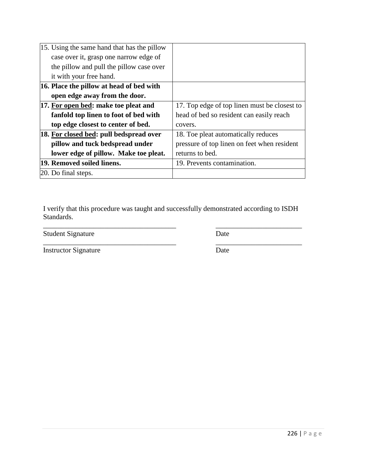|                     | 15. Using the same hand that has the pillow |                                              |
|---------------------|---------------------------------------------|----------------------------------------------|
|                     | case over it, grasp one narrow edge of      |                                              |
|                     | the pillow and pull the pillow case over    |                                              |
|                     | it with your free hand.                     |                                              |
|                     | 16. Place the pillow at head of bed with    |                                              |
|                     | open edge away from the door.               |                                              |
|                     | 17. For open bed: make toe pleat and        | 17. Top edge of top linen must be closest to |
|                     | fanfold top linen to foot of bed with       | head of bed so resident can easily reach     |
|                     | top edge closest to center of bed.          | covers.                                      |
|                     | 18. For closed bed: pull bedspread over     | 18. Toe pleat automatically reduces          |
|                     | pillow and tuck bedspread under             | pressure of top linen on feet when resident  |
|                     | lower edge of pillow. Make toe pleat.       | returns to bed.                              |
|                     | 19. Removed soiled linens.                  | 19. Prevents contamination.                  |
| 20. Do final steps. |                                             |                                              |

\_\_\_\_\_\_\_\_\_\_\_\_\_\_\_\_\_\_\_\_\_\_\_\_\_\_\_\_\_\_\_\_\_\_\_\_\_ \_\_\_\_\_\_\_\_\_\_\_\_\_\_\_\_\_\_\_\_\_\_\_\_

Student Signature Date

\_\_\_\_\_\_\_\_\_\_\_\_\_\_\_\_\_\_\_\_\_\_\_\_\_\_\_\_\_\_\_\_\_\_\_\_\_ \_\_\_\_\_\_\_\_\_\_\_\_\_\_\_\_\_\_\_\_\_\_\_\_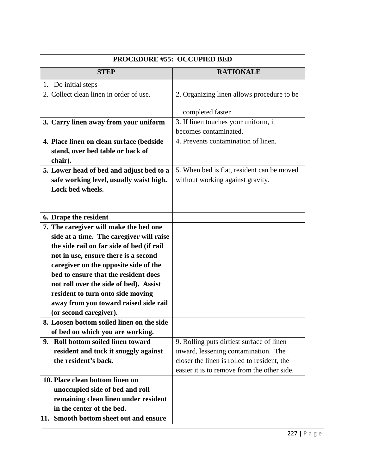| PROCEDURE #55: OCCUPIED BED                                                   |                                             |
|-------------------------------------------------------------------------------|---------------------------------------------|
| <b>STEP</b>                                                                   | <b>RATIONALE</b>                            |
| 1. Do initial steps                                                           |                                             |
| 2. Collect clean linen in order of use.                                       | 2. Organizing linen allows procedure to be  |
|                                                                               |                                             |
|                                                                               | completed faster                            |
| 3. Carry linen away from your uniform                                         | 3. If linen touches your uniform, it        |
|                                                                               | becomes contaminated.                       |
| 4. Place linen on clean surface (bedside                                      | 4. Prevents contamination of linen.         |
| stand, over bed table or back of                                              |                                             |
| chair).                                                                       |                                             |
| 5. Lower head of bed and adjust bed to a                                      | 5. When bed is flat, resident can be moved  |
| safe working level, usually waist high.                                       | without working against gravity.            |
| Lock bed wheels.                                                              |                                             |
|                                                                               |                                             |
|                                                                               |                                             |
| 6. Drape the resident                                                         |                                             |
| 7. The caregiver will make the bed one                                        |                                             |
| side at a time. The caregiver will raise                                      |                                             |
| the side rail on far side of bed (if rail                                     |                                             |
| not in use, ensure there is a second                                          |                                             |
| caregiver on the opposite side of the<br>bed to ensure that the resident does |                                             |
|                                                                               |                                             |
| not roll over the side of bed). Assist                                        |                                             |
| resident to turn onto side moving<br>away from you toward raised side rail    |                                             |
| (or second caregiver).                                                        |                                             |
| 8. Loosen bottom soiled linen on the side                                     |                                             |
| of bed on which you are working.                                              |                                             |
| <b>Roll bottom soiled linen toward</b><br>9.                                  | 9. Rolling puts dirtiest surface of linen   |
| resident and tuck it snuggly against                                          | inward, lessening contamination. The        |
| the resident's back.                                                          | closer the linen is rolled to resident, the |
|                                                                               | easier it is to remove from the other side. |
| 10. Place clean bottom linen on                                               |                                             |
| unoccupied side of bed and roll                                               |                                             |
| remaining clean linen under resident                                          |                                             |
| in the center of the bed.                                                     |                                             |
| 11. Smooth bottom sheet out and ensure                                        |                                             |
|                                                                               |                                             |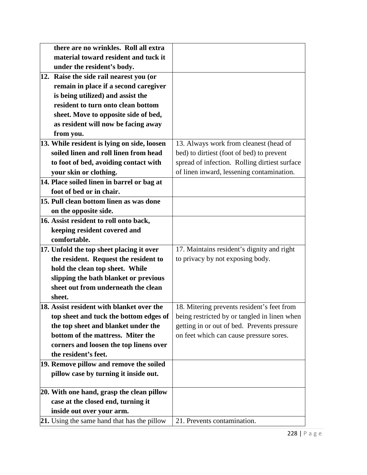| there are no wrinkles. Roll all extra       |                                               |
|---------------------------------------------|-----------------------------------------------|
| material toward resident and tuck it        |                                               |
| under the resident's body.                  |                                               |
| 12. Raise the side rail nearest you (or     |                                               |
| remain in place if a second caregiver       |                                               |
| is being utilized) and assist the           |                                               |
| resident to turn onto clean bottom          |                                               |
| sheet. Move to opposite side of bed,        |                                               |
| as resident will now be facing away         |                                               |
| from you.                                   |                                               |
| 13. While resident is lying on side, loosen | 13. Always work from cleanest (head of        |
| soiled linen and roll linen from head       | bed) to dirtiest (foot of bed) to prevent     |
| to foot of bed, avoiding contact with       | spread of infection. Rolling dirtiest surface |
| your skin or clothing.                      | of linen inward, lessening contamination.     |
| 14. Place soiled linen in barrel or bag at  |                                               |
| foot of bed or in chair.                    |                                               |
| 15. Pull clean bottom linen as was done     |                                               |
| on the opposite side.                       |                                               |
| 16. Assist resident to roll onto back,      |                                               |
| keeping resident covered and                |                                               |
| comfortable.                                |                                               |
| 17. Unfold the top sheet placing it over    | 17. Maintains resident's dignity and right    |
| the resident. Request the resident to       | to privacy by not exposing body.              |
| hold the clean top sheet. While             |                                               |
| slipping the bath blanket or previous       |                                               |
| sheet out from underneath the clean         |                                               |
| sheet.                                      |                                               |
| 18. Assist resident with blanket over the   | 18. Mitering prevents resident's feet from    |
| top sheet and tuck the bottom edges of      | being restricted by or tangled in linen when  |
| the top sheet and blanket under the         | getting in or out of bed. Prevents pressure   |
| bottom of the mattress. Miter the           | on feet which can cause pressure sores.       |
| corners and loosen the top linens over      |                                               |
| the resident's feet.                        |                                               |
| 19. Remove pillow and remove the soiled     |                                               |
| pillow case by turning it inside out.       |                                               |
|                                             |                                               |
| 20. With one hand, grasp the clean pillow   |                                               |
| case at the closed end, turning it          |                                               |
| inside out over your arm.                   |                                               |
| 21. Using the same hand that has the pillow | 21. Prevents contamination.                   |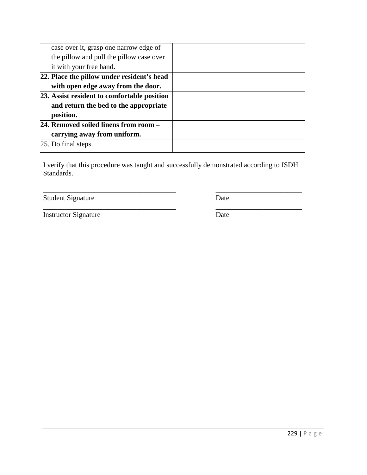| case over it, grasp one narrow edge of      |  |
|---------------------------------------------|--|
| the pillow and pull the pillow case over    |  |
| it with your free hand.                     |  |
| [22. Place the pillow under resident's head |  |
| with open edge away from the door.          |  |
| 23. Assist resident to comfortable position |  |
| and return the bed to the appropriate       |  |
| position.                                   |  |
| 24. Removed soiled linens from room -       |  |
| carrying away from uniform.                 |  |
| 25. Do final steps.                         |  |
|                                             |  |

\_\_\_\_\_\_\_\_\_\_\_\_\_\_\_\_\_\_\_\_\_\_\_\_\_\_\_\_\_\_\_\_\_\_\_\_\_ \_\_\_\_\_\_\_\_\_\_\_\_\_\_\_\_\_\_\_\_\_\_\_\_

\_\_\_\_\_\_\_\_\_\_\_\_\_\_\_\_\_\_\_\_\_\_\_\_\_\_\_\_\_\_\_\_\_\_\_\_\_ \_\_\_\_\_\_\_\_\_\_\_\_\_\_\_\_\_\_\_\_\_\_\_\_

Student Signature Date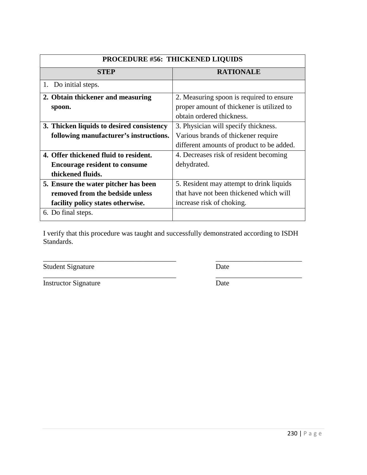| <b>PROCEDURE #56: THICKENED LIQUIDS</b>   |                                           |
|-------------------------------------------|-------------------------------------------|
| <b>STEP</b>                               | <b>RATIONALE</b>                          |
| 1. Do initial steps.                      |                                           |
| 2. Obtain thickener and measuring         | 2. Measuring spoon is required to ensure  |
| spoon.                                    | proper amount of thickener is utilized to |
|                                           | obtain ordered thickness.                 |
| 3. Thicken liquids to desired consistency | 3. Physician will specify thickness.      |
| following manufacturer's instructions.    | Various brands of thickener require       |
|                                           | different amounts of product to be added. |
| 4. Offer thickened fluid to resident.     | 4. Decreases risk of resident becoming    |
| <b>Encourage resident to consume</b>      | dehydrated.                               |
| thickened fluids.                         |                                           |
| 5. Ensure the water pitcher has been      | 5. Resident may attempt to drink liquids  |
| removed from the bedside unless           | that have not been thickened which will   |
| facility policy states otherwise.         | increase risk of choking.                 |
| 6. Do final steps.                        |                                           |
|                                           |                                           |

\_\_\_\_\_\_\_\_\_\_\_\_\_\_\_\_\_\_\_\_\_\_\_\_\_\_\_\_\_\_\_\_\_\_\_\_\_ \_\_\_\_\_\_\_\_\_\_\_\_\_\_\_\_\_\_\_\_\_\_\_\_

\_\_\_\_\_\_\_\_\_\_\_\_\_\_\_\_\_\_\_\_\_\_\_\_\_\_\_\_\_\_\_\_\_\_\_\_\_ \_\_\_\_\_\_\_\_\_\_\_\_\_\_\_\_\_\_\_\_\_\_\_\_ Student Signature Date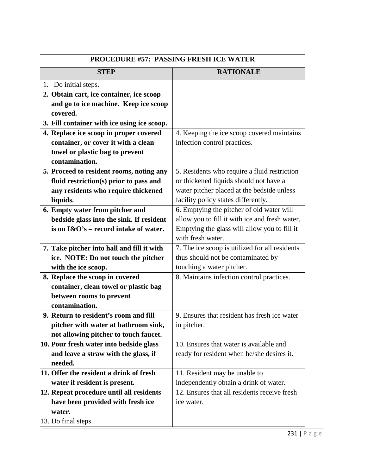| <b>PROCEDURE #57: PASSING FRESH ICE WATER</b> |                                                |
|-----------------------------------------------|------------------------------------------------|
| <b>STEP</b>                                   | <b>RATIONALE</b>                               |
| 1. Do initial steps.                          |                                                |
| 2. Obtain cart, ice container, ice scoop      |                                                |
| and go to ice machine. Keep ice scoop         |                                                |
| covered.                                      |                                                |
| 3. Fill container with ice using ice scoop.   |                                                |
| 4. Replace ice scoop in proper covered        | 4. Keeping the ice scoop covered maintains     |
| container, or cover it with a clean           | infection control practices.                   |
| towel or plastic bag to prevent               |                                                |
| contamination.                                |                                                |
| 5. Proceed to resident rooms, noting any      | 5. Residents who require a fluid restriction   |
| fluid restriction(s) prior to pass and        | or thickened liquids should not have a         |
| any residents who require thickened           | water pitcher placed at the bedside unless     |
| liquids.                                      | facility policy states differently.            |
| 6. Empty water from pitcher and               | 6. Emptying the pitcher of old water will      |
| bedside glass into the sink. If resident      | allow you to fill it with ice and fresh water. |
| is on $I\&O's$ – record intake of water.      | Emptying the glass will allow you to fill it   |
|                                               | with fresh water.                              |
| 7. Take pitcher into hall and fill it with    | 7. The ice scoop is utilized for all residents |
| ice. NOTE: Do not touch the pitcher           | thus should not be contaminated by             |
| with the ice scoop.                           | touching a water pitcher.                      |
| 8. Replace the scoop in covered               | 8. Maintains infection control practices.      |
| container, clean towel or plastic bag         |                                                |
| between rooms to prevent                      |                                                |
| contamination.                                |                                                |
| 9. Return to resident's room and fill         | 9. Ensures that resident has fresh ice water   |
| pitcher with water at bathroom sink,          | in pitcher.                                    |
| not allowing pitcher to touch faucet.         |                                                |
| 10. Pour fresh water into bedside glass       | 10. Ensures that water is available and        |
| and leave a straw with the glass, if          | ready for resident when he/she desires it.     |
| needed.                                       |                                                |
| 11. Offer the resident a drink of fresh       | 11. Resident may be unable to                  |
| water if resident is present.                 | independently obtain a drink of water.         |
| 12. Repeat procedure until all residents      | 12. Ensures that all residents receive fresh   |
| have been provided with fresh ice             | ice water.                                     |
| water.                                        |                                                |
| 13. Do final steps.                           |                                                |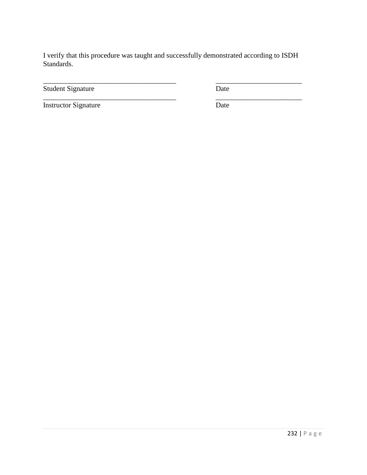\_\_\_\_\_\_\_\_\_\_\_\_\_\_\_\_\_\_\_\_\_\_\_\_\_\_\_\_\_\_\_\_\_\_\_\_\_ \_\_\_\_\_\_\_\_\_\_\_\_\_\_\_\_\_\_\_\_\_\_\_\_

Student Signature Date

Instructor Signature Date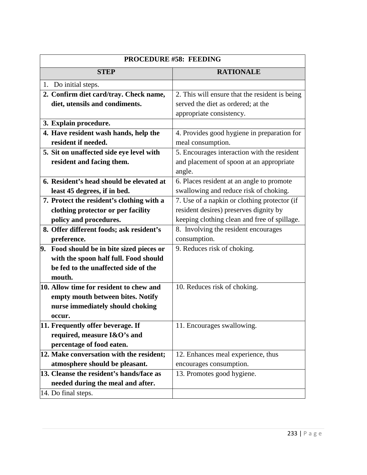| <b>PROCEDURE #58: FEEDING</b>             |                                                |
|-------------------------------------------|------------------------------------------------|
| <b>STEP</b>                               | <b>RATIONALE</b>                               |
| Do initial steps.<br>1.                   |                                                |
| 2. Confirm diet card/tray. Check name,    | 2. This will ensure that the resident is being |
| diet, utensils and condiments.            | served the diet as ordered; at the             |
|                                           | appropriate consistency.                       |
| 3. Explain procedure.                     |                                                |
| 4. Have resident wash hands, help the     | 4. Provides good hygiene in preparation for    |
| resident if needed.                       | meal consumption.                              |
| 5. Sit on unaffected side eye level with  | 5. Encourages interaction with the resident    |
| resident and facing them.                 | and placement of spoon at an appropriate       |
|                                           | angle.                                         |
| 6. Resident's head should be elevated at  | 6. Places resident at an angle to promote      |
| least 45 degrees, if in bed.              | swallowing and reduce risk of choking.         |
| 7. Protect the resident's clothing with a | 7. Use of a napkin or clothing protector (if   |
| clothing protector or per facility        | resident desires) preserves dignity by         |
| policy and procedures.                    | keeping clothing clean and free of spillage.   |
| 8. Offer different foods; ask resident's  | 8. Involving the resident encourages           |
| preference.                               | consumption.                                   |
| 9. Food should be in bite sized pieces or | 9. Reduces risk of choking.                    |
| with the spoon half full. Food should     |                                                |
| be fed to the unaffected side of the      |                                                |
| mouth.                                    |                                                |
| 10. Allow time for resident to chew and   | 10. Reduces risk of choking.                   |
| empty mouth between bites. Notify         |                                                |
| nurse immediately should choking          |                                                |
| occur.                                    |                                                |
| [11. Frequently offer beverage. If        | 11. Encourages swallowing.                     |
| required, measure I&O's and               |                                                |
| percentage of food eaten.                 |                                                |
| 12. Make conversation with the resident;  | 12. Enhances meal experience, thus             |
| atmosphere should be pleasant.            | encourages consumption.                        |
| 13. Cleanse the resident's hands/face as  | 13. Promotes good hygiene.                     |
| needed during the meal and after.         |                                                |
| 14. Do final steps.                       |                                                |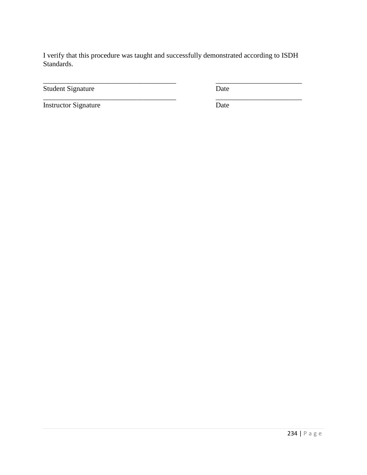\_\_\_\_\_\_\_\_\_\_\_\_\_\_\_\_\_\_\_\_\_\_\_\_\_\_\_\_\_\_\_\_\_\_\_\_\_ \_\_\_\_\_\_\_\_\_\_\_\_\_\_\_\_\_\_\_\_\_\_\_\_

\_\_\_\_\_\_\_\_\_\_\_\_\_\_\_\_\_\_\_\_\_\_\_\_\_\_\_\_\_\_\_\_\_\_\_\_\_ \_\_\_\_\_\_\_\_\_\_\_\_\_\_\_\_\_\_\_\_\_\_\_\_

Student Signature Date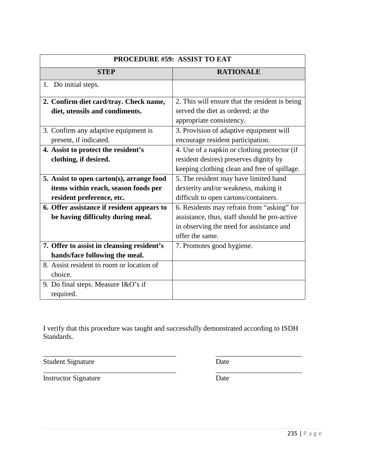| <b>PROCEDURE #59: ASSIST TO EAT</b>        |                                                |
|--------------------------------------------|------------------------------------------------|
| <b>STEP</b>                                | <b>RATIONALE</b>                               |
| 1. Do initial steps.                       |                                                |
| 2. Confirm diet card/tray. Check name,     | 2. This will ensure that the resident is being |
| diet, utensils and condiments.             | served the diet as ordered; at the             |
|                                            | appropriate consistency.                       |
| 3. Confirm any adaptive equipment is       | 3. Provision of adaptive equipment will        |
| present, if indicated.                     | encourage resident participation.              |
| 4. Assist to protect the resident's        | 4. Use of a napkin or clothing protector (if   |
| clothing, if desired.                      | resident desires) preserves dignity by         |
|                                            | keeping clothing clean and free of spillage.   |
| 5. Assist to open carton(s), arrange food  | 5. The resident may have limited hand          |
| items within reach, season foods per       | dexterity and/or weakness, making it           |
| resident preference, etc.                  | difficult to open cartons/containers.          |
| 6. Offer assistance if resident appears to | 6. Residents may refrain from "asking" for     |
| be having difficulty during meal.          | assistance, thus, staff should be pro-active   |
|                                            | in observing the need for assistance and       |
|                                            | offer the same.                                |
| 7. Offer to assist in cleansing resident's | 7. Promotes good hygiene.                      |
| hands/face following the meal.             |                                                |
| 8. Assist resident to room or location of  |                                                |
| choice.                                    |                                                |
| 9. Do final steps. Measure $I&O's$ if      |                                                |
| required.                                  |                                                |

Student Signature Date

\_\_\_\_\_\_\_\_\_\_\_\_\_\_\_\_\_\_\_\_\_\_\_\_\_\_\_\_\_\_\_\_\_\_\_\_\_ \_\_\_\_\_\_\_\_\_\_\_\_\_\_\_\_\_\_\_\_\_\_\_\_

Instructor Signature Date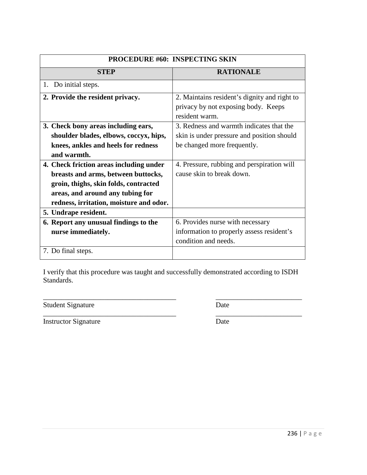| <b>PROCEDURE #60: INSPECTING SKIN</b>   |                                              |
|-----------------------------------------|----------------------------------------------|
| <b>STEP</b>                             | <b>RATIONALE</b>                             |
| 1. Do initial steps.                    |                                              |
| 2. Provide the resident privacy.        | 2. Maintains resident's dignity and right to |
|                                         | privacy by not exposing body. Keeps          |
|                                         | resident warm.                               |
| 3. Check bony areas including ears,     | 3. Redness and warmth indicates that the     |
| shoulder blades, elbows, coccyx, hips,  | skin is under pressure and position should   |
| knees, ankles and heels for redness     | be changed more frequently.                  |
| and warmth.                             |                                              |
| 4. Check friction areas including under | 4. Pressure, rubbing and perspiration will   |
| breasts and arms, between buttocks,     | cause skin to break down.                    |
| groin, thighs, skin folds, contracted   |                                              |
| areas, and around any tubing for        |                                              |
| redness, irritation, moisture and odor. |                                              |
| 5. Undrape resident.                    |                                              |
| 6. Report any unusual findings to the   | 6. Provides nurse with necessary             |
| nurse immediately.                      | information to properly assess resident's    |
|                                         | condition and needs.                         |
| 7. Do final steps.                      |                                              |

\_\_\_\_\_\_\_\_\_\_\_\_\_\_\_\_\_\_\_\_\_\_\_\_\_\_\_\_\_\_\_\_\_\_\_\_\_ \_\_\_\_\_\_\_\_\_\_\_\_\_\_\_\_\_\_\_\_\_\_\_\_

Student Signature Date

Instructor Signature Date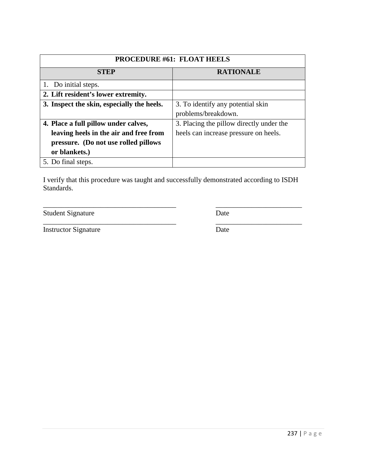| <b>PROCEDURE #61: FLOAT HEELS</b>          |                                          |
|--------------------------------------------|------------------------------------------|
| <b>STEP</b>                                | <b>RATIONALE</b>                         |
| 1. Do initial steps.                       |                                          |
| 2. Lift resident's lower extremity.        |                                          |
| 3. Inspect the skin, especially the heels. | 3. To identify any potential skin        |
|                                            | problems/breakdown.                      |
| 4. Place a full pillow under calves,       | 3. Placing the pillow directly under the |
| leaving heels in the air and free from     | heels can increase pressure on heels.    |
| pressure. (Do not use rolled pillows       |                                          |
| or blankets.)                              |                                          |
| 5. Do final steps.                         |                                          |

Student Signature Date

\_\_\_\_\_\_\_\_\_\_\_\_\_\_\_\_\_\_\_\_\_\_\_\_\_\_\_\_\_\_\_\_\_\_\_\_\_ \_\_\_\_\_\_\_\_\_\_\_\_\_\_\_\_\_\_\_\_\_\_\_\_

Instructor Signature Date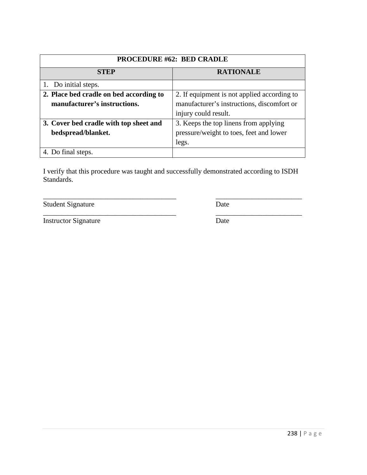| <b>PROCEDURE #62: BED CRADLE</b>        |                                             |
|-----------------------------------------|---------------------------------------------|
| <b>STEP</b>                             | <b>RATIONALE</b>                            |
| 1. Do initial steps.                    |                                             |
| 2. Place bed cradle on bed according to | 2. If equipment is not applied according to |
| manufacturer's instructions.            | manufacturer's instructions, discomfort or  |
|                                         | injury could result.                        |
| 3. Cover bed cradle with top sheet and  | 3. Keeps the top linens from applying       |
| bedspread/blanket.                      | pressure/weight to toes, feet and lower     |
|                                         | legs.                                       |
| 4. Do final steps.                      |                                             |

Student Signature Date

\_\_\_\_\_\_\_\_\_\_\_\_\_\_\_\_\_\_\_\_\_\_\_\_\_\_\_\_\_\_\_\_\_\_\_\_\_ \_\_\_\_\_\_\_\_\_\_\_\_\_\_\_\_\_\_\_\_\_\_\_\_

Instructor Signature Date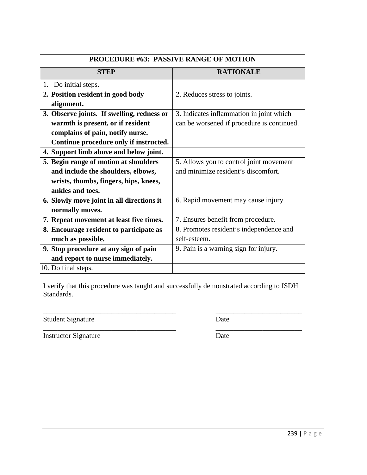| <b>PROCEDURE #63: PASSIVE RANGE OF MOTION</b> |                                            |
|-----------------------------------------------|--------------------------------------------|
| <b>STEP</b>                                   | <b>RATIONALE</b>                           |
| 1. Do initial steps.                          |                                            |
| 2. Position resident in good body             | 2. Reduces stress to joints.               |
| alignment.                                    |                                            |
| 3. Observe joints. If swelling, redness or    | 3. Indicates inflammation in joint which   |
| warmth is present, or if resident             | can be worsened if procedure is continued. |
| complains of pain, notify nurse.              |                                            |
| Continue procedure only if instructed.        |                                            |
| 4. Support limb above and below joint.        |                                            |
| 5. Begin range of motion at shoulders         | 5. Allows you to control joint movement    |
| and include the shoulders, elbows,            | and minimize resident's discomfort.        |
| wrists, thumbs, fingers, hips, knees,         |                                            |
| ankles and toes.                              |                                            |
| 6. Slowly move joint in all directions it     | 6. Rapid movement may cause injury.        |
| normally moves.                               |                                            |
| 7. Repeat movement at least five times.       | 7. Ensures benefit from procedure.         |
| 8. Encourage resident to participate as       | 8. Promotes resident's independence and    |
| much as possible.                             | self-esteem.                               |
| 9. Stop procedure at any sign of pain         | 9. Pain is a warning sign for injury.      |
| and report to nurse immediately.              |                                            |
| 10. Do final steps.                           |                                            |

\_\_\_\_\_\_\_\_\_\_\_\_\_\_\_\_\_\_\_\_\_\_\_\_\_\_\_\_\_\_\_\_\_\_\_\_\_ \_\_\_\_\_\_\_\_\_\_\_\_\_\_\_\_\_\_\_\_\_\_\_\_

\_\_\_\_\_\_\_\_\_\_\_\_\_\_\_\_\_\_\_\_\_\_\_\_\_\_\_\_\_\_\_\_\_\_\_\_\_ \_\_\_\_\_\_\_\_\_\_\_\_\_\_\_\_\_\_\_\_\_\_\_\_

Student Signature Date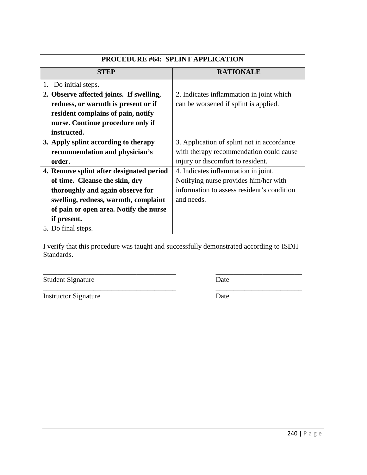| <b>PROCEDURE #64: SPLINT APPLICATION</b> |                                            |
|------------------------------------------|--------------------------------------------|
| <b>STEP</b>                              | <b>RATIONALE</b>                           |
| Do initial steps.<br>1.                  |                                            |
| 2. Observe affected joints. If swelling, | 2. Indicates inflammation in joint which   |
| redness, or warmth is present or if      | can be worsened if splint is applied.      |
| resident complains of pain, notify       |                                            |
| nurse. Continue procedure only if        |                                            |
| instructed.                              |                                            |
| 3. Apply splint according to therapy     | 3. Application of splint not in accordance |
| recommendation and physician's           | with therapy recommendation could cause    |
| order.                                   | injury or discomfort to resident.          |
| 4. Remove splint after designated period | 4. Indicates inflammation in joint.        |
| of time. Cleanse the skin, dry           | Notifying nurse provides him/her with      |
| thoroughly and again observe for         | information to assess resident's condition |
| swelling, redness, warmth, complaint     | and needs.                                 |
| of pain or open area. Notify the nurse   |                                            |
| if present.                              |                                            |
| 5. Do final steps.                       |                                            |

\_\_\_\_\_\_\_\_\_\_\_\_\_\_\_\_\_\_\_\_\_\_\_\_\_\_\_\_\_\_\_\_\_\_\_\_\_ \_\_\_\_\_\_\_\_\_\_\_\_\_\_\_\_\_\_\_\_\_\_\_\_

\_\_\_\_\_\_\_\_\_\_\_\_\_\_\_\_\_\_\_\_\_\_\_\_\_\_\_\_\_\_\_\_\_\_\_\_\_ \_\_\_\_\_\_\_\_\_\_\_\_\_\_\_\_\_\_\_\_\_\_\_\_

Student Signature Date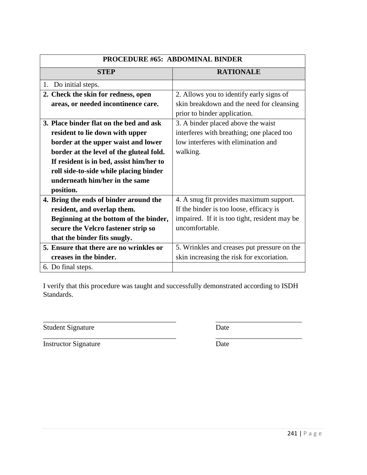| <b>PROCEDURE #65: ABDOMINAL BINDER</b>   |                                               |
|------------------------------------------|-----------------------------------------------|
| <b>STEP</b>                              | <b>RATIONALE</b>                              |
| Do initial steps.<br>1.                  |                                               |
| 2. Check the skin for redness, open      | 2. Allows you to identify early signs of      |
| areas, or needed incontinence care.      | skin breakdown and the need for cleansing     |
|                                          | prior to binder application.                  |
| 3. Place binder flat on the bed and ask  | 3. A binder placed above the waist            |
| resident to lie down with upper          | interferes with breathing; one placed too     |
| border at the upper waist and lower      | low interferes with elimination and           |
| border at the level of the gluteal fold. | walking.                                      |
| If resident is in bed, assist him/her to |                                               |
| roll side-to-side while placing binder   |                                               |
| underneath him/her in the same           |                                               |
| position.                                |                                               |
| 4. Bring the ends of binder around the   | 4. A snug fit provides maximum support.       |
| resident, and overlap them.              | If the binder is too loose, efficacy is       |
| Beginning at the bottom of the binder,   | impaired. If it is too tight, resident may be |
| secure the Velcro fastener strip so      | uncomfortable.                                |
| that the binder fits snugly.             |                                               |
| 5. Ensure that there are no wrinkles or  | 5. Wrinkles and creases put pressure on the   |
| creases in the binder.                   | skin increasing the risk for excoriation.     |
| 6. Do final steps.                       |                                               |

\_\_\_\_\_\_\_\_\_\_\_\_\_\_\_\_\_\_\_\_\_\_\_\_\_\_\_\_\_\_\_\_\_\_\_\_\_ \_\_\_\_\_\_\_\_\_\_\_\_\_\_\_\_\_\_\_\_\_\_\_\_

Student Signature Date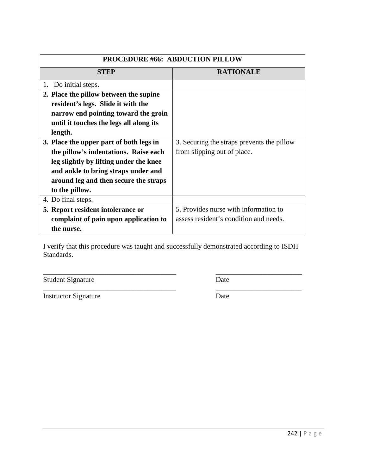| <b>PROCEDURE #66: ABDUCTION PILLOW</b>  |                                            |
|-----------------------------------------|--------------------------------------------|
| <b>STEP</b>                             | <b>RATIONALE</b>                           |
| 1. Do initial steps.                    |                                            |
| 2. Place the pillow between the supine  |                                            |
| resident's legs. Slide it with the      |                                            |
| narrow end pointing toward the groin    |                                            |
| until it touches the legs all along its |                                            |
| length.                                 |                                            |
| 3. Place the upper part of both legs in | 3. Securing the straps prevents the pillow |
| the pillow's indentations. Raise each   | from slipping out of place.                |
| leg slightly by lifting under the knee  |                                            |
| and ankle to bring straps under and     |                                            |
| around leg and then secure the straps   |                                            |
| to the pillow.                          |                                            |
| 4. Do final steps.                      |                                            |
| 5. Report resident intolerance or       | 5. Provides nurse with information to      |
| complaint of pain upon application to   | assess resident's condition and needs.     |
| the nurse.                              |                                            |

\_\_\_\_\_\_\_\_\_\_\_\_\_\_\_\_\_\_\_\_\_\_\_\_\_\_\_\_\_\_\_\_\_\_\_\_\_ \_\_\_\_\_\_\_\_\_\_\_\_\_\_\_\_\_\_\_\_\_\_\_\_

\_\_\_\_\_\_\_\_\_\_\_\_\_\_\_\_\_\_\_\_\_\_\_\_\_\_\_\_\_\_\_\_\_\_\_\_\_ \_\_\_\_\_\_\_\_\_\_\_\_\_\_\_\_\_\_\_\_\_\_\_\_

Student Signature Date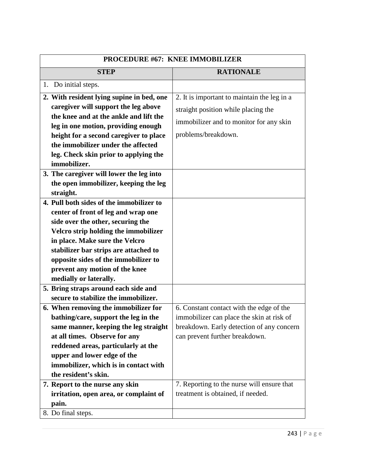| <b>PROCEDURE #67: KNEE IMMOBILIZER</b>    |                                             |
|-------------------------------------------|---------------------------------------------|
| <b>STEP</b>                               | <b>RATIONALE</b>                            |
| 1. Do initial steps.                      |                                             |
| 2. With resident lying supine in bed, one | 2. It is important to maintain the leg in a |
| caregiver will support the leg above      | straight position while placing the         |
| the knee and at the ankle and lift the    |                                             |
| leg in one motion, providing enough       | immobilizer and to monitor for any skin     |
| height for a second caregiver to place    | problems/breakdown.                         |
| the immobilizer under the affected        |                                             |
| leg. Check skin prior to applying the     |                                             |
| immobilizer.                              |                                             |
| 3. The caregiver will lower the leg into  |                                             |
| the open immobilizer, keeping the leg     |                                             |
| straight.                                 |                                             |
| 4. Pull both sides of the immobilizer to  |                                             |
| center of front of leg and wrap one       |                                             |
| side over the other, securing the         |                                             |
| Velcro strip holding the immobilizer      |                                             |
| in place. Make sure the Velcro            |                                             |
| stabilizer bar strips are attached to     |                                             |
| opposite sides of the immobilizer to      |                                             |
| prevent any motion of the knee            |                                             |
| medially or laterally.                    |                                             |
| 5. Bring straps around each side and      |                                             |
| secure to stabilize the immobilizer.      |                                             |
| 6. When removing the immobilizer for      | 6. Constant contact with the edge of the    |
| bathing/care, support the leg in the      | immobilizer can place the skin at risk of   |
| same manner, keeping the leg straight     | breakdown. Early detection of any concern   |
| at all times. Observe for any             | can prevent further breakdown.              |
| reddened areas, particularly at the       |                                             |
| upper and lower edge of the               |                                             |
| immobilizer, which is in contact with     |                                             |
| the resident's skin.                      |                                             |
| 7. Report to the nurse any skin           | 7. Reporting to the nurse will ensure that  |
| irritation, open area, or complaint of    | treatment is obtained, if needed.           |
| pain.                                     |                                             |
| 8. Do final steps.                        |                                             |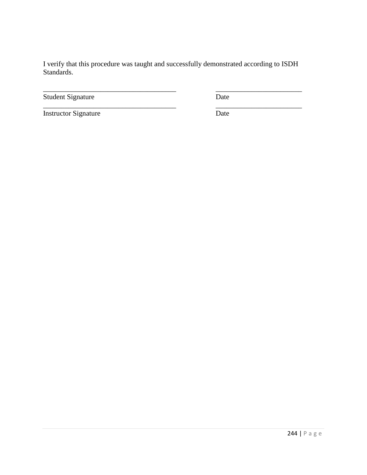Student Signature Date

\_\_\_\_\_\_\_\_\_\_\_\_\_\_\_\_\_\_\_\_\_\_\_\_\_\_\_\_\_\_\_\_\_\_\_\_\_ \_\_\_\_\_\_\_\_\_\_\_\_\_\_\_\_\_\_\_\_\_\_\_\_

Instructor Signature Date

\_\_\_\_\_\_\_\_\_\_\_\_\_\_\_\_\_\_\_\_\_\_\_\_\_\_\_\_\_\_\_\_\_\_\_\_\_ \_\_\_\_\_\_\_\_\_\_\_\_\_\_\_\_\_\_\_\_\_\_\_\_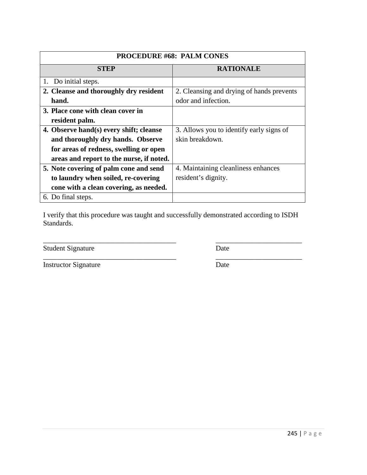| <b>PROCEDURE #68: PALM CONES</b>         |                                           |
|------------------------------------------|-------------------------------------------|
| <b>STEP</b>                              | <b>RATIONALE</b>                          |
| Do initial steps.                        |                                           |
| 2. Cleanse and thoroughly dry resident   | 2. Cleansing and drying of hands prevents |
| hand.                                    | odor and infection.                       |
| 3. Place cone with clean cover in        |                                           |
| resident palm.                           |                                           |
| 4. Observe hand(s) every shift; cleanse  | 3. Allows you to identify early signs of  |
| and thoroughly dry hands. Observe        | skin breakdown.                           |
| for areas of redness, swelling or open   |                                           |
| areas and report to the nurse, if noted. |                                           |
| 5. Note covering of palm cone and send   | 4. Maintaining cleanliness enhances       |
| to laundry when soiled, re-covering      | resident's dignity.                       |
| cone with a clean covering, as needed.   |                                           |
| 6. Do final steps.                       |                                           |

Student Signature Date

Instructor Signature Date

\_\_\_\_\_\_\_\_\_\_\_\_\_\_\_\_\_\_\_\_\_\_\_\_\_\_\_\_\_\_\_\_\_\_\_\_\_ \_\_\_\_\_\_\_\_\_\_\_\_\_\_\_\_\_\_\_\_\_\_\_\_

\_\_\_\_\_\_\_\_\_\_\_\_\_\_\_\_\_\_\_\_\_\_\_\_\_\_\_\_\_\_\_\_\_\_\_\_\_ \_\_\_\_\_\_\_\_\_\_\_\_\_\_\_\_\_\_\_\_\_\_\_\_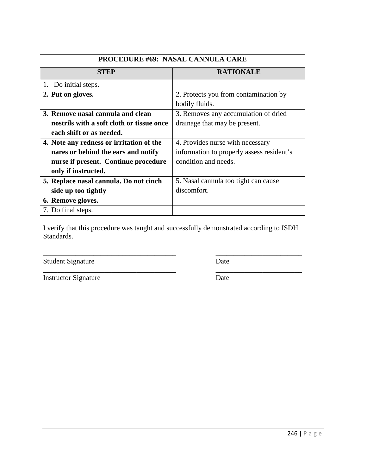| <b>PROCEDURE #69: NASAL CANNULA CARE</b>  |                                           |
|-------------------------------------------|-------------------------------------------|
| <b>STEP</b>                               | <b>RATIONALE</b>                          |
| 1. Do initial steps.                      |                                           |
| 2. Put on gloves.                         | 2. Protects you from contamination by     |
|                                           | bodily fluids.                            |
| 3. Remove nasal cannula and clean         | 3. Removes any accumulation of dried      |
| nostrils with a soft cloth or tissue once | drainage that may be present.             |
| each shift or as needed.                  |                                           |
| 4. Note any redness or irritation of the  | 4. Provides nurse with necessary          |
| nares or behind the ears and notify       | information to properly assess resident's |
| nurse if present. Continue procedure      | condition and needs.                      |
| only if instructed.                       |                                           |
| 5. Replace nasal cannula. Do not cinch    | 5. Nasal cannula too tight can cause      |
| side up too tightly                       | discomfort.                               |
| 6. Remove gloves.                         |                                           |
| 7. Do final steps.                        |                                           |

\_\_\_\_\_\_\_\_\_\_\_\_\_\_\_\_\_\_\_\_\_\_\_\_\_\_\_\_\_\_\_\_\_\_\_\_\_ \_\_\_\_\_\_\_\_\_\_\_\_\_\_\_\_\_\_\_\_\_\_\_\_

Student Signature Date

| <b>Instructor Signature</b> | Date |
|-----------------------------|------|
|                             |      |

\_\_\_\_\_\_\_\_\_\_\_\_\_\_\_\_\_\_\_\_\_\_\_\_\_\_\_\_\_\_\_\_\_\_\_\_\_ \_\_\_\_\_\_\_\_\_\_\_\_\_\_\_\_\_\_\_\_\_\_\_\_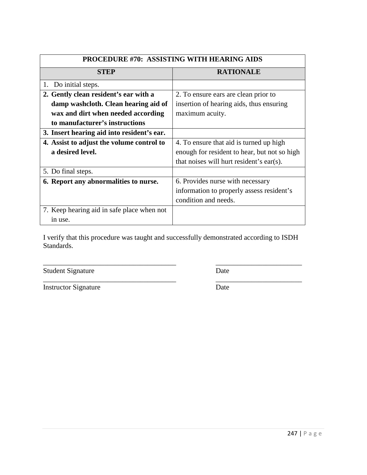| <b>PROCEDURE #70: ASSISTING WITH HEARING AIDS</b> |                                              |
|---------------------------------------------------|----------------------------------------------|
| <b>STEP</b>                                       | <b>RATIONALE</b>                             |
| 1. Do initial steps.                              |                                              |
| 2. Gently clean resident's ear with a             | 2. To ensure ears are clean prior to         |
| damp washcloth. Clean hearing aid of              | insertion of hearing aids, thus ensuring     |
| wax and dirt when needed according                | maximum acuity.                              |
| to manufacturer's instructions                    |                                              |
| 3. Insert hearing aid into resident's ear.        |                                              |
| 4. Assist to adjust the volume control to         | 4. To ensure that aid is turned up high      |
| a desired level.                                  | enough for resident to hear, but not so high |
|                                                   | that noises will hurt resident's ear(s).     |
| 5. Do final steps.                                |                                              |
| 6. Report any abnormalities to nurse.             | 6. Provides nurse with necessary             |
|                                                   | information to properly assess resident's    |
|                                                   | condition and needs.                         |
| 7. Keep hearing aid in safe place when not        |                                              |
| in use.                                           |                                              |

\_\_\_\_\_\_\_\_\_\_\_\_\_\_\_\_\_\_\_\_\_\_\_\_\_\_\_\_\_\_\_\_\_\_\_\_\_ \_\_\_\_\_\_\_\_\_\_\_\_\_\_\_\_\_\_\_\_\_\_\_\_

\_\_\_\_\_\_\_\_\_\_\_\_\_\_\_\_\_\_\_\_\_\_\_\_\_\_\_\_\_\_\_\_\_\_\_\_\_ \_\_\_\_\_\_\_\_\_\_\_\_\_\_\_\_\_\_\_\_\_\_\_\_

Student Signature Date

Instructor Signature Date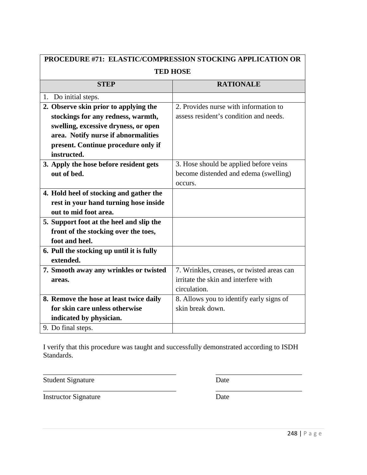| PROCEDURE #71: ELASTIC/COMPRESSION STOCKING APPLICATION OR |                                            |
|------------------------------------------------------------|--------------------------------------------|
| <b>TED HOSE</b>                                            |                                            |
| <b>STEP</b>                                                | <b>RATIONALE</b>                           |
| 1. Do initial steps.                                       |                                            |
| 2. Observe skin prior to applying the                      | 2. Provides nurse with information to      |
| stockings for any redness, warmth,                         | assess resident's condition and needs.     |
| swelling, excessive dryness, or open                       |                                            |
| area. Notify nurse if abnormalities                        |                                            |
| present. Continue procedure only if                        |                                            |
| instructed.                                                |                                            |
| 3. Apply the hose before resident gets                     | 3. Hose should be applied before veins     |
| out of bed.                                                | become distended and edema (swelling)      |
|                                                            | occurs.                                    |
| 4. Hold heel of stocking and gather the                    |                                            |
| rest in your hand turning hose inside                      |                                            |
| out to mid foot area.                                      |                                            |
| 5. Support foot at the heel and slip the                   |                                            |
| front of the stocking over the toes,                       |                                            |
| foot and heel.                                             |                                            |
| 6. Pull the stocking up until it is fully                  |                                            |
| extended.                                                  |                                            |
| 7. Smooth away any wrinkles or twisted                     | 7. Wrinkles, creases, or twisted areas can |
| areas.                                                     | irritate the skin and interfere with       |
|                                                            | circulation.                               |
| 8. Remove the hose at least twice daily                    | 8. Allows you to identify early signs of   |
| for skin care unless otherwise                             | skin break down.                           |
| indicated by physician.                                    |                                            |
| 9. Do final steps.                                         |                                            |

\_\_\_\_\_\_\_\_\_\_\_\_\_\_\_\_\_\_\_\_\_\_\_\_\_\_\_\_\_\_\_\_\_\_\_\_\_ \_\_\_\_\_\_\_\_\_\_\_\_\_\_\_\_\_\_\_\_\_\_\_\_

Student Signature Date

\_\_\_\_\_\_\_\_\_\_\_\_\_\_\_\_\_\_\_\_\_\_\_\_\_\_\_\_\_\_\_\_\_\_\_\_\_ \_\_\_\_\_\_\_\_\_\_\_\_\_\_\_\_\_\_\_\_\_\_\_\_

Instructor Signature Date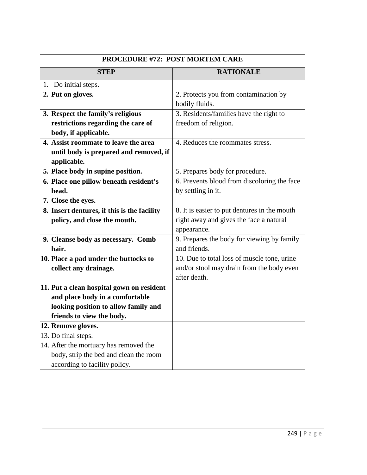| <b>PROCEDURE #72: POST MORTEM CARE</b>      |                                                         |
|---------------------------------------------|---------------------------------------------------------|
| <b>STEP</b>                                 | <b>RATIONALE</b>                                        |
| 1. Do initial steps.                        |                                                         |
| 2. Put on gloves.                           | 2. Protects you from contamination by<br>bodily fluids. |
| 3. Respect the family's religious           | 3. Residents/families have the right to                 |
| restrictions regarding the care of          | freedom of religion.                                    |
| body, if applicable.                        |                                                         |
| 4. Assist roommate to leave the area        | 4. Reduces the roommates stress.                        |
| until body is prepared and removed, if      |                                                         |
| applicable.                                 |                                                         |
| 5. Place body in supine position.           | 5. Prepares body for procedure.                         |
| 6. Place one pillow beneath resident's      | 6. Prevents blood from discoloring the face             |
| head.                                       | by settling in it.                                      |
| 7. Close the eyes.                          |                                                         |
| 8. Insert dentures, if this is the facility | 8. It is easier to put dentures in the mouth            |
| policy, and close the mouth.                | right away and gives the face a natural                 |
|                                             | appearance.                                             |
| 9. Cleanse body as necessary. Comb          | 9. Prepares the body for viewing by family              |
| hair.                                       | and friends.                                            |
| 10. Place a pad under the buttocks to       | 10. Due to total loss of muscle tone, urine             |
| collect any drainage.                       | and/or stool may drain from the body even               |
|                                             | after death.                                            |
| 11. Put a clean hospital gown on resident   |                                                         |
| and place body in a comfortable             |                                                         |
| looking position to allow family and        |                                                         |
| friends to view the body.                   |                                                         |
| 12. Remove gloves.                          |                                                         |
| 13. Do final steps.                         |                                                         |
| 14. After the mortuary has removed the      |                                                         |
| body, strip the bed and clean the room      |                                                         |
| according to facility policy.               |                                                         |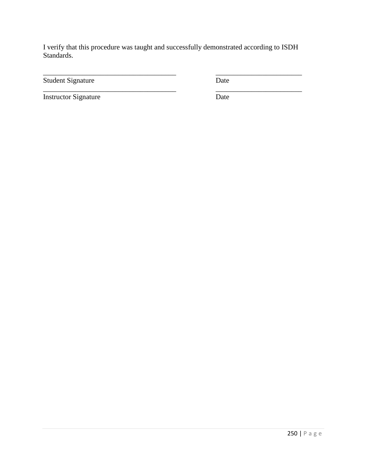\_\_\_\_\_\_\_\_\_\_\_\_\_\_\_\_\_\_\_\_\_\_\_\_\_\_\_\_\_\_\_\_\_\_\_\_\_ \_\_\_\_\_\_\_\_\_\_\_\_\_\_\_\_\_\_\_\_\_\_\_\_

\_\_\_\_\_\_\_\_\_\_\_\_\_\_\_\_\_\_\_\_\_\_\_\_\_\_\_\_\_\_\_\_\_\_\_\_\_ \_\_\_\_\_\_\_\_\_\_\_\_\_\_\_\_\_\_\_\_\_\_\_\_

Student Signature Date

Instructor Signature Date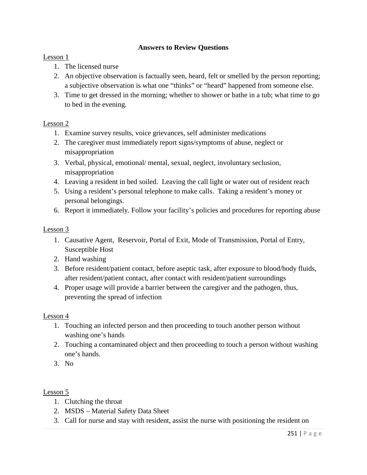## **Answers to Review Questions**

## Lesson 1

- 1. The licensed nurse
- 2. An objective observation is factually seen, heard, felt or smelled by the person reporting; a subjective observation is what one "thinks" or "heard" happened from someone else.
- 3. Time to get dressed in the morning; whether to shower or bathe in a tub; what time to go to bed in the evening.

## Lesson 2

- 1. Examine survey results, voice grievances, self administer medications
- 2. The caregiver must immediately report signs/symptoms of abuse, neglect or misappropriation
- 3. Verbal, physical, emotional/ mental, sexual, neglect, involuntary seclusion, misappropriation
- 4. Leaving a resident in bed soiled. Leaving the call light or water out of resident reach
- 5. Using a resident's personal telephone to make calls. Taking a resident's money or personal belongings.
- 6. Report it immediately. Follow your facility's policies and procedures for reporting abuse

## Lesson 3

- 1. Causative Agent, Reservoir, Portal of Exit, Mode of Transmission, Portal of Entry, Susceptible Host
- 2. Hand washing
- 3. Before resident/patient contact, before aseptic task, after exposure to blood/body fluids, after resident/patient contact, after contact with resident/patient surroundings
- 4. Proper usage will provide a barrier between the caregiver and the pathogen, thus, preventing the spread of infection

#### Lesson 4

- 1. Touching an infected person and then proceeding to touch another person without washing one's hands
- 2. Touching a contaminated object and then proceeding to touch a person without washing one's hands.
- 3. No

- 1. Clutching the throat
- 2. MSDS Material Safety Data Sheet
- 3. Call for nurse and stay with resident, assist the nurse with positioning the resident on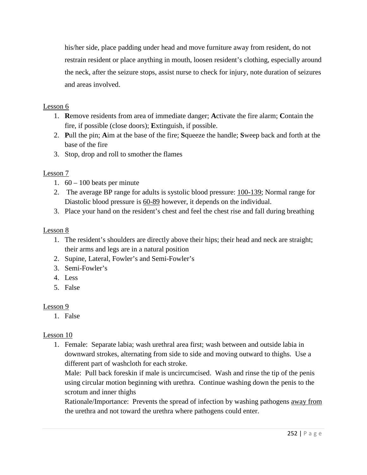his/her side, place padding under head and move furniture away from resident, do not restrain resident or place anything in mouth, loosen resident's clothing, especially around the neck, after the seizure stops, assist nurse to check for injury, note duration of seizures and areas involved.

# Lesson 6

- 1. **R**emove residents from area of immediate danger; **A**ctivate the fire alarm; **C**ontain the fire, if possible (close doors); **E**xtinguish, if possible.
- 2. **P**ull the pin; **A**im at the base of the fire; **S**queeze the handle; **S**weep back and forth at the base of the fire
- 3. Stop, drop and roll to smother the flames

# Lesson 7

- 1.  $60 100$  beats per minute
- 2. The average BP range for adults is systolic blood pressure: 100-139; Normal range for Diastolic blood pressure is 60-89 however, it depends on the individual.
- 3. Place your hand on the resident's chest and feel the chest rise and fall during breathing

# Lesson 8

- 1. The resident's shoulders are directly above their hips; their head and neck are straight; their arms and legs are in a natural position
- 2. Supine, Lateral, Fowler's and Semi-Fowler's
- 3. Semi-Fowler's
- 4. Less
- 5. False

# Lesson 9

1. False

# Lesson 10

1. Female: Separate labia; wash urethral area first; wash between and outside labia in downward strokes, alternating from side to side and moving outward to thighs. Use a different part of washcloth for each stroke.

Male: Pull back foreskin if male is uncircumcised. Wash and rinse the tip of the penis using circular motion beginning with urethra. Continue washing down the penis to the scrotum and inner thighs

Rationale/Importance: Prevents the spread of infection by washing pathogens <u>away from</u> the urethra and not toward the urethra where pathogens could enter.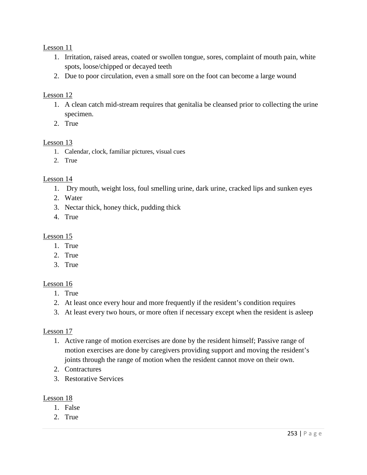Lesson 11

- 1. Irritation, raised areas, coated or swollen tongue, sores, complaint of mouth pain, white spots, loose/chipped or decayed teeth
- 2. Due to poor circulation, even a small sore on the foot can become a large wound

## Lesson 12

- 1. A clean catch mid-stream requires that genitalia be cleansed prior to collecting the urine specimen.
- 2. True

## Lesson 13

- 1. Calendar, clock, familiar pictures, visual cues
- 2. True

## Lesson 14

- 1. Dry mouth, weight loss, foul smelling urine, dark urine, cracked lips and sunken eyes
- 2. Water
- 3. Nectar thick, honey thick, pudding thick
- 4. True

# Lesson 15

- 1. True
- 2. True
- 3. True

## Lesson 16

- 1. True
- 2. At least once every hour and more frequently if the resident's condition requires
- 3. At least every two hours, or more often if necessary except when the resident is asleep

#### Lesson 17

- 1. Active range of motion exercises are done by the resident himself; Passive range of motion exercises are done by caregivers providing support and moving the resident's joints through the range of motion when the resident cannot move on their own.
- 2. Contractures
- 3. Restorative Services

- 1. False
- 2. True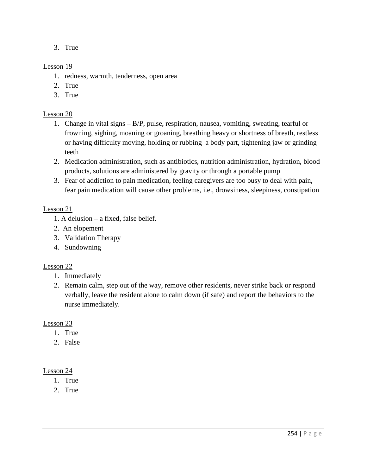3. True

## Lesson 19

- 1. redness, warmth, tenderness, open area
- 2. True
- 3. True

## Lesson 20

- 1. Change in vital signs B/P, pulse, respiration, nausea, vomiting, sweating, tearful or frowning, sighing, moaning or groaning, breathing heavy or shortness of breath, restless or having difficulty moving, holding or rubbing a body part, tightening jaw or grinding teeth
- 2. Medication administration, such as antibiotics, nutrition administration, hydration, blood products, solutions are administered by gravity or through a portable pump
- 3. Fear of addiction to pain medication, feeling caregivers are too busy to deal with pain, fear pain medication will cause other problems, i.e., drowsiness, sleepiness, constipation

#### Lesson 21

- 1. A delusion a fixed, false belief.
- 2. An elopement
- 3. Validation Therapy
- 4. Sundowning

## Lesson 22

- 1. Immediately
- 2. Remain calm, step out of the way, remove other residents, never strike back or respond verbally, leave the resident alone to calm down (if safe) and report the behaviors to the nurse immediately.

## Lesson 23

- 1. True
- 2. False

- 1. True
- 2. True